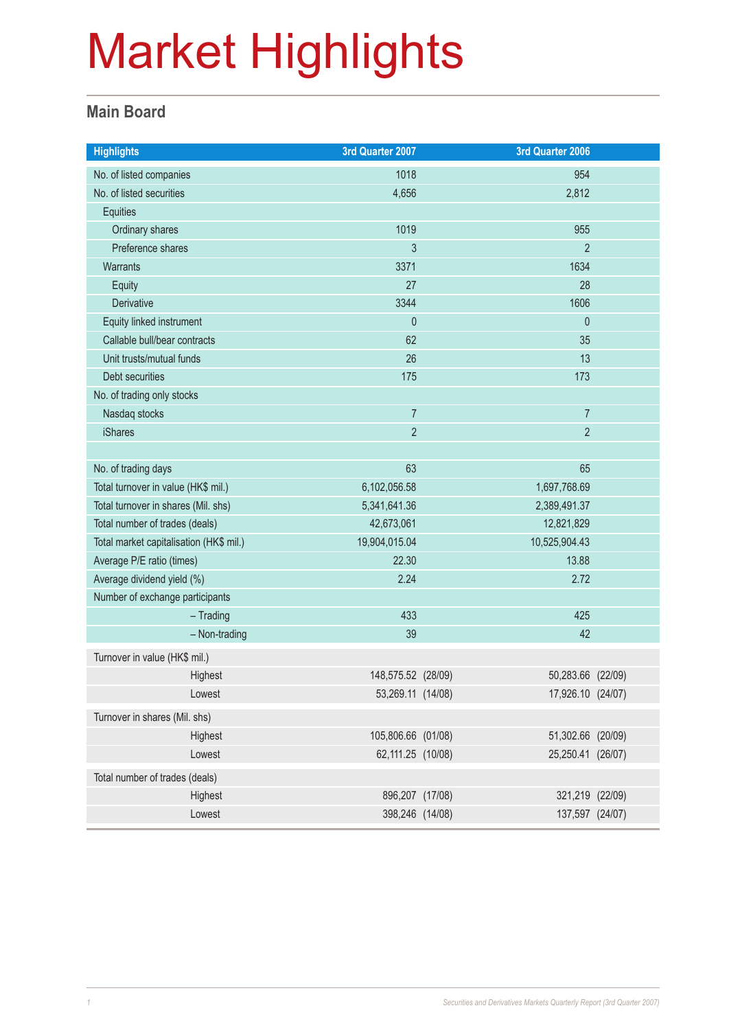#### **Main Board**

| <b>Highlights</b>                       | 3rd Quarter 2007   | 3rd Quarter 2006  |  |
|-----------------------------------------|--------------------|-------------------|--|
| No. of listed companies                 | 1018               | 954               |  |
| No. of listed securities                | 4,656              | 2,812             |  |
| Equities                                |                    |                   |  |
| Ordinary shares                         | 1019               | 955               |  |
| Preference shares                       | 3                  | $\overline{2}$    |  |
| Warrants                                | 3371               | 1634              |  |
| Equity                                  | 27                 | 28                |  |
| Derivative                              | 3344               | 1606              |  |
| Equity linked instrument                | $\mathbf{0}$       | $\mathbf{0}$      |  |
| Callable bull/bear contracts            | 62                 | 35                |  |
| Unit trusts/mutual funds                | 26                 | 13                |  |
| Debt securities                         | 175                | 173               |  |
| No. of trading only stocks              |                    |                   |  |
| Nasdaq stocks                           | $\overline{7}$     | $\overline{7}$    |  |
| <b>iShares</b>                          | $\overline{2}$     | $\overline{2}$    |  |
|                                         |                    |                   |  |
| No. of trading days                     | 63                 | 65                |  |
| Total turnover in value (HK\$ mil.)     | 6,102,056.58       | 1,697,768.69      |  |
| Total turnover in shares (Mil. shs)     | 5,341,641.36       | 2,389,491.37      |  |
| Total number of trades (deals)          | 42,673,061         | 12,821,829        |  |
| Total market capitalisation (HK\$ mil.) | 19,904,015.04      | 10,525,904.43     |  |
| Average P/E ratio (times)               | 22.30              | 13.88             |  |
| Average dividend yield (%)              | 2.24               | 2.72              |  |
| Number of exchange participants         |                    |                   |  |
| $-$ Trading                             | 433                | 425               |  |
| - Non-trading                           | 39                 | 42                |  |
| Turnover in value (HK\$ mil.)           |                    |                   |  |
| Highest                                 | 148,575.52 (28/09) | 50,283.66 (22/09) |  |
| Lowest                                  | 53,269.11 (14/08)  | 17,926.10 (24/07) |  |
| Turnover in shares (Mil. shs)           |                    |                   |  |
| Highest                                 | 105,806.66 (01/08) | 51,302.66 (20/09) |  |
| Lowest                                  | 62,111.25 (10/08)  | 25,250.41 (26/07) |  |
| Total number of trades (deals)          |                    |                   |  |
| Highest                                 | 896,207 (17/08)    | 321,219 (22/09)   |  |
| Lowest                                  | 398,246 (14/08)    | 137,597 (24/07)   |  |
|                                         |                    |                   |  |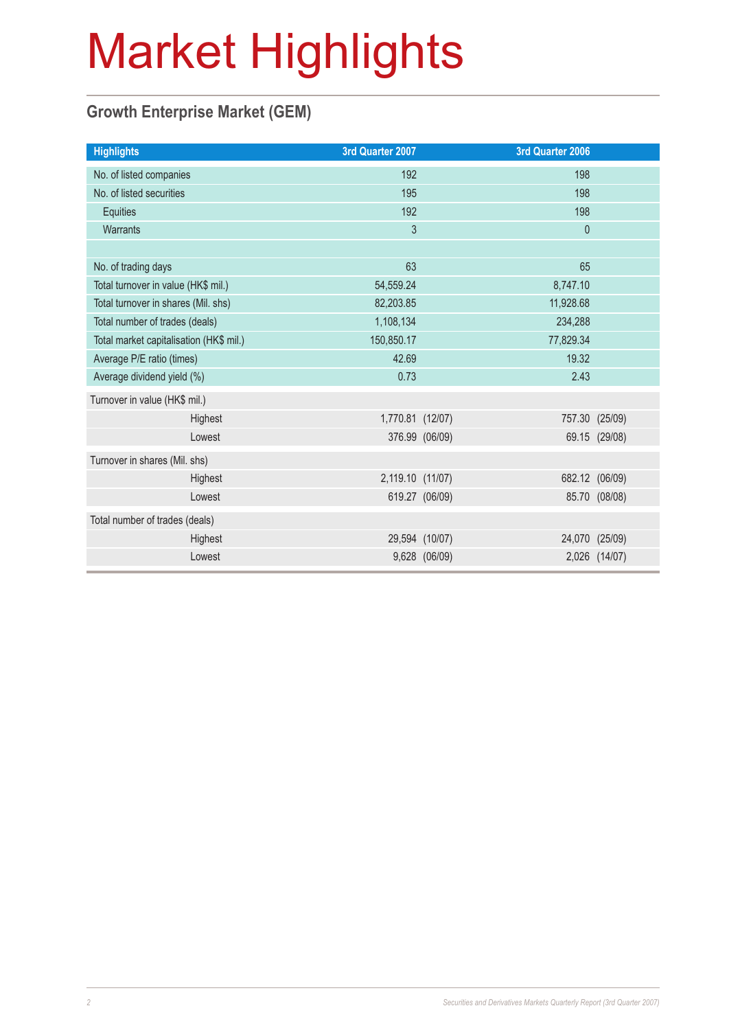### **Growth Enterprise Market (GEM)**

| <b>Highlights</b>                       |         | 3rd Quarter 2007 |                | 3rd Quarter 2006 |                |
|-----------------------------------------|---------|------------------|----------------|------------------|----------------|
| No. of listed companies                 |         | 192              |                | 198              |                |
| No. of listed securities                |         | 195              |                | 198              |                |
| Equities                                |         | 192              |                | 198              |                |
| Warrants                                |         | 3                |                | $\mathbf 0$      |                |
|                                         |         |                  |                |                  |                |
| No. of trading days                     |         | 63               |                | 65               |                |
| Total turnover in value (HK\$ mil.)     |         | 54,559.24        |                | 8,747.10         |                |
| Total turnover in shares (Mil. shs)     |         | 82,203.85        |                | 11,928.68        |                |
| Total number of trades (deals)          |         | 1,108,134        |                | 234,288          |                |
| Total market capitalisation (HK\$ mil.) |         | 150,850.17       |                | 77,829.34        |                |
| Average P/E ratio (times)               |         | 42.69            |                | 19.32            |                |
| Average dividend yield (%)              |         | 0.73             |                | 2.43             |                |
| Turnover in value (HK\$ mil.)           |         |                  |                |                  |                |
|                                         | Highest | 1,770.81 (12/07) |                |                  | 757.30 (25/09) |
|                                         | Lowest  |                  | 376.99 (06/09) |                  | 69.15 (29/08)  |
| Turnover in shares (Mil. shs)           |         |                  |                |                  |                |
|                                         | Highest | 2,119.10 (11/07) |                |                  | 682.12 (06/09) |
|                                         | Lowest  |                  | 619.27 (06/09) |                  | 85.70 (08/08)  |
| Total number of trades (deals)          |         |                  |                |                  |                |
|                                         | Highest |                  | 29,594 (10/07) |                  | 24,070 (25/09) |
|                                         | Lowest  |                  | 9,628 (06/09)  |                  | 2,026 (14/07)  |
|                                         |         |                  |                |                  |                |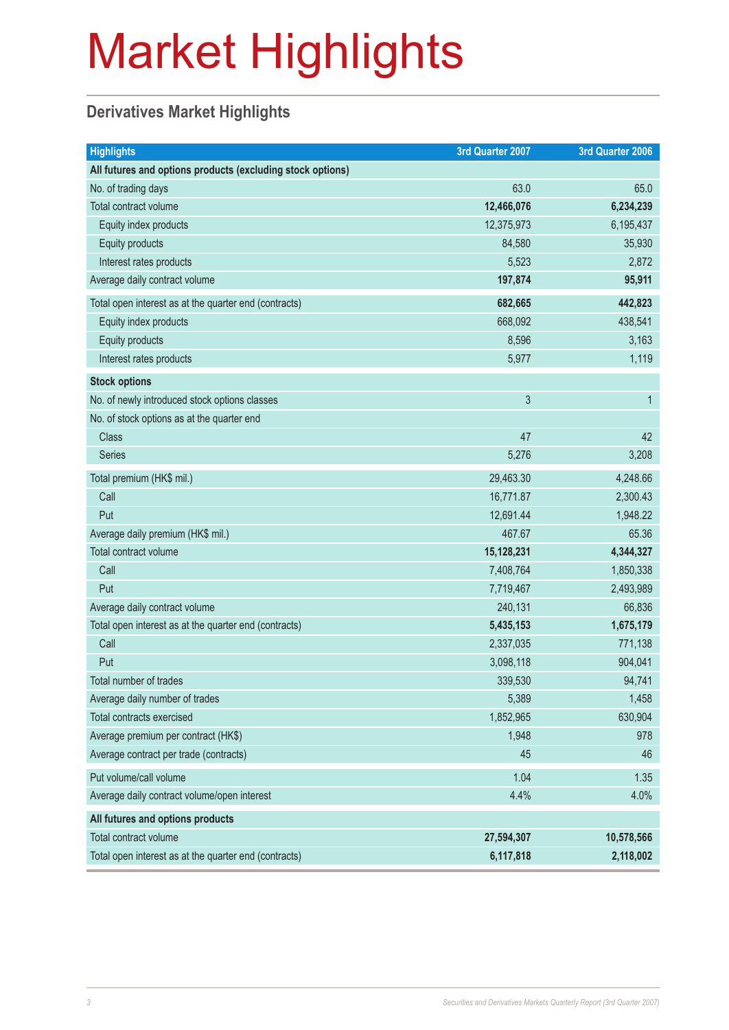### **Derivatives Market Highlights**

| <b>Highlights</b>                                          | 3rd Quarter 2007 | 3rd Quarter 2006 |
|------------------------------------------------------------|------------------|------------------|
| All futures and options products (excluding stock options) |                  |                  |
| No. of trading days                                        | 63.0             | 65.0             |
| Total contract volume                                      | 12,466,076       | 6,234,239        |
| Equity index products                                      | 12,375,973       | 6,195,437        |
| Equity products                                            | 84,580           | 35,930           |
| Interest rates products                                    | 5,523            | 2,872            |
| Average daily contract volume                              | 197,874          | 95,911           |
| Total open interest as at the quarter end (contracts)      | 682,665          | 442,823          |
| Equity index products                                      | 668,092          | 438,541          |
| Equity products                                            | 8,596            | 3,163            |
| Interest rates products                                    | 5,977            | 1,119            |
| <b>Stock options</b>                                       |                  |                  |
| No. of newly introduced stock options classes              | 3                | $\mathbf{1}$     |
| No. of stock options as at the quarter end                 |                  |                  |
| <b>Class</b>                                               | 47               | 42               |
| <b>Series</b>                                              | 5,276            | 3,208            |
| Total premium (HK\$ mil.)                                  | 29,463.30        | 4,248.66         |
| Call                                                       | 16,771.87        | 2,300.43         |
| Put                                                        | 12,691.44        | 1,948.22         |
| Average daily premium (HK\$ mil.)                          | 467.67           | 65.36            |
| Total contract volume                                      | 15,128,231       | 4,344,327        |
| Call                                                       | 7,408,764        | 1,850,338        |
| Put                                                        | 7,719,467        | 2,493,989        |
| Average daily contract volume                              | 240,131          | 66,836           |
| Total open interest as at the quarter end (contracts)      | 5,435,153        | 1,675,179        |
| Call                                                       | 2,337,035        | 771,138          |
| Put                                                        | 3,098,118        | 904,041          |
| Total number of trades                                     | 339,530          | 94,741           |
| Average daily number of trades                             | 5,389            | 1,458            |
| Total contracts exercised                                  | 1,852,965        | 630,904          |
| Average premium per contract (HK\$)                        | 1,948            | 978              |
| Average contract per trade (contracts)                     | 45               | 46               |
| Put volume/call volume                                     | 1.04             | 1.35             |
| Average daily contract volume/open interest                | 4.4%             | 4.0%             |
| All futures and options products                           |                  |                  |
| Total contract volume                                      | 27,594,307       | 10,578,566       |
| Total open interest as at the quarter end (contracts)      | 6,117,818        | 2,118,002        |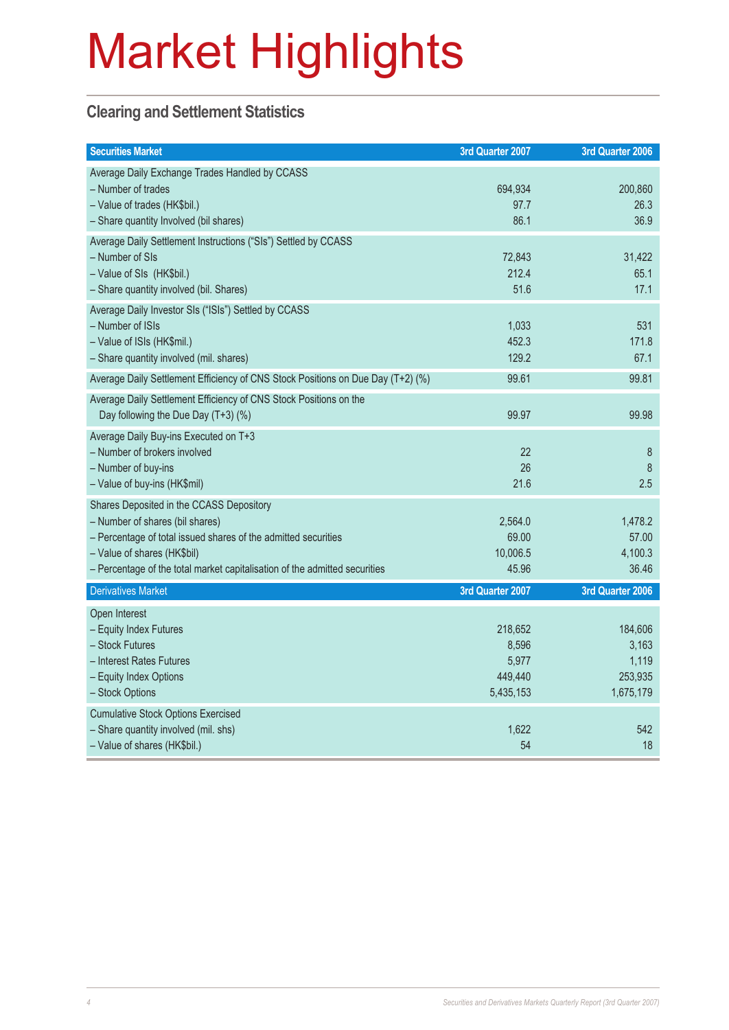#### **Clearing and Settlement Statistics**

| <b>Securities Market</b>                                                                                                                                                                                                                                   | 3rd Quarter 2007                                  | 3rd Quarter 2006                                  |
|------------------------------------------------------------------------------------------------------------------------------------------------------------------------------------------------------------------------------------------------------------|---------------------------------------------------|---------------------------------------------------|
| Average Daily Exchange Trades Handled by CCASS<br>- Number of trades<br>- Value of trades (HK\$bil.)<br>- Share quantity Involved (bil shares)                                                                                                             | 694,934<br>97.7<br>86.1                           | 200,860<br>26.3<br>36.9                           |
| Average Daily Settlement Instructions ("SIs") Settled by CCASS<br>- Number of SIs<br>- Value of SIs (HK\$bil.)<br>- Share quantity involved (bil. Shares)                                                                                                  | 72,843<br>212.4<br>51.6                           | 31,422<br>65.1<br>17.1                            |
| Average Daily Investor SIs ("ISIs") Settled by CCASS<br>- Number of ISIs<br>- Value of ISIs (HK\$mil.)<br>- Share quantity involved (mil. shares)                                                                                                          | 1,033<br>452.3<br>129.2                           | 531<br>171.8<br>67.1                              |
| Average Daily Settlement Efficiency of CNS Stock Positions on Due Day (T+2) (%)                                                                                                                                                                            | 99.61                                             | 99.81                                             |
| Average Daily Settlement Efficiency of CNS Stock Positions on the<br>Day following the Due Day (T+3) (%)                                                                                                                                                   | 99.97                                             | 99.98                                             |
| Average Daily Buy-ins Executed on T+3<br>- Number of brokers involved<br>- Number of buy-ins<br>- Value of buy-ins (HK\$mil)                                                                                                                               | 22<br>26<br>21.6                                  | 8<br>8<br>2.5                                     |
| Shares Deposited in the CCASS Depository<br>- Number of shares (bil shares)<br>- Percentage of total issued shares of the admitted securities<br>- Value of shares (HK\$bil)<br>- Percentage of the total market capitalisation of the admitted securities | 2,564.0<br>69.00<br>10,006.5<br>45.96             | 1,478.2<br>57.00<br>4,100.3<br>36.46              |
| <b>Derivatives Market</b>                                                                                                                                                                                                                                  | 3rd Quarter 2007                                  | 3rd Quarter 2006                                  |
| Open Interest<br>- Equity Index Futures<br>- Stock Futures<br>- Interest Rates Futures<br>- Equity Index Options<br>- Stock Options                                                                                                                        | 218,652<br>8,596<br>5,977<br>449,440<br>5,435,153 | 184,606<br>3,163<br>1,119<br>253,935<br>1,675,179 |
| <b>Cumulative Stock Options Exercised</b><br>- Share quantity involved (mil. shs)<br>- Value of shares (HK\$bil.)                                                                                                                                          | 1,622<br>54                                       | 542<br>18                                         |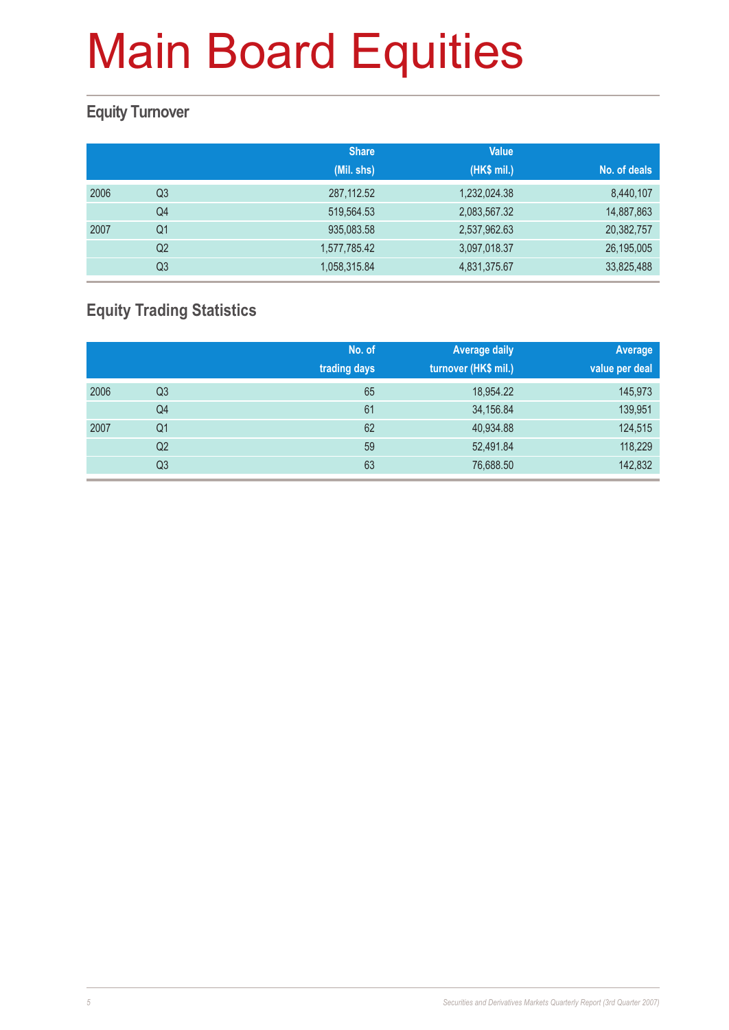#### **Equity Turnover**

|      |                | <b>Share</b> | <b>Value</b> |              |
|------|----------------|--------------|--------------|--------------|
|      |                | (Mil. shs)   | (HK\$ mil.)  | No. of deals |
| 2006 | Q3             | 287, 112.52  | 1,232,024.38 | 8,440,107    |
|      | Q4             | 519,564.53   | 2,083,567.32 | 14,887,863   |
| 2007 | Q <sub>1</sub> | 935,083.58   | 2,537,962.63 | 20,382,757   |
|      | Q2             | 1,577,785.42 | 3,097,018.37 | 26,195,005   |
|      | Q3             | 1,058,315.84 | 4,831,375.67 | 33,825,488   |

### **Equity Trading Statistics**

|      |                | No. of<br>trading days | <b>Average daily</b><br>turnover (HK\$ mil.) | Average<br>value per deal |
|------|----------------|------------------------|----------------------------------------------|---------------------------|
| 2006 | Q <sub>3</sub> | 65                     | 18,954.22                                    | 145,973                   |
|      | Q4             | 61                     | 34,156.84                                    | 139,951                   |
| 2007 | Q <sub>1</sub> | 62                     | 40,934.88                                    | 124,515                   |
|      | Q <sub>2</sub> | 59                     | 52,491.84                                    | 118,229                   |
|      | Q <sub>3</sub> | 63                     | 76,688.50                                    | 142,832                   |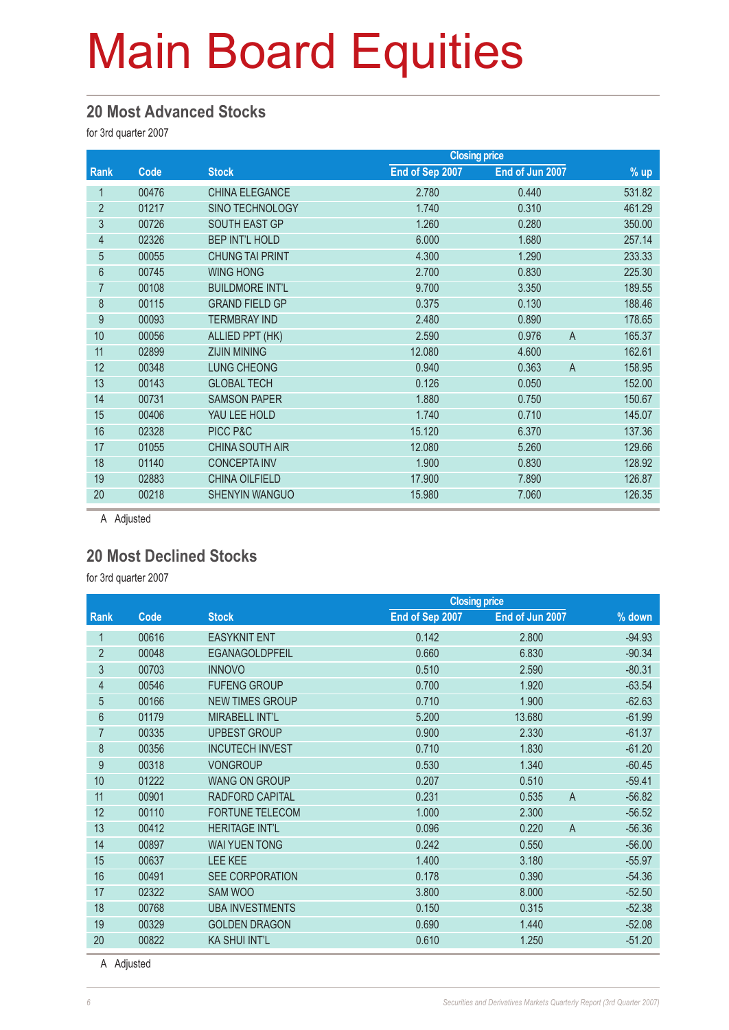#### **20 Most Advanced Stocks**

for 3rd quarter 2007

|                |       |                        | <b>Closing price</b> |                         |                  |
|----------------|-------|------------------------|----------------------|-------------------------|------------------|
| Rank           | Code  | <b>Stock</b>           | End of Sep 2007      | End of Jun 2007         | $\frac{9}{6}$ up |
| $\mathbf{1}$   | 00476 | <b>CHINA ELEGANCE</b>  | 2.780                | 0.440                   | 531.82           |
| $\overline{2}$ | 01217 | SINO TECHNOLOGY        | 1.740                | 0.310                   | 461.29           |
| 3              | 00726 | SOUTH EAST GP          | 1.260                | 0.280                   | 350.00           |
| 4              | 02326 | <b>BEP INT'L HOLD</b>  | 6.000                | 1.680                   | 257.14           |
| 5              | 00055 | <b>CHUNG TAI PRINT</b> | 4.300                | 1.290                   | 233.33           |
| 6              | 00745 | <b>WING HONG</b>       | 2.700                | 0.830                   | 225.30           |
| 7              | 00108 | <b>BUILDMORE INT'L</b> | 9.700                | 3.350                   | 189.55           |
| 8              | 00115 | <b>GRAND FIELD GP</b>  | 0.375                | 0.130                   | 188.46           |
| 9              | 00093 | <b>TERMBRAY IND</b>    | 2.480                | 0.890                   | 178.65           |
| 10             | 00056 | ALLIED PPT (HK)        | 2.590                | $\overline{A}$<br>0.976 | 165.37           |
| 11             | 02899 | <b>ZIJIN MINING</b>    | 12.080               | 4.600                   | 162.61           |
| 12             | 00348 | <b>LUNG CHEONG</b>     | 0.940                | 0.363<br>$\overline{A}$ | 158.95           |
| 13             | 00143 | <b>GLOBAL TECH</b>     | 0.126                | 0.050                   | 152.00           |
| 14             | 00731 | <b>SAMSON PAPER</b>    | 1.880                | 0.750                   | 150.67           |
| 15             | 00406 | YAU LEE HOLD           | 1.740                | 0.710                   | 145.07           |
| 16             | 02328 | PICC P&C               | 15.120               | 6.370                   | 137.36           |
| 17             | 01055 | <b>CHINA SOUTH AIR</b> | 12.080               | 5.260                   | 129.66           |
| 18             | 01140 | <b>CONCEPTA INV</b>    | 1.900                | 0.830                   | 128.92           |
| 19             | 02883 | CHINA OILFIELD         | 17.900               | 7.890                   | 126.87           |
| 20             | 00218 | <b>SHENYIN WANGUO</b>  | 15.980               | 7.060                   | 126.35           |

A Adjusted

#### **20 Most Declined Stocks**

for 3rd quarter 2007

|                |       |                        | <b>Closing price</b> |                         |          |
|----------------|-------|------------------------|----------------------|-------------------------|----------|
| Rank           | Code  | <b>Stock</b>           | End of Sep 2007      | End of Jun 2007         | % down   |
| 1              | 00616 | <b>EASYKNIT ENT</b>    | 0.142                | 2.800                   | $-94.93$ |
| $\overline{2}$ | 00048 | <b>EGANAGOLDPFEIL</b>  | 0.660                | 6.830                   | $-90.34$ |
| 3              | 00703 | <b>INNOVO</b>          | 0.510                | 2.590                   | $-80.31$ |
| 4              | 00546 | <b>FUFENG GROUP</b>    | 0.700                | 1.920                   | $-63.54$ |
| 5              | 00166 | <b>NEW TIMES GROUP</b> | 0.710                | 1.900                   | $-62.63$ |
| 6              | 01179 | <b>MIRABELL INT'L</b>  | 5.200                | 13.680                  | $-61.99$ |
| $\overline{7}$ | 00335 | <b>UPBEST GROUP</b>    | 0.900                | 2.330                   | $-61.37$ |
| 8              | 00356 | <b>INCUTECH INVEST</b> | 0.710                | 1.830                   | $-61.20$ |
| 9              | 00318 | <b>VONGROUP</b>        | 0.530                | 1.340                   | $-60.45$ |
| 10             | 01222 | <b>WANG ON GROUP</b>   | 0.207                | 0.510                   | $-59.41$ |
| 11             | 00901 | RADFORD CAPITAL        | 0.231                | $\overline{A}$<br>0.535 | $-56.82$ |
| 12             | 00110 | <b>FORTUNE TELECOM</b> | 1.000                | 2.300                   | $-56.52$ |
| 13             | 00412 | <b>HERITAGE INT'L</b>  | 0.096                | $\overline{A}$<br>0.220 | $-56.36$ |
| 14             | 00897 | <b>WAI YUEN TONG</b>   | 0.242                | 0.550                   | $-56.00$ |
| 15             | 00637 | <b>LEE KEE</b>         | 1.400                | 3.180                   | $-55.97$ |
| 16             | 00491 | <b>SEE CORPORATION</b> | 0.178                | 0.390                   | $-54.36$ |
| 17             | 02322 | <b>SAM WOO</b>         | 3.800                | 8.000                   | $-52.50$ |
| 18             | 00768 | <b>UBA INVESTMENTS</b> | 0.150                | 0.315                   | $-52.38$ |
| 19             | 00329 | <b>GOLDEN DRAGON</b>   | 0.690                | 1.440                   | $-52.08$ |
| 20             | 00822 | <b>KA SHUI INT'L</b>   | 0.610                | 1.250                   | $-51.20$ |

A Adjusted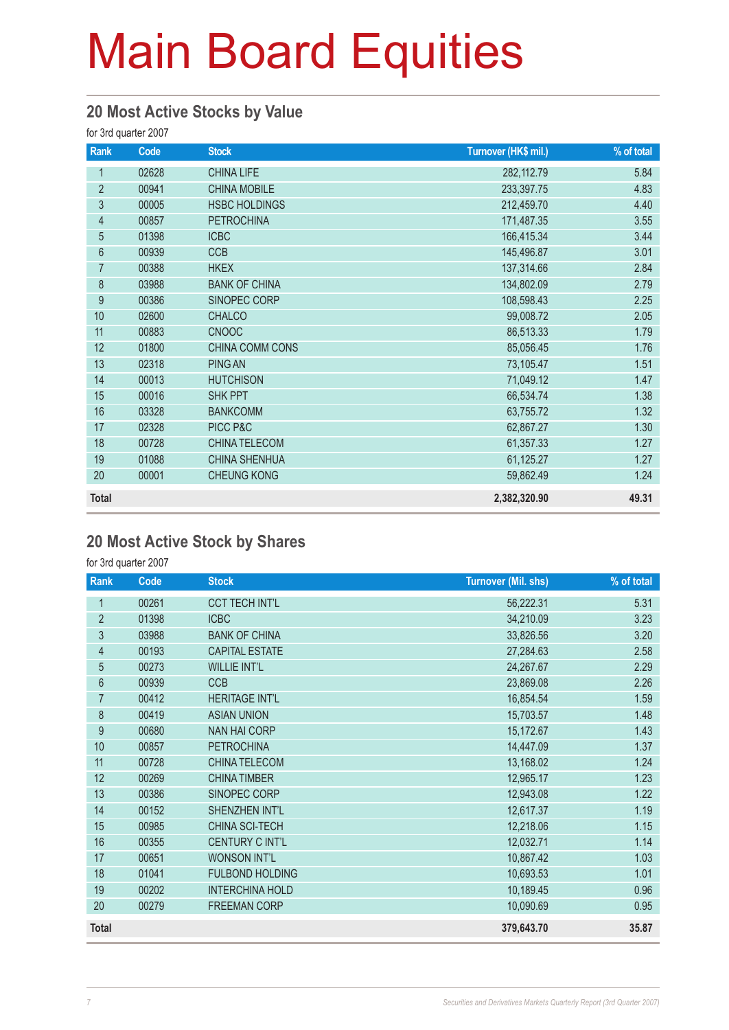#### **20 Most Active Stocks by Value**

for 3rd quarter 2007

| Rank             | Code  | <b>Stock</b>         | Turnover (HK\$ mil.) | % of total |
|------------------|-------|----------------------|----------------------|------------|
| 1                | 02628 | <b>CHINA LIFE</b>    | 282, 112.79          | 5.84       |
| $\overline{2}$   | 00941 | <b>CHINA MOBILE</b>  | 233,397.75           | 4.83       |
| 3                | 00005 | <b>HSBC HOLDINGS</b> | 212,459.70           | 4.40       |
| $\overline{4}$   | 00857 | <b>PETROCHINA</b>    | 171,487.35           | 3.55       |
| 5                | 01398 | <b>ICBC</b>          | 166,415.34           | 3.44       |
| $6\,$            | 00939 | <b>CCB</b>           | 145,496.87           | 3.01       |
| $\overline{7}$   | 00388 | <b>HKEX</b>          | 137,314.66           | 2.84       |
| $\,8\,$          | 03988 | <b>BANK OF CHINA</b> | 134,802.09           | 2.79       |
| $\boldsymbol{9}$ | 00386 | SINOPEC CORP         | 108,598.43           | 2.25       |
| 10               | 02600 | <b>CHALCO</b>        | 99,008.72            | 2.05       |
| 11               | 00883 | <b>CNOOC</b>         | 86,513.33            | 1.79       |
| 12               | 01800 | CHINA COMM CONS      | 85,056.45            | 1.76       |
| 13               | 02318 | <b>PING AN</b>       | 73,105.47            | 1.51       |
| 14               | 00013 | <b>HUTCHISON</b>     | 71,049.12            | 1.47       |
| 15               | 00016 | SHK PPT              | 66,534.74            | 1.38       |
| 16               | 03328 | <b>BANKCOMM</b>      | 63,755.72            | 1.32       |
| 17               | 02328 | PICC P&C             | 62,867.27            | 1.30       |
| 18               | 00728 | <b>CHINA TELECOM</b> | 61,357.33            | 1.27       |
| 19               | 01088 | <b>CHINA SHENHUA</b> | 61,125.27            | 1.27       |
| 20               | 00001 | <b>CHEUNG KONG</b>   | 59,862.49            | 1.24       |
| <b>Total</b>     |       |                      | 2,382,320.90         | 49.31      |

### **20 Most Active Stock by Shares**

for 3rd quarter 2007

| Rank           | Code  | <b>Stock</b>           | <b>Turnover (Mil. shs)</b> | % of total |
|----------------|-------|------------------------|----------------------------|------------|
| 1              | 00261 | <b>CCT TECH INT'L</b>  | 56,222.31                  | 5.31       |
| $\overline{2}$ | 01398 | <b>ICBC</b>            | 34,210.09                  | 3.23       |
| 3              | 03988 | <b>BANK OF CHINA</b>   | 33,826.56                  | 3.20       |
| $\overline{4}$ | 00193 | <b>CAPITAL ESTATE</b>  | 27,284.63                  | 2.58       |
| 5              | 00273 | <b>WILLIE INT'L</b>    | 24,267.67                  | 2.29       |
| 6              | 00939 | <b>CCB</b>             | 23,869.08                  | 2.26       |
| $\overline{7}$ | 00412 | <b>HERITAGE INT'L</b>  | 16,854.54                  | 1.59       |
| 8              | 00419 | <b>ASIAN UNION</b>     | 15,703.57                  | 1.48       |
| 9              | 00680 | <b>NAN HAI CORP</b>    | 15,172.67                  | 1.43       |
| 10             | 00857 | <b>PETROCHINA</b>      | 14,447.09                  | 1.37       |
| 11             | 00728 | <b>CHINA TELECOM</b>   | 13,168.02                  | 1.24       |
| 12             | 00269 | <b>CHINA TIMBER</b>    | 12,965.17                  | 1.23       |
| 13             | 00386 | SINOPEC CORP           | 12,943.08                  | 1.22       |
| 14             | 00152 | SHENZHEN INT'L         | 12,617.37                  | 1.19       |
| 15             | 00985 | <b>CHINA SCI-TECH</b>  | 12,218.06                  | 1.15       |
| 16             | 00355 | <b>CENTURY C INT'L</b> | 12,032.71                  | 1.14       |
| 17             | 00651 | <b>WONSON INT'L</b>    | 10,867.42                  | 1.03       |
| 18             | 01041 | <b>FULBOND HOLDING</b> | 10,693.53                  | 1.01       |
| 19             | 00202 | <b>INTERCHINA HOLD</b> | 10,189.45                  | 0.96       |
| 20             | 00279 | <b>FREEMAN CORP</b>    | 10,090.69                  | 0.95       |
| <b>Total</b>   |       |                        | 379,643.70                 | 35.87      |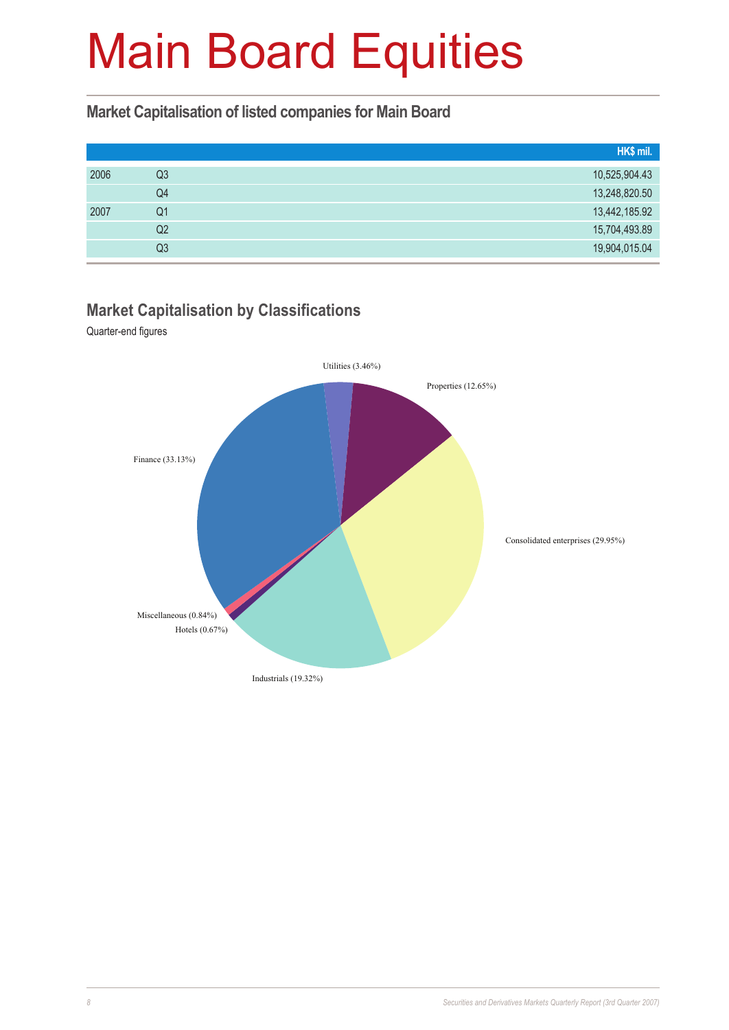#### **Market Capitalisation of listed companies for Main Board**

|      |                | HK\$ mil.     |
|------|----------------|---------------|
| 2006 | Q3             | 10,525,904.43 |
|      | Q4             | 13,248,820.50 |
| 2007 | Q1             | 13,442,185.92 |
|      | Q <sub>2</sub> | 15,704,493.89 |
|      | Q3             | 19,904,015.04 |

### **Market Capitalisation by Classifications**

Quarter-end figures

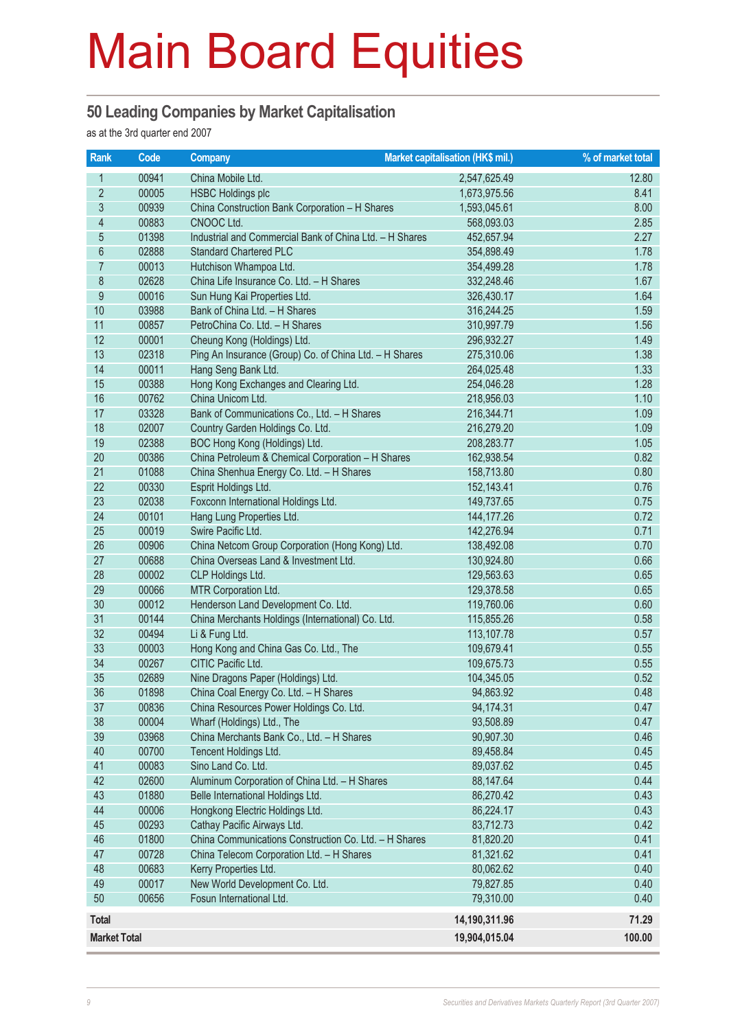#### **50 Leading Companies by Market Capitalisation**

as at the 3rd quarter end 2007

| Rank                | Code  | <b>Company</b>                                          | <b>Market capitalisation (HK\$ mil.)</b> | % of market total |
|---------------------|-------|---------------------------------------------------------|------------------------------------------|-------------------|
| 1                   | 00941 | China Mobile Ltd.                                       | 2,547,625.49                             | 12.80             |
| $\overline{2}$      | 00005 | <b>HSBC Holdings plc</b>                                | 1,673,975.56                             | 8.41              |
| 3                   | 00939 | China Construction Bank Corporation - H Shares          | 1,593,045.61                             | 8.00              |
| $\overline{4}$      | 00883 | CNOOC Ltd.                                              | 568,093.03                               | 2.85              |
| 5                   | 01398 | Industrial and Commercial Bank of China Ltd. - H Shares | 452,657.94                               | 2.27              |
| $6\phantom{a}$      | 02888 | <b>Standard Chartered PLC</b>                           | 354,898.49                               | 1.78              |
| $\overline{7}$      | 00013 | Hutchison Whampoa Ltd.                                  | 354,499.28                               | 1.78              |
| $\bf 8$             | 02628 | China Life Insurance Co. Ltd. - H Shares                | 332,248.46                               | 1.67              |
| $\overline{9}$      | 00016 | Sun Hung Kai Properties Ltd.                            | 326,430.17                               | 1.64              |
| 10                  | 03988 | Bank of China Ltd. - H Shares                           | 316,244.25                               | 1.59              |
| 11                  | 00857 | PetroChina Co. Ltd. - H Shares                          | 310,997.79                               | 1.56              |
| 12                  | 00001 | Cheung Kong (Holdings) Ltd.                             | 296,932.27                               | 1.49              |
| 13                  | 02318 | Ping An Insurance (Group) Co. of China Ltd. - H Shares  | 275,310.06                               | 1.38              |
| 14                  | 00011 | Hang Seng Bank Ltd.                                     | 264,025.48                               | 1.33              |
| 15                  | 00388 | Hong Kong Exchanges and Clearing Ltd.                   | 254,046.28                               | 1.28              |
| 16                  | 00762 | China Unicom Ltd.                                       | 218,956.03                               | 1.10              |
| 17                  | 03328 | Bank of Communications Co., Ltd. - H Shares             | 216,344.71                               | 1.09              |
| 18                  | 02007 | Country Garden Holdings Co. Ltd.                        | 216,279.20                               | 1.09              |
| 19                  | 02388 | BOC Hong Kong (Holdings) Ltd.                           | 208,283.77                               | 1.05              |
| 20                  | 00386 | China Petroleum & Chemical Corporation - H Shares       | 162,938.54                               | 0.82              |
| 21                  | 01088 | China Shenhua Energy Co. Ltd. - H Shares                | 158,713.80                               | 0.80              |
| 22                  | 00330 | Esprit Holdings Ltd.                                    | 152,143.41                               | 0.76              |
| 23                  | 02038 | Foxconn International Holdings Ltd.                     | 149,737.65                               | 0.75              |
| 24                  | 00101 | Hang Lung Properties Ltd.                               | 144, 177. 26                             | 0.72              |
| 25                  | 00019 | Swire Pacific Ltd.                                      | 142,276.94                               | 0.71              |
| 26                  | 00906 | China Netcom Group Corporation (Hong Kong) Ltd.         | 138,492.08                               | 0.70              |
| 27                  | 00688 | China Overseas Land & Investment Ltd.                   | 130,924.80                               | 0.66              |
| 28                  | 00002 | CLP Holdings Ltd.                                       | 129,563.63                               | 0.65              |
| 29                  | 00066 | MTR Corporation Ltd.                                    | 129,378.58                               | 0.65              |
| 30                  | 00012 | Henderson Land Development Co. Ltd.                     | 119,760.06                               | 0.60              |
| 31                  | 00144 | China Merchants Holdings (International) Co. Ltd.       | 115,855.26                               | 0.58              |
| 32                  | 00494 | Li & Fung Ltd.                                          | 113,107.78                               | 0.57              |
| 33                  | 00003 | Hong Kong and China Gas Co. Ltd., The                   | 109,679.41                               | 0.55              |
| 34                  | 00267 | CITIC Pacific Ltd.                                      | 109,675.73                               | 0.55              |
| 35                  | 02689 | Nine Dragons Paper (Holdings) Ltd.                      | 104,345.05                               | 0.52              |
| 36                  | 01898 | China Coal Energy Co. Ltd. - H Shares                   | 94,863.92                                | 0.48              |
| 37                  | 00836 | China Resources Power Holdings Co. Ltd.                 | 94,174.31                                | 0.47              |
| 38                  | 00004 | Wharf (Holdings) Ltd., The                              | 93,508.89                                | 0.47              |
| 39                  | 03968 | China Merchants Bank Co., Ltd. - H Shares               | 90,907.30                                | 0.46              |
| 40                  | 00700 | Tencent Holdings Ltd.                                   | 89,458.84                                | 0.45              |
| 41                  | 00083 | Sino Land Co. Ltd.                                      | 89,037.62                                | 0.45              |
| 42                  | 02600 | Aluminum Corporation of China Ltd. - H Shares           | 88,147.64                                | 0.44              |
| 43                  | 01880 | Belle International Holdings Ltd.                       | 86,270.42                                | 0.43              |
| 44                  | 00006 | Hongkong Electric Holdings Ltd.                         | 86,224.17                                | 0.43              |
| 45                  | 00293 | Cathay Pacific Airways Ltd.                             | 83,712.73                                | 0.42              |
| 46                  | 01800 | China Communications Construction Co. Ltd. - H Shares   | 81,820.20                                | 0.41              |
| 47                  | 00728 | China Telecom Corporation Ltd. - H Shares               | 81,321.62                                | 0.41              |
| 48                  | 00683 | Kerry Properties Ltd.                                   | 80,062.62                                | 0.40              |
| 49                  | 00017 | New World Development Co. Ltd.                          | 79,827.85                                | 0.40              |
| 50                  | 00656 | Fosun International Ltd.                                | 79,310.00                                | 0.40              |
| <b>Total</b>        |       |                                                         | 14,190,311.96                            | 71.29             |
| <b>Market Total</b> |       |                                                         | 19,904,015.04                            | 100.00            |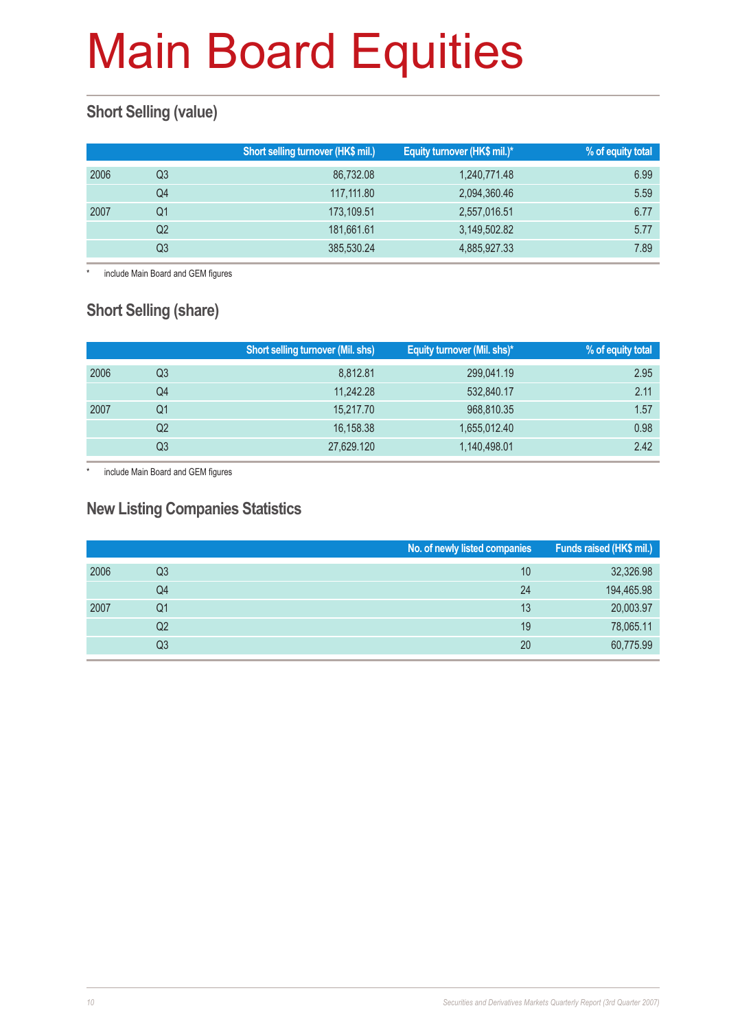### **Short Selling (value)**

|      |    | Short selling turnover (HK\$ mil.) | Equity turnover (HK\$ mil.)* | % of equity total |
|------|----|------------------------------------|------------------------------|-------------------|
| 2006 | Q3 | 86.732.08                          | 1,240,771.48                 | 6.99              |
|      | Q4 | 117,111.80                         | 2,094,360.46                 | 5.59              |
| 2007 | Q1 | 173,109.51                         | 2,557,016.51                 | 6.77              |
|      | Q2 | 181,661.61                         | 3,149,502.82                 | 5.77              |
|      | Q3 | 385,530.24                         | 4,885,927.33                 | 7.89              |

\* include Main Board and GEM figures

### **Short Selling (share)**

|      |    | <b>Short selling turnover (Mil. shs)</b> | Equity turnover (Mil. shs)* | % of equity total |
|------|----|------------------------------------------|-----------------------------|-------------------|
| 2006 | Q3 | 8.812.81                                 | 299,041.19                  | 2.95              |
|      | Q4 | 11.242.28                                | 532,840.17                  | 2.11              |
| 2007 | Q1 | 15,217.70                                | 968,810.35                  | 1.57              |
|      | Q2 | 16,158.38                                | 1,655,012.40                | 0.98              |
|      | Q3 | 27,629.120                               | 1,140,498.01                | 2.42              |

include Main Board and GEM figures

#### **New Listing Companies Statistics**

|      |                | No. of newly listed companies | Funds raised (HK\$ mil.) |
|------|----------------|-------------------------------|--------------------------|
| 2006 | Q3             | 10                            | 32,326.98                |
|      | Q4             | 24                            | 194,465.98               |
| 2007 | Q1             | 13                            | 20,003.97                |
|      | Q <sub>2</sub> | 19                            | 78,065.11                |
|      | Q3             | 20                            | 60,775.99                |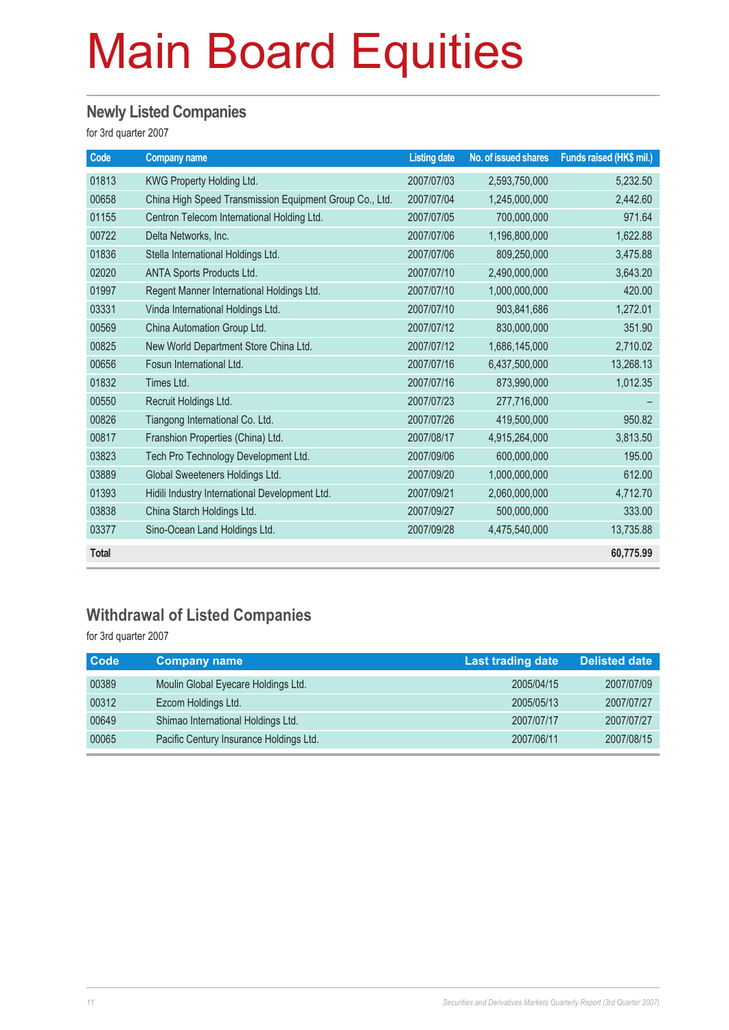### **Newly Listed Companies**

for 3rd quarter 2007

| Code         | <b>Company name</b>                                     | <b>Listing date</b> | No. of issued shares | Funds raised (HK\$ mil.) |
|--------------|---------------------------------------------------------|---------------------|----------------------|--------------------------|
| 01813        | KWG Property Holding Ltd.                               | 2007/07/03          | 2,593,750,000        | 5,232.50                 |
| 00658        | China High Speed Transmission Equipment Group Co., Ltd. | 2007/07/04          | 1,245,000,000        | 2,442.60                 |
| 01155        | Centron Telecom International Holding Ltd.              | 2007/07/05          | 700,000,000          | 971.64                   |
| 00722        | Delta Networks, Inc.                                    | 2007/07/06          | 1,196,800,000        | 1,622.88                 |
| 01836        | Stella International Holdings Ltd.                      | 2007/07/06          | 809,250,000          | 3,475.88                 |
| 02020        | ANTA Sports Products Ltd.                               | 2007/07/10          | 2,490,000,000        | 3,643.20                 |
| 01997        | Regent Manner International Holdings Ltd.               | 2007/07/10          | 1,000,000,000        | 420.00                   |
| 03331        | Vinda International Holdings Ltd.                       | 2007/07/10          | 903,841,686          | 1,272.01                 |
| 00569        | China Automation Group Ltd.                             | 2007/07/12          | 830,000,000          | 351.90                   |
| 00825        | New World Department Store China Ltd.                   | 2007/07/12          | 1,686,145,000        | 2,710.02                 |
| 00656        | Fosun International Ltd.                                | 2007/07/16          | 6,437,500,000        | 13,268.13                |
| 01832        | Times Ltd.                                              | 2007/07/16          | 873,990,000          | 1,012.35                 |
| 00550        | Recruit Holdings Ltd.                                   | 2007/07/23          | 277,716,000          |                          |
| 00826        | Tiangong International Co. Ltd.                         | 2007/07/26          | 419,500,000          | 950.82                   |
| 00817        | Franshion Properties (China) Ltd.                       | 2007/08/17          | 4,915,264,000        | 3,813.50                 |
| 03823        | Tech Pro Technology Development Ltd.                    | 2007/09/06          | 600,000,000          | 195.00                   |
| 03889        | Global Sweeteners Holdings Ltd.                         | 2007/09/20          | 1,000,000,000        | 612.00                   |
| 01393        | Hidili Industry International Development Ltd.          | 2007/09/21          | 2,060,000,000        | 4,712.70                 |
| 03838        | China Starch Holdings Ltd.                              | 2007/09/27          | 500,000,000          | 333.00                   |
| 03377        | Sino-Ocean Land Holdings Ltd.                           | 2007/09/28          | 4,475,540,000        | 13,735.88                |
| <b>Total</b> |                                                         |                     |                      | 60,775.99                |

#### **Withdrawal of Listed Companies**

for 3rd quarter 2007

| <b>Code</b> | <b>Company name</b>                     | <b>Last trading date</b> | <b>Delisted date</b> |
|-------------|-----------------------------------------|--------------------------|----------------------|
| 00389       | Moulin Global Eyecare Holdings Ltd.     | 2005/04/15               | 2007/07/09           |
| 00312       | Ezcom Holdings Ltd.                     | 2005/05/13               | 2007/07/27           |
| 00649       | Shimao International Holdings Ltd.      | 2007/07/17               | 2007/07/27           |
| 00065       | Pacific Century Insurance Holdings Ltd. | 2007/06/11               | 2007/08/15           |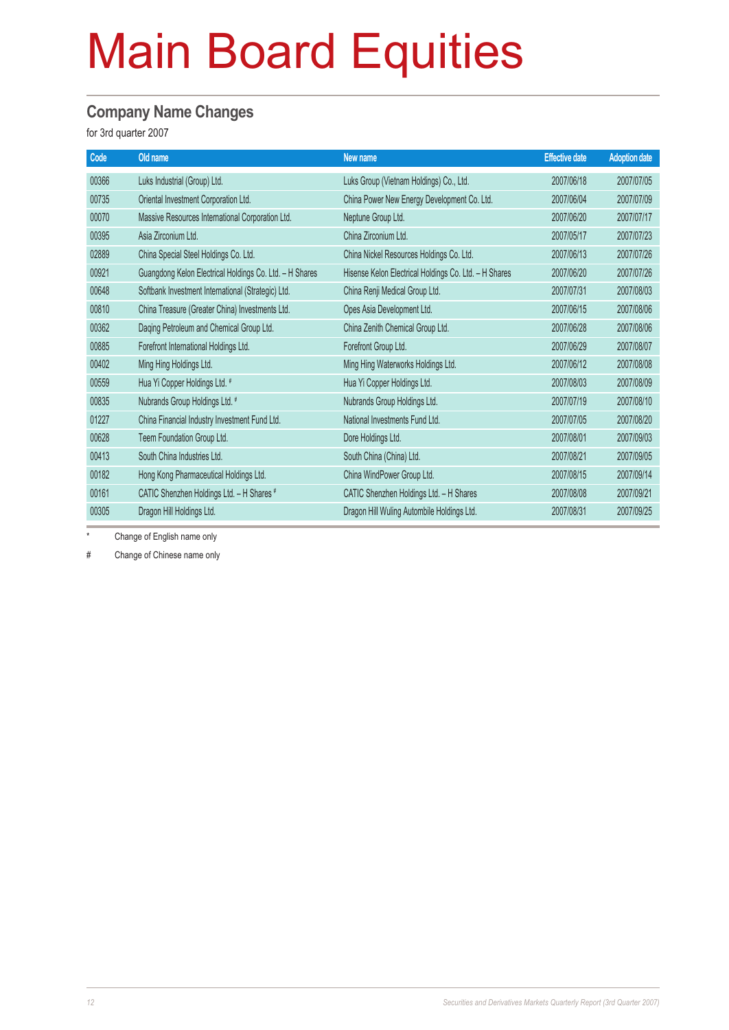#### **Company Name Changes**

for 3rd quarter 2007

| Code  | Old name                                                | New name                                              | <b>Effective date</b> | <b>Adoption date</b> |
|-------|---------------------------------------------------------|-------------------------------------------------------|-----------------------|----------------------|
| 00366 | Luks Industrial (Group) Ltd.                            | Luks Group (Vietnam Holdings) Co., Ltd.               | 2007/06/18            | 2007/07/05           |
| 00735 | Oriental Investment Corporation Ltd.                    | China Power New Energy Development Co. Ltd.           | 2007/06/04            | 2007/07/09           |
| 00070 | Massive Resources International Corporation Ltd.        | Neptune Group Ltd.                                    | 2007/06/20            | 2007/07/17           |
| 00395 | Asia Zirconium Ltd.                                     | China Zirconium Ltd.                                  | 2007/05/17            | 2007/07/23           |
| 02889 | China Special Steel Holdings Co. Ltd.                   | China Nickel Resources Holdings Co. Ltd.              | 2007/06/13            | 2007/07/26           |
| 00921 | Guangdong Kelon Electrical Holdings Co. Ltd. - H Shares | Hisense Kelon Electrical Holdings Co. Ltd. - H Shares | 2007/06/20            | 2007/07/26           |
| 00648 | Softbank Investment International (Strategic) Ltd.      | China Renji Medical Group Ltd.                        | 2007/07/31            | 2007/08/03           |
| 00810 | China Treasure (Greater China) Investments Ltd.         | Opes Asia Development Ltd.                            | 2007/06/15            | 2007/08/06           |
| 00362 | Daqing Petroleum and Chemical Group Ltd.                | China Zenith Chemical Group Ltd.                      | 2007/06/28            | 2007/08/06           |
| 00885 | Forefront International Holdings Ltd.                   | Forefront Group Ltd.                                  | 2007/06/29            | 2007/08/07           |
| 00402 | Ming Hing Holdings Ltd.                                 | Ming Hing Waterworks Holdings Ltd.                    | 2007/06/12            | 2007/08/08           |
| 00559 | Hua Yi Copper Holdings Ltd. #                           | Hua Yi Copper Holdings Ltd.                           | 2007/08/03            | 2007/08/09           |
| 00835 | Nubrands Group Holdings Ltd. #                          | Nubrands Group Holdings Ltd.                          | 2007/07/19            | 2007/08/10           |
| 01227 | China Financial Industry Investment Fund Ltd.           | National Investments Fund Ltd.                        | 2007/07/05            | 2007/08/20           |
| 00628 | Teem Foundation Group Ltd.                              | Dore Holdings Ltd.                                    | 2007/08/01            | 2007/09/03           |
| 00413 | South China Industries Ltd.                             | South China (China) Ltd.                              | 2007/08/21            | 2007/09/05           |
| 00182 | Hong Kong Pharmaceutical Holdings Ltd.                  | China WindPower Group Ltd.                            | 2007/08/15            | 2007/09/14           |
| 00161 | CATIC Shenzhen Holdings Ltd. - H Shares #               | CATIC Shenzhen Holdings Ltd. - H Shares               | 2007/08/08            | 2007/09/21           |
| 00305 | Dragon Hill Holdings Ltd.                               | Dragon Hill Wuling Autombile Holdings Ltd.            | 2007/08/31            | 2007/09/25           |

\* Change of English name only

# Change of Chinese name only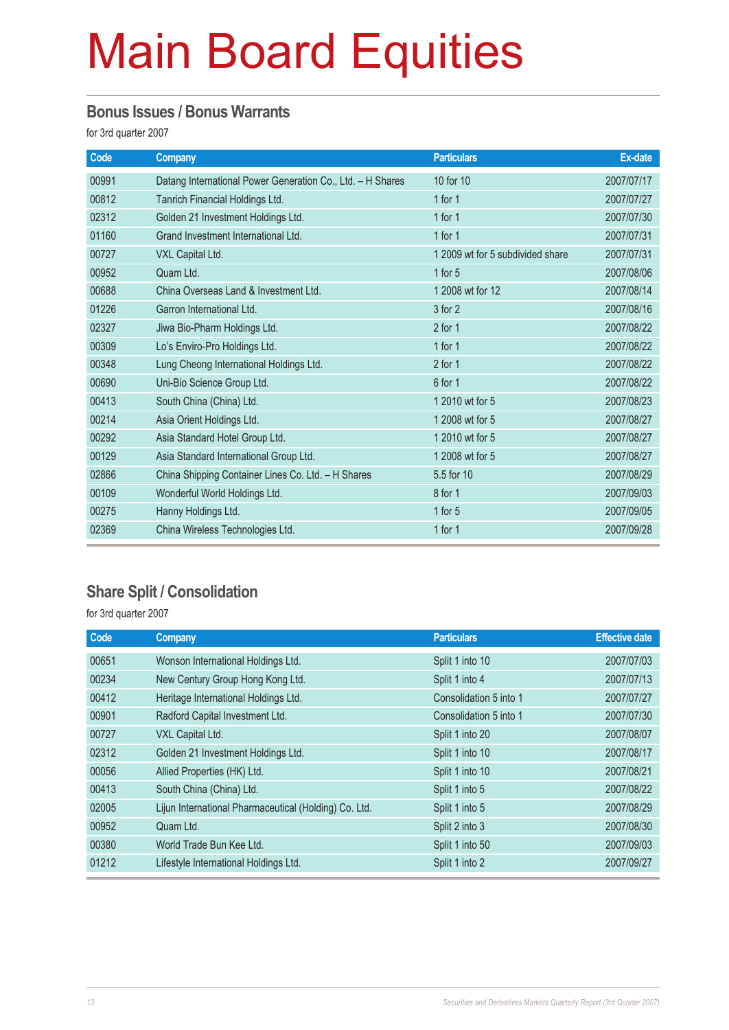#### **Bonus Issues / Bonus Warrants**

for 3rd quarter 2007

| Code  | <b>Company</b>                                             | <b>Particulars</b>               | Ex-date    |
|-------|------------------------------------------------------------|----------------------------------|------------|
| 00991 | Datang International Power Generation Co., Ltd. - H Shares | 10 for 10                        | 2007/07/17 |
| 00812 | Tanrich Financial Holdings Ltd.                            | 1 for $1$                        | 2007/07/27 |
| 02312 | Golden 21 Investment Holdings Ltd.                         | 1 for $1$                        | 2007/07/30 |
| 01160 | Grand Investment International Ltd.                        | 1 for $1$                        | 2007/07/31 |
| 00727 | VXL Capital Ltd.                                           | 1 2009 wt for 5 subdivided share | 2007/07/31 |
| 00952 | Quam Ltd.                                                  | 1 for $5$                        | 2007/08/06 |
| 00688 | China Overseas Land & Investment Ltd.                      | 1 2008 wt for 12                 | 2007/08/14 |
| 01226 | Garron International Ltd.                                  | $3$ for $2$                      | 2007/08/16 |
| 02327 | Jiwa Bio-Pharm Holdings Ltd.                               | $2$ for $1$                      | 2007/08/22 |
| 00309 | Lo's Enviro-Pro Holdings Ltd.                              | 1 for $1$                        | 2007/08/22 |
| 00348 | Lung Cheong International Holdings Ltd.                    | $2$ for $1$                      | 2007/08/22 |
| 00690 | Uni-Bio Science Group Ltd.                                 | 6 for 1                          | 2007/08/22 |
| 00413 | South China (China) Ltd.                                   | 1 2010 wt for 5                  | 2007/08/23 |
| 00214 | Asia Orient Holdings Ltd.                                  | 1 2008 wt for 5                  | 2007/08/27 |
| 00292 | Asia Standard Hotel Group Ltd.                             | 1 2010 wt for 5                  | 2007/08/27 |
| 00129 | Asia Standard International Group Ltd.                     | 1 2008 wt for 5                  | 2007/08/27 |
| 02866 | China Shipping Container Lines Co. Ltd. - H Shares         | 5.5 for 10                       | 2007/08/29 |
| 00109 | Wonderful World Holdings Ltd.                              | 8 for 1                          | 2007/09/03 |
| 00275 | Hanny Holdings Ltd.                                        | 1 for $5$                        | 2007/09/05 |
| 02369 | China Wireless Technologies Ltd.                           | 1 for $1$                        | 2007/09/28 |

#### **Share Split / Consolidation**

for 3rd quarter 2007

| Code  | Company                                               | <b>Particulars</b>     | <b>Effective date</b> |
|-------|-------------------------------------------------------|------------------------|-----------------------|
| 00651 | Wonson International Holdings Ltd.                    | Split 1 into 10        | 2007/07/03            |
| 00234 | New Century Group Hong Kong Ltd.                      | Split 1 into 4         | 2007/07/13            |
| 00412 | Heritage International Holdings Ltd.                  | Consolidation 5 into 1 | 2007/07/27            |
| 00901 | Radford Capital Investment Ltd.                       | Consolidation 5 into 1 | 2007/07/30            |
| 00727 | VXL Capital Ltd.                                      | Split 1 into 20        | 2007/08/07            |
| 02312 | Golden 21 Investment Holdings Ltd.                    | Split 1 into 10        | 2007/08/17            |
| 00056 | Allied Properties (HK) Ltd.                           | Split 1 into 10        | 2007/08/21            |
| 00413 | South China (China) Ltd.                              | Split 1 into 5         | 2007/08/22            |
| 02005 | Lijun International Pharmaceutical (Holding) Co. Ltd. | Split 1 into 5         | 2007/08/29            |
| 00952 | Quam Ltd.                                             | Split 2 into 3         | 2007/08/30            |
| 00380 | World Trade Bun Kee Ltd.                              | Split 1 into 50        | 2007/09/03            |
| 01212 | Lifestyle International Holdings Ltd.                 | Split 1 into 2         | 2007/09/27            |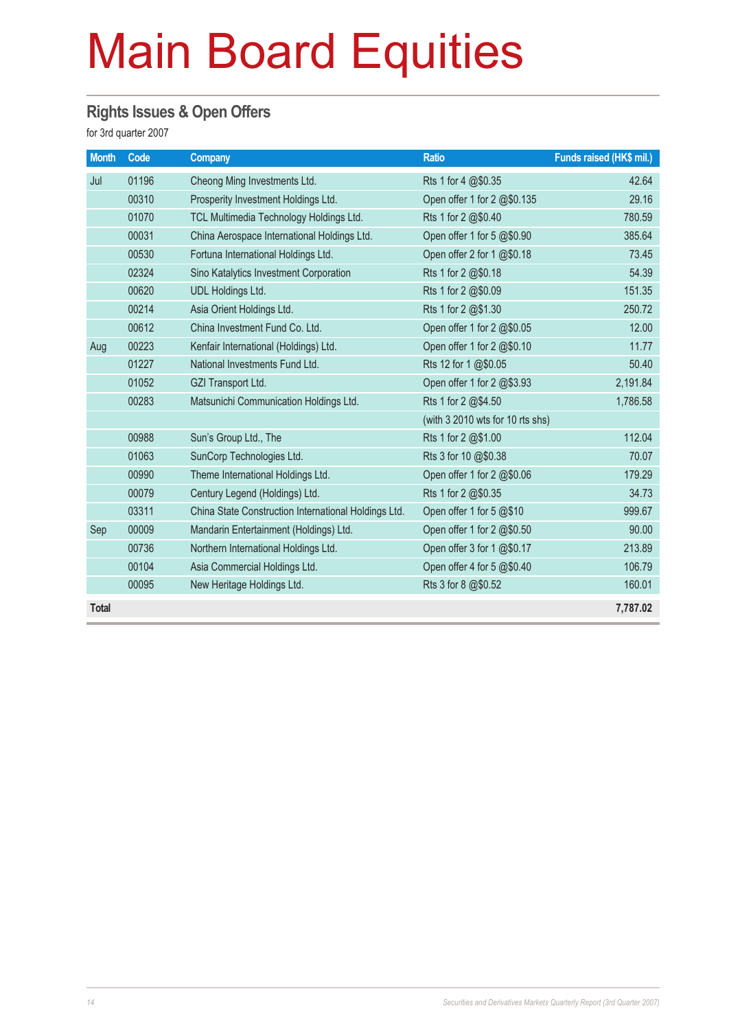#### **Rights Issues & Open Offers**

for 3rd quarter 2007

| <b>Month</b> | Code  | <b>Company</b>                                       | <b>Ratio</b>                     | Funds raised (HK\$ mil.) |
|--------------|-------|------------------------------------------------------|----------------------------------|--------------------------|
| Jul          | 01196 | Cheong Ming Investments Ltd.                         | Rts 1 for 4 @\$0.35              | 42.64                    |
|              | 00310 | Prosperity Investment Holdings Ltd.                  | Open offer 1 for 2 @\$0.135      | 29.16                    |
|              | 01070 | TCL Multimedia Technology Holdings Ltd.              | Rts 1 for 2 @\$0.40              | 780.59                   |
|              | 00031 | China Aerospace International Holdings Ltd.          | Open offer 1 for 5 @\$0.90       | 385.64                   |
|              | 00530 | Fortuna International Holdings Ltd.                  | Open offer 2 for 1 @\$0.18       | 73.45                    |
|              | 02324 | Sino Katalytics Investment Corporation               | Rts 1 for 2 @\$0.18              | 54.39                    |
|              | 00620 | <b>UDL Holdings Ltd.</b>                             | Rts 1 for 2 @\$0.09              | 151.35                   |
|              | 00214 | Asia Orient Holdings Ltd.                            | Rts 1 for 2 @\$1.30              | 250.72                   |
|              | 00612 | China Investment Fund Co. Ltd.                       | Open offer 1 for 2 @\$0.05       | 12.00                    |
| Aug          | 00223 | Kenfair International (Holdings) Ltd.                | Open offer 1 for 2 @\$0.10       | 11.77                    |
|              | 01227 | National Investments Fund Ltd.                       | Rts 12 for 1 @\$0.05             | 50.40                    |
|              | 01052 | GZI Transport Ltd.                                   | Open offer 1 for 2 @\$3.93       | 2,191.84                 |
|              | 00283 | Matsunichi Communication Holdings Ltd.               | Rts 1 for 2 @\$4.50              | 1,786.58                 |
|              |       |                                                      | (with 3 2010 wts for 10 rts shs) |                          |
|              | 00988 | Sun's Group Ltd., The                                | Rts 1 for 2 @\$1.00              | 112.04                   |
|              | 01063 | SunCorp Technologies Ltd.                            | Rts 3 for 10 @\$0.38             | 70.07                    |
|              | 00990 | Theme International Holdings Ltd.                    | Open offer 1 for 2 @\$0.06       | 179.29                   |
|              | 00079 | Century Legend (Holdings) Ltd.                       | Rts 1 for 2 @\$0.35              | 34.73                    |
|              | 03311 | China State Construction International Holdings Ltd. | Open offer 1 for 5 @\$10         | 999.67                   |
| Sep          | 00009 | Mandarin Entertainment (Holdings) Ltd.               | Open offer 1 for 2 @\$0.50       | 90.00                    |
|              | 00736 | Northern International Holdings Ltd.                 | Open offer 3 for 1 @\$0.17       | 213.89                   |
|              | 00104 | Asia Commercial Holdings Ltd.                        | Open offer 4 for 5 @\$0.40       | 106.79                   |
|              | 00095 | New Heritage Holdings Ltd.                           | Rts 3 for 8 @\$0.52              | 160.01                   |
| <b>Total</b> |       |                                                      |                                  | 7,787.02                 |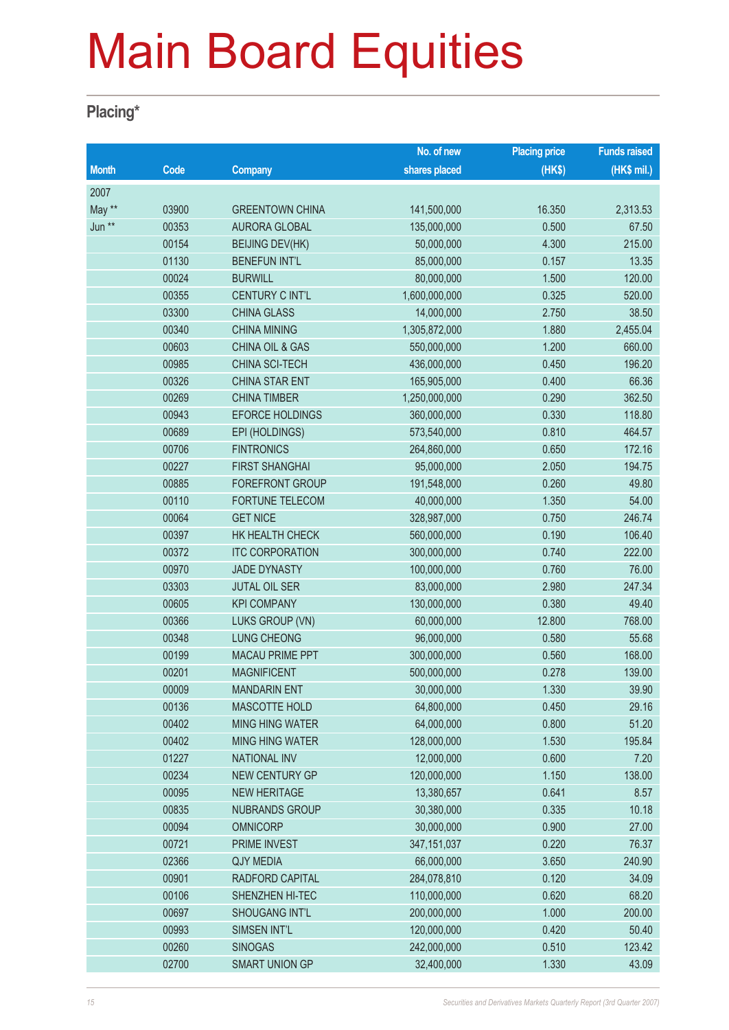#### **Placing\***

|              |       |                            | No. of new    | <b>Placing price</b> | <b>Funds raised</b> |
|--------------|-------|----------------------------|---------------|----------------------|---------------------|
| <b>Month</b> | Code  | Company                    | shares placed | (HK\$)               | (HK\$ mil.)         |
| 2007         |       |                            |               |                      |                     |
| May **       | 03900 | <b>GREENTOWN CHINA</b>     | 141,500,000   | 16.350               | 2,313.53            |
| Jun **       | 00353 | <b>AURORA GLOBAL</b>       | 135,000,000   | 0.500                | 67.50               |
|              | 00154 | <b>BEIJING DEV(HK)</b>     | 50,000,000    | 4.300                | 215.00              |
|              | 01130 | <b>BENEFUN INT'L</b>       | 85,000,000    | 0.157                | 13.35               |
|              | 00024 | <b>BURWILL</b>             | 80,000,000    | 1.500                | 120.00              |
|              | 00355 | CENTURY C INT'L            | 1,600,000,000 | 0.325                | 520.00              |
|              | 03300 | <b>CHINA GLASS</b>         | 14,000,000    | 2.750                | 38.50               |
|              | 00340 | <b>CHINA MINING</b>        | 1,305,872,000 | 1.880                | 2,455.04            |
|              | 00603 | <b>CHINA OIL &amp; GAS</b> | 550,000,000   | 1.200                | 660.00              |
|              | 00985 | CHINA SCI-TECH             | 436,000,000   | 0.450                | 196.20              |
|              | 00326 | <b>CHINA STAR ENT</b>      | 165,905,000   | 0.400                | 66.36               |
|              | 00269 | <b>CHINA TIMBER</b>        | 1,250,000,000 | 0.290                | 362.50              |
|              | 00943 | <b>EFORCE HOLDINGS</b>     | 360,000,000   | 0.330                | 118.80              |
|              | 00689 | EPI (HOLDINGS)             | 573,540,000   | 0.810                | 464.57              |
|              | 00706 | <b>FINTRONICS</b>          | 264,860,000   | 0.650                | 172.16              |
|              | 00227 | <b>FIRST SHANGHAI</b>      | 95,000,000    | 2.050                | 194.75              |
|              | 00885 | FOREFRONT GROUP            | 191,548,000   | 0.260                | 49.80               |
|              | 00110 | FORTUNE TELECOM            | 40,000,000    | 1.350                | 54.00               |
|              | 00064 | <b>GET NICE</b>            | 328,987,000   | 0.750                | 246.74              |
|              | 00397 | HK HEALTH CHECK            | 560,000,000   | 0.190                | 106.40              |
|              | 00372 | <b>ITC CORPORATION</b>     | 300,000,000   | 0.740                | 222.00              |
|              | 00970 | <b>JADE DYNASTY</b>        | 100,000,000   | 0.760                | 76.00               |
|              | 03303 | <b>JUTAL OIL SER</b>       | 83,000,000    | 2.980                | 247.34              |
|              | 00605 | <b>KPI COMPANY</b>         | 130,000,000   | 0.380                | 49.40               |
|              | 00366 | LUKS GROUP (VN)            | 60,000,000    | 12.800               | 768.00              |
|              | 00348 | <b>LUNG CHEONG</b>         | 96,000,000    | 0.580                | 55.68               |
|              | 00199 | <b>MACAU PRIME PPT</b>     | 300,000,000   | 0.560                | 168.00              |
|              | 00201 | <b>MAGNIFICENT</b>         | 500,000,000   | 0.278                | 139.00              |
|              | 00009 | <b>MANDARIN ENT</b>        | 30,000,000    | 1.330                | 39.90               |
|              | 00136 | <b>MASCOTTE HOLD</b>       | 64,800,000    | 0.450                | 29.16               |
|              | 00402 | <b>MING HING WATER</b>     | 64,000,000    | 0.800                | 51.20               |
|              | 00402 | <b>MING HING WATER</b>     | 128,000,000   | 1.530                | 195.84              |
|              | 01227 | <b>NATIONAL INV</b>        | 12,000,000    | 0.600                | 7.20                |
|              | 00234 | NEW CENTURY GP             | 120,000,000   | 1.150                | 138.00              |
|              | 00095 | <b>NEW HERITAGE</b>        | 13,380,657    | 0.641                | 8.57                |
|              | 00835 | <b>NUBRANDS GROUP</b>      | 30,380,000    | 0.335                | 10.18               |
|              | 00094 | <b>OMNICORP</b>            | 30,000,000    | 0.900                | 27.00               |
|              | 00721 | PRIME INVEST               | 347, 151, 037 | 0.220                | 76.37               |
|              | 02366 | <b>QJY MEDIA</b>           | 66,000,000    | 3.650                | 240.90              |
|              | 00901 | RADFORD CAPITAL            | 284,078,810   | 0.120                | 34.09               |
|              | 00106 | SHENZHEN HI-TEC            | 110,000,000   | 0.620                | 68.20               |
|              | 00697 | <b>SHOUGANG INT'L</b>      | 200,000,000   | 1.000                | 200.00              |
|              | 00993 | SIMSEN INT'L               | 120,000,000   | 0.420                | 50.40               |
|              | 00260 | <b>SINOGAS</b>             | 242,000,000   | 0.510                | 123.42              |
|              | 02700 | SMART UNION GP             | 32,400,000    | 1.330                | 43.09               |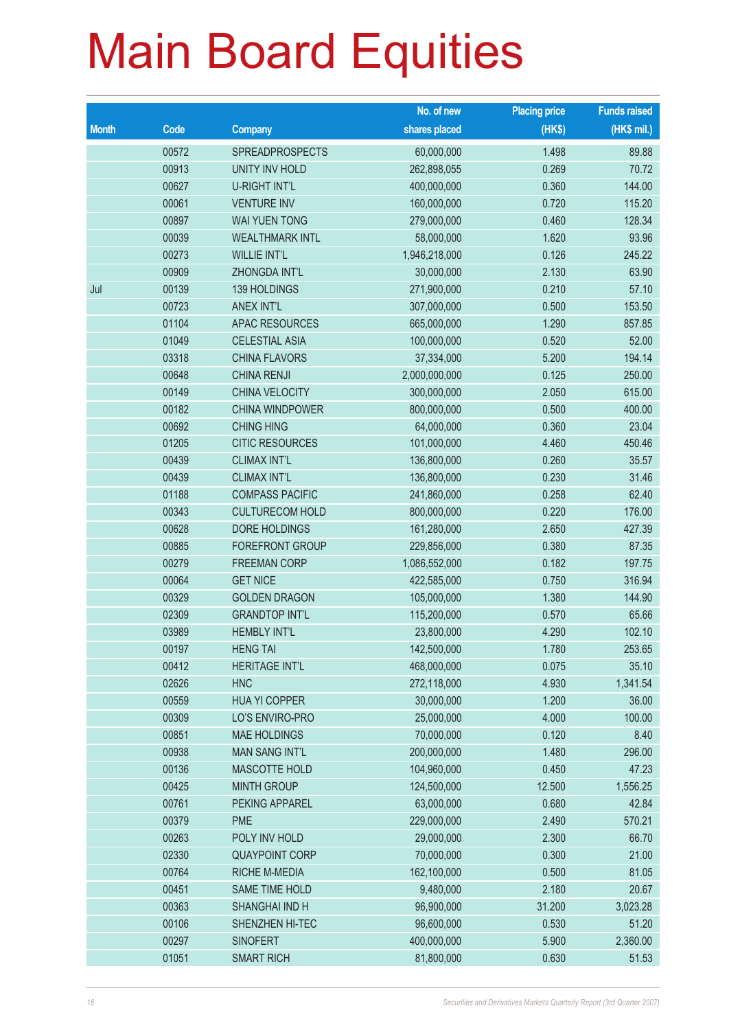|              |       |                        | No. of new    | <b>Placing price</b> | <b>Funds raised</b> |
|--------------|-------|------------------------|---------------|----------------------|---------------------|
| <b>Month</b> | Code  | <b>Company</b>         | shares placed | (HKS)                | $(HK$$ mil.)        |
|              | 00572 | SPREADPROSPECTS        | 60,000,000    | 1.498                | 89.88               |
|              | 00913 | <b>UNITY INV HOLD</b>  | 262,898,055   | 0.269                | 70.72               |
|              | 00627 | <b>U-RIGHT INT'L</b>   | 400,000,000   | 0.360                | 144.00              |
|              | 00061 | <b>VENTURE INV</b>     | 160,000,000   | 0.720                | 115.20              |
|              | 00897 | <b>WAI YUEN TONG</b>   | 279,000,000   | 0.460                | 128.34              |
|              | 00039 | <b>WEALTHMARK INTL</b> | 58,000,000    | 1.620                | 93.96               |
|              | 00273 | <b>WILLIE INT'L</b>    | 1,946,218,000 | 0.126                | 245.22              |
|              | 00909 | ZHONGDA INT'L          | 30,000,000    | 2.130                | 63.90               |
| Jul          | 00139 | 139 HOLDINGS           | 271,900,000   | 0.210                | 57.10               |
|              | 00723 | <b>ANEX INT'L</b>      | 307,000,000   | 0.500                | 153.50              |
|              | 01104 | <b>APAC RESOURCES</b>  | 665,000,000   | 1.290                | 857.85              |
|              | 01049 | <b>CELESTIAL ASIA</b>  | 100,000,000   | 0.520                | 52.00               |
|              | 03318 | <b>CHINA FLAVORS</b>   | 37,334,000    | 5.200                | 194.14              |
|              | 00648 | <b>CHINA RENJI</b>     | 2,000,000,000 | 0.125                | 250.00              |
|              | 00149 | CHINA VELOCITY         | 300,000,000   | 2.050                | 615.00              |
|              | 00182 | <b>CHINA WINDPOWER</b> | 800,000,000   | 0.500                | 400.00              |
|              | 00692 | <b>CHING HING</b>      | 64,000,000    | 0.360                | 23.04               |
|              | 01205 | <b>CITIC RESOURCES</b> | 101,000,000   | 4.460                | 450.46              |
|              | 00439 | <b>CLIMAX INT'L</b>    | 136,800,000   | 0.260                | 35.57               |
|              | 00439 | <b>CLIMAX INT'L</b>    | 136,800,000   | 0.230                | 31.46               |
|              | 01188 | <b>COMPASS PACIFIC</b> | 241,860,000   | 0.258                | 62.40               |
|              | 00343 | <b>CULTURECOM HOLD</b> | 800,000,000   | 0.220                | 176.00              |
|              | 00628 | DORE HOLDINGS          | 161,280,000   | 2.650                | 427.39              |
|              | 00885 | FOREFRONT GROUP        | 229,856,000   | 0.380                | 87.35               |
|              | 00279 | <b>FREEMAN CORP</b>    | 1,086,552,000 | 0.182                | 197.75              |
|              | 00064 | <b>GET NICE</b>        | 422,585,000   | 0.750                | 316.94              |
|              | 00329 | <b>GOLDEN DRAGON</b>   | 105,000,000   | 1.380                | 144.90              |
|              | 02309 | <b>GRANDTOP INT'L</b>  | 115,200,000   | 0.570                | 65.66               |
|              | 03989 | <b>HEMBLY INT'L</b>    | 23,800,000    | 4.290                | 102.10              |
|              | 00197 | <b>HENG TAI</b>        | 142,500,000   | 1.780                | 253.65              |
|              | 00412 | <b>HERITAGE INT'L</b>  | 468,000,000   | 0.075                | 35.10               |
|              | 02626 | <b>HNC</b>             | 272,118,000   | 4.930                | 1,341.54            |
|              | 00559 | <b>HUA YI COPPER</b>   | 30,000,000    | 1.200                | 36.00               |
|              | 00309 | LO'S ENVIRO-PRO        | 25,000,000    | 4.000                | 100.00              |
|              | 00851 | <b>MAE HOLDINGS</b>    | 70,000,000    | 0.120                | 8.40                |
|              | 00938 | <b>MAN SANG INT'L</b>  | 200,000,000   | 1.480                | 296.00              |
|              | 00136 | MASCOTTE HOLD          | 104,960,000   | 0.450                | 47.23               |
|              | 00425 | <b>MINTH GROUP</b>     | 124,500,000   | 12.500               | 1,556.25            |
|              | 00761 | PEKING APPAREL         | 63,000,000    | 0.680                | 42.84               |
|              | 00379 | <b>PME</b>             | 229,000,000   | 2.490                | 570.21              |
|              | 00263 | POLY INV HOLD          | 29,000,000    | 2.300                | 66.70               |
|              | 02330 | <b>QUAYPOINT CORP</b>  | 70,000,000    | 0.300                | 21.00               |
|              | 00764 | RICHE M-MEDIA          | 162,100,000   | 0.500                | 81.05               |
|              | 00451 | SAME TIME HOLD         | 9,480,000     | 2.180                | 20.67               |
|              | 00363 | SHANGHAI IND H         | 96,900,000    | 31.200               | 3,023.28            |
|              | 00106 | SHENZHEN HI-TEC        | 96,600,000    | 0.530                | 51.20               |
|              | 00297 | <b>SINOFERT</b>        | 400,000,000   | 5.900                | 2,360.00            |
|              | 01051 | <b>SMART RICH</b>      | 81,800,000    | 0.630                | 51.53               |
|              |       |                        |               |                      |                     |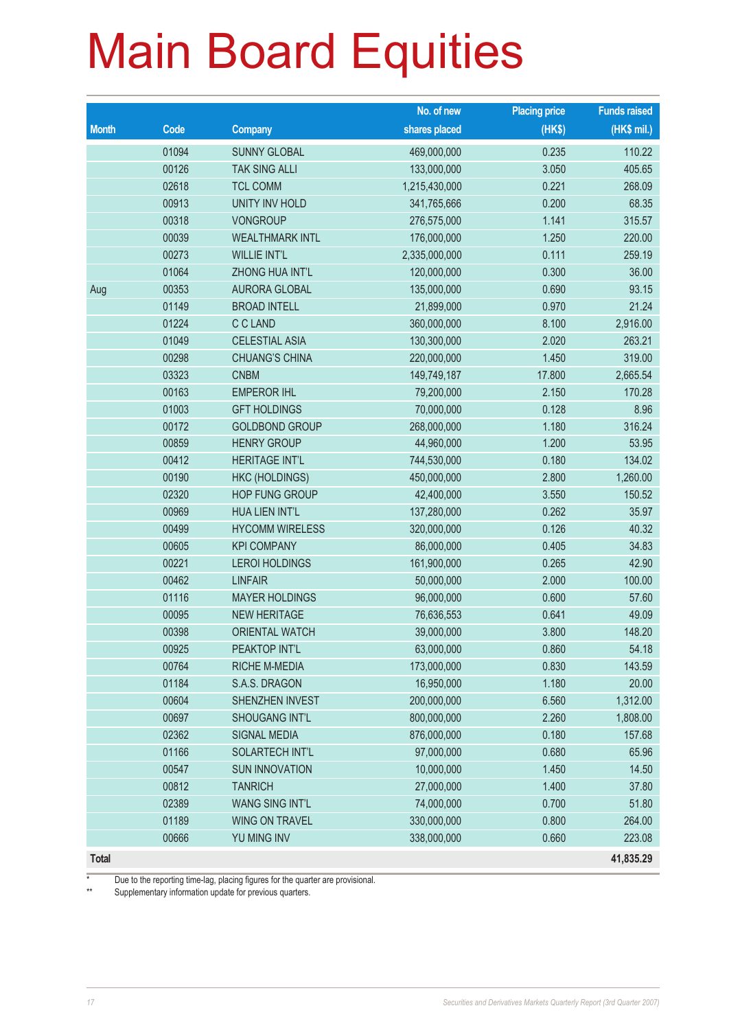|              |                          |                        | No. of new    | <b>Placing price</b> | <b>Funds raised</b> |
|--------------|--------------------------|------------------------|---------------|----------------------|---------------------|
| <b>Month</b> | $\overline{\text{Code}}$ | <b>Company</b>         | shares placed | (HKS)                | $(HK$$ mil.)        |
|              | 01094                    | <b>SUNNY GLOBAL</b>    | 469,000,000   | 0.235                | 110.22              |
|              | 00126                    | <b>TAK SING ALLI</b>   | 133,000,000   | 3.050                | 405.65              |
|              | 02618                    | <b>TCL COMM</b>        | 1,215,430,000 | 0.221                | 268.09              |
|              | 00913                    | <b>UNITY INV HOLD</b>  | 341,765,666   | 0.200                | 68.35               |
|              | 00318                    | <b>VONGROUP</b>        | 276,575,000   | 1.141                | 315.57              |
|              | 00039                    | <b>WEALTHMARK INTL</b> | 176,000,000   | 1.250                | 220.00              |
|              | 00273                    | <b>WILLIE INT'L</b>    | 2,335,000,000 | 0.111                | 259.19              |
|              | 01064                    | ZHONG HUA INT'L        | 120,000,000   | 0.300                | 36.00               |
| Aug          | 00353                    | <b>AURORA GLOBAL</b>   | 135,000,000   | 0.690                | 93.15               |
|              | 01149                    | <b>BROAD INTELL</b>    | 21,899,000    | 0.970                | 21.24               |
|              | 01224                    | C C LAND               | 360,000,000   | 8.100                | 2,916.00            |
|              | 01049                    | <b>CELESTIAL ASIA</b>  | 130,300,000   | 2.020                | 263.21              |
|              | 00298                    | <b>CHUANG'S CHINA</b>  | 220,000,000   | 1.450                | 319.00              |
|              | 03323                    | <b>CNBM</b>            | 149,749,187   | 17.800               | 2,665.54            |
|              | 00163                    | <b>EMPEROR IHL</b>     | 79,200,000    | 2.150                | 170.28              |
|              | 01003                    | <b>GFT HOLDINGS</b>    | 70,000,000    | 0.128                | 8.96                |
|              | 00172                    | <b>GOLDBOND GROUP</b>  | 268,000,000   | 1.180                | 316.24              |
|              | 00859                    | <b>HENRY GROUP</b>     | 44,960,000    | 1.200                | 53.95               |
|              | 00412                    | <b>HERITAGE INT'L</b>  | 744,530,000   | 0.180                | 134.02              |
|              | 00190                    | <b>HKC (HOLDINGS)</b>  | 450,000,000   | 2.800                | 1,260.00            |
|              | 02320                    | <b>HOP FUNG GROUP</b>  | 42,400,000    | 3.550                | 150.52              |
|              | 00969                    | HUA LIEN INT'L         | 137,280,000   | 0.262                | 35.97               |
|              | 00499                    | <b>HYCOMM WIRELESS</b> | 320,000,000   | 0.126                | 40.32               |
|              | 00605                    | <b>KPI COMPANY</b>     | 86,000,000    | 0.405                | 34.83               |
|              | 00221                    | <b>LEROI HOLDINGS</b>  | 161,900,000   | 0.265                | 42.90               |
|              | 00462                    | <b>LINFAIR</b>         | 50,000,000    | 2.000                | 100.00              |
|              | 01116                    | <b>MAYER HOLDINGS</b>  | 96,000,000    | 0.600                | 57.60               |
|              | 00095                    | <b>NEW HERITAGE</b>    | 76,636,553    | 0.641                | 49.09               |
|              | 00398                    | <b>ORIENTAL WATCH</b>  | 39,000,000    | 3.800                | 148.20              |
|              | 00925                    | PEAKTOP INT'L          | 63,000,000    | 0.860                | 54.18               |
|              | 00764                    | RICHE M-MEDIA          | 173,000,000   | 0.830                | 143.59              |
|              | 01184                    | S.A.S. DRAGON          | 16,950,000    | 1.180                | 20.00               |
|              | 00604                    | SHENZHEN INVEST        | 200,000,000   | 6.560                | 1,312.00            |
|              | 00697                    | SHOUGANG INT'L         | 800,000,000   | 2.260                | 1,808.00            |
|              | 02362                    | <b>SIGNAL MEDIA</b>    | 876,000,000   | 0.180                | 157.68              |
|              | 01166                    | <b>SOLARTECH INT'L</b> | 97,000,000    | 0.680                | 65.96               |
|              | 00547                    | <b>SUN INNOVATION</b>  | 10,000,000    | 1.450                | 14.50               |
|              | 00812                    | <b>TANRICH</b>         | 27,000,000    | 1.400                | 37.80               |
|              | 02389                    | <b>WANG SING INT'L</b> | 74,000,000    | 0.700                | 51.80               |
|              | 01189                    | <b>WING ON TRAVEL</b>  | 330,000,000   | 0.800                | 264.00              |
|              | 00666                    | YU MING INV            | 338,000,000   | 0.660                | 223.08              |
| <b>Total</b> |                          |                        |               |                      | 41,835.29           |

\* Due to the reporting time-lag, placing figures for the quarter are provisional.<br>\*\* Supplementary information undate for previous quarters

Supplementary information update for previous quarters.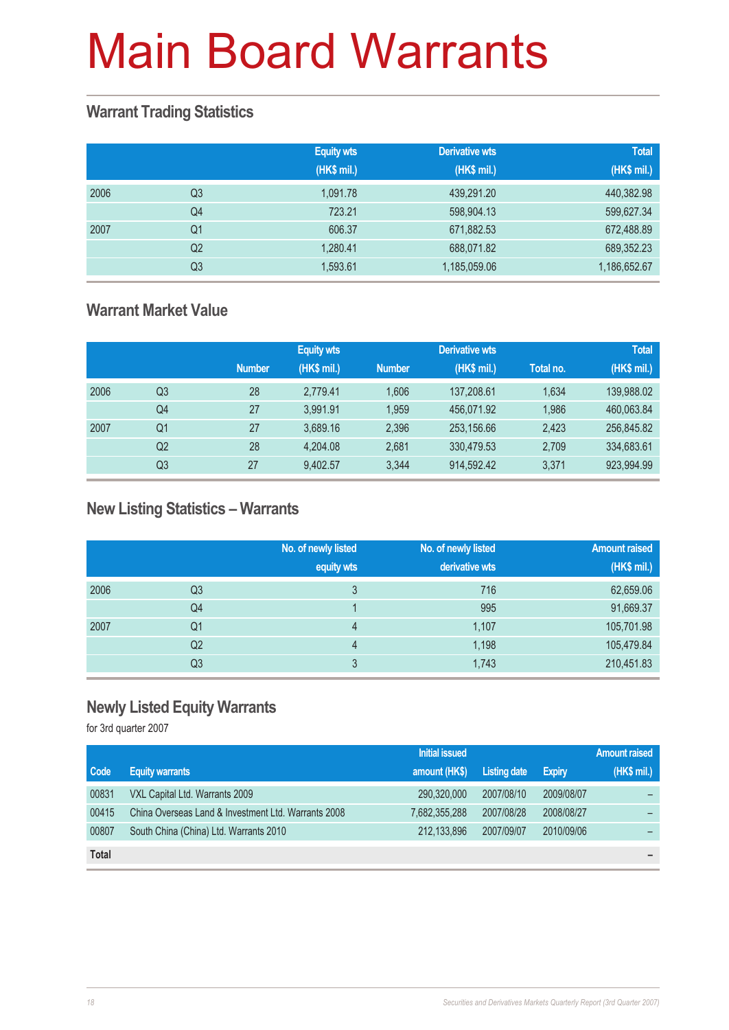#### **Warrant Trading Statistics**

|      |                | <b>Equity wts</b><br>(HK\$ mil.) | <b>Derivative wts</b><br>(HK\$ mil.) | <b>Total</b><br>(HK\$ mil.) |
|------|----------------|----------------------------------|--------------------------------------|-----------------------------|
| 2006 | Q3             | 1.091.78                         | 439,291.20                           | 440,382.98                  |
|      | Q <sub>4</sub> | 723.21                           | 598,904.13                           | 599,627.34                  |
| 2007 | Q <sub>1</sub> | 606.37                           | 671,882.53                           | 672,488.89                  |
|      | Q <sub>2</sub> | 1,280.41                         | 688,071.82                           | 689,352.23                  |
|      | Q3             | 1,593.61                         | 1,185,059.06                         | 1,186,652.67                |

#### **Warrant Market Value**

|      |                |               | <b>Equity wts</b> |               | <b>Derivative wts</b> |           | <b>Total</b> |
|------|----------------|---------------|-------------------|---------------|-----------------------|-----------|--------------|
|      |                | <b>Number</b> | (HK\$ mil.)       | <b>Number</b> | (HK\$ mil.)           | Total no. | (HK\$ mil.)  |
| 2006 | Q3             | 28            | 2.779.41          | 1.606         | 137,208.61            | 1.634     | 139,988.02   |
|      | Q4             | 27            | 3.991.91          | 1.959         | 456.071.92            | 1.986     | 460,063.84   |
| 2007 | Q <sub>1</sub> | 27            | 3.689.16          | 2.396         | 253,156.66            | 2.423     | 256,845.82   |
|      | Q2             | 28            | 4.204.08          | 2,681         | 330,479.53            | 2,709     | 334,683.61   |
|      | Q <sub>3</sub> | 27            | 9,402.57          | 3.344         | 914,592.42            | 3.371     | 923,994.99   |

#### **New Listing Statistics – Warrants**

|      |                | No. of newly listed<br>equity wts | No. of newly listed<br>derivative wts | <b>Amount raised</b><br>(HK\$ mil.) |
|------|----------------|-----------------------------------|---------------------------------------|-------------------------------------|
| 2006 | Q3             | 3                                 | 716                                   | 62,659.06                           |
|      | Q4             |                                   | 995                                   | 91,669.37                           |
| 2007 | Q1             | 4                                 | 1,107                                 | 105,701.98                          |
|      | Q <sub>2</sub> | 4                                 | 1,198                                 | 105,479.84                          |
|      | Q3             | 3                                 | 1,743                                 | 210,451.83                          |

#### **Newly Listed Equity Warrants**

for 3rd quarter 2007

|              |                                                     | <b>Initial issued</b> |              |               | <b>Amount raised</b> |
|--------------|-----------------------------------------------------|-----------------------|--------------|---------------|----------------------|
| Code         | <b>Equity warrants</b>                              | amount (HK\$)         | Listing date | <b>Expiry</b> | (HK\$ mil.)          |
| 00831        | VXL Capital Ltd. Warrants 2009                      | 290,320,000           | 2007/08/10   | 2009/08/07    |                      |
| 00415        | China Overseas Land & Investment Ltd. Warrants 2008 | 7,682,355,288         | 2007/08/28   | 2008/08/27    |                      |
| 00807        | South China (China) Ltd. Warrants 2010              | 212,133,896           | 2007/09/07   | 2010/09/06    |                      |
| <b>Total</b> |                                                     |                       |              |               |                      |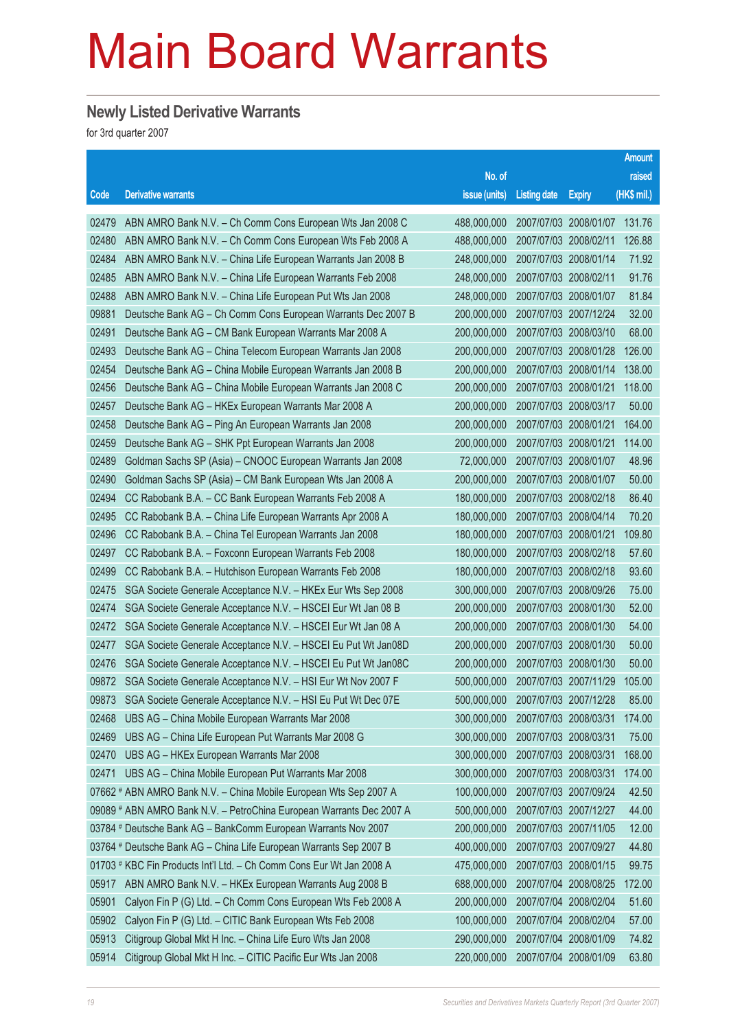#### **Newly Listed Derivative Warrants**

for 3rd quarter 2007

|       |                                                                      |               |                       |                       | <b>Amount</b> |
|-------|----------------------------------------------------------------------|---------------|-----------------------|-----------------------|---------------|
|       |                                                                      | No. of        |                       |                       | raised        |
| Code  | <b>Derivative warrants</b>                                           | issue (units) | <b>Listing date</b>   | <b>Expiry</b>         | (HK\$ mil.)   |
| 02479 | ABN AMRO Bank N.V. - Ch Comm Cons European Wts Jan 2008 C            | 488,000,000   |                       | 2007/07/03 2008/01/07 | 131.76        |
| 02480 | ABN AMRO Bank N.V. - Ch Comm Cons European Wts Feb 2008 A            | 488,000,000   | 2007/07/03 2008/02/11 |                       | 126.88        |
| 02484 | ABN AMRO Bank N.V. - China Life European Warrants Jan 2008 B         | 248,000,000   |                       | 2007/07/03 2008/01/14 | 71.92         |
| 02485 | ABN AMRO Bank N.V. - China Life European Warrants Feb 2008           | 248,000,000   | 2007/07/03 2008/02/11 |                       | 91.76         |
| 02488 | ABN AMRO Bank N.V. - China Life European Put Wts Jan 2008            | 248,000,000   |                       | 2007/07/03 2008/01/07 | 81.84         |
| 09881 | Deutsche Bank AG - Ch Comm Cons European Warrants Dec 2007 B         | 200,000,000   | 2007/07/03 2007/12/24 |                       | 32.00         |
| 02491 | Deutsche Bank AG - CM Bank European Warrants Mar 2008 A              | 200,000,000   |                       | 2007/07/03 2008/03/10 | 68.00         |
| 02493 | Deutsche Bank AG - China Telecom European Warrants Jan 2008          | 200,000,000   | 2007/07/03 2008/01/28 |                       | 126.00        |
| 02454 | Deutsche Bank AG - China Mobile European Warrants Jan 2008 B         | 200,000,000   |                       | 2007/07/03 2008/01/14 | 138.00        |
| 02456 | Deutsche Bank AG - China Mobile European Warrants Jan 2008 C         | 200,000,000   | 2007/07/03 2008/01/21 |                       | 118.00        |
| 02457 | Deutsche Bank AG - HKEx European Warrants Mar 2008 A                 | 200,000,000   |                       | 2007/07/03 2008/03/17 | 50.00         |
| 02458 | Deutsche Bank AG - Ping An European Warrants Jan 2008                | 200,000,000   | 2007/07/03 2008/01/21 |                       | 164.00        |
| 02459 | Deutsche Bank AG - SHK Ppt European Warrants Jan 2008                | 200,000,000   |                       | 2007/07/03 2008/01/21 | 114.00        |
| 02489 | Goldman Sachs SP (Asia) - CNOOC European Warrants Jan 2008           | 72,000,000    | 2007/07/03 2008/01/07 |                       | 48.96         |
| 02490 | Goldman Sachs SP (Asia) - CM Bank European Wts Jan 2008 A            | 200,000,000   |                       | 2007/07/03 2008/01/07 | 50.00         |
| 02494 | CC Rabobank B.A. - CC Bank European Warrants Feb 2008 A              | 180,000,000   | 2007/07/03 2008/02/18 |                       | 86.40         |
| 02495 | CC Rabobank B.A. - China Life European Warrants Apr 2008 A           | 180,000,000   |                       | 2007/07/03 2008/04/14 | 70.20         |
| 02496 | CC Rabobank B.A. - China Tel European Warrants Jan 2008              | 180,000,000   | 2007/07/03 2008/01/21 |                       | 109.80        |
| 02497 | CC Rabobank B.A. - Foxconn European Warrants Feb 2008                | 180,000,000   |                       | 2007/07/03 2008/02/18 | 57.60         |
| 02499 | CC Rabobank B.A. - Hutchison European Warrants Feb 2008              | 180,000,000   | 2007/07/03 2008/02/18 |                       | 93.60         |
| 02475 | SGA Societe Generale Acceptance N.V. - HKEx Eur Wts Sep 2008         | 300,000,000   |                       | 2007/07/03 2008/09/26 | 75.00         |
| 02474 | SGA Societe Generale Acceptance N.V. - HSCEI Eur Wt Jan 08 B         | 200,000,000   | 2007/07/03 2008/01/30 |                       | 52.00         |
| 02472 | SGA Societe Generale Acceptance N.V. - HSCEI Eur Wt Jan 08 A         | 200,000,000   |                       | 2007/07/03 2008/01/30 | 54.00         |
| 02477 | SGA Societe Generale Acceptance N.V. - HSCEI Eu Put Wt Jan08D        | 200,000,000   | 2007/07/03 2008/01/30 |                       | 50.00         |
| 02476 | SGA Societe Generale Acceptance N.V. - HSCEI Eu Put Wt Jan08C        | 200,000,000   |                       | 2007/07/03 2008/01/30 | 50.00         |
| 09872 | SGA Societe Generale Acceptance N.V. - HSI Eur Wt Nov 2007 F         | 500,000,000   | 2007/07/03 2007/11/29 |                       | 105.00        |
| 09873 | SGA Societe Generale Acceptance N.V. - HSI Eu Put Wt Dec 07E         | 500,000,000   | 2007/07/03 2007/12/28 |                       | 85.00         |
| 02468 | UBS AG - China Mobile European Warrants Mar 2008                     | 300,000,000   | 2007/07/03 2008/03/31 |                       | 174.00        |
| 02469 | UBS AG - China Life European Put Warrants Mar 2008 G                 | 300,000,000   | 2007/07/03 2008/03/31 |                       | 75.00         |
| 02470 | UBS AG - HKEx European Warrants Mar 2008                             | 300,000,000   | 2007/07/03 2008/03/31 |                       | 168.00        |
| 02471 | UBS AG - China Mobile European Put Warrants Mar 2008                 | 300,000,000   |                       | 2007/07/03 2008/03/31 | 174.00        |
|       | 07662 # ABN AMRO Bank N.V. - China Mobile European Wts Sep 2007 A    | 100,000,000   | 2007/07/03 2007/09/24 |                       | 42.50         |
|       | 09089 # ABN AMRO Bank N.V. - PetroChina European Warrants Dec 2007 A | 500,000,000   |                       | 2007/07/03 2007/12/27 | 44.00         |
|       | 03784 # Deutsche Bank AG - BankComm European Warrants Nov 2007       | 200,000,000   | 2007/07/03 2007/11/05 |                       | 12.00         |
|       | 03764 # Deutsche Bank AG - China Life European Warrants Sep 2007 B   | 400,000,000   |                       | 2007/07/03 2007/09/27 | 44.80         |
|       | 01703 # KBC Fin Products Int'l Ltd. - Ch Comm Cons Eur Wt Jan 2008 A | 475,000,000   | 2007/07/03 2008/01/15 |                       | 99.75         |
| 05917 | ABN AMRO Bank N.V. - HKEx European Warrants Aug 2008 B               | 688,000,000   |                       | 2007/07/04 2008/08/25 | 172.00        |
| 05901 | Calyon Fin P (G) Ltd. - Ch Comm Cons European Wts Feb 2008 A         | 200,000,000   | 2007/07/04 2008/02/04 |                       | 51.60         |
| 05902 | Calyon Fin P (G) Ltd. - CITIC Bank European Wts Feb 2008             | 100,000,000   |                       | 2007/07/04 2008/02/04 | 57.00         |
| 05913 | Citigroup Global Mkt H Inc. - China Life Euro Wts Jan 2008           | 290,000,000   | 2007/07/04 2008/01/09 |                       | 74.82         |
| 05914 | Citigroup Global Mkt H Inc. - CITIC Pacific Eur Wts Jan 2008         | 220,000,000   |                       | 2007/07/04 2008/01/09 | 63.80         |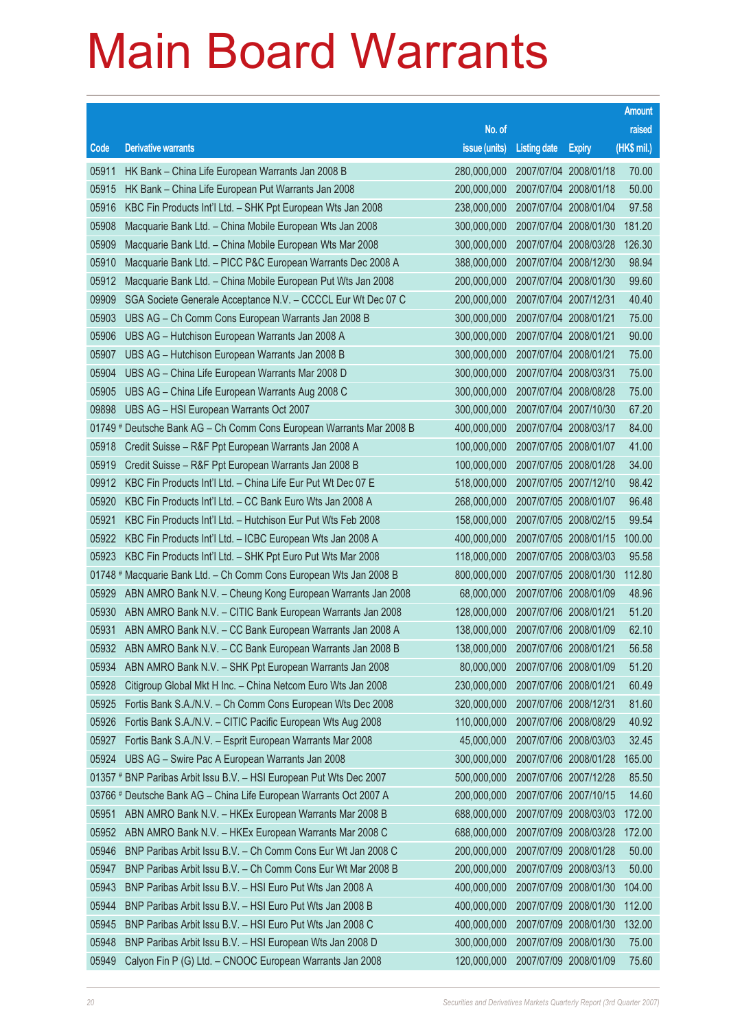|       |                                                                      |                                   |                       |                       | <b>Amount</b> |
|-------|----------------------------------------------------------------------|-----------------------------------|-----------------------|-----------------------|---------------|
|       |                                                                      | No. of                            |                       |                       | raised        |
| Code  | <b>Derivative warrants</b>                                           | issue (units)                     | <b>Listing date</b>   | <b>Expiry</b>         | (HK\$ mil.)   |
| 05911 | HK Bank - China Life European Warrants Jan 2008 B                    | 280,000,000                       |                       | 2007/07/04 2008/01/18 | 70.00         |
| 05915 | HK Bank – China Life European Put Warrants Jan 2008                  | 200,000,000                       |                       | 2007/07/04 2008/01/18 | 50.00         |
| 05916 | KBC Fin Products Int'l Ltd. - SHK Ppt European Wts Jan 2008          | 238,000,000                       |                       | 2007/07/04 2008/01/04 | 97.58         |
| 05908 | Macquarie Bank Ltd. - China Mobile European Wts Jan 2008             | 300,000,000                       | 2007/07/04 2008/01/30 |                       | 181.20        |
| 05909 | Macquarie Bank Ltd. - China Mobile European Wts Mar 2008             | 300,000,000                       |                       | 2007/07/04 2008/03/28 | 126.30        |
| 05910 | Macquarie Bank Ltd. - PICC P&C European Warrants Dec 2008 A          | 388,000,000                       |                       | 2007/07/04 2008/12/30 | 98.94         |
| 05912 | Macquarie Bank Ltd. - China Mobile European Put Wts Jan 2008         | 200,000,000                       |                       | 2007/07/04 2008/01/30 | 99.60         |
| 09909 | SGA Societe Generale Acceptance N.V. - CCCCL Eur Wt Dec 07 C         | 200,000,000                       | 2007/07/04 2007/12/31 |                       | 40.40         |
| 05903 | UBS AG - Ch Comm Cons European Warrants Jan 2008 B                   | 300,000,000                       | 2007/07/04 2008/01/21 |                       | 75.00         |
| 05906 | UBS AG - Hutchison European Warrants Jan 2008 A                      | 300,000,000                       | 2007/07/04 2008/01/21 |                       | 90.00         |
| 05907 | UBS AG - Hutchison European Warrants Jan 2008 B                      | 300,000,000                       | 2007/07/04 2008/01/21 |                       | 75.00         |
| 05904 | UBS AG - China Life European Warrants Mar 2008 D                     | 300,000,000                       | 2007/07/04 2008/03/31 |                       | 75.00         |
| 05905 | UBS AG - China Life European Warrants Aug 2008 C                     | 300,000,000                       |                       | 2007/07/04 2008/08/28 | 75.00         |
| 09898 | UBS AG - HSI European Warrants Oct 2007                              | 300,000,000                       |                       | 2007/07/04 2007/10/30 | 67.20         |
|       | 01749 # Deutsche Bank AG - Ch Comm Cons European Warrants Mar 2008 B | 400,000,000                       |                       | 2007/07/04 2008/03/17 | 84.00         |
| 05918 | Credit Suisse - R&F Ppt European Warrants Jan 2008 A                 | 100,000,000                       | 2007/07/05 2008/01/07 |                       | 41.00         |
| 05919 | Credit Suisse - R&F Ppt European Warrants Jan 2008 B                 | 100,000,000                       |                       | 2007/07/05 2008/01/28 | 34.00         |
| 09912 | KBC Fin Products Int'l Ltd. - China Life Eur Put Wt Dec 07 E         | 518,000,000                       |                       | 2007/07/05 2007/12/10 | 98.42         |
| 05920 | KBC Fin Products Int'l Ltd. - CC Bank Euro Wts Jan 2008 A            | 268,000,000                       |                       | 2007/07/05 2008/01/07 | 96.48         |
| 05921 | KBC Fin Products Int'l Ltd. - Hutchison Eur Put Wts Feb 2008         | 158,000,000                       | 2007/07/05 2008/02/15 |                       | 99.54         |
| 05922 | KBC Fin Products Int'l Ltd. - ICBC European Wts Jan 2008 A           | 400,000,000                       |                       | 2007/07/05 2008/01/15 | 100.00        |
| 05923 | KBC Fin Products Int'l Ltd. - SHK Ppt Euro Put Wts Mar 2008          | 118,000,000                       |                       | 2007/07/05 2008/03/03 | 95.58         |
|       | 01748 # Macquarie Bank Ltd. - Ch Comm Cons European Wts Jan 2008 B   | 800,000,000                       |                       | 2007/07/05 2008/01/30 | 112.80        |
| 05929 | ABN AMRO Bank N.V. - Cheung Kong European Warrants Jan 2008          | 68,000,000                        | 2007/07/06 2008/01/09 |                       | 48.96         |
| 05930 | ABN AMRO Bank N.V. - CITIC Bank European Warrants Jan 2008           | 128,000,000                       | 2007/07/06 2008/01/21 |                       | 51.20         |
| 05931 | ABN AMRO Bank N.V. - CC Bank European Warrants Jan 2008 A            | 138,000,000                       | 2007/07/06 2008/01/09 |                       | 62.10         |
| 05932 | ABN AMRO Bank N.V. - CC Bank European Warrants Jan 2008 B            | 138,000,000 2007/07/06 2008/01/21 |                       |                       | 56.58         |
| 05934 | ABN AMRO Bank N.V. - SHK Ppt European Warrants Jan 2008              | 80,000,000                        | 2007/07/06 2008/01/09 |                       | 51.20         |
| 05928 | Citigroup Global Mkt H Inc. - China Netcom Euro Wts Jan 2008         | 230,000,000                       | 2007/07/06 2008/01/21 |                       | 60.49         |
| 05925 | Fortis Bank S.A./N.V. - Ch Comm Cons European Wts Dec 2008           | 320,000,000                       | 2007/07/06 2008/12/31 |                       | 81.60         |
| 05926 | Fortis Bank S.A./N.V. - CITIC Pacific European Wts Aug 2008          | 110,000,000                       |                       | 2007/07/06 2008/08/29 | 40.92         |
| 05927 | Fortis Bank S.A./N.V. - Esprit European Warrants Mar 2008            | 45,000,000                        |                       | 2007/07/06 2008/03/03 | 32.45         |
| 05924 | UBS AG - Swire Pac A European Warrants Jan 2008                      | 300,000,000                       |                       | 2007/07/06 2008/01/28 | 165.00        |
|       | 01357 # BNP Paribas Arbit Issu B.V. - HSI European Put Wts Dec 2007  | 500,000,000                       | 2007/07/06 2007/12/28 |                       | 85.50         |
|       | 03766 # Deutsche Bank AG - China Life European Warrants Oct 2007 A   | 200,000,000                       |                       | 2007/07/06 2007/10/15 | 14.60         |
| 05951 | ABN AMRO Bank N.V. - HKEx European Warrants Mar 2008 B               | 688,000,000                       |                       | 2007/07/09 2008/03/03 | 172.00        |
| 05952 | ABN AMRO Bank N.V. - HKEx European Warrants Mar 2008 C               | 688,000,000                       |                       | 2007/07/09 2008/03/28 | 172.00        |
| 05946 | BNP Paribas Arbit Issu B.V. - Ch Comm Cons Eur Wt Jan 2008 C         | 200,000,000                       | 2007/07/09 2008/01/28 |                       | 50.00         |
| 05947 | BNP Paribas Arbit Issu B.V. - Ch Comm Cons Eur Wt Mar 2008 B         | 200,000,000                       |                       | 2007/07/09 2008/03/13 | 50.00         |
| 05943 | BNP Paribas Arbit Issu B.V. - HSI Euro Put Wts Jan 2008 A            | 400,000,000                       |                       | 2007/07/09 2008/01/30 | 104.00        |
| 05944 | BNP Paribas Arbit Issu B.V. - HSI Euro Put Wts Jan 2008 B            | 400,000,000                       |                       | 2007/07/09 2008/01/30 | 112.00        |
| 05945 | BNP Paribas Arbit Issu B.V. - HSI Euro Put Wts Jan 2008 C            | 400,000,000                       | 2007/07/09 2008/01/30 |                       | 132.00        |
| 05948 | BNP Paribas Arbit Issu B.V. - HSI European Wts Jan 2008 D            | 300,000,000                       |                       | 2007/07/09 2008/01/30 | 75.00         |
| 05949 | Calyon Fin P (G) Ltd. - CNOOC European Warrants Jan 2008             | 120,000,000                       | 2007/07/09 2008/01/09 |                       | 75.60         |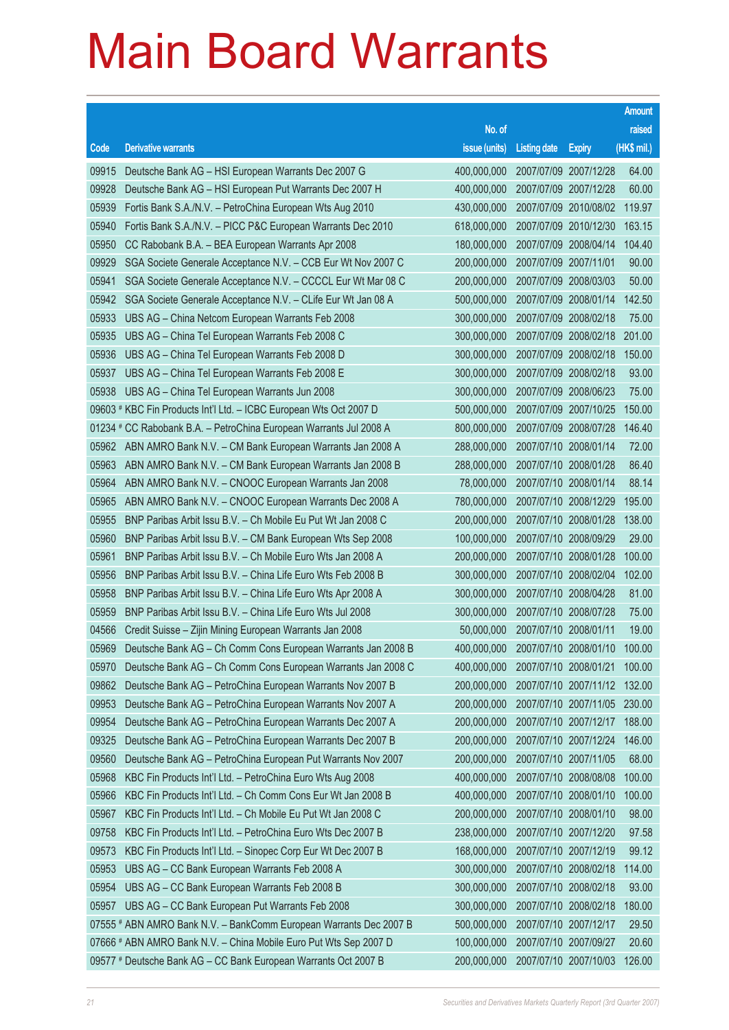|           |                                                                    |                                   |                     |                              | <b>Amount</b> |
|-----------|--------------------------------------------------------------------|-----------------------------------|---------------------|------------------------------|---------------|
|           |                                                                    | No. of                            |                     |                              | raised        |
| Code      | <b>Derivative warrants</b>                                         | issue (units)                     | <b>Listing date</b> | <b>Expiry</b>                | (HK\$ mil.)   |
| 09915     | Deutsche Bank AG - HSI European Warrants Dec 2007 G                | 400,000,000                       |                     | 2007/07/09 2007/12/28        | 64.00         |
| 09928     | Deutsche Bank AG - HSI European Put Warrants Dec 2007 H            | 400,000,000                       |                     | 2007/07/09 2007/12/28        | 60.00         |
| 05939     | Fortis Bank S.A./N.V. - PetroChina European Wts Aug 2010           | 430,000,000                       |                     | 2007/07/09 2010/08/02        | 119.97        |
| 05940     | Fortis Bank S.A./N.V. - PICC P&C European Warrants Dec 2010        | 618,000,000                       |                     | 2007/07/09 2010/12/30        | 163.15        |
| 05950     | CC Rabobank B.A. - BEA European Warrants Apr 2008                  | 180,000,000                       |                     | 2007/07/09 2008/04/14        | 104.40        |
| 09929     | SGA Societe Generale Acceptance N.V. - CCB Eur Wt Nov 2007 C       | 200,000,000                       |                     | 2007/07/09 2007/11/01        | 90.00         |
| 05941     | SGA Societe Generale Acceptance N.V. - CCCCL Eur Wt Mar 08 C       | 200,000,000                       |                     | 2007/07/09 2008/03/03        | 50.00         |
| 05942     | SGA Societe Generale Acceptance N.V. - CLife Eur Wt Jan 08 A       | 500,000,000                       |                     | 2007/07/09 2008/01/14        | 142.50        |
| 05933     | UBS AG - China Netcom European Warrants Feb 2008                   | 300,000,000                       |                     | 2007/07/09 2008/02/18        | 75.00         |
| 05935     | UBS AG - China Tel European Warrants Feb 2008 C                    | 300,000,000                       |                     | 2007/07/09 2008/02/18        | 201.00        |
| 05936     | UBS AG - China Tel European Warrants Feb 2008 D                    | 300,000,000                       |                     | 2007/07/09 2008/02/18        | 150.00        |
| 05937     | UBS AG - China Tel European Warrants Feb 2008 E                    | 300,000,000                       |                     | 2007/07/09 2008/02/18        | 93.00         |
| 05938     | UBS AG - China Tel European Warrants Jun 2008                      | 300,000,000                       |                     | 2007/07/09 2008/06/23        | 75.00         |
|           | 09603 # KBC Fin Products Int'l Ltd. - ICBC European Wts Oct 2007 D | 500,000,000                       |                     | 2007/07/09 2007/10/25        | 150.00        |
| $01234$ # | CC Rabobank B.A. - PetroChina European Warrants Jul 2008 A         | 800,000,000                       |                     | 2007/07/09 2008/07/28        | 146.40        |
| 05962     | ABN AMRO Bank N.V. - CM Bank European Warrants Jan 2008 A          | 288,000,000                       |                     | 2007/07/10 2008/01/14        | 72.00         |
| 05963     | ABN AMRO Bank N.V. - CM Bank European Warrants Jan 2008 B          | 288,000,000                       |                     | 2007/07/10 2008/01/28        | 86.40         |
| 05964     | ABN AMRO Bank N.V. - CNOOC European Warrants Jan 2008              | 78,000,000                        |                     | 2007/07/10 2008/01/14        | 88.14         |
| 05965     | ABN AMRO Bank N.V. - CNOOC European Warrants Dec 2008 A            | 780,000,000                       |                     | 2007/07/10 2008/12/29        | 195.00        |
| 05955     | BNP Paribas Arbit Issu B.V. - Ch Mobile Eu Put Wt Jan 2008 C       | 200,000,000                       |                     | 2007/07/10 2008/01/28        | 138.00        |
| 05960     | BNP Paribas Arbit Issu B.V. - CM Bank European Wts Sep 2008        | 100,000,000                       |                     | 2007/07/10 2008/09/29        | 29.00         |
| 05961     | BNP Paribas Arbit Issu B.V. - Ch Mobile Euro Wts Jan 2008 A        | 200,000,000                       |                     | 2007/07/10 2008/01/28        | 100.00        |
| 05956     | BNP Paribas Arbit Issu B.V. - China Life Euro Wts Feb 2008 B       | 300,000,000                       |                     | 2007/07/10 2008/02/04        | 102.00        |
| 05958     | BNP Paribas Arbit Issu B.V. - China Life Euro Wts Apr 2008 A       | 300,000,000                       |                     | 2007/07/10 2008/04/28        | 81.00         |
| 05959     | BNP Paribas Arbit Issu B.V. - China Life Euro Wts Jul 2008         | 300,000,000                       |                     | 2007/07/10 2008/07/28        | 75.00         |
| 04566     | Credit Suisse - Zijin Mining European Warrants Jan 2008            | 50,000,000                        |                     | 2007/07/10 2008/01/11        | 19.00         |
| 05969     | Deutsche Bank AG - Ch Comm Cons European Warrants Jan 2008 B       | 400,000,000 2007/07/10 2008/01/10 |                     |                              | 100.00        |
| 05970     | Deutsche Bank AG - Ch Comm Cons European Warrants Jan 2008 C       | 400,000,000                       |                     | 2007/07/10 2008/01/21        | 100.00        |
| 09862     | Deutsche Bank AG - PetroChina European Warrants Nov 2007 B         | 200,000,000                       |                     | 2007/07/10 2007/11/12        | 132.00        |
| 09953     | Deutsche Bank AG - PetroChina European Warrants Nov 2007 A         | 200,000,000                       |                     | 2007/07/10 2007/11/05 230.00 |               |
| 09954     | Deutsche Bank AG - PetroChina European Warrants Dec 2007 A         | 200,000,000                       |                     | 2007/07/10 2007/12/17        | 188.00        |
| 09325     | Deutsche Bank AG - PetroChina European Warrants Dec 2007 B         | 200,000,000                       |                     | 2007/07/10 2007/12/24        | 146.00        |
| 09560     | Deutsche Bank AG - PetroChina European Put Warrants Nov 2007       | 200,000,000                       |                     | 2007/07/10 2007/11/05        | 68.00         |
| 05968     | KBC Fin Products Int'l Ltd. - PetroChina Euro Wts Aug 2008         | 400,000,000                       |                     | 2007/07/10 2008/08/08        | 100.00        |
| 05966     | KBC Fin Products Int'l Ltd. - Ch Comm Cons Eur Wt Jan 2008 B       | 400,000,000                       |                     | 2007/07/10 2008/01/10        | 100.00        |
| 05967     | KBC Fin Products Int'l Ltd. - Ch Mobile Eu Put Wt Jan 2008 C       | 200,000,000                       |                     | 2007/07/10 2008/01/10        | 98.00         |
| 09758     | KBC Fin Products Int'l Ltd. - PetroChina Euro Wts Dec 2007 B       | 238,000,000                       |                     | 2007/07/10 2007/12/20        | 97.58         |
| 09573     | KBC Fin Products Int'l Ltd. - Sinopec Corp Eur Wt Dec 2007 B       | 168,000,000                       |                     | 2007/07/10 2007/12/19        | 99.12         |
| 05953     | UBS AG - CC Bank European Warrants Feb 2008 A                      | 300,000,000                       |                     | 2007/07/10 2008/02/18        | 114.00        |
| 05954     | UBS AG - CC Bank European Warrants Feb 2008 B                      | 300,000,000                       |                     | 2007/07/10 2008/02/18        | 93.00         |
| 05957     | UBS AG - CC Bank European Put Warrants Feb 2008                    | 300,000,000                       |                     | 2007/07/10 2008/02/18        | 180.00        |
|           | 07555 # ABN AMRO Bank N.V. - BankComm European Warrants Dec 2007 B | 500,000,000                       |                     | 2007/07/10 2007/12/17        | 29.50         |
|           | 07666 # ABN AMRO Bank N.V. - China Mobile Euro Put Wts Sep 2007 D  | 100,000,000                       |                     | 2007/07/10 2007/09/27        | 20.60         |
|           | 09577 # Deutsche Bank AG - CC Bank European Warrants Oct 2007 B    | 200,000,000                       |                     | 2007/07/10 2007/10/03        | 126.00        |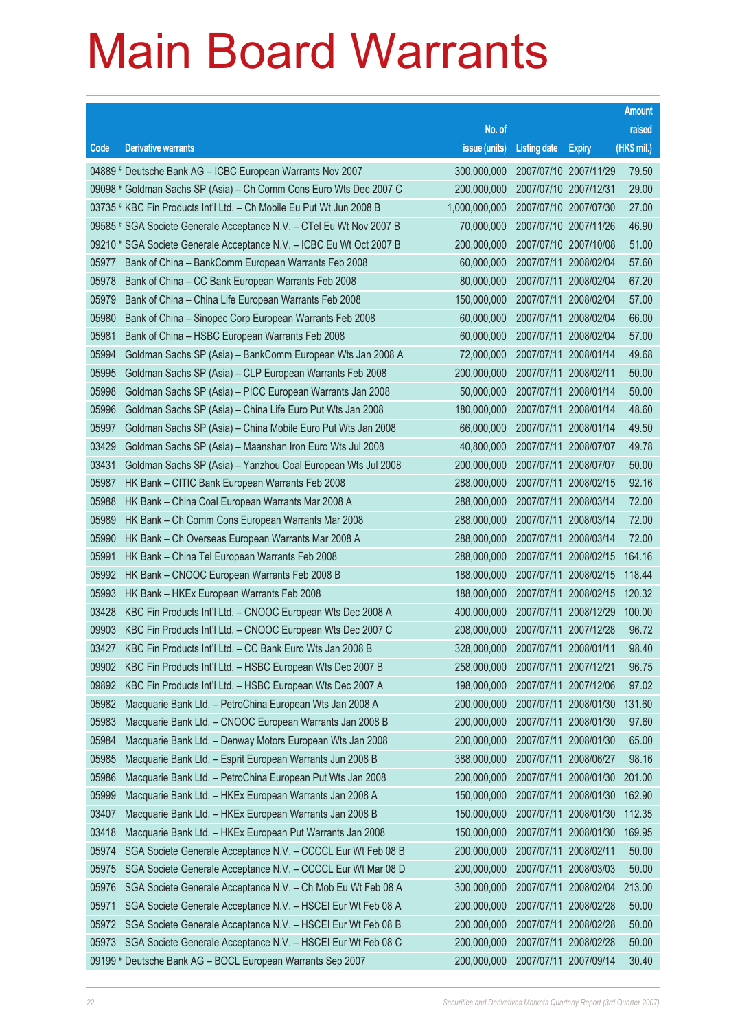|       |                                                                      |                                   |                       |                       | Amount      |
|-------|----------------------------------------------------------------------|-----------------------------------|-----------------------|-----------------------|-------------|
|       |                                                                      | No. of                            |                       |                       | raised      |
| Code  | <b>Derivative warrants</b>                                           | issue (units)                     | <b>Listing date</b>   | <b>Expiry</b>         | (HK\$ mil.) |
|       | 04889 # Deutsche Bank AG - ICBC European Warrants Nov 2007           | 300,000,000                       |                       | 2007/07/10 2007/11/29 | 79.50       |
|       | 09098 # Goldman Sachs SP (Asia) – Ch Comm Cons Euro Wts Dec 2007 C   | 200,000,000                       | 2007/07/10 2007/12/31 |                       | 29.00       |
|       | 03735 # KBC Fin Products Int'l Ltd. - Ch Mobile Eu Put Wt Jun 2008 B | 1,000,000,000                     |                       | 2007/07/10 2007/07/30 | 27.00       |
|       | 09585 # SGA Societe Generale Acceptance N.V. - CTel Eu Wt Nov 2007 B | 70,000,000                        | 2007/07/10 2007/11/26 |                       | 46.90       |
|       | 09210 # SGA Societe Generale Acceptance N.V. - ICBC Eu Wt Oct 2007 B | 200,000,000                       |                       | 2007/07/10 2007/10/08 | 51.00       |
| 05977 | Bank of China - BankComm European Warrants Feb 2008                  | 60,000,000                        | 2007/07/11 2008/02/04 |                       | 57.60       |
| 05978 | Bank of China – CC Bank European Warrants Feb 2008                   | 80,000,000                        |                       | 2007/07/11 2008/02/04 | 67.20       |
| 05979 | Bank of China – China Life European Warrants Feb 2008                | 150,000,000                       | 2007/07/11 2008/02/04 |                       | 57.00       |
| 05980 | Bank of China - Sinopec Corp European Warrants Feb 2008              | 60,000,000                        |                       | 2007/07/11 2008/02/04 | 66.00       |
| 05981 | Bank of China - HSBC European Warrants Feb 2008                      | 60,000,000                        | 2007/07/11 2008/02/04 |                       | 57.00       |
| 05994 | Goldman Sachs SP (Asia) - BankComm European Wts Jan 2008 A           | 72,000,000                        |                       | 2007/07/11 2008/01/14 | 49.68       |
| 05995 | Goldman Sachs SP (Asia) – CLP European Warrants Feb 2008             | 200,000,000                       | 2007/07/11 2008/02/11 |                       | 50.00       |
| 05998 | Goldman Sachs SP (Asia) - PICC European Warrants Jan 2008            | 50,000,000                        |                       | 2007/07/11 2008/01/14 | 50.00       |
| 05996 | Goldman Sachs SP (Asia) - China Life Euro Put Wts Jan 2008           | 180,000,000                       | 2007/07/11 2008/01/14 |                       | 48.60       |
| 05997 | Goldman Sachs SP (Asia) – China Mobile Euro Put Wts Jan 2008         | 66,000,000                        |                       | 2007/07/11 2008/01/14 | 49.50       |
| 03429 | Goldman Sachs SP (Asia) – Maanshan Iron Euro Wts Jul 2008            | 40,800,000                        | 2007/07/11 2008/07/07 |                       | 49.78       |
| 03431 | Goldman Sachs SP (Asia) – Yanzhou Coal European Wts Jul 2008         | 200,000,000                       |                       | 2007/07/11 2008/07/07 | 50.00       |
| 05987 | HK Bank - CITIC Bank European Warrants Feb 2008                      | 288,000,000                       | 2007/07/11 2008/02/15 |                       | 92.16       |
| 05988 | HK Bank – China Coal European Warrants Mar 2008 A                    | 288,000,000                       |                       | 2007/07/11 2008/03/14 | 72.00       |
| 05989 | HK Bank – Ch Comm Cons European Warrants Mar 2008                    | 288,000,000                       | 2007/07/11 2008/03/14 |                       | 72.00       |
| 05990 | HK Bank - Ch Overseas European Warrants Mar 2008 A                   | 288,000,000                       |                       | 2007/07/11 2008/03/14 | 72.00       |
| 05991 | HK Bank - China Tel European Warrants Feb 2008                       | 288,000,000                       |                       | 2007/07/11 2008/02/15 | 164.16      |
| 05992 | HK Bank – CNOOC European Warrants Feb 2008 B                         | 188,000,000                       |                       | 2007/07/11 2008/02/15 | 118.44      |
| 05993 | HK Bank - HKEx European Warrants Feb 2008                            | 188,000,000                       |                       | 2007/07/11 2008/02/15 | 120.32      |
| 03428 | KBC Fin Products Int'l Ltd. - CNOOC European Wts Dec 2008 A          | 400,000,000                       |                       | 2007/07/11 2008/12/29 | 100.00      |
| 09903 | KBC Fin Products Int'l Ltd. - CNOOC European Wts Dec 2007 C          | 208,000,000                       | 2007/07/11 2007/12/28 |                       | 96.72       |
|       | 03427 KBC Fin Products Int'l Ltd. - CC Bank Euro Wts Jan 2008 B      | 328,000,000 2007/07/11 2008/01/11 |                       |                       | 98.40       |
| 09902 | KBC Fin Products Int'l Ltd. - HSBC European Wts Dec 2007 B           | 258,000,000                       | 2007/07/11 2007/12/21 |                       | 96.75       |
| 09892 | KBC Fin Products Int'l Ltd. - HSBC European Wts Dec 2007 A           | 198,000,000                       |                       | 2007/07/11 2007/12/06 | 97.02       |
| 05982 | Macquarie Bank Ltd. - PetroChina European Wts Jan 2008 A             | 200,000,000                       |                       | 2007/07/11 2008/01/30 | 131.60      |
| 05983 | Macquarie Bank Ltd. - CNOOC European Warrants Jan 2008 B             | 200,000,000                       |                       | 2007/07/11 2008/01/30 | 97.60       |
| 05984 | Macquarie Bank Ltd. - Denway Motors European Wts Jan 2008            | 200,000,000                       |                       | 2007/07/11 2008/01/30 | 65.00       |
| 05985 | Macquarie Bank Ltd. - Esprit European Warrants Jun 2008 B            | 388,000,000                       |                       | 2007/07/11 2008/06/27 | 98.16       |
| 05986 | Macquarie Bank Ltd. - PetroChina European Put Wts Jan 2008           | 200,000,000                       |                       | 2007/07/11 2008/01/30 | 201.00      |
| 05999 | Macquarie Bank Ltd. - HKEx European Warrants Jan 2008 A              | 150,000,000                       |                       | 2007/07/11 2008/01/30 | 162.90      |
| 03407 | Macquarie Bank Ltd. - HKEx European Warrants Jan 2008 B              | 150,000,000                       |                       | 2007/07/11 2008/01/30 | 112.35      |
| 03418 | Macquarie Bank Ltd. - HKEx European Put Warrants Jan 2008            | 150,000,000                       |                       | 2007/07/11 2008/01/30 | 169.95      |
| 05974 | SGA Societe Generale Acceptance N.V. - CCCCL Eur Wt Feb 08 B         | 200,000,000                       | 2007/07/11 2008/02/11 |                       | 50.00       |
| 05975 | SGA Societe Generale Acceptance N.V. - CCCCL Eur Wt Mar 08 D         | 200,000,000                       |                       | 2007/07/11 2008/03/03 | 50.00       |
| 05976 | SGA Societe Generale Acceptance N.V. - Ch Mob Eu Wt Feb 08 A         | 300,000,000                       | 2007/07/11            | 2008/02/04            | 213.00      |
| 05971 | SGA Societe Generale Acceptance N.V. - HSCEI Eur Wt Feb 08 A         | 200,000,000                       |                       | 2007/07/11 2008/02/28 | 50.00       |
| 05972 | SGA Societe Generale Acceptance N.V. - HSCEI Eur Wt Feb 08 B         | 200,000,000                       |                       | 2007/07/11 2008/02/28 | 50.00       |
| 05973 | SGA Societe Generale Acceptance N.V. - HSCEI Eur Wt Feb 08 C         | 200,000,000                       |                       | 2007/07/11 2008/02/28 | 50.00       |
|       | 09199 # Deutsche Bank AG - BOCL European Warrants Sep 2007           | 200,000,000                       | 2007/07/11 2007/09/14 |                       | 30.40       |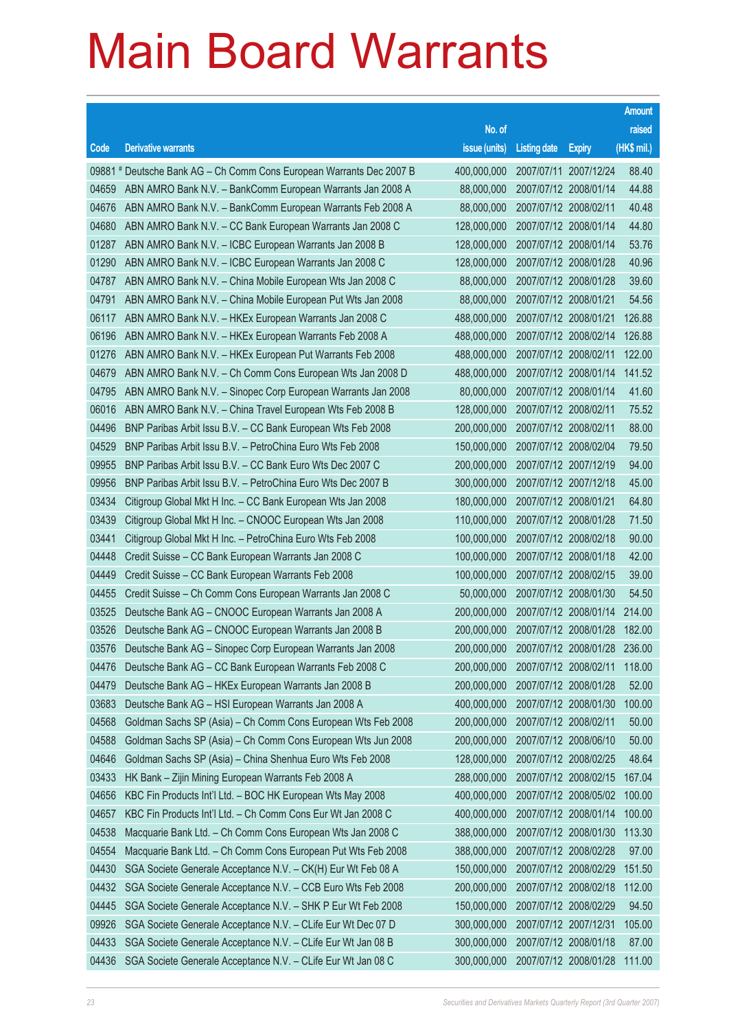|       |                                                                      |                                          |                       |                       | <b>Amount</b> |
|-------|----------------------------------------------------------------------|------------------------------------------|-----------------------|-----------------------|---------------|
|       |                                                                      | No. of                                   |                       |                       | raised        |
| Code  | <b>Derivative warrants</b>                                           | issue (units)                            | <b>Listing date</b>   | <b>Expiry</b>         | $(HK$$ mil.)  |
|       | 09881 # Deutsche Bank AG – Ch Comm Cons European Warrants Dec 2007 B | 400,000,000                              |                       | 2007/07/11 2007/12/24 | 88.40         |
| 04659 | ABN AMRO Bank N.V. - BankComm European Warrants Jan 2008 A           | 88,000,000                               |                       | 2007/07/12 2008/01/14 | 44.88         |
| 04676 | ABN AMRO Bank N.V. - BankComm European Warrants Feb 2008 A           | 88,000,000                               | 2007/07/12 2008/02/11 |                       | 40.48         |
| 04680 | ABN AMRO Bank N.V. - CC Bank European Warrants Jan 2008 C            | 128,000,000                              |                       | 2007/07/12 2008/01/14 | 44.80         |
| 01287 | ABN AMRO Bank N.V. - ICBC European Warrants Jan 2008 B               | 128,000,000                              |                       | 2007/07/12 2008/01/14 | 53.76         |
| 01290 | ABN AMRO Bank N.V. - ICBC European Warrants Jan 2008 C               | 128,000,000                              |                       | 2007/07/12 2008/01/28 | 40.96         |
| 04787 | ABN AMRO Bank N.V. - China Mobile European Wts Jan 2008 C            | 88,000,000                               |                       | 2007/07/12 2008/01/28 | 39.60         |
| 04791 | ABN AMRO Bank N.V. - China Mobile European Put Wts Jan 2008          | 88,000,000                               | 2007/07/12 2008/01/21 |                       | 54.56         |
| 06117 | ABN AMRO Bank N.V. - HKEx European Warrants Jan 2008 C               | 488,000,000                              |                       | 2007/07/12 2008/01/21 | 126.88        |
| 06196 | ABN AMRO Bank N.V. - HKEx European Warrants Feb 2008 A               | 488,000,000                              |                       | 2007/07/12 2008/02/14 | 126.88        |
| 01276 | ABN AMRO Bank N.V. - HKEx European Put Warrants Feb 2008             | 488,000,000                              |                       | 2007/07/12 2008/02/11 | 122.00        |
| 04679 | ABN AMRO Bank N.V. - Ch Comm Cons European Wts Jan 2008 D            | 488,000,000                              |                       | 2007/07/12 2008/01/14 | 141.52        |
| 04795 | ABN AMRO Bank N.V. - Sinopec Corp European Warrants Jan 2008         | 80,000,000                               |                       | 2007/07/12 2008/01/14 | 41.60         |
| 06016 | ABN AMRO Bank N.V. - China Travel European Wts Feb 2008 B            | 128,000,000                              | 2007/07/12 2008/02/11 |                       | 75.52         |
| 04496 | BNP Paribas Arbit Issu B.V. - CC Bank European Wts Feb 2008          | 200,000,000                              |                       | 2007/07/12 2008/02/11 | 88.00         |
| 04529 | BNP Paribas Arbit Issu B.V. - PetroChina Euro Wts Feb 2008           | 150,000,000                              |                       | 2007/07/12 2008/02/04 | 79.50         |
| 09955 | BNP Paribas Arbit Issu B.V. - CC Bank Euro Wts Dec 2007 C            | 200,000,000                              |                       | 2007/07/12 2007/12/19 | 94.00         |
| 09956 | BNP Paribas Arbit Issu B.V. - PetroChina Euro Wts Dec 2007 B         | 300,000,000                              |                       | 2007/07/12 2007/12/18 | 45.00         |
| 03434 | Citigroup Global Mkt H Inc. - CC Bank European Wts Jan 2008          | 180,000,000                              |                       | 2007/07/12 2008/01/21 | 64.80         |
| 03439 | Citigroup Global Mkt H Inc. - CNOOC European Wts Jan 2008            | 110,000,000                              |                       | 2007/07/12 2008/01/28 | 71.50         |
| 03441 | Citigroup Global Mkt H Inc. - PetroChina Euro Wts Feb 2008           | 100,000,000                              |                       | 2007/07/12 2008/02/18 | 90.00         |
| 04448 | Credit Suisse - CC Bank European Warrants Jan 2008 C                 | 100,000,000                              |                       | 2007/07/12 2008/01/18 | 42.00         |
| 04449 | Credit Suisse - CC Bank European Warrants Feb 2008                   | 100,000,000                              |                       | 2007/07/12 2008/02/15 | 39.00         |
| 04455 | Credit Suisse – Ch Comm Cons European Warrants Jan 2008 C            | 50,000,000                               |                       | 2007/07/12 2008/01/30 | 54.50         |
| 03525 | Deutsche Bank AG - CNOOC European Warrants Jan 2008 A                | 200,000,000                              |                       | 2007/07/12 2008/01/14 | 214.00        |
| 03526 | Deutsche Bank AG - CNOOC European Warrants Jan 2008 B                | 200,000,000                              |                       | 2007/07/12 2008/01/28 | 182.00        |
| 03576 | Deutsche Bank AG – Sinopec Corp European Warrants Jan 2008           | 200,000,000 2007/07/12 2008/01/28 236.00 |                       |                       |               |
| 04476 | Deutsche Bank AG - CC Bank European Warrants Feb 2008 C              | 200,000,000                              |                       | 2007/07/12 2008/02/11 | 118.00        |
| 04479 | Deutsche Bank AG - HKEx European Warrants Jan 2008 B                 | 200,000,000                              |                       | 2007/07/12 2008/01/28 | 52.00         |
| 03683 | Deutsche Bank AG - HSI European Warrants Jan 2008 A                  | 400,000,000                              |                       | 2007/07/12 2008/01/30 | 100.00        |
| 04568 | Goldman Sachs SP (Asia) - Ch Comm Cons European Wts Feb 2008         | 200,000,000                              |                       | 2007/07/12 2008/02/11 | 50.00         |
| 04588 | Goldman Sachs SP (Asia) - Ch Comm Cons European Wts Jun 2008         | 200,000,000                              |                       | 2007/07/12 2008/06/10 | 50.00         |
| 04646 | Goldman Sachs SP (Asia) - China Shenhua Euro Wts Feb 2008            | 128,000,000                              |                       | 2007/07/12 2008/02/25 | 48.64         |
| 03433 | HK Bank - Zijin Mining European Warrants Feb 2008 A                  | 288,000,000                              |                       | 2007/07/12 2008/02/15 | 167.04        |
| 04656 | KBC Fin Products Int'l Ltd. - BOC HK European Wts May 2008           | 400,000,000                              |                       | 2007/07/12 2008/05/02 | 100.00        |
| 04657 | KBC Fin Products Int'l Ltd. - Ch Comm Cons Eur Wt Jan 2008 C         | 400,000,000                              |                       | 2007/07/12 2008/01/14 | 100.00        |
| 04538 | Macquarie Bank Ltd. - Ch Comm Cons European Wts Jan 2008 C           | 388,000,000                              |                       | 2007/07/12 2008/01/30 | 113.30        |
| 04554 | Macquarie Bank Ltd. - Ch Comm Cons European Put Wts Feb 2008         | 388,000,000                              |                       | 2007/07/12 2008/02/28 | 97.00         |
| 04430 | SGA Societe Generale Acceptance N.V. - CK(H) Eur Wt Feb 08 A         | 150,000,000                              |                       | 2007/07/12 2008/02/29 | 151.50        |
| 04432 | SGA Societe Generale Acceptance N.V. - CCB Euro Wts Feb 2008         | 200,000,000                              |                       | 2007/07/12 2008/02/18 | 112.00        |
| 04445 | SGA Societe Generale Acceptance N.V. - SHK P Eur Wt Feb 2008         | 150,000,000                              |                       | 2007/07/12 2008/02/29 | 94.50         |
| 09926 | SGA Societe Generale Acceptance N.V. - CLife Eur Wt Dec 07 D         | 300,000,000                              |                       | 2007/07/12 2007/12/31 | 105.00        |
| 04433 | SGA Societe Generale Acceptance N.V. - CLife Eur Wt Jan 08 B         | 300,000,000                              |                       | 2007/07/12 2008/01/18 | 87.00         |
| 04436 | SGA Societe Generale Acceptance N.V. - CLife Eur Wt Jan 08 C         | 300,000,000                              |                       | 2007/07/12 2008/01/28 | 111.00        |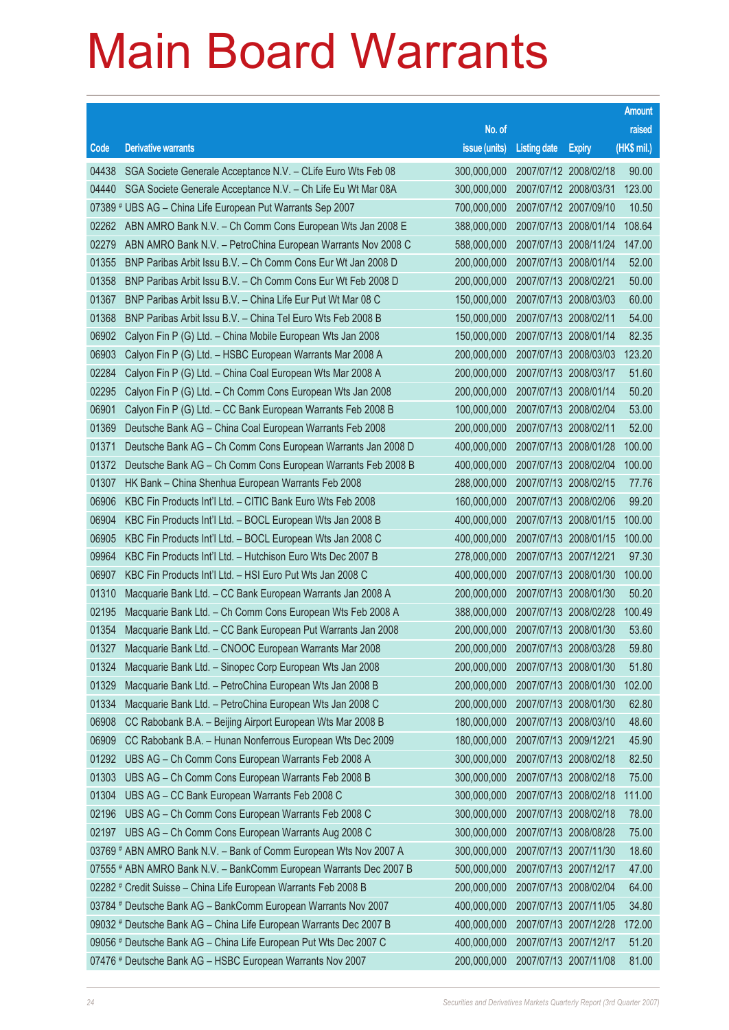|       |                                                                    |                                   |                       |                       | <b>Amount</b> |
|-------|--------------------------------------------------------------------|-----------------------------------|-----------------------|-----------------------|---------------|
|       |                                                                    | No. of                            |                       |                       | raised        |
| Code  | <b>Derivative warrants</b>                                         | issue (units)                     | <b>Listing date</b>   | <b>Expiry</b>         | $(HK$$ mil.)  |
| 04438 | SGA Societe Generale Acceptance N.V. - CLife Euro Wts Feb 08       | 300,000,000                       | 2007/07/12 2008/02/18 |                       | 90.00         |
| 04440 | SGA Societe Generale Acceptance N.V. - Ch Life Eu Wt Mar 08A       | 300,000,000                       |                       | 2007/07/12 2008/03/31 | 123.00        |
|       | 07389 # UBS AG - China Life European Put Warrants Sep 2007         | 700,000,000                       | 2007/07/12 2007/09/10 |                       | 10.50         |
| 02262 | ABN AMRO Bank N.V. - Ch Comm Cons European Wts Jan 2008 E          | 388,000,000                       | 2007/07/13 2008/01/14 |                       | 108.64        |
| 02279 | ABN AMRO Bank N.V. - PetroChina European Warrants Nov 2008 C       | 588,000,000                       |                       | 2007/07/13 2008/11/24 | 147.00        |
| 01355 | BNP Paribas Arbit Issu B.V. - Ch Comm Cons Eur Wt Jan 2008 D       | 200,000,000                       | 2007/07/13 2008/01/14 |                       | 52.00         |
| 01358 | BNP Paribas Arbit Issu B.V. - Ch Comm Cons Eur Wt Feb 2008 D       | 200,000,000                       |                       | 2007/07/13 2008/02/21 | 50.00         |
| 01367 | BNP Paribas Arbit Issu B.V. - China Life Eur Put Wt Mar 08 C       | 150,000,000                       | 2007/07/13 2008/03/03 |                       | 60.00         |
| 01368 | BNP Paribas Arbit Issu B.V. - China Tel Euro Wts Feb 2008 B        | 150,000,000                       | 2007/07/13 2008/02/11 |                       | 54.00         |
| 06902 | Calyon Fin P (G) Ltd. - China Mobile European Wts Jan 2008         | 150,000,000                       | 2007/07/13 2008/01/14 |                       | 82.35         |
| 06903 | Calyon Fin P (G) Ltd. - HSBC European Warrants Mar 2008 A          | 200,000,000                       | 2007/07/13 2008/03/03 |                       | 123.20        |
| 02284 | Calyon Fin P (G) Ltd. - China Coal European Wts Mar 2008 A         | 200,000,000                       | 2007/07/13 2008/03/17 |                       | 51.60         |
| 02295 | Calyon Fin P (G) Ltd. - Ch Comm Cons European Wts Jan 2008         | 200,000,000                       | 2007/07/13 2008/01/14 |                       | 50.20         |
| 06901 | Calyon Fin P (G) Ltd. - CC Bank European Warrants Feb 2008 B       | 100,000,000                       | 2007/07/13 2008/02/04 |                       | 53.00         |
| 01369 | Deutsche Bank AG - China Coal European Warrants Feb 2008           | 200,000,000                       | 2007/07/13 2008/02/11 |                       | 52.00         |
| 01371 | Deutsche Bank AG - Ch Comm Cons European Warrants Jan 2008 D       | 400,000,000                       | 2007/07/13 2008/01/28 |                       | 100.00        |
| 01372 | Deutsche Bank AG - Ch Comm Cons European Warrants Feb 2008 B       | 400,000,000                       | 2007/07/13 2008/02/04 |                       | 100.00        |
| 01307 | HK Bank – China Shenhua European Warrants Feb 2008                 | 288,000,000                       | 2007/07/13 2008/02/15 |                       | 77.76         |
| 06906 | KBC Fin Products Int'l Ltd. - CITIC Bank Euro Wts Feb 2008         | 160,000,000                       | 2007/07/13 2008/02/06 |                       | 99.20         |
| 06904 | KBC Fin Products Int'l Ltd. - BOCL European Wts Jan 2008 B         | 400,000,000                       | 2007/07/13 2008/01/15 |                       | 100.00        |
| 06905 | KBC Fin Products Int'l Ltd. - BOCL European Wts Jan 2008 C         | 400,000,000                       |                       | 2007/07/13 2008/01/15 | 100.00        |
| 09964 | KBC Fin Products Int'l Ltd. - Hutchison Euro Wts Dec 2007 B        | 278,000,000                       | 2007/07/13 2007/12/21 |                       | 97.30         |
| 06907 | KBC Fin Products Int'l Ltd. - HSI Euro Put Wts Jan 2008 C          | 400,000,000                       | 2007/07/13 2008/01/30 |                       | 100.00        |
| 01310 | Macquarie Bank Ltd. - CC Bank European Warrants Jan 2008 A         | 200,000,000                       | 2007/07/13 2008/01/30 |                       | 50.20         |
| 02195 | Macquarie Bank Ltd. - Ch Comm Cons European Wts Feb 2008 A         | 388,000,000                       | 2007/07/13 2008/02/28 |                       | 100.49        |
| 01354 | Macquarie Bank Ltd. - CC Bank European Put Warrants Jan 2008       | 200,000,000                       | 2007/07/13 2008/01/30 |                       | 53.60         |
| 01327 | Macquarie Bank Ltd. - CNOOC European Warrants Mar 2008             | 200,000,000 2007/07/13 2008/03/28 |                       |                       | 59.80         |
| 01324 | Macquarie Bank Ltd. - Sinopec Corp European Wts Jan 2008           | 200,000,000                       | 2007/07/13 2008/01/30 |                       | 51.80         |
| 01329 | Macquarie Bank Ltd. - PetroChina European Wts Jan 2008 B           | 200,000,000                       | 2007/07/13 2008/01/30 |                       | 102.00        |
| 01334 | Macquarie Bank Ltd. - PetroChina European Wts Jan 2008 C           | 200,000,000                       | 2007/07/13 2008/01/30 |                       | 62.80         |
| 06908 | CC Rabobank B.A. - Beijing Airport European Wts Mar 2008 B         | 180,000,000                       | 2007/07/13 2008/03/10 |                       | 48.60         |
| 06909 | CC Rabobank B.A. - Hunan Nonferrous European Wts Dec 2009          | 180,000,000                       | 2007/07/13 2009/12/21 |                       | 45.90         |
| 01292 | UBS AG - Ch Comm Cons European Warrants Feb 2008 A                 | 300,000,000                       |                       | 2007/07/13 2008/02/18 | 82.50         |
| 01303 | UBS AG - Ch Comm Cons European Warrants Feb 2008 B                 | 300,000,000                       | 2007/07/13 2008/02/18 |                       | 75.00         |
| 01304 | UBS AG - CC Bank European Warrants Feb 2008 C                      | 300,000,000                       | 2007/07/13 2008/02/18 |                       | 111.00        |
| 02196 | UBS AG - Ch Comm Cons European Warrants Feb 2008 C                 | 300,000,000                       | 2007/07/13 2008/02/18 |                       | 78.00         |
| 02197 | UBS AG - Ch Comm Cons European Warrants Aug 2008 C                 | 300,000,000                       |                       | 2007/07/13 2008/08/28 | 75.00         |
|       | 03769 # ABN AMRO Bank N.V. - Bank of Comm European Wts Nov 2007 A  | 300,000,000                       | 2007/07/13 2007/11/30 |                       | 18.60         |
|       | 07555 # ABN AMRO Bank N.V. - BankComm European Warrants Dec 2007 B | 500,000,000                       |                       | 2007/07/13 2007/12/17 | 47.00         |
|       | 02282 # Credit Suisse - China Life European Warrants Feb 2008 B    | 200,000,000                       | 2007/07/13 2008/02/04 |                       | 64.00         |
|       | 03784 # Deutsche Bank AG - BankComm European Warrants Nov 2007     | 400,000,000                       |                       | 2007/07/13 2007/11/05 | 34.80         |
|       | 09032 # Deutsche Bank AG - China Life European Warrants Dec 2007 B | 400,000,000                       | 2007/07/13 2007/12/28 |                       | 172.00        |
|       | 09056 # Deutsche Bank AG - China Life European Put Wts Dec 2007 C  | 400,000,000                       |                       | 2007/07/13 2007/12/17 | 51.20         |
|       | 07476 # Deutsche Bank AG - HSBC European Warrants Nov 2007         | 200,000,000                       | 2007/07/13 2007/11/08 |                       | 81.00         |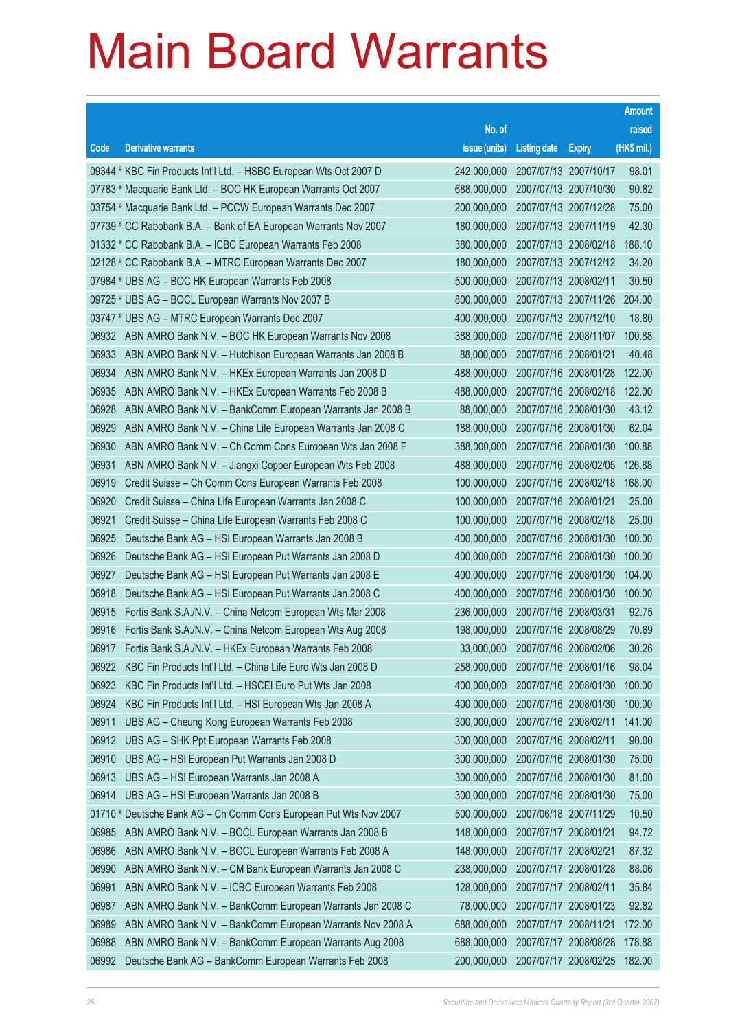|       |                                                                    |               |                                  |                       | <b>Amount</b> |
|-------|--------------------------------------------------------------------|---------------|----------------------------------|-----------------------|---------------|
|       |                                                                    | No. of        |                                  |                       | raised        |
| Code  | <b>Derivative warrants</b>                                         | issue (units) | <b>Listing date</b>              | <b>Expiry</b>         | (HK\$ mil.)   |
|       | 09344 # KBC Fin Products Int'l Ltd. - HSBC European Wts Oct 2007 D | 242,000,000   |                                  | 2007/07/13 2007/10/17 | 98.01         |
|       | 07783 # Macquarie Bank Ltd. - BOC HK European Warrants Oct 2007    | 688,000,000   |                                  | 2007/07/13 2007/10/30 | 90.82         |
|       | 03754 # Macquarie Bank Ltd. - PCCW European Warrants Dec 2007      | 200,000,000   |                                  | 2007/07/13 2007/12/28 | 75.00         |
|       | 07739 # CC Rabobank B.A. - Bank of EA European Warrants Nov 2007   | 180,000,000   |                                  | 2007/07/13 2007/11/19 | 42.30         |
|       | 01332 # CC Rabobank B.A. - ICBC European Warrants Feb 2008         | 380,000,000   |                                  | 2007/07/13 2008/02/18 | 188.10        |
|       | 02128 # CC Rabobank B.A. - MTRC European Warrants Dec 2007         | 180,000,000   |                                  | 2007/07/13 2007/12/12 | 34.20         |
|       | 07984 # UBS AG - BOC HK European Warrants Feb 2008                 | 500,000,000   |                                  | 2007/07/13 2008/02/11 | 30.50         |
|       | 09725 # UBS AG - BOCL European Warrants Nov 2007 B                 | 800,000,000   |                                  | 2007/07/13 2007/11/26 | 204.00        |
|       | 03747 # UBS AG - MTRC European Warrants Dec 2007                   | 400,000,000   |                                  | 2007/07/13 2007/12/10 | 18.80         |
| 06932 | ABN AMRO Bank N.V. - BOC HK European Warrants Nov 2008             | 388,000,000   |                                  | 2007/07/16 2008/11/07 | 100.88        |
| 06933 | ABN AMRO Bank N.V. - Hutchison European Warrants Jan 2008 B        | 88,000,000    |                                  | 2007/07/16 2008/01/21 | 40.48         |
| 06934 | ABN AMRO Bank N.V. - HKEx European Warrants Jan 2008 D             | 488,000,000   |                                  | 2007/07/16 2008/01/28 | 122.00        |
| 06935 | ABN AMRO Bank N.V. - HKEx European Warrants Feb 2008 B             | 488,000,000   |                                  | 2007/07/16 2008/02/18 | 122.00        |
| 06928 | ABN AMRO Bank N.V. - BankComm European Warrants Jan 2008 B         | 88,000,000    |                                  | 2007/07/16 2008/01/30 | 43.12         |
| 06929 | ABN AMRO Bank N.V. - China Life European Warrants Jan 2008 C       | 188,000,000   |                                  | 2007/07/16 2008/01/30 | 62.04         |
| 06930 | ABN AMRO Bank N.V. - Ch Comm Cons European Wts Jan 2008 F          | 388,000,000   |                                  | 2007/07/16 2008/01/30 | 100.88        |
| 06931 | ABN AMRO Bank N.V. - Jiangxi Copper European Wts Feb 2008          | 488,000,000   |                                  | 2007/07/16 2008/02/05 | 126.88        |
| 06919 | Credit Suisse - Ch Comm Cons European Warrants Feb 2008            | 100,000,000   |                                  | 2007/07/16 2008/02/18 | 168.00        |
| 06920 | Credit Suisse - China Life European Warrants Jan 2008 C            | 100,000,000   |                                  | 2007/07/16 2008/01/21 | 25.00         |
| 06921 | Credit Suisse - China Life European Warrants Feb 2008 C            | 100,000,000   |                                  | 2007/07/16 2008/02/18 | 25.00         |
| 06925 | Deutsche Bank AG - HSI European Warrants Jan 2008 B                | 400,000,000   |                                  | 2007/07/16 2008/01/30 | 100.00        |
| 06926 | Deutsche Bank AG - HSI European Put Warrants Jan 2008 D            | 400,000,000   |                                  | 2007/07/16 2008/01/30 | 100.00        |
| 06927 | Deutsche Bank AG - HSI European Put Warrants Jan 2008 E            | 400,000,000   |                                  | 2007/07/16 2008/01/30 | 104.00        |
| 06918 | Deutsche Bank AG - HSI European Put Warrants Jan 2008 C            | 400,000,000   |                                  | 2007/07/16 2008/01/30 | 100.00        |
| 06915 | Fortis Bank S.A./N.V. - China Netcom European Wts Mar 2008         | 236,000,000   |                                  | 2007/07/16 2008/03/31 | 92.75         |
| 06916 | Fortis Bank S.A./N.V. - China Netcom European Wts Aug 2008         | 198,000,000   |                                  | 2007/07/16 2008/08/29 | 70.69         |
| 06917 | Fortis Bank S.A./N.V. - HKEx European Warrants Feb 2008            |               | 33,000,000 2007/07/16 2008/02/06 |                       | 30.26         |
| 06922 | KBC Fin Products Int'l Ltd. - China Life Euro Wts Jan 2008 D       | 258,000,000   |                                  | 2007/07/16 2008/01/16 | 98.04         |
| 06923 | KBC Fin Products Int'l Ltd. - HSCEI Euro Put Wts Jan 2008          | 400,000,000   |                                  | 2007/07/16 2008/01/30 | 100.00        |
| 06924 | KBC Fin Products Int'l Ltd. - HSI European Wts Jan 2008 A          | 400,000,000   |                                  | 2007/07/16 2008/01/30 | 100.00        |
| 06911 | UBS AG - Cheung Kong European Warrants Feb 2008                    | 300,000,000   |                                  | 2007/07/16 2008/02/11 | 141.00        |
| 06912 | UBS AG - SHK Ppt European Warrants Feb 2008                        | 300,000,000   |                                  | 2007/07/16 2008/02/11 | 90.00         |
| 06910 | UBS AG - HSI European Put Warrants Jan 2008 D                      | 300,000,000   |                                  | 2007/07/16 2008/01/30 | 75.00         |
| 06913 | UBS AG - HSI European Warrants Jan 2008 A                          | 300,000,000   |                                  | 2007/07/16 2008/01/30 | 81.00         |
| 06914 | UBS AG - HSI European Warrants Jan 2008 B                          | 300,000,000   |                                  | 2007/07/16 2008/01/30 | 75.00         |
|       | 01710 # Deutsche Bank AG - Ch Comm Cons European Put Wts Nov 2007  | 500,000,000   |                                  | 2007/06/18 2007/11/29 | 10.50         |
| 06985 | ABN AMRO Bank N.V. - BOCL European Warrants Jan 2008 B             | 148,000,000   |                                  | 2007/07/17 2008/01/21 | 94.72         |
| 06986 | ABN AMRO Bank N.V. - BOCL European Warrants Feb 2008 A             | 148,000,000   |                                  | 2007/07/17 2008/02/21 | 87.32         |
| 06990 | ABN AMRO Bank N.V. - CM Bank European Warrants Jan 2008 C          | 238,000,000   |                                  | 2007/07/17 2008/01/28 | 88.06         |
| 06991 | ABN AMRO Bank N.V. - ICBC European Warrants Feb 2008               | 128,000,000   |                                  | 2007/07/17 2008/02/11 | 35.84         |
| 06987 | ABN AMRO Bank N.V. - BankComm European Warrants Jan 2008 C         | 78,000,000    |                                  | 2007/07/17 2008/01/23 | 92.82         |
| 06989 | ABN AMRO Bank N.V. - BankComm European Warrants Nov 2008 A         | 688,000,000   |                                  | 2007/07/17 2008/11/21 | 172.00        |
| 06988 | ABN AMRO Bank N.V. - BankComm European Warrants Aug 2008           | 688,000,000   |                                  | 2007/07/17 2008/08/28 | 178.88        |
| 06992 | Deutsche Bank AG - BankComm European Warrants Feb 2008             | 200,000,000   |                                  | 2007/07/17 2008/02/25 | 182.00        |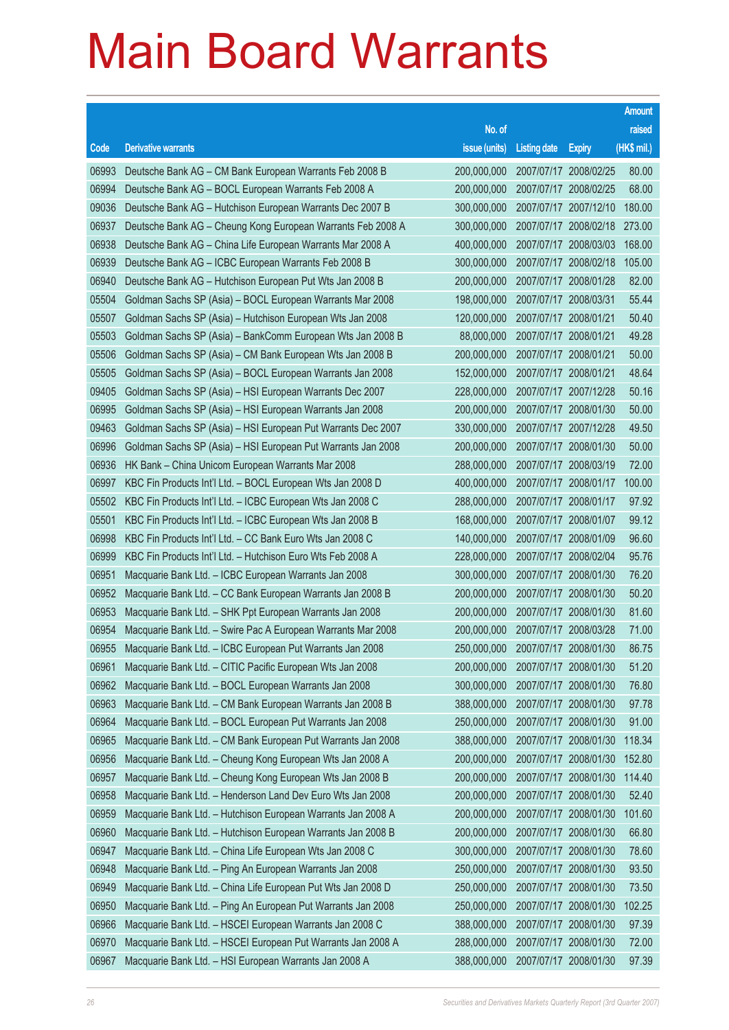|       |                                                              |               |                       |                       | <b>Amount</b> |
|-------|--------------------------------------------------------------|---------------|-----------------------|-----------------------|---------------|
|       |                                                              | No. of        |                       |                       | raised        |
| Code  | <b>Derivative warrants</b>                                   | issue (units) | <b>Listing date</b>   | <b>Expiry</b>         | (HK\$ mil.)   |
| 06993 | Deutsche Bank AG - CM Bank European Warrants Feb 2008 B      | 200,000,000   | 2007/07/17 2008/02/25 |                       | 80.00         |
| 06994 | Deutsche Bank AG - BOCL European Warrants Feb 2008 A         | 200.000.000   | 2007/07/17 2008/02/25 |                       | 68.00         |
| 09036 | Deutsche Bank AG - Hutchison European Warrants Dec 2007 B    | 300,000,000   |                       | 2007/07/17 2007/12/10 | 180.00        |
| 06937 | Deutsche Bank AG - Cheung Kong European Warrants Feb 2008 A  | 300,000,000   |                       | 2007/07/17 2008/02/18 | 273.00        |
| 06938 | Deutsche Bank AG - China Life European Warrants Mar 2008 A   | 400,000,000   | 2007/07/17 2008/03/03 |                       | 168.00        |
| 06939 | Deutsche Bank AG - ICBC European Warrants Feb 2008 B         | 300,000,000   | 2007/07/17 2008/02/18 |                       | 105.00        |
| 06940 | Deutsche Bank AG - Hutchison European Put Wts Jan 2008 B     | 200,000,000   | 2007/07/17 2008/01/28 |                       | 82.00         |
| 05504 | Goldman Sachs SP (Asia) – BOCL European Warrants Mar 2008    | 198,000,000   | 2007/07/17 2008/03/31 |                       | 55.44         |
| 05507 | Goldman Sachs SP (Asia) – Hutchison European Wts Jan 2008    | 120,000,000   | 2007/07/17 2008/01/21 |                       | 50.40         |
| 05503 | Goldman Sachs SP (Asia) – BankComm European Wts Jan 2008 B   | 88,000,000    | 2007/07/17 2008/01/21 |                       | 49.28         |
| 05506 | Goldman Sachs SP (Asia) - CM Bank European Wts Jan 2008 B    | 200.000.000   | 2007/07/17 2008/01/21 |                       | 50.00         |
| 05505 | Goldman Sachs SP (Asia) - BOCL European Warrants Jan 2008    | 152,000,000   | 2007/07/17 2008/01/21 |                       | 48.64         |
| 09405 | Goldman Sachs SP (Asia) – HSI European Warrants Dec 2007     | 228,000,000   | 2007/07/17 2007/12/28 |                       | 50.16         |
| 06995 | Goldman Sachs SP (Asia) - HSI European Warrants Jan 2008     | 200,000,000   | 2007/07/17 2008/01/30 |                       | 50.00         |
| 09463 | Goldman Sachs SP (Asia) - HSI European Put Warrants Dec 2007 | 330,000,000   | 2007/07/17 2007/12/28 |                       | 49.50         |
| 06996 | Goldman Sachs SP (Asia) – HSI European Put Warrants Jan 2008 | 200,000,000   | 2007/07/17 2008/01/30 |                       | 50.00         |
| 06936 | HK Bank – China Unicom European Warrants Mar 2008            | 288,000,000   | 2007/07/17 2008/03/19 |                       | 72.00         |
| 06997 | KBC Fin Products Int'l Ltd. - BOCL European Wts Jan 2008 D   | 400,000,000   | 2007/07/17 2008/01/17 |                       | 100.00        |
| 05502 | KBC Fin Products Int'l Ltd. - ICBC European Wts Jan 2008 C   | 288,000,000   | 2007/07/17 2008/01/17 |                       | 97.92         |
| 05501 | KBC Fin Products Int'l Ltd. - ICBC European Wts Jan 2008 B   | 168,000,000   | 2007/07/17 2008/01/07 |                       | 99.12         |
| 06998 | KBC Fin Products Int'l Ltd. - CC Bank Euro Wts Jan 2008 C    | 140,000,000   | 2007/07/17 2008/01/09 |                       | 96.60         |
| 06999 | KBC Fin Products Int'l Ltd. - Hutchison Euro Wts Feb 2008 A  | 228,000,000   | 2007/07/17 2008/02/04 |                       | 95.76         |
| 06951 | Macquarie Bank Ltd. - ICBC European Warrants Jan 2008        | 300,000,000   | 2007/07/17 2008/01/30 |                       | 76.20         |
| 06952 | Macquarie Bank Ltd. - CC Bank European Warrants Jan 2008 B   | 200,000,000   | 2007/07/17 2008/01/30 |                       | 50.20         |
| 06953 | Macquarie Bank Ltd. - SHK Ppt European Warrants Jan 2008     | 200,000,000   | 2007/07/17 2008/01/30 |                       | 81.60         |
| 06954 | Macquarie Bank Ltd. - Swire Pac A European Warrants Mar 2008 | 200,000,000   | 2007/07/17 2008/03/28 |                       | 71.00         |
| 06955 | Macquarie Bank Ltd. - ICBC European Put Warrants Jan 2008    | 250,000,000   | 2007/07/17 2008/01/30 |                       | 86.75         |
| 06961 | Macquarie Bank Ltd. - CITIC Pacific European Wts Jan 2008    | 200,000,000   | 2007/07/17 2008/01/30 |                       | 51.20         |
| 06962 | Macquarie Bank Ltd. - BOCL European Warrants Jan 2008        | 300,000,000   | 2007/07/17 2008/01/30 |                       | 76.80         |
| 06963 | Macquarie Bank Ltd. - CM Bank European Warrants Jan 2008 B   | 388,000,000   | 2007/07/17 2008/01/30 |                       | 97.78         |
| 06964 | Macquarie Bank Ltd. - BOCL European Put Warrants Jan 2008    | 250,000,000   | 2007/07/17 2008/01/30 |                       | 91.00         |
| 06965 | Macquarie Bank Ltd. - CM Bank European Put Warrants Jan 2008 | 388,000,000   | 2007/07/17 2008/01/30 |                       | 118.34        |
| 06956 | Macquarie Bank Ltd. - Cheung Kong European Wts Jan 2008 A    | 200,000,000   | 2007/07/17 2008/01/30 |                       | 152.80        |
| 06957 | Macquarie Bank Ltd. - Cheung Kong European Wts Jan 2008 B    | 200,000,000   | 2007/07/17 2008/01/30 |                       | 114.40        |
| 06958 | Macquarie Bank Ltd. - Henderson Land Dev Euro Wts Jan 2008   | 200,000,000   | 2007/07/17 2008/01/30 |                       | 52.40         |
| 06959 | Macquarie Bank Ltd. - Hutchison European Warrants Jan 2008 A | 200,000,000   | 2007/07/17 2008/01/30 |                       | 101.60        |
| 06960 | Macquarie Bank Ltd. - Hutchison European Warrants Jan 2008 B | 200,000,000   | 2007/07/17 2008/01/30 |                       | 66.80         |
| 06947 | Macquarie Bank Ltd. - China Life European Wts Jan 2008 C     | 300,000,000   | 2007/07/17 2008/01/30 |                       | 78.60         |
| 06948 | Macquarie Bank Ltd. - Ping An European Warrants Jan 2008     | 250,000,000   | 2007/07/17 2008/01/30 |                       | 93.50         |
| 06949 | Macquarie Bank Ltd. - China Life European Put Wts Jan 2008 D | 250,000,000   | 2007/07/17 2008/01/30 |                       | 73.50         |
| 06950 | Macquarie Bank Ltd. - Ping An European Put Warrants Jan 2008 | 250,000,000   | 2007/07/17 2008/01/30 |                       | 102.25        |
| 06966 | Macquarie Bank Ltd. - HSCEI European Warrants Jan 2008 C     | 388,000,000   | 2007/07/17 2008/01/30 |                       | 97.39         |
| 06970 | Macquarie Bank Ltd. - HSCEI European Put Warrants Jan 2008 A | 288,000,000   | 2007/07/17 2008/01/30 |                       | 72.00         |
| 06967 | Macquarie Bank Ltd. - HSI European Warrants Jan 2008 A       | 388,000,000   | 2007/07/17 2008/01/30 |                       | 97.39         |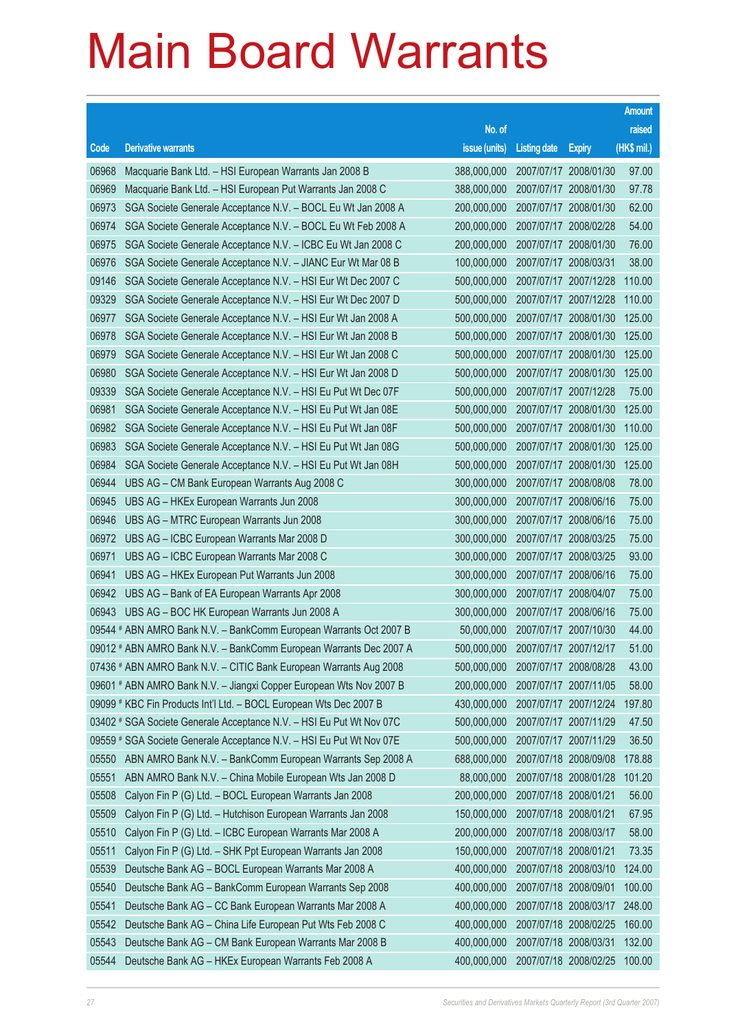|                |                                                                                        |                                   |                       |                       | <b>Amount</b>  |
|----------------|----------------------------------------------------------------------------------------|-----------------------------------|-----------------------|-----------------------|----------------|
|                |                                                                                        | No. of                            |                       |                       | raised         |
| Code           | <b>Derivative warrants</b>                                                             | issue (units)                     | <b>Listing date</b>   | <b>Expiry</b>         | (HK\$ mil.)    |
| 06968          | Macquarie Bank Ltd. - HSI European Warrants Jan 2008 B                                 | 388,000,000                       |                       | 2007/07/17 2008/01/30 | 97.00          |
| 06969          | Macquarie Bank Ltd. - HSI European Put Warrants Jan 2008 C                             | 388,000,000                       | 2007/07/17 2008/01/30 |                       | 97.78          |
| 06973          | SGA Societe Generale Acceptance N.V. - BOCL Eu Wt Jan 2008 A                           | 200,000,000                       |                       | 2007/07/17 2008/01/30 | 62.00          |
| 06974          | SGA Societe Generale Acceptance N.V. - BOCL Eu Wt Feb 2008 A                           | 200,000,000                       | 2007/07/17 2008/02/28 |                       | 54.00          |
| 06975          | SGA Societe Generale Acceptance N.V. - ICBC Eu Wt Jan 2008 C                           | 200,000,000                       |                       | 2007/07/17 2008/01/30 | 76.00          |
| 06976          | SGA Societe Generale Acceptance N.V. - JIANC Eur Wt Mar 08 B                           | 100,000,000                       | 2007/07/17 2008/03/31 |                       | 38.00          |
| 09146          | SGA Societe Generale Acceptance N.V. - HSI Eur Wt Dec 2007 C                           | 500,000,000                       |                       | 2007/07/17 2007/12/28 | 110.00         |
| 09329          | SGA Societe Generale Acceptance N.V. - HSI Eur Wt Dec 2007 D                           | 500,000,000                       |                       | 2007/07/17 2007/12/28 | 110.00         |
| 06977          | SGA Societe Generale Acceptance N.V. - HSI Eur Wt Jan 2008 A                           | 500,000,000                       |                       | 2007/07/17 2008/01/30 | 125.00         |
| 06978          | SGA Societe Generale Acceptance N.V. - HSI Eur Wt Jan 2008 B                           | 500,000,000                       |                       | 2007/07/17 2008/01/30 | 125.00         |
| 06979          | SGA Societe Generale Acceptance N.V. - HSI Eur Wt Jan 2008 C                           | 500,000,000                       |                       | 2007/07/17 2008/01/30 | 125.00         |
| 06980          | SGA Societe Generale Acceptance N.V. - HSI Eur Wt Jan 2008 D                           | 500,000,000                       |                       | 2007/07/17 2008/01/30 | 125.00         |
| 09339          | SGA Societe Generale Acceptance N.V. - HSI Eu Put Wt Dec 07F                           | 500,000,000                       |                       | 2007/07/17 2007/12/28 | 75.00          |
| 06981          | SGA Societe Generale Acceptance N.V. - HSI Eu Put Wt Jan 08E                           | 500,000,000                       |                       | 2007/07/17 2008/01/30 | 125.00         |
| 06982          | SGA Societe Generale Acceptance N.V. - HSI Eu Put Wt Jan 08F                           | 500,000,000                       |                       | 2007/07/17 2008/01/30 | 110.00         |
| 06983          | SGA Societe Generale Acceptance N.V. - HSI Eu Put Wt Jan 08G                           | 500,000,000                       |                       | 2007/07/17 2008/01/30 | 125.00         |
| 06984          | SGA Societe Generale Acceptance N.V. - HSI Eu Put Wt Jan 08H                           | 500,000,000                       |                       | 2007/07/17 2008/01/30 | 125.00         |
| 06944          | UBS AG – CM Bank European Warrants Aug 2008 C                                          | 300,000,000                       | 2007/07/17 2008/08/08 |                       | 78.00          |
| 06945          | UBS AG - HKEx European Warrants Jun 2008                                               | 300,000,000                       | 2007/07/17 2008/06/16 | 2007/07/17 2008/06/16 | 75.00          |
| 06946<br>06972 | UBS AG - MTRC European Warrants Jun 2008<br>UBS AG - ICBC European Warrants Mar 2008 D | 300,000,000<br>300,000,000        |                       | 2007/07/17 2008/03/25 | 75.00<br>75.00 |
| 06971          | UBS AG - ICBC European Warrants Mar 2008 C                                             | 300,000,000                       | 2007/07/17 2008/03/25 |                       | 93.00          |
| 06941          | UBS AG - HKEx European Put Warrants Jun 2008                                           | 300,000,000                       |                       | 2007/07/17 2008/06/16 | 75.00          |
| 06942          | UBS AG - Bank of EA European Warrants Apr 2008                                         | 300,000,000                       | 2007/07/17 2008/04/07 |                       | 75.00          |
| 06943          | UBS AG - BOC HK European Warrants Jun 2008 A                                           | 300,000,000                       |                       | 2007/07/17 2008/06/16 | 75.00          |
|                | 09544 # ABN AMRO Bank N.V. - BankComm European Warrants Oct 2007 B                     | 50,000,000                        | 2007/07/17 2007/10/30 |                       | 44.00          |
|                | 09012 # ABN AMRO Bank N.V. - BankComm European Warrants Dec 2007 A                     | 500,000,000 2007/07/17 2007/12/17 |                       |                       | 51.00          |
|                | 07436 # ABN AMRO Bank N.V. - CITIC Bank European Warrants Aug 2008                     | 500,000,000                       | 2007/07/17 2008/08/28 |                       | 43.00          |
|                | 09601 # ABN AMRO Bank N.V. - Jiangxi Copper European Wts Nov 2007 B                    | 200,000,000                       |                       | 2007/07/17 2007/11/05 | 58.00          |
|                | 09099 # KBC Fin Products Int'l Ltd. - BOCL European Wts Dec 2007 B                     | 430,000,000                       |                       | 2007/07/17 2007/12/24 | 197.80         |
|                | 03402 # SGA Societe Generale Acceptance N.V. - HSI Eu Put Wt Nov 07C                   | 500,000,000                       |                       | 2007/07/17 2007/11/29 | 47.50          |
|                | 09559 # SGA Societe Generale Acceptance N.V. - HSI Eu Put Wt Nov 07E                   | 500,000,000                       |                       | 2007/07/17 2007/11/29 | 36.50          |
| 05550          | ABN AMRO Bank N.V. - BankComm European Warrants Sep 2008 A                             | 688,000,000                       |                       | 2007/07/18 2008/09/08 | 178.88         |
| 05551          | ABN AMRO Bank N.V. - China Mobile European Wts Jan 2008 D                              | 88,000,000                        |                       | 2007/07/18 2008/01/28 | 101.20         |
| 05508          | Calyon Fin P (G) Ltd. - BOCL European Warrants Jan 2008                                | 200,000,000                       | 2007/07/18 2008/01/21 |                       | 56.00          |
| 05509          | Calyon Fin P (G) Ltd. - Hutchison European Warrants Jan 2008                           | 150,000,000                       | 2007/07/18 2008/01/21 |                       | 67.95          |
| 05510          | Calyon Fin P (G) Ltd. - ICBC European Warrants Mar 2008 A                              | 200,000,000                       |                       | 2007/07/18 2008/03/17 | 58.00          |
| 05511          | Calyon Fin P (G) Ltd. - SHK Ppt European Warrants Jan 2008                             | 150,000,000                       | 2007/07/18 2008/01/21 |                       | 73.35          |
| 05539          | Deutsche Bank AG - BOCL European Warrants Mar 2008 A                                   | 400,000,000                       |                       | 2007/07/18 2008/03/10 | 124.00         |
| 05540          | Deutsche Bank AG - BankComm European Warrants Sep 2008                                 | 400,000,000                       | 2007/07/18 2008/09/01 |                       | 100.00         |
| 05541          | Deutsche Bank AG - CC Bank European Warrants Mar 2008 A                                | 400,000,000                       |                       | 2007/07/18 2008/03/17 | 248.00         |
| 05542          | Deutsche Bank AG - China Life European Put Wts Feb 2008 C                              | 400,000,000                       |                       | 2007/07/18 2008/02/25 | 160.00         |
| 05543          | Deutsche Bank AG - CM Bank European Warrants Mar 2008 B                                | 400,000,000                       | 2007/07/18 2008/03/31 |                       | 132.00         |
| 05544          | Deutsche Bank AG - HKEx European Warrants Feb 2008 A                                   | 400,000,000                       |                       | 2007/07/18 2008/02/25 | 100.00         |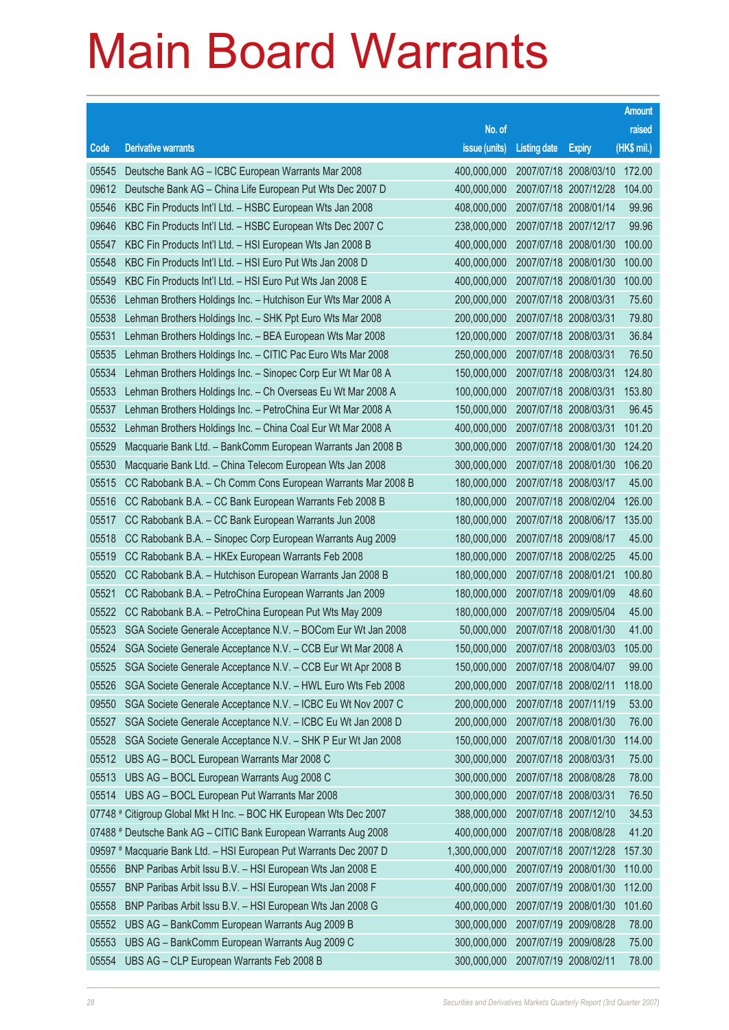|                |                                                                                                                 |                                   |                                                |                       | <b>Amount</b>   |
|----------------|-----------------------------------------------------------------------------------------------------------------|-----------------------------------|------------------------------------------------|-----------------------|-----------------|
|                |                                                                                                                 | No. of                            |                                                |                       | raised          |
| Code           | <b>Derivative warrants</b>                                                                                      | issue (units)                     | <b>Listing date</b>                            | <b>Expiry</b>         | (HK\$ mil.)     |
| 05545          | Deutsche Bank AG - ICBC European Warrants Mar 2008                                                              | 400,000,000                       |                                                | 2007/07/18 2008/03/10 | 172.00          |
| 09612          | Deutsche Bank AG - China Life European Put Wts Dec 2007 D                                                       | 400,000,000                       | 2007/07/18 2007/12/28                          |                       | 104.00          |
| 05546          | KBC Fin Products Int'l Ltd. - HSBC European Wts Jan 2008                                                        | 408,000,000                       | 2007/07/18 2008/01/14                          |                       | 99.96           |
| 09646          | KBC Fin Products Int'l Ltd. - HSBC European Wts Dec 2007 C                                                      | 238,000,000                       | 2007/07/18 2007/12/17                          |                       | 99.96           |
| 05547          | KBC Fin Products Int'l Ltd. - HSI European Wts Jan 2008 B                                                       | 400,000,000                       |                                                | 2007/07/18 2008/01/30 | 100.00          |
| 05548          | KBC Fin Products Int'l Ltd. - HSI Euro Put Wts Jan 2008 D                                                       | 400,000,000                       | 2007/07/18 2008/01/30                          |                       | 100.00          |
| 05549          | KBC Fin Products Int'l Ltd. - HSI Euro Put Wts Jan 2008 E                                                       | 400,000,000                       | 2007/07/18 2008/01/30                          |                       | 100.00          |
| 05536          | Lehman Brothers Holdings Inc. - Hutchison Eur Wts Mar 2008 A                                                    | 200,000,000                       | 2007/07/18 2008/03/31                          |                       | 75.60           |
| 05538          | Lehman Brothers Holdings Inc. - SHK Ppt Euro Wts Mar 2008                                                       | 200,000,000                       | 2007/07/18 2008/03/31                          |                       | 79.80           |
| 05531          | Lehman Brothers Holdings Inc. - BEA European Wts Mar 2008                                                       | 120,000,000                       | 2007/07/18 2008/03/31                          |                       | 36.84           |
| 05535          | Lehman Brothers Holdings Inc. - CITIC Pac Euro Wts Mar 2008                                                     | 250,000,000                       | 2007/07/18 2008/03/31                          |                       | 76.50           |
| 05534          | Lehman Brothers Holdings Inc. - Sinopec Corp Eur Wt Mar 08 A                                                    | 150,000,000                       | 2007/07/18 2008/03/31                          |                       | 124.80          |
| 05533          | Lehman Brothers Holdings Inc. - Ch Overseas Eu Wt Mar 2008 A                                                    | 100,000,000                       | 2007/07/18 2008/03/31                          |                       | 153.80          |
| 05537          | Lehman Brothers Holdings Inc. - PetroChina Eur Wt Mar 2008 A                                                    | 150,000,000                       | 2007/07/18 2008/03/31                          |                       | 96.45           |
| 05532          | Lehman Brothers Holdings Inc. - China Coal Eur Wt Mar 2008 A                                                    | 400,000,000                       | 2007/07/18 2008/03/31                          |                       | 101.20          |
| 05529          | Macquarie Bank Ltd. - BankComm European Warrants Jan 2008 B                                                     | 300,000,000                       | 2007/07/18 2008/01/30                          |                       | 124.20          |
| 05530          | Macquarie Bank Ltd. - China Telecom European Wts Jan 2008                                                       | 300,000,000                       |                                                | 2007/07/18 2008/01/30 | 106.20          |
| 05515          | CC Rabobank B.A. - Ch Comm Cons European Warrants Mar 2008 B                                                    | 180,000,000                       | 2007/07/18 2008/03/17                          |                       | 45.00           |
| 05516          | CC Rabobank B.A. - CC Bank European Warrants Feb 2008 B                                                         | 180,000,000                       |                                                | 2007/07/18 2008/02/04 | 126.00          |
| 05517          | CC Rabobank B.A. - CC Bank European Warrants Jun 2008                                                           | 180,000,000                       | 2007/07/18 2008/06/17                          |                       | 135.00          |
| 05518          | CC Rabobank B.A. - Sinopec Corp European Warrants Aug 2009                                                      | 180,000,000                       | 2007/07/18 2009/08/17                          |                       | 45.00           |
| 05519<br>05520 | CC Rabobank B.A. - HKEx European Warrants Feb 2008<br>CC Rabobank B.A. - Hutchison European Warrants Jan 2008 B | 180,000,000                       | 2007/07/18 2008/02/25<br>2007/07/18 2008/01/21 |                       | 45.00<br>100.80 |
| 05521          | CC Rabobank B.A. - PetroChina European Warrants Jan 2009                                                        | 180,000,000<br>180,000,000        | 2007/07/18 2009/01/09                          |                       | 48.60           |
| 05522          | CC Rabobank B.A. - PetroChina European Put Wts May 2009                                                         | 180,000,000                       | 2007/07/18 2009/05/04                          |                       | 45.00           |
| 05523          | SGA Societe Generale Acceptance N.V. - BOCom Eur Wt Jan 2008                                                    | 50,000,000                        | 2007/07/18 2008/01/30                          |                       | 41.00           |
| 05524          | SGA Societe Generale Acceptance N.V. - CCB Eur Wt Mar 2008 A                                                    | 150,000,000 2007/07/18 2008/03/03 |                                                |                       | 105.00          |
| 05525          | SGA Societe Generale Acceptance N.V. - CCB Eur Wt Apr 2008 B                                                    | 150,000,000                       | 2007/07/18 2008/04/07                          |                       | 99.00           |
| 05526          | SGA Societe Generale Acceptance N.V. - HWL Euro Wts Feb 2008                                                    | 200,000,000                       | 2007/07/18 2008/02/11                          |                       | 118.00          |
| 09550          | SGA Societe Generale Acceptance N.V. - ICBC Eu Wt Nov 2007 C                                                    | 200,000,000                       | 2007/07/18 2007/11/19                          |                       | 53.00           |
| 05527          | SGA Societe Generale Acceptance N.V. - ICBC Eu Wt Jan 2008 D                                                    | 200,000,000                       | 2007/07/18 2008/01/30                          |                       | 76.00           |
| 05528          | SGA Societe Generale Acceptance N.V. - SHK P Eur Wt Jan 2008                                                    | 150,000,000                       |                                                | 2007/07/18 2008/01/30 | 114.00          |
| 05512          | UBS AG - BOCL European Warrants Mar 2008 C                                                                      | 300,000,000                       | 2007/07/18 2008/03/31                          |                       | 75.00           |
| 05513          | UBS AG - BOCL European Warrants Aug 2008 C                                                                      | 300,000,000                       | 2007/07/18 2008/08/28                          |                       | 78.00           |
| 05514          | UBS AG - BOCL European Put Warrants Mar 2008                                                                    | 300,000,000                       | 2007/07/18 2008/03/31                          |                       | 76.50           |
|                | 07748 # Citigroup Global Mkt H Inc. - BOC HK European Wts Dec 2007                                              | 388,000,000                       | 2007/07/18 2007/12/10                          |                       | 34.53           |
|                | 07488 # Deutsche Bank AG - CITIC Bank European Warrants Aug 2008                                                | 400,000,000                       | 2007/07/18 2008/08/28                          |                       | 41.20           |
|                | 09597 # Macquarie Bank Ltd. - HSI European Put Warrants Dec 2007 D                                              | 1,300,000,000                     | 2007/07/18 2007/12/28                          |                       | 157.30          |
| 05556          | BNP Paribas Arbit Issu B.V. - HSI European Wts Jan 2008 E                                                       | 400,000,000                       |                                                | 2007/07/19 2008/01/30 | 110.00          |
| 05557          | BNP Paribas Arbit Issu B.V. - HSI European Wts Jan 2008 F                                                       | 400,000,000                       | 2007/07/19 2008/01/30                          |                       | 112.00          |
| 05558          | BNP Paribas Arbit Issu B.V. - HSI European Wts Jan 2008 G                                                       | 400,000,000                       |                                                | 2007/07/19 2008/01/30 | 101.60          |
| 05552          | UBS AG - BankComm European Warrants Aug 2009 B                                                                  | 300,000,000                       | 2007/07/19 2009/08/28                          |                       | 78.00           |
| 05553          | UBS AG - BankComm European Warrants Aug 2009 C                                                                  | 300,000,000                       | 2007/07/19 2009/08/28                          |                       | 75.00           |
| 05554          | UBS AG - CLP European Warrants Feb 2008 B                                                                       | 300,000,000                       | 2007/07/19 2008/02/11                          |                       | 78.00           |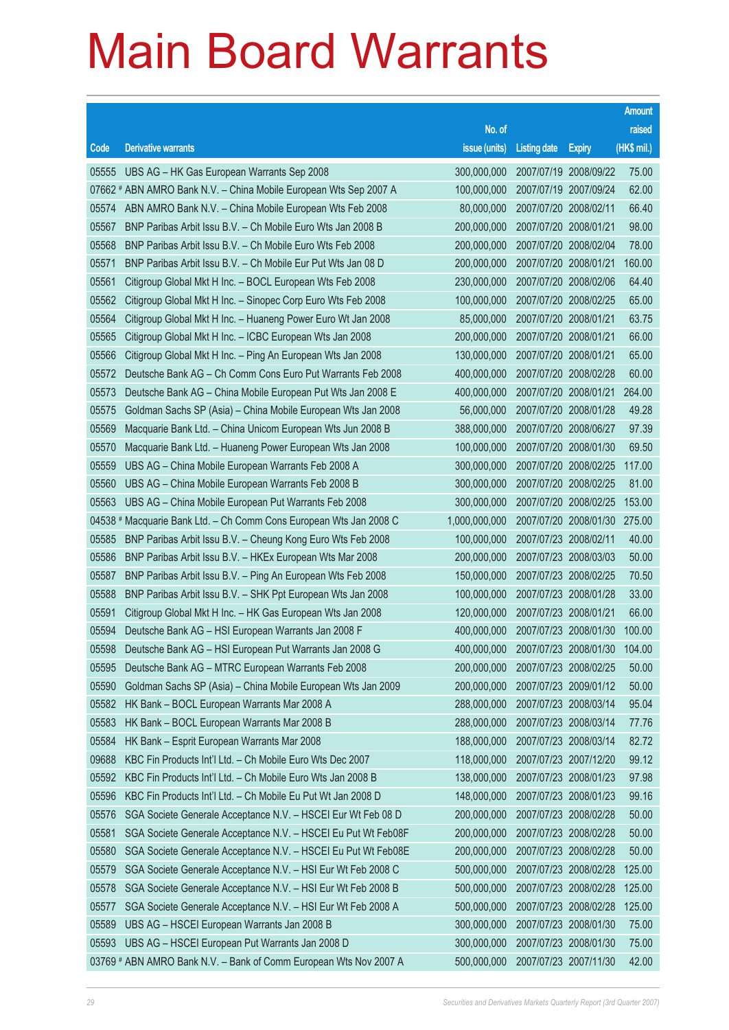|           |                                                                   |                                          |                       |                       | <b>Amount</b> |
|-----------|-------------------------------------------------------------------|------------------------------------------|-----------------------|-----------------------|---------------|
|           |                                                                   | No. of                                   |                       |                       | raised        |
| Code      | <b>Derivative warrants</b>                                        | issue (units)                            | <b>Listing date</b>   | <b>Expiry</b>         | (HK\$ mil.)   |
| 05555     | UBS AG - HK Gas European Warrants Sep 2008                        | 300,000,000                              |                       | 2007/07/19 2008/09/22 | 75.00         |
|           | 07662 # ABN AMRO Bank N.V. - China Mobile European Wts Sep 2007 A | 100,000,000                              |                       | 2007/07/19 2007/09/24 | 62.00         |
| 05574     | ABN AMRO Bank N.V. - China Mobile European Wts Feb 2008           | 80,000,000                               | 2007/07/20 2008/02/11 |                       | 66.40         |
| 05567     | BNP Paribas Arbit Issu B.V. - Ch Mobile Euro Wts Jan 2008 B       | 200,000,000                              | 2007/07/20 2008/01/21 |                       | 98.00         |
| 05568     | BNP Paribas Arbit Issu B.V. - Ch Mobile Euro Wts Feb 2008         | 200,000,000                              |                       | 2007/07/20 2008/02/04 | 78.00         |
| 05571     | BNP Paribas Arbit Issu B.V. - Ch Mobile Eur Put Wts Jan 08 D      | 200,000,000                              |                       | 2007/07/20 2008/01/21 | 160.00        |
| 05561     | Citigroup Global Mkt H Inc. - BOCL European Wts Feb 2008          | 230,000,000                              |                       | 2007/07/20 2008/02/06 | 64.40         |
| 05562     | Citigroup Global Mkt H Inc. - Sinopec Corp Euro Wts Feb 2008      | 100,000,000                              |                       | 2007/07/20 2008/02/25 | 65.00         |
| 05564     | Citigroup Global Mkt H Inc. - Huaneng Power Euro Wt Jan 2008      | 85,000,000                               |                       | 2007/07/20 2008/01/21 | 63.75         |
| 05565     | Citigroup Global Mkt H Inc. - ICBC European Wts Jan 2008          | 200,000,000                              | 2007/07/20 2008/01/21 |                       | 66.00         |
| 05566     | Citigroup Global Mkt H Inc. - Ping An European Wts Jan 2008       | 130,000,000                              | 2007/07/20 2008/01/21 |                       | 65.00         |
| 05572     | Deutsche Bank AG - Ch Comm Cons Euro Put Warrants Feb 2008        | 400,000,000                              |                       | 2007/07/20 2008/02/28 | 60.00         |
| 05573     | Deutsche Bank AG - China Mobile European Put Wts Jan 2008 E       | 400,000,000                              |                       | 2007/07/20 2008/01/21 | 264.00        |
| 05575     | Goldman Sachs SP (Asia) – China Mobile European Wts Jan 2008      | 56,000,000                               | 2007/07/20 2008/01/28 |                       | 49.28         |
| 05569     | Macquarie Bank Ltd. - China Unicom European Wts Jun 2008 B        | 388,000,000                              |                       | 2007/07/20 2008/06/27 | 97.39         |
| 05570     | Macquarie Bank Ltd. - Huaneng Power European Wts Jan 2008         | 100,000,000                              |                       | 2007/07/20 2008/01/30 | 69.50         |
| 05559     | UBS AG - China Mobile European Warrants Feb 2008 A                | 300,000,000                              |                       | 2007/07/20 2008/02/25 | 117.00        |
| 05560     | UBS AG - China Mobile European Warrants Feb 2008 B                | 300,000,000                              |                       | 2007/07/20 2008/02/25 | 81.00         |
| 05563     | UBS AG - China Mobile European Put Warrants Feb 2008              | 300,000,000                              |                       | 2007/07/20 2008/02/25 | 153.00        |
| $04538$ # | Macquarie Bank Ltd. - Ch Comm Cons European Wts Jan 2008 C        | 1,000,000,000                            |                       | 2007/07/20 2008/01/30 | 275.00        |
| 05585     | BNP Paribas Arbit Issu B.V. - Cheung Kong Euro Wts Feb 2008       | 100,000,000                              | 2007/07/23 2008/02/11 |                       | 40.00         |
| 05586     | BNP Paribas Arbit Issu B.V. - HKEx European Wts Mar 2008          | 200,000,000                              |                       | 2007/07/23 2008/03/03 | 50.00         |
| 05587     | BNP Paribas Arbit Issu B.V. - Ping An European Wts Feb 2008       | 150,000,000                              |                       | 2007/07/23 2008/02/25 | 70.50         |
| 05588     | BNP Paribas Arbit Issu B.V. - SHK Ppt European Wts Jan 2008       | 100,000,000                              |                       | 2007/07/23 2008/01/28 | 33.00         |
| 05591     | Citigroup Global Mkt H Inc. - HK Gas European Wts Jan 2008        | 120,000,000                              | 2007/07/23 2008/01/21 |                       | 66.00         |
| 05594     | Deutsche Bank AG - HSI European Warrants Jan 2008 F               | 400,000,000                              |                       | 2007/07/23 2008/01/30 | 100.00        |
| 05598     | Deutsche Bank AG - HSI European Put Warrants Jan 2008 G           | 400,000,000 2007/07/23 2008/01/30 104.00 |                       |                       |               |
| 05595     | Deutsche Bank AG - MTRC European Warrants Feb 2008                | 200,000,000                              |                       | 2007/07/23 2008/02/25 | 50.00         |
| 05590     | Goldman Sachs SP (Asia) - China Mobile European Wts Jan 2009      | 200,000,000                              |                       | 2007/07/23 2009/01/12 | 50.00         |
| 05582     | HK Bank - BOCL European Warrants Mar 2008 A                       | 288,000,000                              | 2007/07/23 2008/03/14 |                       | 95.04         |
| 05583     | HK Bank - BOCL European Warrants Mar 2008 B                       | 288,000,000                              |                       | 2007/07/23 2008/03/14 | 77.76         |
| 05584     | HK Bank - Esprit European Warrants Mar 2008                       | 188,000,000                              |                       | 2007/07/23 2008/03/14 | 82.72         |
| 09688     | KBC Fin Products Int'l Ltd. - Ch Mobile Euro Wts Dec 2007         | 118,000,000                              |                       | 2007/07/23 2007/12/20 | 99.12         |
| 05592     | KBC Fin Products Int'l Ltd. - Ch Mobile Euro Wts Jan 2008 B       | 138,000,000                              |                       | 2007/07/23 2008/01/23 | 97.98         |
| 05596     | KBC Fin Products Int'l Ltd. - Ch Mobile Eu Put Wt Jan 2008 D      | 148,000,000                              |                       | 2007/07/23 2008/01/23 | 99.16         |
| 05576     | SGA Societe Generale Acceptance N.V. - HSCEI Eur Wt Feb 08 D      | 200,000,000                              |                       | 2007/07/23 2008/02/28 | 50.00         |
| 05581     | SGA Societe Generale Acceptance N.V. - HSCEI Eu Put Wt Feb08F     | 200,000,000                              |                       | 2007/07/23 2008/02/28 | 50.00         |
| 05580     | SGA Societe Generale Acceptance N.V. - HSCEI Eu Put Wt Feb08E     | 200,000,000                              |                       | 2007/07/23 2008/02/28 | 50.00         |
| 05579     | SGA Societe Generale Acceptance N.V. - HSI Eur Wt Feb 2008 C      | 500,000,000                              |                       | 2007/07/23 2008/02/28 | 125.00        |
| 05578     | SGA Societe Generale Acceptance N.V. - HSI Eur Wt Feb 2008 B      | 500,000,000                              |                       | 2007/07/23 2008/02/28 | 125.00        |
| 05577     | SGA Societe Generale Acceptance N.V. - HSI Eur Wt Feb 2008 A      | 500,000,000                              |                       | 2007/07/23 2008/02/28 | 125.00        |
| 05589     | UBS AG - HSCEI European Warrants Jan 2008 B                       | 300,000,000                              |                       | 2007/07/23 2008/01/30 | 75.00         |
| 05593     | UBS AG - HSCEI European Put Warrants Jan 2008 D                   | 300,000,000                              |                       | 2007/07/23 2008/01/30 | 75.00         |
|           | 03769 # ABN AMRO Bank N.V. - Bank of Comm European Wts Nov 2007 A | 500,000,000                              |                       | 2007/07/23 2007/11/30 | 42.00         |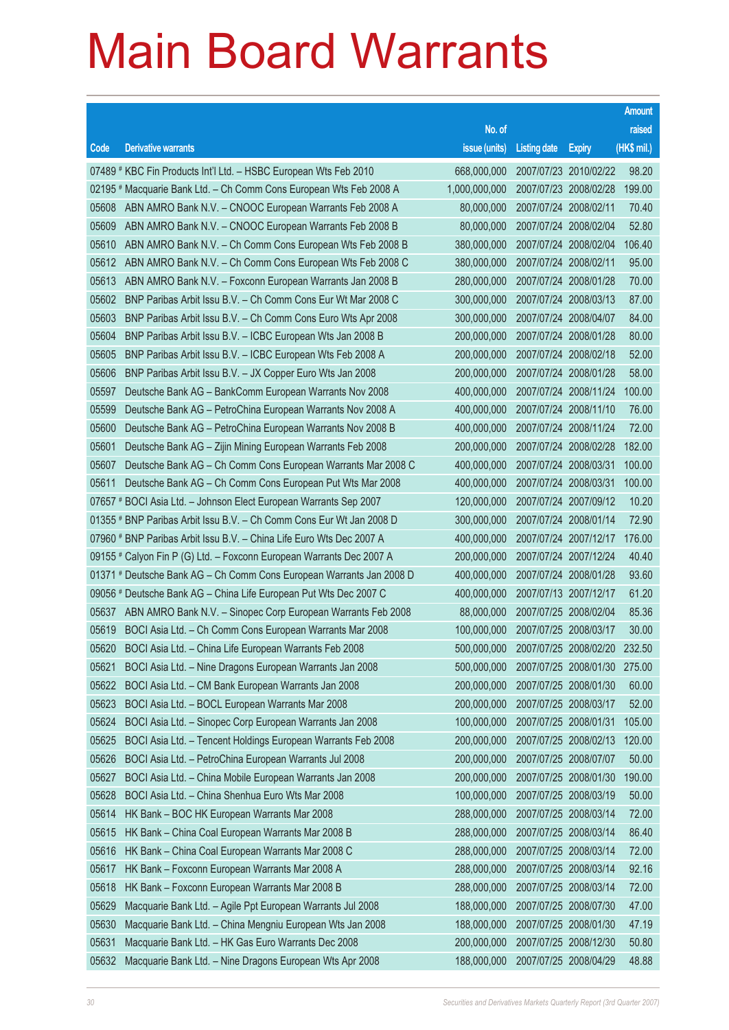|       |                                                                      |               |                       |                       | <b>Amount</b> |
|-------|----------------------------------------------------------------------|---------------|-----------------------|-----------------------|---------------|
|       |                                                                      | No. of        |                       |                       | raised        |
| Code  | <b>Derivative warrants</b>                                           | issue (units) | <b>Listing date</b>   | <b>Expiry</b>         | (HK\$ mil.)   |
|       | 07489 # KBC Fin Products Int'l Ltd. - HSBC European Wts Feb 2010     | 668,000,000   | 2007/07/23 2010/02/22 |                       | 98.20         |
|       | 02195 # Macquarie Bank Ltd. - Ch Comm Cons European Wts Feb 2008 A   | 1,000,000,000 | 2007/07/23 2008/02/28 |                       | 199.00        |
| 05608 | ABN AMRO Bank N.V. - CNOOC European Warrants Feb 2008 A              | 80,000,000    | 2007/07/24 2008/02/11 |                       | 70.40         |
| 05609 | ABN AMRO Bank N.V. - CNOOC European Warrants Feb 2008 B              | 80,000,000    | 2007/07/24 2008/02/04 |                       | 52.80         |
| 05610 | ABN AMRO Bank N.V. - Ch Comm Cons European Wts Feb 2008 B            | 380,000,000   |                       | 2007/07/24 2008/02/04 | 106.40        |
| 05612 | ABN AMRO Bank N.V. - Ch Comm Cons European Wts Feb 2008 C            | 380,000,000   | 2007/07/24 2008/02/11 |                       | 95.00         |
| 05613 | ABN AMRO Bank N.V. - Foxconn European Warrants Jan 2008 B            | 280,000,000   | 2007/07/24 2008/01/28 |                       | 70.00         |
| 05602 | BNP Paribas Arbit Issu B.V. - Ch Comm Cons Eur Wt Mar 2008 C         | 300,000,000   | 2007/07/24 2008/03/13 |                       | 87.00         |
| 05603 | BNP Paribas Arbit Issu B.V. - Ch Comm Cons Euro Wts Apr 2008         | 300,000,000   | 2007/07/24 2008/04/07 |                       | 84.00         |
| 05604 | BNP Paribas Arbit Issu B.V. - ICBC European Wts Jan 2008 B           | 200,000,000   | 2007/07/24 2008/01/28 |                       | 80.00         |
| 05605 | BNP Paribas Arbit Issu B.V. - ICBC European Wts Feb 2008 A           | 200,000,000   | 2007/07/24 2008/02/18 |                       | 52.00         |
| 05606 | BNP Paribas Arbit Issu B.V. - JX Copper Euro Wts Jan 2008            | 200,000,000   | 2007/07/24 2008/01/28 |                       | 58.00         |
| 05597 | Deutsche Bank AG - BankComm European Warrants Nov 2008               | 400,000,000   |                       | 2007/07/24 2008/11/24 | 100.00        |
| 05599 | Deutsche Bank AG - PetroChina European Warrants Nov 2008 A           | 400,000,000   | 2007/07/24 2008/11/10 |                       | 76.00         |
| 05600 | Deutsche Bank AG - PetroChina European Warrants Nov 2008 B           | 400,000,000   | 2007/07/24 2008/11/24 |                       | 72.00         |
| 05601 | Deutsche Bank AG - Zijin Mining European Warrants Feb 2008           | 200,000,000   | 2007/07/24 2008/02/28 |                       | 182.00        |
| 05607 | Deutsche Bank AG - Ch Comm Cons European Warrants Mar 2008 C         | 400,000,000   | 2007/07/24 2008/03/31 |                       | 100.00        |
| 05611 | Deutsche Bank AG - Ch Comm Cons European Put Wts Mar 2008            | 400,000,000   | 2007/07/24 2008/03/31 |                       | 100.00        |
|       | 07657 # BOCI Asia Ltd. - Johnson Elect European Warrants Sep 2007    | 120,000,000   | 2007/07/24 2007/09/12 |                       | 10.20         |
|       | 01355 # BNP Paribas Arbit Issu B.V. - Ch Comm Cons Eur Wt Jan 2008 D | 300,000,000   | 2007/07/24 2008/01/14 |                       | 72.90         |
|       | 07960 # BNP Paribas Arbit Issu B.V. - China Life Euro Wts Dec 2007 A | 400,000,000   |                       | 2007/07/24 2007/12/17 | 176.00        |
|       | 09155 # Calyon Fin P (G) Ltd. - Foxconn European Warrants Dec 2007 A | 200,000,000   | 2007/07/24 2007/12/24 |                       | 40.40         |
|       | 01371 # Deutsche Bank AG - Ch Comm Cons European Warrants Jan 2008 D | 400,000,000   | 2007/07/24 2008/01/28 |                       | 93.60         |
|       | 09056 # Deutsche Bank AG - China Life European Put Wts Dec 2007 C    | 400,000,000   | 2007/07/13 2007/12/17 |                       | 61.20         |
| 05637 | ABN AMRO Bank N.V. - Sinopec Corp European Warrants Feb 2008         | 88,000,000    | 2007/07/25 2008/02/04 |                       | 85.36         |
| 05619 | BOCI Asia Ltd. - Ch Comm Cons European Warrants Mar 2008             | 100,000,000   | 2007/07/25 2008/03/17 |                       | 30.00         |
| 05620 | BOCI Asia Ltd. - China Life European Warrants Feb 2008               | 500,000,000   |                       | 2007/07/25 2008/02/20 | 232.50        |
| 05621 | BOCI Asia Ltd. - Nine Dragons European Warrants Jan 2008             | 500,000,000   |                       | 2007/07/25 2008/01/30 | 275.00        |
| 05622 | BOCI Asia Ltd. - CM Bank European Warrants Jan 2008                  | 200,000,000   | 2007/07/25 2008/01/30 |                       | 60.00         |
| 05623 | BOCI Asia Ltd. - BOCL European Warrants Mar 2008                     | 200,000,000   | 2007/07/25 2008/03/17 |                       | 52.00         |
| 05624 | BOCI Asia Ltd. - Sinopec Corp European Warrants Jan 2008             | 100,000,000   | 2007/07/25 2008/01/31 |                       | 105.00        |
| 05625 | BOCI Asia Ltd. - Tencent Holdings European Warrants Feb 2008         | 200,000,000   |                       | 2007/07/25 2008/02/13 | 120.00        |
| 05626 | BOCI Asia Ltd. - PetroChina European Warrants Jul 2008               | 200,000,000   | 2007/07/25 2008/07/07 |                       | 50.00         |
| 05627 | BOCI Asia Ltd. - China Mobile European Warrants Jan 2008             | 200,000,000   | 2007/07/25 2008/01/30 |                       | 190.00        |
| 05628 | BOCI Asia Ltd. - China Shenhua Euro Wts Mar 2008                     | 100,000,000   | 2007/07/25 2008/03/19 |                       | 50.00         |
| 05614 | HK Bank - BOC HK European Warrants Mar 2008                          | 288,000,000   | 2007/07/25 2008/03/14 |                       | 72.00         |
| 05615 | HK Bank - China Coal European Warrants Mar 2008 B                    | 288,000,000   | 2007/07/25 2008/03/14 |                       | 86.40         |
| 05616 | HK Bank - China Coal European Warrants Mar 2008 C                    | 288,000,000   | 2007/07/25 2008/03/14 |                       | 72.00         |
| 05617 | HK Bank - Foxconn European Warrants Mar 2008 A                       | 288,000,000   | 2007/07/25 2008/03/14 |                       | 92.16         |
| 05618 | HK Bank - Foxconn European Warrants Mar 2008 B                       | 288,000,000   | 2007/07/25 2008/03/14 |                       | 72.00         |
| 05629 | Macquarie Bank Ltd. - Agile Ppt European Warrants Jul 2008           | 188,000,000   | 2007/07/25 2008/07/30 |                       | 47.00         |
| 05630 | Macquarie Bank Ltd. - China Mengniu European Wts Jan 2008            | 188,000,000   | 2007/07/25 2008/01/30 |                       | 47.19         |
| 05631 | Macquarie Bank Ltd. - HK Gas Euro Warrants Dec 2008                  | 200,000,000   | 2007/07/25 2008/12/30 |                       | 50.80         |
| 05632 | Macquarie Bank Ltd. - Nine Dragons European Wts Apr 2008             | 188,000,000   | 2007/07/25 2008/04/29 |                       | 48.88         |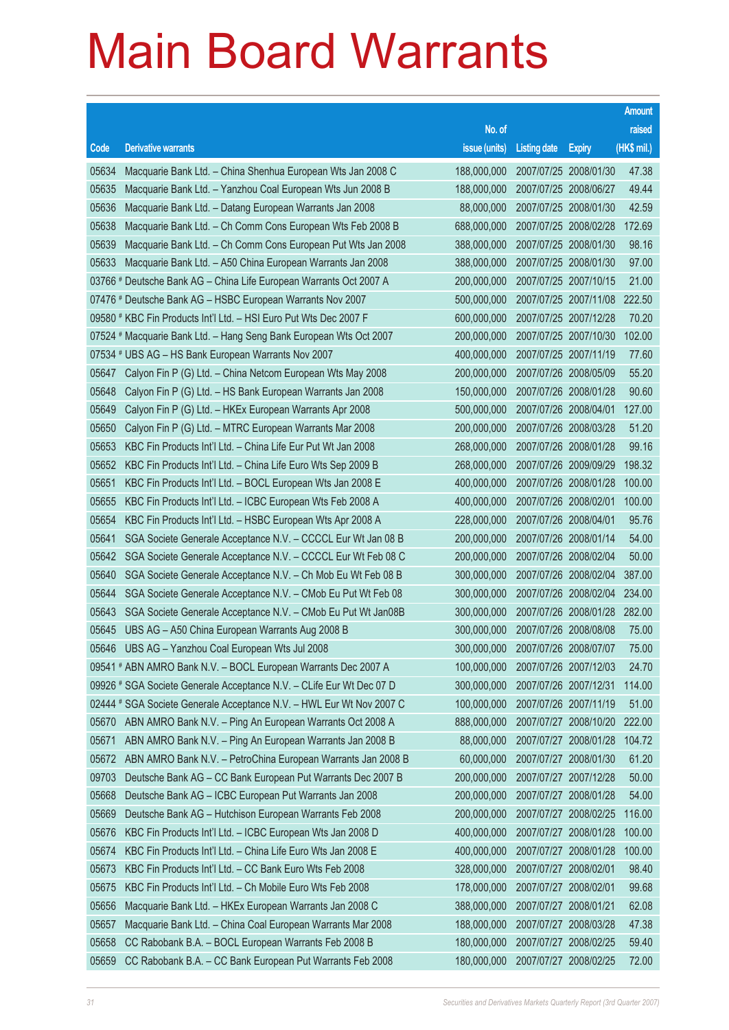|       |                                                                      |                                   |                       |                       | <b>Amount</b> |
|-------|----------------------------------------------------------------------|-----------------------------------|-----------------------|-----------------------|---------------|
|       |                                                                      | No. of                            |                       |                       | raised        |
| Code  | <b>Derivative warrants</b>                                           | issue (units)                     | <b>Listing date</b>   | <b>Expiry</b>         | $(HK$$ mil.)  |
| 05634 | Macquarie Bank Ltd. - China Shenhua European Wts Jan 2008 C          | 188,000,000                       | 2007/07/25 2008/01/30 |                       | 47.38         |
| 05635 | Macquarie Bank Ltd. - Yanzhou Coal European Wts Jun 2008 B           | 188,000,000                       | 2007/07/25 2008/06/27 |                       | 49.44         |
| 05636 | Macquarie Bank Ltd. - Datang European Warrants Jan 2008              | 88,000,000                        |                       | 2007/07/25 2008/01/30 | 42.59         |
| 05638 | Macquarie Bank Ltd. - Ch Comm Cons European Wts Feb 2008 B           | 688,000,000                       | 2007/07/25 2008/02/28 |                       | 172.69        |
| 05639 | Macquarie Bank Ltd. - Ch Comm Cons European Put Wts Jan 2008         | 388,000,000                       |                       | 2007/07/25 2008/01/30 | 98.16         |
| 05633 | Macquarie Bank Ltd. - A50 China European Warrants Jan 2008           | 388,000,000                       | 2007/07/25 2008/01/30 |                       | 97.00         |
|       | 03766 # Deutsche Bank AG - China Life European Warrants Oct 2007 A   | 200,000,000                       |                       | 2007/07/25 2007/10/15 | 21.00         |
|       | 07476 # Deutsche Bank AG - HSBC European Warrants Nov 2007           | 500,000,000                       | 2007/07/25 2007/11/08 |                       | 222.50        |
|       | 09580 # KBC Fin Products Int'l Ltd. - HSI Euro Put Wts Dec 2007 F    | 600,000,000                       |                       | 2007/07/25 2007/12/28 | 70.20         |
|       | 07524 # Macquarie Bank Ltd. - Hang Seng Bank European Wts Oct 2007   | 200,000,000                       | 2007/07/25 2007/10/30 |                       | 102.00        |
|       | 07534 # UBS AG - HS Bank European Warrants Nov 2007                  | 400,000,000                       |                       | 2007/07/25 2007/11/19 | 77.60         |
| 05647 | Calyon Fin P (G) Ltd. - China Netcom European Wts May 2008           | 200,000,000                       | 2007/07/26 2008/05/09 |                       | 55.20         |
| 05648 | Calyon Fin P (G) Ltd. - HS Bank European Warrants Jan 2008           | 150,000,000                       |                       | 2007/07/26 2008/01/28 | 90.60         |
| 05649 | Calyon Fin P (G) Ltd. - HKEx European Warrants Apr 2008              | 500,000,000                       |                       | 2007/07/26 2008/04/01 | 127.00        |
| 05650 | Calyon Fin P (G) Ltd. - MTRC European Warrants Mar 2008              | 200,000,000                       |                       | 2007/07/26 2008/03/28 | 51.20         |
| 05653 | KBC Fin Products Int'l Ltd. - China Life Eur Put Wt Jan 2008         | 268,000,000                       | 2007/07/26 2008/01/28 |                       | 99.16         |
| 05652 | KBC Fin Products Int'l Ltd. - China Life Euro Wts Sep 2009 B         | 268,000,000                       |                       | 2007/07/26 2009/09/29 | 198.32        |
| 05651 | KBC Fin Products Int'l Ltd. - BOCL European Wts Jan 2008 E           | 400,000,000                       | 2007/07/26 2008/01/28 |                       | 100.00        |
| 05655 | KBC Fin Products Int'l Ltd. - ICBC European Wts Feb 2008 A           | 400,000,000                       |                       | 2007/07/26 2008/02/01 | 100.00        |
| 05654 | KBC Fin Products Int'l Ltd. - HSBC European Wts Apr 2008 A           | 228,000,000                       | 2007/07/26 2008/04/01 |                       | 95.76         |
| 05641 | SGA Societe Generale Acceptance N.V. - CCCCL Eur Wt Jan 08 B         | 200,000,000                       |                       | 2007/07/26 2008/01/14 | 54.00         |
| 05642 | SGA Societe Generale Acceptance N.V. - CCCCL Eur Wt Feb 08 C         | 200,000,000                       | 2007/07/26 2008/02/04 |                       | 50.00         |
| 05640 | SGA Societe Generale Acceptance N.V. - Ch Mob Eu Wt Feb 08 B         | 300,000,000                       |                       | 2007/07/26 2008/02/04 | 387.00        |
| 05644 | SGA Societe Generale Acceptance N.V. - CMob Eu Put Wt Feb 08         | 300,000,000                       | 2007/07/26 2008/02/04 |                       | 234.00        |
| 05643 | SGA Societe Generale Acceptance N.V. - CMob Eu Put Wt Jan08B         | 300,000,000                       |                       | 2007/07/26 2008/01/28 | 282.00        |
| 05645 | UBS AG - A50 China European Warrants Aug 2008 B                      | 300,000,000                       | 2007/07/26 2008/08/08 |                       | 75.00         |
|       | 05646 UBS AG - Yanzhou Coal European Wts Jul 2008                    | 300,000,000 2007/07/26 2008/07/07 |                       |                       | 75.00         |
|       | 09541 # ABN AMRO Bank N.V. - BOCL European Warrants Dec 2007 A       | 100,000,000                       | 2007/07/26 2007/12/03 |                       | 24.70         |
|       | 09926 # SGA Societe Generale Acceptance N.V. - CLife Eur Wt Dec 07 D | 300,000,000                       |                       | 2007/07/26 2007/12/31 | 114.00        |
|       | 02444 # SGA Societe Generale Acceptance N.V. - HWL Eur Wt Nov 2007 C | 100,000,000                       | 2007/07/26 2007/11/19 |                       | 51.00         |
| 05670 | ABN AMRO Bank N.V. - Ping An European Warrants Oct 2008 A            | 888,000,000                       |                       | 2007/07/27 2008/10/20 | 222.00        |
| 05671 | ABN AMRO Bank N.V. - Ping An European Warrants Jan 2008 B            | 88,000,000                        |                       | 2007/07/27 2008/01/28 | 104.72        |
| 05672 | ABN AMRO Bank N.V. - PetroChina European Warrants Jan 2008 B         | 60,000,000                        |                       | 2007/07/27 2008/01/30 | 61.20         |
| 09703 | Deutsche Bank AG - CC Bank European Put Warrants Dec 2007 B          | 200,000,000                       | 2007/07/27 2007/12/28 |                       | 50.00         |
| 05668 | Deutsche Bank AG - ICBC European Put Warrants Jan 2008               | 200,000,000                       |                       | 2007/07/27 2008/01/28 | 54.00         |
| 05669 | Deutsche Bank AG - Hutchison European Warrants Feb 2008              | 200,000,000                       | 2007/07/27 2008/02/25 |                       | 116.00        |
| 05676 | KBC Fin Products Int'l Ltd. - ICBC European Wts Jan 2008 D           | 400,000,000                       |                       | 2007/07/27 2008/01/28 | 100.00        |
| 05674 | KBC Fin Products Int'l Ltd. - China Life Euro Wts Jan 2008 E         | 400,000,000                       | 2007/07/27 2008/01/28 |                       | 100.00        |
| 05673 | KBC Fin Products Int'l Ltd. - CC Bank Euro Wts Feb 2008              | 328,000,000                       | 2007/07/27 2008/02/01 |                       | 98.40         |
| 05675 | KBC Fin Products Int'l Ltd. - Ch Mobile Euro Wts Feb 2008            | 178,000,000                       | 2007/07/27 2008/02/01 |                       | 99.68         |
| 05656 | Macquarie Bank Ltd. - HKEx European Warrants Jan 2008 C              | 388,000,000                       | 2007/07/27 2008/01/21 |                       | 62.08         |
| 05657 | Macquarie Bank Ltd. - China Coal European Warrants Mar 2008          | 188,000,000                       | 2007/07/27 2008/03/28 |                       | 47.38         |
| 05658 | CC Rabobank B.A. - BOCL European Warrants Feb 2008 B                 | 180,000,000                       |                       | 2007/07/27 2008/02/25 | 59.40         |
| 05659 | CC Rabobank B.A. - CC Bank European Put Warrants Feb 2008            | 180,000,000                       | 2007/07/27 2008/02/25 |                       | 72.00         |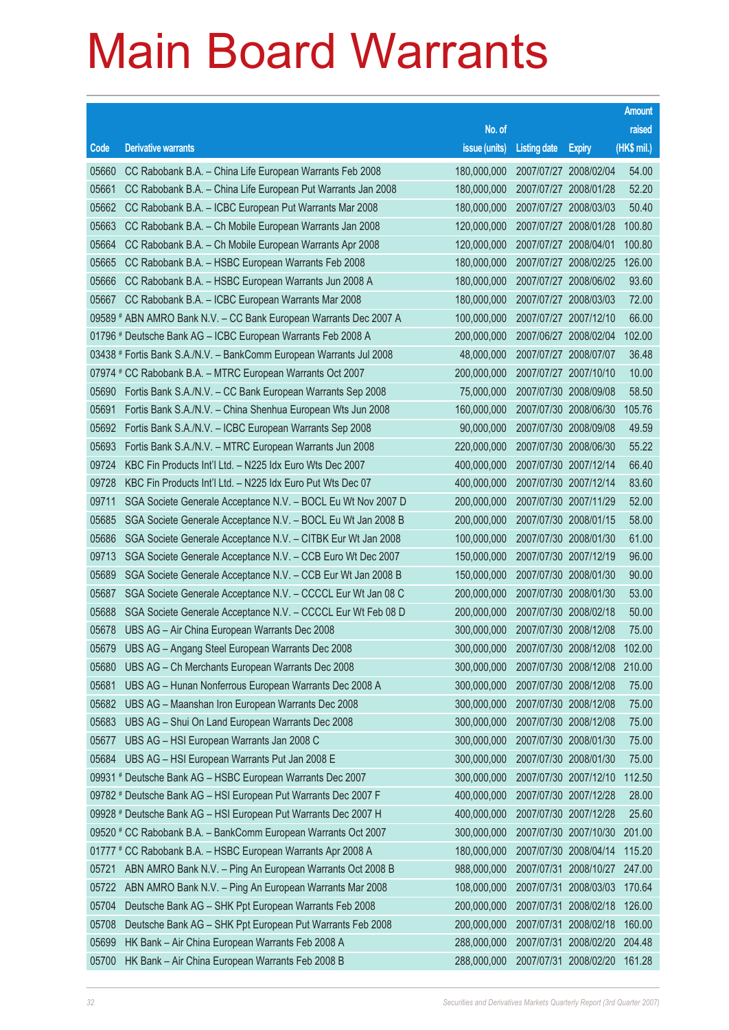|       |                                                                     |                                   |                       |                       | <b>Amount</b> |
|-------|---------------------------------------------------------------------|-----------------------------------|-----------------------|-----------------------|---------------|
|       |                                                                     | No. of                            |                       |                       | raised        |
| Code  | <b>Derivative warrants</b>                                          | issue (units)                     | <b>Listing date</b>   | <b>Expiry</b>         | (HK\$ mil.)   |
| 05660 | CC Rabobank B.A. - China Life European Warrants Feb 2008            | 180,000,000                       |                       | 2007/07/27 2008/02/04 | 54.00         |
| 05661 | CC Rabobank B.A. - China Life European Put Warrants Jan 2008        | 180,000,000                       |                       | 2007/07/27 2008/01/28 | 52.20         |
| 05662 | CC Rabobank B.A. - ICBC European Put Warrants Mar 2008              | 180,000,000                       |                       | 2007/07/27 2008/03/03 | 50.40         |
| 05663 | CC Rabobank B.A. - Ch Mobile European Warrants Jan 2008             | 120,000,000                       | 2007/07/27 2008/01/28 |                       | 100.80        |
| 05664 | CC Rabobank B.A. - Ch Mobile European Warrants Apr 2008             | 120,000,000                       |                       | 2007/07/27 2008/04/01 | 100.80        |
| 05665 | CC Rabobank B.A. - HSBC European Warrants Feb 2008                  | 180,000,000                       | 2007/07/27 2008/02/25 |                       | 126.00        |
| 05666 | CC Rabobank B.A. - HSBC European Warrants Jun 2008 A                | 180,000,000                       |                       | 2007/07/27 2008/06/02 | 93.60         |
| 05667 | CC Rabobank B.A. - ICBC European Warrants Mar 2008                  | 180,000,000                       | 2007/07/27 2008/03/03 |                       | 72.00         |
|       | 09589 # ABN AMRO Bank N.V. - CC Bank European Warrants Dec 2007 A   | 100,000,000                       |                       | 2007/07/27 2007/12/10 | 66.00         |
|       | 01796 # Deutsche Bank AG - ICBC European Warrants Feb 2008 A        | 200,000,000                       |                       | 2007/06/27 2008/02/04 | 102.00        |
|       | 03438 # Fortis Bank S.A./N.V. - BankComm European Warrants Jul 2008 | 48,000,000                        |                       | 2007/07/27 2008/07/07 | 36.48         |
|       | 07974 # CC Rabobank B.A. - MTRC European Warrants Oct 2007          | 200,000,000                       | 2007/07/27 2007/10/10 |                       | 10.00         |
| 05690 | Fortis Bank S.A./N.V. - CC Bank European Warrants Sep 2008          | 75,000,000                        |                       | 2007/07/30 2008/09/08 | 58.50         |
| 05691 | Fortis Bank S.A./N.V. - China Shenhua European Wts Jun 2008         | 160,000,000                       |                       | 2007/07/30 2008/06/30 | 105.76        |
| 05692 | Fortis Bank S.A./N.V. - ICBC European Warrants Sep 2008             | 90,000,000                        |                       | 2007/07/30 2008/09/08 | 49.59         |
| 05693 | Fortis Bank S.A./N.V. - MTRC European Warrants Jun 2008             | 220,000,000                       | 2007/07/30 2008/06/30 |                       | 55.22         |
| 09724 | KBC Fin Products Int'l Ltd. - N225 Idx Euro Wts Dec 2007            | 400,000,000                       |                       | 2007/07/30 2007/12/14 | 66.40         |
| 09728 | KBC Fin Products Int'l Ltd. - N225 Idx Euro Put Wts Dec 07          | 400,000,000                       |                       | 2007/07/30 2007/12/14 | 83.60         |
| 09711 | SGA Societe Generale Acceptance N.V. - BOCL Eu Wt Nov 2007 D        | 200,000,000                       |                       | 2007/07/30 2007/11/29 | 52.00         |
| 05685 | SGA Societe Generale Acceptance N.V. - BOCL Eu Wt Jan 2008 B        | 200,000,000                       | 2007/07/30 2008/01/15 |                       | 58.00         |
| 05686 | SGA Societe Generale Acceptance N.V. - CITBK Eur Wt Jan 2008        | 100,000,000                       |                       | 2007/07/30 2008/01/30 | 61.00         |
| 09713 | SGA Societe Generale Acceptance N.V. - CCB Euro Wt Dec 2007         | 150,000,000                       |                       | 2007/07/30 2007/12/19 | 96.00         |
| 05689 | SGA Societe Generale Acceptance N.V. - CCB Eur Wt Jan 2008 B        | 150,000,000                       |                       | 2007/07/30 2008/01/30 | 90.00         |
| 05687 | SGA Societe Generale Acceptance N.V. - CCCCL Eur Wt Jan 08 C        | 200,000,000                       | 2007/07/30 2008/01/30 |                       | 53.00         |
| 05688 | SGA Societe Generale Acceptance N.V. - CCCCL Eur Wt Feb 08 D        | 200,000,000                       |                       | 2007/07/30 2008/02/18 | 50.00         |
| 05678 | UBS AG - Air China European Warrants Dec 2008                       | 300,000,000                       | 2007/07/30 2008/12/08 |                       | 75.00         |
| 05679 | UBS AG - Angang Steel European Warrants Dec 2008                    | 300,000,000 2007/07/30 2008/12/08 |                       |                       | 102.00        |
| 05680 | UBS AG - Ch Merchants European Warrants Dec 2008                    | 300,000,000                       | 2007/07/30 2008/12/08 |                       | 210.00        |
| 05681 | UBS AG - Hunan Nonferrous European Warrants Dec 2008 A              | 300,000,000                       |                       | 2007/07/30 2008/12/08 | 75.00         |
| 05682 | UBS AG - Maanshan Iron European Warrants Dec 2008                   | 300,000,000                       | 2007/07/30 2008/12/08 |                       | 75.00         |
| 05683 | UBS AG - Shui On Land European Warrants Dec 2008                    | 300,000,000                       |                       | 2007/07/30 2008/12/08 | 75.00         |
| 05677 | UBS AG - HSI European Warrants Jan 2008 C                           | 300,000,000                       |                       | 2007/07/30 2008/01/30 | 75.00         |
| 05684 | UBS AG - HSI European Warrants Put Jan 2008 E                       | 300,000,000                       |                       | 2007/07/30 2008/01/30 | 75.00         |
|       | 09931 # Deutsche Bank AG - HSBC European Warrants Dec 2007          | 300,000,000                       | 2007/07/30 2007/12/10 |                       | 112.50        |
|       | 09782 # Deutsche Bank AG - HSI European Put Warrants Dec 2007 F     | 400,000,000                       |                       | 2007/07/30 2007/12/28 | 28.00         |
|       | 09928 # Deutsche Bank AG - HSI European Put Warrants Dec 2007 H     | 400,000,000                       |                       | 2007/07/30 2007/12/28 | 25.60         |
|       | 09520 # CC Rabobank B.A. - BankComm European Warrants Oct 2007      | 300,000,000                       |                       | 2007/07/30 2007/10/30 | 201.00        |
|       | 01777 # CC Rabobank B.A. - HSBC European Warrants Apr 2008 A        | 180,000,000                       |                       | 2007/07/30 2008/04/14 | 115.20        |
| 05721 | ABN AMRO Bank N.V. - Ping An European Warrants Oct 2008 B           | 988,000,000                       |                       | 2007/07/31 2008/10/27 | 247.00        |
| 05722 | ABN AMRO Bank N.V. - Ping An European Warrants Mar 2008             | 108,000,000                       |                       | 2007/07/31 2008/03/03 | 170.64        |
| 05704 | Deutsche Bank AG - SHK Ppt European Warrants Feb 2008               | 200,000,000                       |                       | 2007/07/31 2008/02/18 | 126.00        |
| 05708 | Deutsche Bank AG - SHK Ppt European Put Warrants Feb 2008           | 200,000,000                       |                       | 2007/07/31 2008/02/18 | 160.00        |
| 05699 | HK Bank - Air China European Warrants Feb 2008 A                    | 288,000,000                       |                       | 2007/07/31 2008/02/20 | 204.48        |
| 05700 | HK Bank - Air China European Warrants Feb 2008 B                    | 288,000,000                       |                       | 2007/07/31 2008/02/20 | 161.28        |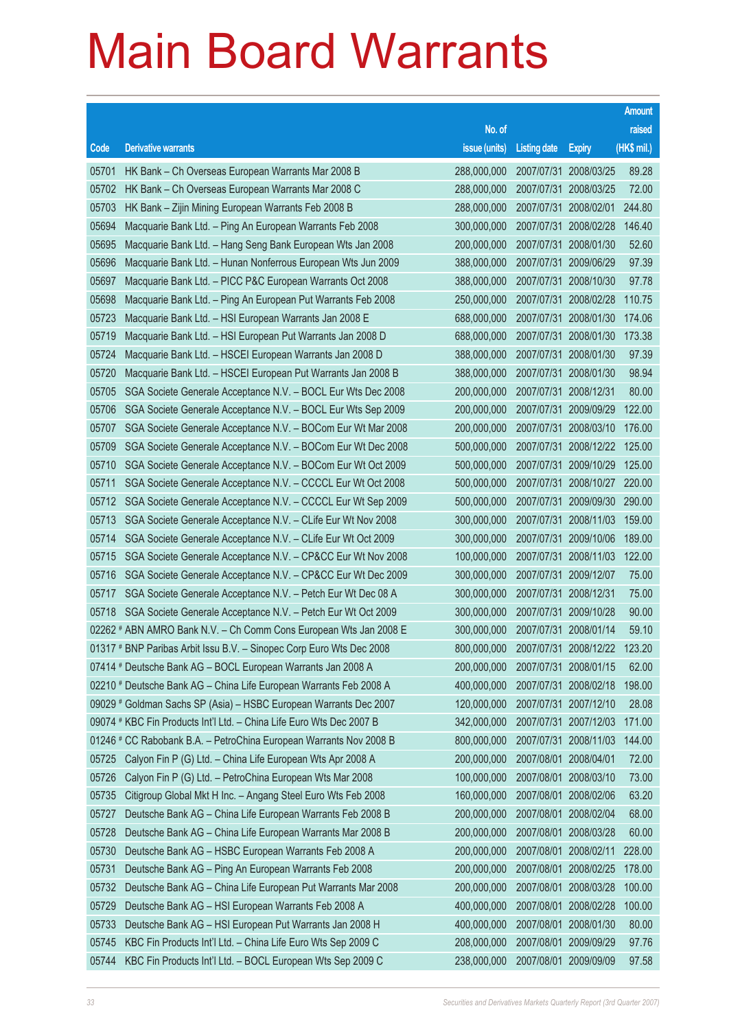|       |                                                                      |                                   |                     |                       | <b>Amount</b> |
|-------|----------------------------------------------------------------------|-----------------------------------|---------------------|-----------------------|---------------|
|       |                                                                      | No. of                            |                     |                       | raised        |
| Code  | <b>Derivative warrants</b>                                           | issue (units)                     | <b>Listing date</b> | <b>Expiry</b>         | (HK\$ mil.)   |
| 05701 | HK Bank - Ch Overseas European Warrants Mar 2008 B                   | 288,000,000                       |                     | 2007/07/31 2008/03/25 | 89.28         |
| 05702 | HK Bank - Ch Overseas European Warrants Mar 2008 C                   | 288,000,000                       |                     | 2007/07/31 2008/03/25 | 72.00         |
| 05703 | HK Bank - Zijin Mining European Warrants Feb 2008 B                  | 288,000,000                       |                     | 2007/07/31 2008/02/01 | 244.80        |
| 05694 | Macquarie Bank Ltd. - Ping An European Warrants Feb 2008             | 300,000,000                       |                     | 2007/07/31 2008/02/28 | 146.40        |
| 05695 | Macquarie Bank Ltd. - Hang Seng Bank European Wts Jan 2008           | 200,000,000                       |                     | 2007/07/31 2008/01/30 | 52.60         |
| 05696 | Macquarie Bank Ltd. - Hunan Nonferrous European Wts Jun 2009         | 388,000,000                       |                     | 2007/07/31 2009/06/29 | 97.39         |
| 05697 | Macquarie Bank Ltd. - PICC P&C European Warrants Oct 2008            | 388,000,000                       |                     | 2007/07/31 2008/10/30 | 97.78         |
| 05698 | Macquarie Bank Ltd. - Ping An European Put Warrants Feb 2008         | 250,000,000                       |                     | 2007/07/31 2008/02/28 | 110.75        |
| 05723 | Macquarie Bank Ltd. - HSI European Warrants Jan 2008 E               | 688,000,000                       |                     | 2007/07/31 2008/01/30 | 174.06        |
| 05719 | Macquarie Bank Ltd. - HSI European Put Warrants Jan 2008 D           | 688,000,000                       |                     | 2007/07/31 2008/01/30 | 173.38        |
| 05724 | Macquarie Bank Ltd. - HSCEI European Warrants Jan 2008 D             | 388,000,000                       |                     | 2007/07/31 2008/01/30 | 97.39         |
| 05720 | Macquarie Bank Ltd. - HSCEI European Put Warrants Jan 2008 B         | 388,000,000                       |                     | 2007/07/31 2008/01/30 | 98.94         |
| 05705 | SGA Societe Generale Acceptance N.V. - BOCL Eur Wts Dec 2008         | 200,000,000                       |                     | 2007/07/31 2008/12/31 | 80.00         |
| 05706 | SGA Societe Generale Acceptance N.V. - BOCL Eur Wts Sep 2009         | 200,000,000                       |                     | 2007/07/31 2009/09/29 | 122.00        |
| 05707 | SGA Societe Generale Acceptance N.V. - BOCom Eur Wt Mar 2008         | 200,000,000                       |                     | 2007/07/31 2008/03/10 | 176.00        |
| 05709 | SGA Societe Generale Acceptance N.V. - BOCom Eur Wt Dec 2008         | 500,000,000                       |                     | 2007/07/31 2008/12/22 | 125.00        |
| 05710 | SGA Societe Generale Acceptance N.V. - BOCom Eur Wt Oct 2009         | 500,000,000                       |                     | 2007/07/31 2009/10/29 | 125.00        |
| 05711 | SGA Societe Generale Acceptance N.V. - CCCCL Eur Wt Oct 2008         | 500,000,000                       |                     | 2007/07/31 2008/10/27 | 220.00        |
| 05712 | SGA Societe Generale Acceptance N.V. - CCCCL Eur Wt Sep 2009         | 500,000,000                       |                     | 2007/07/31 2009/09/30 | 290.00        |
| 05713 | SGA Societe Generale Acceptance N.V. - CLife Eur Wt Nov 2008         | 300,000,000                       |                     | 2007/07/31 2008/11/03 | 159.00        |
| 05714 | SGA Societe Generale Acceptance N.V. - CLife Eur Wt Oct 2009         | 300,000,000                       |                     | 2007/07/31 2009/10/06 | 189.00        |
| 05715 | SGA Societe Generale Acceptance N.V. - CP&CC Eur Wt Nov 2008         | 100,000,000                       |                     | 2007/07/31 2008/11/03 | 122.00        |
| 05716 | SGA Societe Generale Acceptance N.V. - CP&CC Eur Wt Dec 2009         | 300,000,000                       |                     | 2007/07/31 2009/12/07 | 75.00         |
| 05717 | SGA Societe Generale Acceptance N.V. - Petch Eur Wt Dec 08 A         | 300,000,000                       |                     | 2007/07/31 2008/12/31 | 75.00         |
| 05718 | SGA Societe Generale Acceptance N.V. - Petch Eur Wt Oct 2009         | 300,000,000                       |                     | 2007/07/31 2009/10/28 | 90.00         |
|       | 02262 # ABN AMRO Bank N.V. - Ch Comm Cons European Wts Jan 2008 E    | 300,000,000                       |                     | 2007/07/31 2008/01/14 | 59.10         |
|       | 01317 # BNP Paribas Arbit Issu B.V. - Sinopec Corp Euro Wts Dec 2008 | 800,000,000 2007/07/31 2008/12/22 |                     |                       | 123.20        |
|       | 07414 # Deutsche Bank AG - BOCL European Warrants Jan 2008 A         | 200,000,000                       |                     | 2007/07/31 2008/01/15 | 62.00         |
|       | 02210 # Deutsche Bank AG - China Life European Warrants Feb 2008 A   | 400,000,000                       |                     | 2007/07/31 2008/02/18 | 198.00        |
|       | 09029 # Goldman Sachs SP (Asia) - HSBC European Warrants Dec 2007    | 120,000,000                       |                     | 2007/07/31 2007/12/10 | 28.08         |
|       | 09074 # KBC Fin Products Int'l Ltd. - China Life Euro Wts Dec 2007 B | 342,000,000                       |                     | 2007/07/31 2007/12/03 | 171.00        |
|       | 01246 # CC Rabobank B.A. - PetroChina European Warrants Nov 2008 B   | 800,000,000                       |                     | 2007/07/31 2008/11/03 | 144.00        |
| 05725 | Calyon Fin P (G) Ltd. - China Life European Wts Apr 2008 A           | 200,000,000                       |                     | 2007/08/01 2008/04/01 | 72.00         |
| 05726 | Calyon Fin P (G) Ltd. - PetroChina European Wts Mar 2008             | 100,000,000                       |                     | 2007/08/01 2008/03/10 | 73.00         |
| 05735 | Citigroup Global Mkt H Inc. - Angang Steel Euro Wts Feb 2008         | 160,000,000                       |                     | 2007/08/01 2008/02/06 | 63.20         |
| 05727 | Deutsche Bank AG - China Life European Warrants Feb 2008 B           | 200,000,000                       |                     | 2007/08/01 2008/02/04 | 68.00         |
| 05728 | Deutsche Bank AG - China Life European Warrants Mar 2008 B           | 200,000,000                       |                     | 2007/08/01 2008/03/28 | 60.00         |
| 05730 | Deutsche Bank AG - HSBC European Warrants Feb 2008 A                 | 200,000,000                       |                     | 2007/08/01 2008/02/11 | 228.00        |
| 05731 | Deutsche Bank AG - Ping An European Warrants Feb 2008                | 200,000,000                       |                     | 2007/08/01 2008/02/25 | 178.00        |
| 05732 | Deutsche Bank AG - China Life European Put Warrants Mar 2008         | 200,000,000                       |                     | 2007/08/01 2008/03/28 | 100.00        |
| 05729 | Deutsche Bank AG - HSI European Warrants Feb 2008 A                  | 400,000,000                       |                     | 2007/08/01 2008/02/28 | 100.00        |
| 05733 | Deutsche Bank AG - HSI European Put Warrants Jan 2008 H              | 400,000,000                       |                     | 2007/08/01 2008/01/30 | 80.00         |
| 05745 | KBC Fin Products Int'l Ltd. - China Life Euro Wts Sep 2009 C         | 208,000,000                       |                     | 2007/08/01 2009/09/29 | 97.76         |
| 05744 | KBC Fin Products Int'l Ltd. - BOCL European Wts Sep 2009 C           | 238,000,000                       |                     | 2007/08/01 2009/09/09 | 97.58         |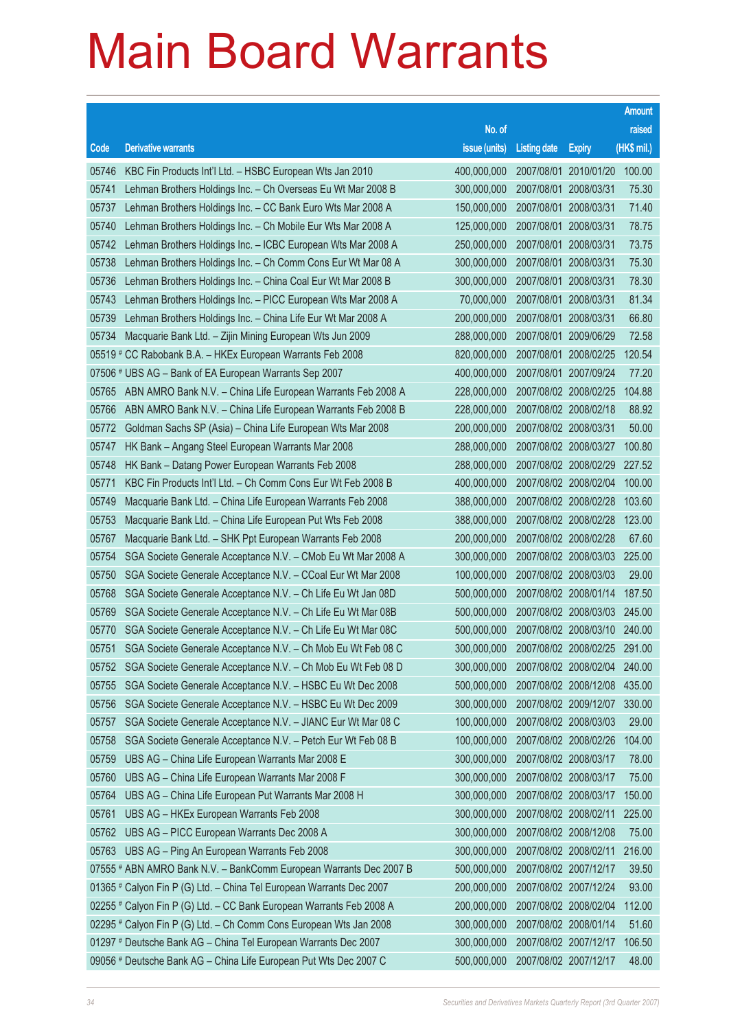|       |                                                                      |                                          |                     |                       | <b>Amount</b> |
|-------|----------------------------------------------------------------------|------------------------------------------|---------------------|-----------------------|---------------|
|       |                                                                      | No. of                                   |                     |                       | raised        |
| Code  | <b>Derivative warrants</b>                                           | issue (units)                            | <b>Listing date</b> | <b>Expiry</b>         | (HK\$ mil.)   |
| 05746 | KBC Fin Products Int'l Ltd. - HSBC European Wts Jan 2010             | 400,000,000                              |                     | 2007/08/01 2010/01/20 | 100.00        |
| 05741 | Lehman Brothers Holdings Inc. - Ch Overseas Eu Wt Mar 2008 B         | 300,000,000                              |                     | 2007/08/01 2008/03/31 | 75.30         |
| 05737 | Lehman Brothers Holdings Inc. - CC Bank Euro Wts Mar 2008 A          | 150,000,000                              |                     | 2007/08/01 2008/03/31 | 71.40         |
| 05740 | Lehman Brothers Holdings Inc. - Ch Mobile Eur Wts Mar 2008 A         | 125,000,000                              |                     | 2007/08/01 2008/03/31 | 78.75         |
| 05742 | Lehman Brothers Holdings Inc. - ICBC European Wts Mar 2008 A         | 250,000,000                              |                     | 2007/08/01 2008/03/31 | 73.75         |
| 05738 | Lehman Brothers Holdings Inc. - Ch Comm Cons Eur Wt Mar 08 A         | 300,000,000                              |                     | 2007/08/01 2008/03/31 | 75.30         |
| 05736 | Lehman Brothers Holdings Inc. - China Coal Eur Wt Mar 2008 B         | 300,000,000                              |                     | 2007/08/01 2008/03/31 | 78.30         |
| 05743 | Lehman Brothers Holdings Inc. - PICC European Wts Mar 2008 A         | 70,000,000                               |                     | 2007/08/01 2008/03/31 | 81.34         |
| 05739 | Lehman Brothers Holdings Inc. - China Life Eur Wt Mar 2008 A         | 200,000,000                              |                     | 2007/08/01 2008/03/31 | 66.80         |
| 05734 | Macquarie Bank Ltd. - Zijin Mining European Wts Jun 2009             | 288,000,000                              |                     | 2007/08/01 2009/06/29 | 72.58         |
|       | 05519 # CC Rabobank B.A. - HKEx European Warrants Feb 2008           | 820,000,000                              |                     | 2007/08/01 2008/02/25 | 120.54        |
|       | 07506 # UBS AG - Bank of EA European Warrants Sep 2007               | 400,000,000                              |                     | 2007/08/01 2007/09/24 | 77.20         |
| 05765 | ABN AMRO Bank N.V. - China Life European Warrants Feb 2008 A         | 228,000,000                              |                     | 2007/08/02 2008/02/25 | 104.88        |
| 05766 | ABN AMRO Bank N.V. - China Life European Warrants Feb 2008 B         | 228,000,000                              |                     | 2007/08/02 2008/02/18 | 88.92         |
| 05772 | Goldman Sachs SP (Asia) - China Life European Wts Mar 2008           | 200,000,000                              |                     | 2007/08/02 2008/03/31 | 50.00         |
| 05747 | HK Bank - Angang Steel European Warrants Mar 2008                    | 288,000,000                              |                     | 2007/08/02 2008/03/27 | 100.80        |
| 05748 | HK Bank - Datang Power European Warrants Feb 2008                    | 288,000,000                              |                     | 2007/08/02 2008/02/29 | 227.52        |
| 05771 | KBC Fin Products Int'l Ltd. - Ch Comm Cons Eur Wt Feb 2008 B         | 400,000,000                              |                     | 2007/08/02 2008/02/04 | 100.00        |
| 05749 | Macquarie Bank Ltd. - China Life European Warrants Feb 2008          | 388,000,000                              |                     | 2007/08/02 2008/02/28 | 103.60        |
| 05753 | Macquarie Bank Ltd. - China Life European Put Wts Feb 2008           | 388,000,000                              |                     | 2007/08/02 2008/02/28 | 123.00        |
| 05767 | Macquarie Bank Ltd. - SHK Ppt European Warrants Feb 2008             | 200,000,000                              |                     | 2007/08/02 2008/02/28 | 67.60         |
| 05754 | SGA Societe Generale Acceptance N.V. - CMob Eu Wt Mar 2008 A         | 300,000,000                              |                     | 2007/08/02 2008/03/03 | 225.00        |
| 05750 | SGA Societe Generale Acceptance N.V. - CCoal Eur Wt Mar 2008         | 100,000,000                              |                     | 2007/08/02 2008/03/03 | 29.00         |
| 05768 | SGA Societe Generale Acceptance N.V. - Ch Life Eu Wt Jan 08D         | 500,000,000                              |                     | 2007/08/02 2008/01/14 | 187.50        |
| 05769 | SGA Societe Generale Acceptance N.V. - Ch Life Eu Wt Mar 08B         | 500,000,000                              |                     | 2007/08/02 2008/03/03 | 245.00        |
| 05770 | SGA Societe Generale Acceptance N.V. - Ch Life Eu Wt Mar 08C         | 500,000,000                              |                     | 2007/08/02 2008/03/10 | 240.00        |
| 05751 | SGA Societe Generale Acceptance N.V. - Ch Mob Eu Wt Feb 08 C         | 300,000,000 2007/08/02 2008/02/25 291.00 |                     |                       |               |
| 05752 | SGA Societe Generale Acceptance N.V. - Ch Mob Eu Wt Feb 08 D         | 300,000,000                              |                     | 2007/08/02 2008/02/04 | 240.00        |
| 05755 | SGA Societe Generale Acceptance N.V. - HSBC Eu Wt Dec 2008           | 500,000,000                              |                     | 2007/08/02 2008/12/08 | 435.00        |
| 05756 | SGA Societe Generale Acceptance N.V. - HSBC Eu Wt Dec 2009           | 300,000,000                              |                     | 2007/08/02 2009/12/07 | 330.00        |
| 05757 | SGA Societe Generale Acceptance N.V. - JIANC Eur Wt Mar 08 C         | 100,000,000                              |                     | 2007/08/02 2008/03/03 | 29.00         |
| 05758 | SGA Societe Generale Acceptance N.V. - Petch Eur Wt Feb 08 B         | 100,000,000                              |                     | 2007/08/02 2008/02/26 | 104.00        |
| 05759 | UBS AG - China Life European Warrants Mar 2008 E                     | 300,000,000                              |                     | 2007/08/02 2008/03/17 | 78.00         |
| 05760 | UBS AG - China Life European Warrants Mar 2008 F                     | 300,000,000                              |                     | 2007/08/02 2008/03/17 | 75.00         |
| 05764 | UBS AG - China Life European Put Warrants Mar 2008 H                 | 300,000,000                              |                     | 2007/08/02 2008/03/17 | 150.00        |
| 05761 | UBS AG - HKEx European Warrants Feb 2008                             | 300,000,000                              |                     | 2007/08/02 2008/02/11 | 225.00        |
| 05762 | UBS AG - PICC European Warrants Dec 2008 A                           | 300,000,000                              |                     | 2007/08/02 2008/12/08 | 75.00         |
| 05763 | UBS AG - Ping An European Warrants Feb 2008                          | 300,000,000                              |                     | 2007/08/02 2008/02/11 | 216.00        |
|       | 07555 # ABN AMRO Bank N.V. - BankComm European Warrants Dec 2007 B   | 500,000,000                              |                     | 2007/08/02 2007/12/17 | 39.50         |
|       | 01365 # Calyon Fin P (G) Ltd. - China Tel European Warrants Dec 2007 | 200,000,000                              |                     | 2007/08/02 2007/12/24 | 93.00         |
|       | 02255 # Calyon Fin P (G) Ltd. - CC Bank European Warrants Feb 2008 A | 200,000,000                              |                     | 2007/08/02 2008/02/04 | 112.00        |
|       | 02295 # Calyon Fin P (G) Ltd. - Ch Comm Cons European Wts Jan 2008   | 300,000,000                              |                     | 2007/08/02 2008/01/14 | 51.60         |
|       | 01297 # Deutsche Bank AG - China Tel European Warrants Dec 2007      | 300,000,000                              |                     | 2007/08/02 2007/12/17 | 106.50        |
|       | 09056 # Deutsche Bank AG - China Life European Put Wts Dec 2007 C    | 500,000,000                              |                     | 2007/08/02 2007/12/17 | 48.00         |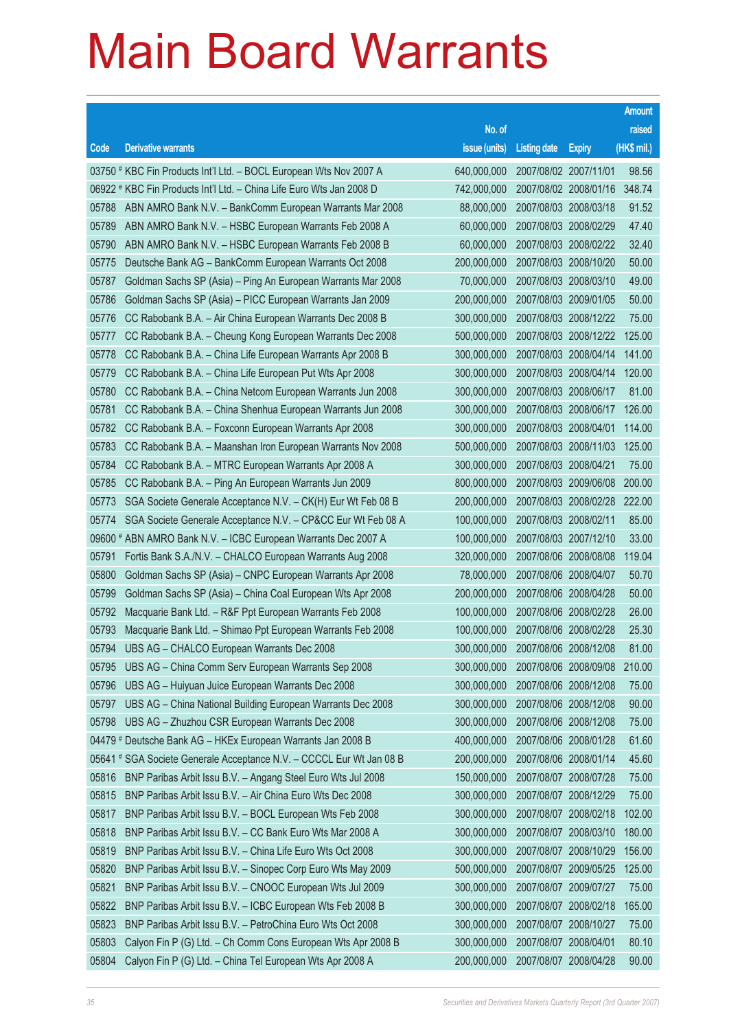|       |                                                                      |                                   |                       |               | <b>Amount</b> |
|-------|----------------------------------------------------------------------|-----------------------------------|-----------------------|---------------|---------------|
|       |                                                                      | No. of                            |                       |               | raised        |
| Code  | <b>Derivative warrants</b>                                           | issue (units)                     | <b>Listing date</b>   | <b>Expiry</b> | $(HK$$ mil.)  |
|       | 03750 # KBC Fin Products Int'l Ltd. - BOCL European Wts Nov 2007 A   | 640,000,000                       | 2007/08/02 2007/11/01 |               | 98.56         |
|       | 06922 # KBC Fin Products Int'l Ltd. - China Life Euro Wts Jan 2008 D | 742,000,000                       | 2007/08/02 2008/01/16 |               | 348.74        |
| 05788 | ABN AMRO Bank N.V. - BankComm European Warrants Mar 2008             | 88,000,000                        | 2007/08/03 2008/03/18 |               | 91.52         |
| 05789 | ABN AMRO Bank N.V. - HSBC European Warrants Feb 2008 A               | 60,000,000                        | 2007/08/03 2008/02/29 |               | 47.40         |
| 05790 | ABN AMRO Bank N.V. - HSBC European Warrants Feb 2008 B               | 60,000,000                        | 2007/08/03 2008/02/22 |               | 32.40         |
| 05775 | Deutsche Bank AG - BankComm European Warrants Oct 2008               | 200,000,000                       | 2007/08/03 2008/10/20 |               | 50.00         |
| 05787 | Goldman Sachs SP (Asia) - Ping An European Warrants Mar 2008         | 70,000,000                        | 2007/08/03 2008/03/10 |               | 49.00         |
| 05786 | Goldman Sachs SP (Asia) - PICC European Warrants Jan 2009            | 200,000,000                       | 2007/08/03 2009/01/05 |               | 50.00         |
| 05776 | CC Rabobank B.A. - Air China European Warrants Dec 2008 B            | 300,000,000                       | 2007/08/03 2008/12/22 |               | 75.00         |
| 05777 | CC Rabobank B.A. - Cheung Kong European Warrants Dec 2008            | 500,000,000                       | 2007/08/03 2008/12/22 |               | 125.00        |
| 05778 | CC Rabobank B.A. - China Life European Warrants Apr 2008 B           | 300,000,000                       | 2007/08/03 2008/04/14 |               | 141.00        |
| 05779 | CC Rabobank B.A. - China Life European Put Wts Apr 2008              | 300,000,000                       | 2007/08/03 2008/04/14 |               | 120.00        |
| 05780 | CC Rabobank B.A. - China Netcom European Warrants Jun 2008           | 300,000,000                       | 2007/08/03 2008/06/17 |               | 81.00         |
| 05781 | CC Rabobank B.A. - China Shenhua European Warrants Jun 2008          | 300,000,000                       | 2007/08/03 2008/06/17 |               | 126.00        |
| 05782 | CC Rabobank B.A. - Foxconn European Warrants Apr 2008                | 300,000,000                       | 2007/08/03 2008/04/01 |               | 114.00        |
| 05783 | CC Rabobank B.A. - Maanshan Iron European Warrants Nov 2008          | 500,000,000                       | 2007/08/03 2008/11/03 |               | 125.00        |
| 05784 | CC Rabobank B.A. - MTRC European Warrants Apr 2008 A                 | 300,000,000                       | 2007/08/03 2008/04/21 |               | 75.00         |
| 05785 | CC Rabobank B.A. - Ping An European Warrants Jun 2009                | 800,000,000                       | 2007/08/03 2009/06/08 |               | 200.00        |
| 05773 | SGA Societe Generale Acceptance N.V. - CK(H) Eur Wt Feb 08 B         | 200,000,000                       | 2007/08/03 2008/02/28 |               | 222.00        |
| 05774 | SGA Societe Generale Acceptance N.V. - CP&CC Eur Wt Feb 08 A         | 100,000,000                       | 2007/08/03 2008/02/11 |               | 85.00         |
|       | 09600 # ABN AMRO Bank N.V. - ICBC European Warrants Dec 2007 A       | 100,000,000                       | 2007/08/03 2007/12/10 |               | 33.00         |
| 05791 | Fortis Bank S.A./N.V. - CHALCO European Warrants Aug 2008            | 320,000,000                       | 2007/08/06 2008/08/08 |               | 119.04        |
| 05800 | Goldman Sachs SP (Asia) - CNPC European Warrants Apr 2008            | 78,000,000                        | 2007/08/06 2008/04/07 |               | 50.70         |
| 05799 | Goldman Sachs SP (Asia) - China Coal European Wts Apr 2008           | 200,000,000                       | 2007/08/06 2008/04/28 |               | 50.00         |
| 05792 | Macquarie Bank Ltd. - R&F Ppt European Warrants Feb 2008             | 100,000,000                       | 2007/08/06 2008/02/28 |               | 26.00         |
| 05793 | Macquarie Bank Ltd. - Shimao Ppt European Warrants Feb 2008          | 100,000,000                       | 2007/08/06 2008/02/28 |               | 25.30         |
|       | 05794 UBS AG - CHALCO European Warrants Dec 2008                     | 300,000,000 2007/08/06 2008/12/08 |                       |               | 81.00         |
| 05795 | UBS AG - China Comm Serv European Warrants Sep 2008                  | 300,000,000                       | 2007/08/06 2008/09/08 |               | 210.00        |
| 05796 | UBS AG - Huiyuan Juice European Warrants Dec 2008                    | 300,000,000                       | 2007/08/06 2008/12/08 |               | 75.00         |
| 05797 | UBS AG - China National Building European Warrants Dec 2008          | 300,000,000                       | 2007/08/06 2008/12/08 |               | 90.00         |
| 05798 | UBS AG - Zhuzhou CSR European Warrants Dec 2008                      | 300,000,000                       | 2007/08/06 2008/12/08 |               | 75.00         |
|       | 04479 # Deutsche Bank AG - HKEx European Warrants Jan 2008 B         | 400,000,000                       | 2007/08/06 2008/01/28 |               | 61.60         |
|       | 05641 # SGA Societe Generale Acceptance N.V. - CCCCL Eur Wt Jan 08 B | 200,000,000                       | 2007/08/06 2008/01/14 |               | 45.60         |
| 05816 | BNP Paribas Arbit Issu B.V. - Angang Steel Euro Wts Jul 2008         | 150,000,000                       | 2007/08/07 2008/07/28 |               | 75.00         |
| 05815 | BNP Paribas Arbit Issu B.V. - Air China Euro Wts Dec 2008            | 300,000,000                       | 2007/08/07 2008/12/29 |               | 75.00         |
| 05817 | BNP Paribas Arbit Issu B.V. - BOCL European Wts Feb 2008             | 300,000,000                       | 2007/08/07 2008/02/18 |               | 102.00        |
| 05818 | BNP Paribas Arbit Issu B.V. - CC Bank Euro Wts Mar 2008 A            | 300,000,000                       | 2007/08/07 2008/03/10 |               | 180.00        |
| 05819 | BNP Paribas Arbit Issu B.V. - China Life Euro Wts Oct 2008           | 300,000,000                       | 2007/08/07 2008/10/29 |               | 156.00        |
| 05820 | BNP Paribas Arbit Issu B.V. - Sinopec Corp Euro Wts May 2009         | 500,000,000                       | 2007/08/07 2009/05/25 |               | 125.00        |
| 05821 | BNP Paribas Arbit Issu B.V. - CNOOC European Wts Jul 2009            | 300,000,000                       | 2007/08/07 2009/07/27 |               | 75.00         |
| 05822 | BNP Paribas Arbit Issu B.V. - ICBC European Wts Feb 2008 B           | 300,000,000                       | 2007/08/07 2008/02/18 |               | 165.00        |
| 05823 | BNP Paribas Arbit Issu B.V. - PetroChina Euro Wts Oct 2008           | 300,000,000                       | 2007/08/07 2008/10/27 |               | 75.00         |
| 05803 | Calyon Fin P (G) Ltd. - Ch Comm Cons European Wts Apr 2008 B         | 300,000,000                       | 2007/08/07 2008/04/01 |               | 80.10         |
| 05804 | Calyon Fin P (G) Ltd. - China Tel European Wts Apr 2008 A            | 200,000,000                       | 2007/08/07 2008/04/28 |               | 90.00         |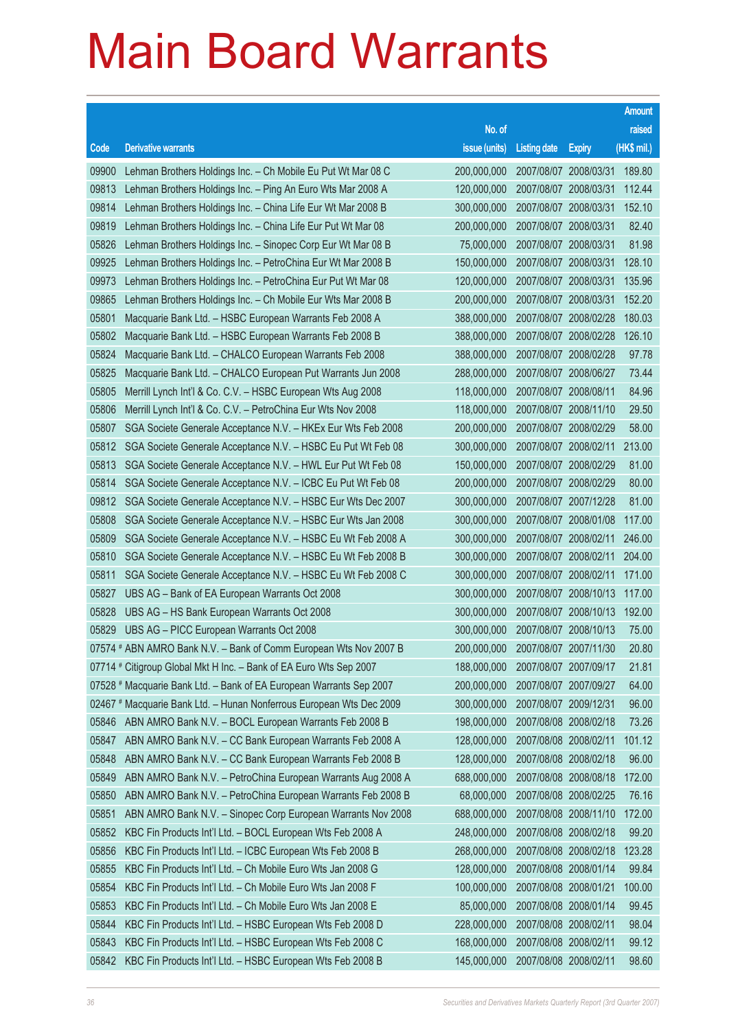|       |                                                                      |               |                       |               | <b>Amount</b> |
|-------|----------------------------------------------------------------------|---------------|-----------------------|---------------|---------------|
|       |                                                                      | No. of        |                       |               | raised        |
| Code  | <b>Derivative warrants</b>                                           | issue (units) | <b>Listing date</b>   | <b>Expiry</b> | $(HK$$ mil.)  |
| 09900 | Lehman Brothers Holdings Inc. - Ch Mobile Eu Put Wt Mar 08 C         | 200,000,000   | 2007/08/07 2008/03/31 |               | 189.80        |
| 09813 | Lehman Brothers Holdings Inc. - Ping An Euro Wts Mar 2008 A          | 120,000,000   | 2007/08/07 2008/03/31 |               | 112.44        |
| 09814 | Lehman Brothers Holdings Inc. - China Life Eur Wt Mar 2008 B         | 300,000,000   | 2007/08/07 2008/03/31 |               | 152.10        |
| 09819 | Lehman Brothers Holdings Inc. - China Life Eur Put Wt Mar 08         | 200,000,000   | 2007/08/07 2008/03/31 |               | 82.40         |
| 05826 | Lehman Brothers Holdings Inc. - Sinopec Corp Eur Wt Mar 08 B         | 75,000,000    | 2007/08/07 2008/03/31 |               | 81.98         |
| 09925 | Lehman Brothers Holdings Inc. - PetroChina Eur Wt Mar 2008 B         | 150,000,000   | 2007/08/07 2008/03/31 |               | 128.10        |
| 09973 | Lehman Brothers Holdings Inc. - PetroChina Eur Put Wt Mar 08         | 120,000,000   | 2007/08/07 2008/03/31 |               | 135.96        |
| 09865 | Lehman Brothers Holdings Inc. - Ch Mobile Eur Wts Mar 2008 B         | 200,000,000   | 2007/08/07 2008/03/31 |               | 152.20        |
| 05801 | Macquarie Bank Ltd. - HSBC European Warrants Feb 2008 A              | 388,000,000   | 2007/08/07 2008/02/28 |               | 180.03        |
| 05802 | Macquarie Bank Ltd. - HSBC European Warrants Feb 2008 B              | 388,000,000   | 2007/08/07 2008/02/28 |               | 126.10        |
| 05824 | Macquarie Bank Ltd. - CHALCO European Warrants Feb 2008              | 388,000,000   | 2007/08/07 2008/02/28 |               | 97.78         |
| 05825 | Macquarie Bank Ltd. - CHALCO European Put Warrants Jun 2008          | 288,000,000   | 2007/08/07 2008/06/27 |               | 73.44         |
| 05805 | Merrill Lynch Int'l & Co. C.V. - HSBC European Wts Aug 2008          | 118,000,000   | 2007/08/07 2008/08/11 |               | 84.96         |
| 05806 | Merrill Lynch Int'l & Co. C.V. - PetroChina Eur Wts Nov 2008         | 118,000,000   | 2007/08/07 2008/11/10 |               | 29.50         |
| 05807 | SGA Societe Generale Acceptance N.V. - HKEx Eur Wts Feb 2008         | 200,000,000   | 2007/08/07 2008/02/29 |               | 58.00         |
| 05812 | SGA Societe Generale Acceptance N.V. - HSBC Eu Put Wt Feb 08         | 300,000,000   | 2007/08/07 2008/02/11 |               | 213.00        |
| 05813 | SGA Societe Generale Acceptance N.V. - HWL Eur Put Wt Feb 08         | 150,000,000   | 2007/08/07 2008/02/29 |               | 81.00         |
| 05814 | SGA Societe Generale Acceptance N.V. - ICBC Eu Put Wt Feb 08         | 200,000,000   | 2007/08/07 2008/02/29 |               | 80.00         |
| 09812 | SGA Societe Generale Acceptance N.V. - HSBC Eur Wts Dec 2007         | 300,000,000   | 2007/08/07 2007/12/28 |               | 81.00         |
| 05808 | SGA Societe Generale Acceptance N.V. - HSBC Eur Wts Jan 2008         | 300,000,000   | 2007/08/07 2008/01/08 |               | 117.00        |
| 05809 | SGA Societe Generale Acceptance N.V. - HSBC Eu Wt Feb 2008 A         | 300,000,000   | 2007/08/07 2008/02/11 |               | 246.00        |
| 05810 | SGA Societe Generale Acceptance N.V. - HSBC Eu Wt Feb 2008 B         | 300,000,000   | 2007/08/07 2008/02/11 |               | 204.00        |
| 05811 | SGA Societe Generale Acceptance N.V. - HSBC Eu Wt Feb 2008 C         | 300,000,000   | 2007/08/07 2008/02/11 |               | 171.00        |
| 05827 | UBS AG - Bank of EA European Warrants Oct 2008                       | 300,000,000   | 2007/08/07 2008/10/13 |               | 117.00        |
| 05828 | UBS AG - HS Bank European Warrants Oct 2008                          | 300,000,000   | 2007/08/07 2008/10/13 |               | 192.00        |
| 05829 | UBS AG - PICC European Warrants Oct 2008                             | 300,000,000   | 2007/08/07 2008/10/13 |               | 75.00         |
|       | 07574 # ABN AMRO Bank N.V. - Bank of Comm European Wts Nov 2007 B    | 200,000,000   | 2007/08/07 2007/11/30 |               | 20.80         |
|       | 07714 # Citigroup Global Mkt H Inc. - Bank of EA Euro Wts Sep 2007   | 188,000,000   | 2007/08/07 2007/09/17 |               | 21.81         |
|       | 07528 # Macquarie Bank Ltd. - Bank of EA European Warrants Sep 2007  | 200,000,000   | 2007/08/07 2007/09/27 |               | 64.00         |
|       | 02467 # Macquarie Bank Ltd. - Hunan Nonferrous European Wts Dec 2009 | 300,000,000   | 2007/08/07 2009/12/31 |               | 96.00         |
| 05846 | ABN AMRO Bank N.V. - BOCL European Warrants Feb 2008 B               | 198,000,000   | 2007/08/08 2008/02/18 |               | 73.26         |
| 05847 | ABN AMRO Bank N.V. - CC Bank European Warrants Feb 2008 A            | 128,000,000   | 2007/08/08 2008/02/11 |               | 101.12        |
| 05848 | ABN AMRO Bank N.V. - CC Bank European Warrants Feb 2008 B            | 128,000,000   | 2007/08/08 2008/02/18 |               | 96.00         |
| 05849 | ABN AMRO Bank N.V. - PetroChina European Warrants Aug 2008 A         | 688,000,000   | 2007/08/08 2008/08/18 |               | 172.00        |
| 05850 | ABN AMRO Bank N.V. - PetroChina European Warrants Feb 2008 B         | 68,000,000    | 2007/08/08 2008/02/25 |               | 76.16         |
| 05851 | ABN AMRO Bank N.V. - Sinopec Corp European Warrants Nov 2008         | 688,000,000   | 2007/08/08 2008/11/10 |               | 172.00        |
| 05852 | KBC Fin Products Int'l Ltd. - BOCL European Wts Feb 2008 A           | 248,000,000   | 2007/08/08 2008/02/18 |               | 99.20         |
| 05856 | KBC Fin Products Int'l Ltd. - ICBC European Wts Feb 2008 B           | 268,000,000   | 2007/08/08 2008/02/18 |               | 123.28        |
| 05855 | KBC Fin Products Int'l Ltd. - Ch Mobile Euro Wts Jan 2008 G          | 128,000,000   | 2007/08/08 2008/01/14 |               | 99.84         |
| 05854 | KBC Fin Products Int'l Ltd. - Ch Mobile Euro Wts Jan 2008 F          | 100,000,000   | 2007/08/08 2008/01/21 |               | 100.00        |
| 05853 | KBC Fin Products Int'l Ltd. - Ch Mobile Euro Wts Jan 2008 E          | 85,000,000    | 2007/08/08 2008/01/14 |               | 99.45         |
| 05844 | KBC Fin Products Int'l Ltd. - HSBC European Wts Feb 2008 D           | 228,000,000   | 2007/08/08 2008/02/11 |               | 98.04         |
| 05843 | KBC Fin Products Int'l Ltd. - HSBC European Wts Feb 2008 C           | 168,000,000   | 2007/08/08 2008/02/11 |               | 99.12         |
| 05842 | KBC Fin Products Int'l Ltd. - HSBC European Wts Feb 2008 B           | 145,000,000   | 2007/08/08 2008/02/11 |               | 98.60         |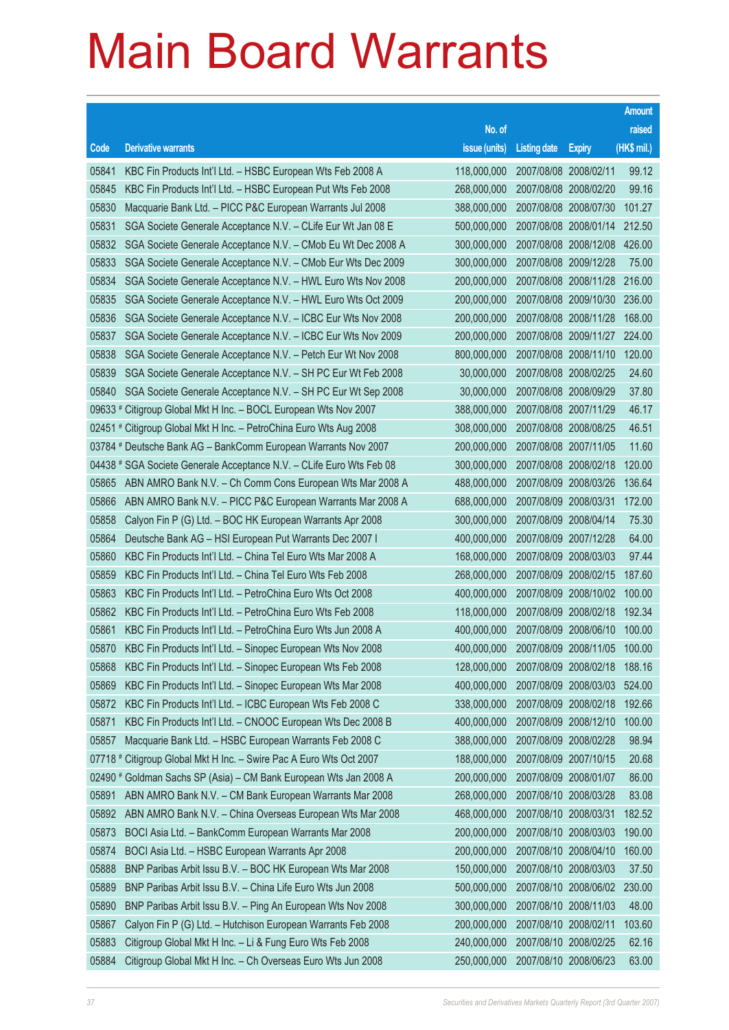|         |                                                                      |                                          |                       |                       | <b>Amount</b> |
|---------|----------------------------------------------------------------------|------------------------------------------|-----------------------|-----------------------|---------------|
|         |                                                                      | No. of                                   |                       |                       | raised        |
| Code    | <b>Derivative warrants</b>                                           | issue (units)                            | <b>Listing date</b>   | <b>Expiry</b>         | (HK\$ mil.)   |
| 05841   | KBC Fin Products Int'l Ltd. - HSBC European Wts Feb 2008 A           | 118,000,000                              |                       | 2007/08/08 2008/02/11 | 99.12         |
| 05845   | KBC Fin Products Int'l Ltd. - HSBC European Put Wts Feb 2008         | 268,000,000                              |                       | 2007/08/08 2008/02/20 | 99.16         |
| 05830   | Macquarie Bank Ltd. - PICC P&C European Warrants Jul 2008            | 388,000,000                              |                       | 2007/08/08 2008/07/30 | 101.27        |
| 05831   | SGA Societe Generale Acceptance N.V. - CLife Eur Wt Jan 08 E         | 500.000.000                              | 2007/08/08 2008/01/14 |                       | 212.50        |
| 05832   | SGA Societe Generale Acceptance N.V. - CMob Eu Wt Dec 2008 A         | 300,000,000                              |                       | 2007/08/08 2008/12/08 | 426.00        |
| 05833   | SGA Societe Generale Acceptance N.V. - CMob Eur Wts Dec 2009         | 300,000,000                              |                       | 2007/08/08 2009/12/28 | 75.00         |
| 05834   | SGA Societe Generale Acceptance N.V. - HWL Euro Wts Nov 2008         | 200,000,000                              |                       | 2007/08/08 2008/11/28 | 216.00        |
| 05835   | SGA Societe Generale Acceptance N.V. - HWL Euro Wts Oct 2009         | 200,000,000                              | 2007/08/08 2009/10/30 |                       | 236,00        |
| 05836   | SGA Societe Generale Acceptance N.V. - ICBC Eur Wts Nov 2008         | 200,000,000                              |                       | 2007/08/08 2008/11/28 | 168.00        |
| 05837   | SGA Societe Generale Acceptance N.V. - ICBC Eur Wts Nov 2009         | 200,000,000                              |                       | 2007/08/08 2009/11/27 | 224.00        |
| 05838   | SGA Societe Generale Acceptance N.V. - Petch Eur Wt Nov 2008         | 800,000,000                              |                       | 2007/08/08 2008/11/10 | 120.00        |
| 05839   | SGA Societe Generale Acceptance N.V. - SH PC Eur Wt Feb 2008         | 30,000,000                               | 2007/08/08 2008/02/25 |                       | 24.60         |
| 05840   | SGA Societe Generale Acceptance N.V. - SH PC Eur Wt Sep 2008         | 30,000,000                               |                       | 2007/08/08 2008/09/29 | 37.80         |
|         | 09633 # Citigroup Global Mkt H Inc. - BOCL European Wts Nov 2007     | 388,000,000                              |                       | 2007/08/08 2007/11/29 | 46.17         |
|         | 02451 # Citigroup Global Mkt H Inc. - PetroChina Euro Wts Aug 2008   | 308,000,000                              |                       | 2007/08/08 2008/08/25 | 46.51         |
|         | 03784 # Deutsche Bank AG - BankComm European Warrants Nov 2007       | 200,000,000                              | 2007/08/08 2007/11/05 |                       | 11.60         |
|         | 04438 # SGA Societe Generale Acceptance N.V. - CLife Euro Wts Feb 08 | 300,000,000                              |                       | 2007/08/08 2008/02/18 | 120.00        |
| 05865   | ABN AMRO Bank N.V. - Ch Comm Cons European Wts Mar 2008 A            | 488,000,000                              |                       | 2007/08/09 2008/03/26 | 136.64        |
| 05866   | ABN AMRO Bank N.V. - PICC P&C European Warrants Mar 2008 A           | 688,000,000                              |                       | 2007/08/09 2008/03/31 | 172.00        |
| 05858   | Calyon Fin P (G) Ltd. - BOC HK European Warrants Apr 2008            | 300,000,000                              | 2007/08/09 2008/04/14 |                       | 75.30         |
| 05864   | Deutsche Bank AG - HSI European Put Warrants Dec 2007 I              | 400,000,000                              |                       | 2007/08/09 2007/12/28 | 64.00         |
| 05860   | KBC Fin Products Int'l Ltd. - China Tel Euro Wts Mar 2008 A          | 168,000,000                              |                       | 2007/08/09 2008/03/03 | 97.44         |
| 05859   | KBC Fin Products Int'l Ltd. - China Tel Euro Wts Feb 2008            | 268,000,000                              |                       | 2007/08/09 2008/02/15 | 187.60        |
| 05863   | KBC Fin Products Int'l Ltd. - PetroChina Euro Wts Oct 2008           | 400,000,000                              | 2007/08/09 2008/10/02 |                       | 100.00        |
| 05862   | KBC Fin Products Int'l Ltd. - PetroChina Euro Wts Feb 2008           | 118,000,000                              |                       | 2007/08/09 2008/02/18 | 192.34        |
| 05861   | KBC Fin Products Int'l Ltd. - PetroChina Euro Wts Jun 2008 A         | 400,000,000                              |                       | 2007/08/09 2008/06/10 | 100.00        |
|         | 05870 KBC Fin Products Int'l Ltd. - Sinopec European Wts Nov 2008    | 400,000,000 2007/08/09 2008/11/05 100.00 |                       |                       |               |
| 05868   | KBC Fin Products Int'l Ltd. - Sinopec European Wts Feb 2008          | 128,000,000                              | 2007/08/09 2008/02/18 |                       | 188.16        |
| 05869   | KBC Fin Products Int'l Ltd. - Sinopec European Wts Mar 2008          | 400,000,000                              |                       | 2007/08/09 2008/03/03 | 524.00        |
| 05872   | KBC Fin Products Int'l Ltd. - ICBC European Wts Feb 2008 C           | 338,000,000                              |                       | 2007/08/09 2008/02/18 | 192.66        |
| 05871   | KBC Fin Products Int'l Ltd. - CNOOC European Wts Dec 2008 B          | 400,000,000                              |                       | 2007/08/09 2008/12/10 | 100.00        |
| 05857   | Macquarie Bank Ltd. - HSBC European Warrants Feb 2008 C              | 388,000,000                              |                       | 2007/08/09 2008/02/28 | 98.94         |
| 07718 # | Citigroup Global Mkt H Inc. - Swire Pac A Euro Wts Oct 2007          | 188,000,000                              |                       | 2007/08/09 2007/10/15 | 20.68         |
|         | 02490 # Goldman Sachs SP (Asia) – CM Bank European Wts Jan 2008 A    | 200,000,000                              |                       | 2007/08/09 2008/01/07 | 86.00         |
| 05891   | ABN AMRO Bank N.V. - CM Bank European Warrants Mar 2008              | 268,000,000                              |                       | 2007/08/10 2008/03/28 | 83.08         |
| 05892   | ABN AMRO Bank N.V. - China Overseas European Wts Mar 2008            | 468,000,000                              | 2007/08/10 2008/03/31 |                       | 182.52        |
| 05873   | BOCI Asia Ltd. - BankComm European Warrants Mar 2008                 | 200,000,000                              |                       | 2007/08/10 2008/03/03 | 190.00        |
| 05874   | BOCI Asia Ltd. - HSBC European Warrants Apr 2008                     | 200,000,000                              |                       | 2007/08/10 2008/04/10 | 160.00        |
| 05888   | BNP Paribas Arbit Issu B.V. - BOC HK European Wts Mar 2008           | 150,000,000                              |                       | 2007/08/10 2008/03/03 | 37.50         |
| 05889   | BNP Paribas Arbit Issu B.V. - China Life Euro Wts Jun 2008           | 500,000,000                              |                       | 2007/08/10 2008/06/02 | 230.00        |
| 05890   | BNP Paribas Arbit Issu B.V. - Ping An European Wts Nov 2008          | 300,000,000                              |                       | 2007/08/10 2008/11/03 | 48.00         |
| 05867   | Calyon Fin P (G) Ltd. - Hutchison European Warrants Feb 2008         | 200,000,000                              |                       | 2007/08/10 2008/02/11 | 103.60        |
| 05883   | Citigroup Global Mkt H Inc. - Li & Fung Euro Wts Feb 2008            | 240,000,000                              |                       | 2007/08/10 2008/02/25 | 62.16         |
| 05884   | Citigroup Global Mkt H Inc. - Ch Overseas Euro Wts Jun 2008          | 250,000,000                              |                       | 2007/08/10 2008/06/23 | 63.00         |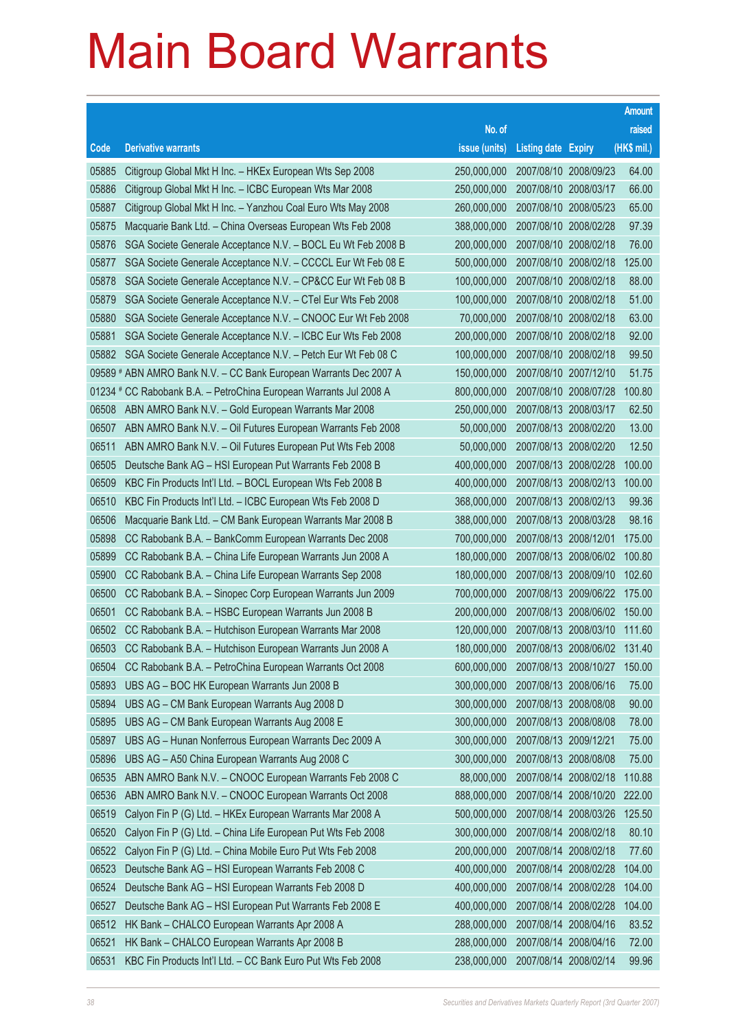|           |                                                                   |               |                            |                              | <b>Amount</b> |
|-----------|-------------------------------------------------------------------|---------------|----------------------------|------------------------------|---------------|
|           |                                                                   | No. of        |                            |                              | raised        |
| Code      | <b>Derivative warrants</b>                                        | issue (units) | <b>Listing date Expiry</b> |                              | $(HK$$ mil.)  |
| 05885     | Citigroup Global Mkt H Inc. - HKEx European Wts Sep 2008          | 250,000,000   | 2007/08/10 2008/09/23      |                              | 64.00         |
| 05886     | Citigroup Global Mkt H Inc. - ICBC European Wts Mar 2008          | 250,000,000   | 2007/08/10 2008/03/17      |                              | 66.00         |
| 05887     | Citigroup Global Mkt H Inc. - Yanzhou Coal Euro Wts May 2008      | 260,000,000   | 2007/08/10 2008/05/23      |                              | 65.00         |
| 05875     | Macquarie Bank Ltd. - China Overseas European Wts Feb 2008        | 388,000,000   | 2007/08/10 2008/02/28      |                              | 97.39         |
| 05876     | SGA Societe Generale Acceptance N.V. - BOCL Eu Wt Feb 2008 B      | 200,000,000   | 2007/08/10 2008/02/18      |                              | 76.00         |
| 05877     | SGA Societe Generale Acceptance N.V. - CCCCL Eur Wt Feb 08 E      | 500,000,000   | 2007/08/10 2008/02/18      |                              | 125.00        |
| 05878     | SGA Societe Generale Acceptance N.V. - CP&CC Eur Wt Feb 08 B      | 100,000,000   | 2007/08/10 2008/02/18      |                              | 88.00         |
| 05879     | SGA Societe Generale Acceptance N.V. - CTel Eur Wts Feb 2008      | 100,000,000   | 2007/08/10 2008/02/18      |                              | 51.00         |
| 05880     | SGA Societe Generale Acceptance N.V. - CNOOC Eur Wt Feb 2008      | 70,000,000    | 2007/08/10 2008/02/18      |                              | 63.00         |
| 05881     | SGA Societe Generale Acceptance N.V. - ICBC Eur Wts Feb 2008      | 200,000,000   | 2007/08/10 2008/02/18      |                              | 92.00         |
| 05882     | SGA Societe Generale Acceptance N.V. - Petch Eur Wt Feb 08 C      | 100,000,000   | 2007/08/10 2008/02/18      |                              | 99.50         |
|           | 09589 # ABN AMRO Bank N.V. - CC Bank European Warrants Dec 2007 A | 150,000,000   | 2007/08/10 2007/12/10      |                              | 51.75         |
| $01234$ # | CC Rabobank B.A. - PetroChina European Warrants Jul 2008 A        | 800,000,000   |                            | 2007/08/10 2008/07/28        | 100.80        |
| 06508     | ABN AMRO Bank N.V. - Gold European Warrants Mar 2008              | 250,000,000   | 2007/08/13 2008/03/17      |                              | 62.50         |
| 06507     | ABN AMRO Bank N.V. - Oil Futures European Warrants Feb 2008       | 50,000,000    | 2007/08/13 2008/02/20      |                              | 13.00         |
| 06511     | ABN AMRO Bank N.V. - Oil Futures European Put Wts Feb 2008        | 50,000,000    | 2007/08/13 2008/02/20      |                              | 12.50         |
| 06505     | Deutsche Bank AG - HSI European Put Warrants Feb 2008 B           | 400,000,000   |                            | 2007/08/13 2008/02/28        | 100.00        |
| 06509     | KBC Fin Products Int'l Ltd. - BOCL European Wts Feb 2008 B        | 400,000,000   | 2007/08/13 2008/02/13      |                              | 100.00        |
| 06510     | KBC Fin Products Int'l Ltd. - ICBC European Wts Feb 2008 D        | 368,000,000   | 2007/08/13 2008/02/13      |                              | 99.36         |
| 06506     | Macquarie Bank Ltd. - CM Bank European Warrants Mar 2008 B        | 388,000,000   | 2007/08/13 2008/03/28      |                              | 98.16         |
| 05898     | CC Rabobank B.A. - BankComm European Warrants Dec 2008            | 700,000,000   | 2007/08/13 2008/12/01      |                              | 175.00        |
| 05899     | CC Rabobank B.A. - China Life European Warrants Jun 2008 A        | 180,000,000   | 2007/08/13 2008/06/02      |                              | 100.80        |
| 05900     | CC Rabobank B.A. - China Life European Warrants Sep 2008          | 180,000,000   | 2007/08/13 2008/09/10      |                              | 102.60        |
| 06500     | CC Rabobank B.A. - Sinopec Corp European Warrants Jun 2009        | 700,000,000   | 2007/08/13 2009/06/22      |                              | 175.00        |
| 06501     | CC Rabobank B.A. - HSBC European Warrants Jun 2008 B              | 200,000,000   |                            | 2007/08/13 2008/06/02        | 150.00        |
| 06502     | CC Rabobank B.A. - Hutchison European Warrants Mar 2008           | 120,000,000   | 2007/08/13 2008/03/10      |                              | 111.60        |
|           | 06503 CC Rabobank B.A. - Hutchison European Warrants Jun 2008 A   | 180,000,000   |                            | 2007/08/13 2008/06/02 131.40 |               |
| 06504     | CC Rabobank B.A. - PetroChina European Warrants Oct 2008          | 600,000,000   |                            | 2007/08/13 2008/10/27        | 150.00        |
| 05893     | UBS AG - BOC HK European Warrants Jun 2008 B                      | 300,000,000   | 2007/08/13 2008/06/16      |                              | 75.00         |
| 05894     | UBS AG - CM Bank European Warrants Aug 2008 D                     | 300,000,000   | 2007/08/13 2008/08/08      |                              | 90.00         |
| 05895     | UBS AG - CM Bank European Warrants Aug 2008 E                     | 300,000,000   | 2007/08/13 2008/08/08      |                              | 78.00         |
| 05897     | UBS AG - Hunan Nonferrous European Warrants Dec 2009 A            | 300,000,000   | 2007/08/13 2009/12/21      |                              | 75.00         |
| 05896     | UBS AG - A50 China European Warrants Aug 2008 C                   | 300,000,000   | 2007/08/13 2008/08/08      |                              | 75.00         |
| 06535     | ABN AMRO Bank N.V. - CNOOC European Warrants Feb 2008 C           | 88,000,000    | 2007/08/14 2008/02/18      |                              | 110.88        |
| 06536     | ABN AMRO Bank N.V. - CNOOC European Warrants Oct 2008             | 888,000,000   |                            | 2007/08/14 2008/10/20        | 222.00        |
| 06519     | Calyon Fin P (G) Ltd. - HKEx European Warrants Mar 2008 A         | 500,000,000   |                            | 2007/08/14 2008/03/26        | 125.50        |
| 06520     | Calyon Fin P (G) Ltd. - China Life European Put Wts Feb 2008      | 300,000,000   | 2007/08/14 2008/02/18      |                              | 80.10         |
| 06522     | Calyon Fin P (G) Ltd. - China Mobile Euro Put Wts Feb 2008        | 200,000,000   | 2007/08/14 2008/02/18      |                              | 77.60         |
| 06523     | Deutsche Bank AG - HSI European Warrants Feb 2008 C               | 400,000,000   | 2007/08/14 2008/02/28      |                              | 104.00        |
| 06524     | Deutsche Bank AG - HSI European Warrants Feb 2008 D               | 400,000,000   | 2007/08/14 2008/02/28      |                              | 104.00        |
| 06527     | Deutsche Bank AG - HSI European Put Warrants Feb 2008 E           | 400,000,000   | 2007/08/14 2008/02/28      |                              | 104.00        |
| 06512     | HK Bank - CHALCO European Warrants Apr 2008 A                     | 288,000,000   | 2007/08/14 2008/04/16      |                              | 83.52         |
| 06521     | HK Bank - CHALCO European Warrants Apr 2008 B                     | 288,000,000   | 2007/08/14 2008/04/16      |                              | 72.00         |
| 06531     | KBC Fin Products Int'l Ltd. - CC Bank Euro Put Wts Feb 2008       | 238,000,000   | 2007/08/14 2008/02/14      |                              | 99.96         |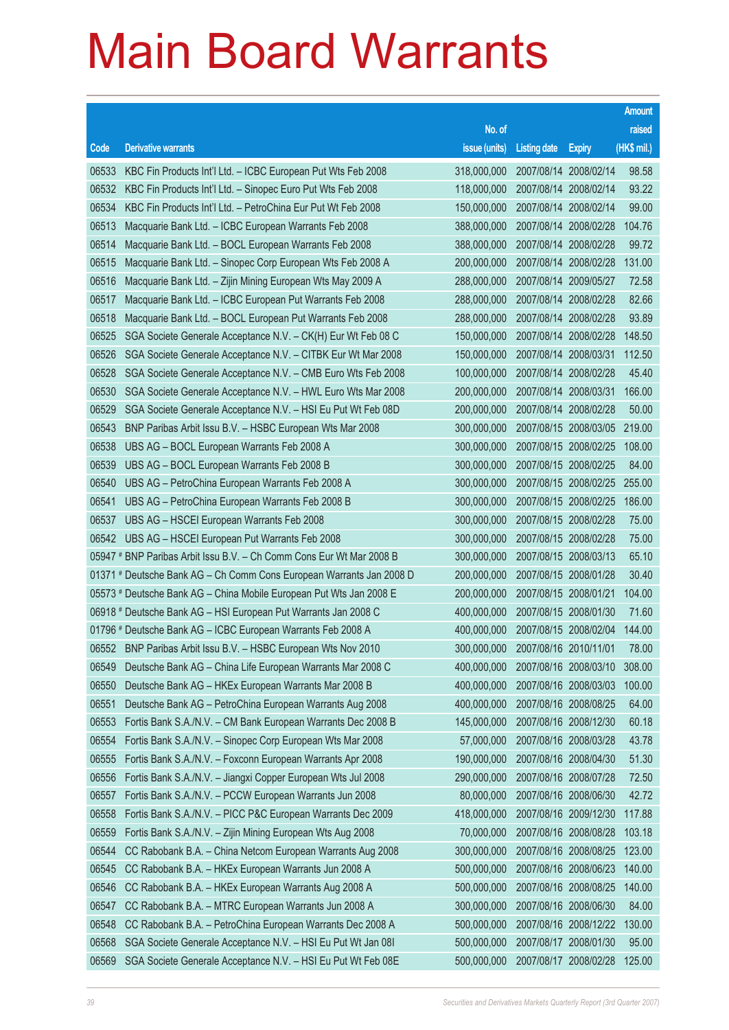|       |                                                                      |                                   |                       |                       | <b>Amount</b> |
|-------|----------------------------------------------------------------------|-----------------------------------|-----------------------|-----------------------|---------------|
|       |                                                                      | No. of                            |                       |                       | raised        |
| Code  | <b>Derivative warrants</b>                                           | issue (units)                     | <b>Listing date</b>   | <b>Expiry</b>         | (HK\$ mil.)   |
| 06533 | KBC Fin Products Int'l Ltd. - ICBC European Put Wts Feb 2008         | 318,000,000                       | 2007/08/14 2008/02/14 |                       | 98.58         |
| 06532 | KBC Fin Products Int'l Ltd. - Sinopec Euro Put Wts Feb 2008          | 118,000,000                       | 2007/08/14 2008/02/14 |                       | 93.22         |
| 06534 | KBC Fin Products Int'l Ltd. - PetroChina Eur Put Wt Feb 2008         | 150,000,000                       | 2007/08/14 2008/02/14 |                       | 99.00         |
| 06513 | Macquarie Bank Ltd. - ICBC European Warrants Feb 2008                | 388,000,000                       | 2007/08/14 2008/02/28 |                       | 104.76        |
| 06514 | Macquarie Bank Ltd. - BOCL European Warrants Feb 2008                | 388,000,000                       | 2007/08/14 2008/02/28 |                       | 99.72         |
| 06515 | Macquarie Bank Ltd. - Sinopec Corp European Wts Feb 2008 A           | 200,000,000                       | 2007/08/14 2008/02/28 |                       | 131.00        |
| 06516 | Macquarie Bank Ltd. - Zijin Mining European Wts May 2009 A           | 288,000,000                       | 2007/08/14 2009/05/27 |                       | 72.58         |
| 06517 | Macquarie Bank Ltd. - ICBC European Put Warrants Feb 2008            | 288,000,000                       | 2007/08/14 2008/02/28 |                       | 82.66         |
| 06518 | Macquarie Bank Ltd. - BOCL European Put Warrants Feb 2008            | 288,000,000                       | 2007/08/14 2008/02/28 |                       | 93.89         |
| 06525 | SGA Societe Generale Acceptance N.V. - CK(H) Eur Wt Feb 08 C         | 150,000,000                       | 2007/08/14 2008/02/28 |                       | 148.50        |
| 06526 | SGA Societe Generale Acceptance N.V. - CITBK Eur Wt Mar 2008         | 150,000,000                       | 2007/08/14 2008/03/31 |                       | 112.50        |
| 06528 | SGA Societe Generale Acceptance N.V. - CMB Euro Wts Feb 2008         | 100,000,000                       | 2007/08/14 2008/02/28 |                       | 45.40         |
| 06530 | SGA Societe Generale Acceptance N.V. - HWL Euro Wts Mar 2008         | 200,000,000                       | 2007/08/14 2008/03/31 |                       | 166.00        |
| 06529 | SGA Societe Generale Acceptance N.V. - HSI Eu Put Wt Feb 08D         | 200,000,000                       | 2007/08/14 2008/02/28 |                       | 50.00         |
| 06543 | BNP Paribas Arbit Issu B.V. - HSBC European Wts Mar 2008             | 300,000,000                       | 2007/08/15 2008/03/05 |                       | 219.00        |
| 06538 | UBS AG - BOCL European Warrants Feb 2008 A                           | 300,000,000                       | 2007/08/15 2008/02/25 |                       | 108.00        |
| 06539 | UBS AG - BOCL European Warrants Feb 2008 B                           | 300,000,000                       | 2007/08/15 2008/02/25 |                       | 84.00         |
| 06540 | UBS AG - PetroChina European Warrants Feb 2008 A                     | 300,000,000                       | 2007/08/15 2008/02/25 |                       | 255.00        |
| 06541 | UBS AG - PetroChina European Warrants Feb 2008 B                     | 300,000,000                       | 2007/08/15 2008/02/25 |                       | 186.00        |
| 06537 | UBS AG - HSCEI European Warrants Feb 2008                            | 300,000,000                       | 2007/08/15 2008/02/28 |                       | 75.00         |
| 06542 | UBS AG - HSCEI European Put Warrants Feb 2008                        | 300,000,000                       | 2007/08/15 2008/02/28 |                       | 75.00         |
|       | 05947 # BNP Paribas Arbit Issu B.V. – Ch Comm Cons Eur Wt Mar 2008 B | 300,000,000                       | 2007/08/15 2008/03/13 |                       | 65.10         |
|       | 01371 # Deutsche Bank AG - Ch Comm Cons European Warrants Jan 2008 D | 200,000,000                       | 2007/08/15 2008/01/28 |                       | 30.40         |
|       | 05573 # Deutsche Bank AG - China Mobile European Put Wts Jan 2008 E  | 200,000,000                       | 2007/08/15 2008/01/21 |                       | 104.00        |
|       | 06918 # Deutsche Bank AG - HSI European Put Warrants Jan 2008 C      | 400,000,000                       | 2007/08/15 2008/01/30 |                       | 71.60         |
|       | 01796 # Deutsche Bank AG - ICBC European Warrants Feb 2008 A         | 400,000,000                       | 2007/08/15 2008/02/04 |                       | 144.00        |
|       | 06552 BNP Paribas Arbit Issu B.V. - HSBC European Wts Nov 2010       | 300,000,000 2007/08/16 2010/11/01 |                       |                       | 78.00         |
| 06549 | Deutsche Bank AG - China Life European Warrants Mar 2008 C           | 400,000,000                       | 2007/08/16 2008/03/10 |                       | 308.00        |
| 06550 | Deutsche Bank AG - HKEx European Warrants Mar 2008 B                 | 400,000,000                       | 2007/08/16 2008/03/03 |                       | 100.00        |
| 06551 | Deutsche Bank AG - PetroChina European Warrants Aug 2008             | 400,000,000                       | 2007/08/16 2008/08/25 |                       | 64.00         |
| 06553 | Fortis Bank S.A./N.V. - CM Bank European Warrants Dec 2008 B         | 145,000,000                       | 2007/08/16 2008/12/30 |                       | 60.18         |
| 06554 | Fortis Bank S.A./N.V. - Sinopec Corp European Wts Mar 2008           | 57,000,000                        | 2007/08/16 2008/03/28 |                       | 43.78         |
| 06555 | Fortis Bank S.A./N.V. - Foxconn European Warrants Apr 2008           | 190,000,000                       | 2007/08/16 2008/04/30 |                       | 51.30         |
| 06556 | Fortis Bank S.A./N.V. - Jiangxi Copper European Wts Jul 2008         | 290,000,000                       | 2007/08/16 2008/07/28 |                       | 72.50         |
| 06557 | Fortis Bank S.A./N.V. - PCCW European Warrants Jun 2008              | 80,000,000                        | 2007/08/16 2008/06/30 |                       | 42.72         |
| 06558 | Fortis Bank S.A./N.V. - PICC P&C European Warrants Dec 2009          | 418,000,000                       | 2007/08/16 2009/12/30 |                       | 117.88        |
| 06559 | Fortis Bank S.A./N.V. - Zijin Mining European Wts Aug 2008           | 70,000,000                        |                       | 2007/08/16 2008/08/28 | 103.18        |
| 06544 | CC Rabobank B.A. - China Netcom European Warrants Aug 2008           | 300,000,000                       | 2007/08/16 2008/08/25 |                       | 123.00        |
| 06545 | CC Rabobank B.A. - HKEx European Warrants Jun 2008 A                 | 500,000,000                       | 2007/08/16 2008/06/23 |                       | 140.00        |
| 06546 | CC Rabobank B.A. - HKEx European Warrants Aug 2008 A                 | 500,000,000                       | 2007/08/16 2008/08/25 |                       | 140.00        |
| 06547 | CC Rabobank B.A. - MTRC European Warrants Jun 2008 A                 | 300,000,000                       | 2007/08/16 2008/06/30 |                       | 84.00         |
| 06548 | CC Rabobank B.A. - PetroChina European Warrants Dec 2008 A           | 500,000,000                       | 2007/08/16 2008/12/22 |                       | 130.00        |
| 06568 | SGA Societe Generale Acceptance N.V. - HSI Eu Put Wt Jan 081         | 500,000,000                       | 2007/08/17 2008/01/30 |                       | 95.00         |
| 06569 | SGA Societe Generale Acceptance N.V. - HSI Eu Put Wt Feb 08E         | 500,000,000                       | 2007/08/17 2008/02/28 |                       | 125.00        |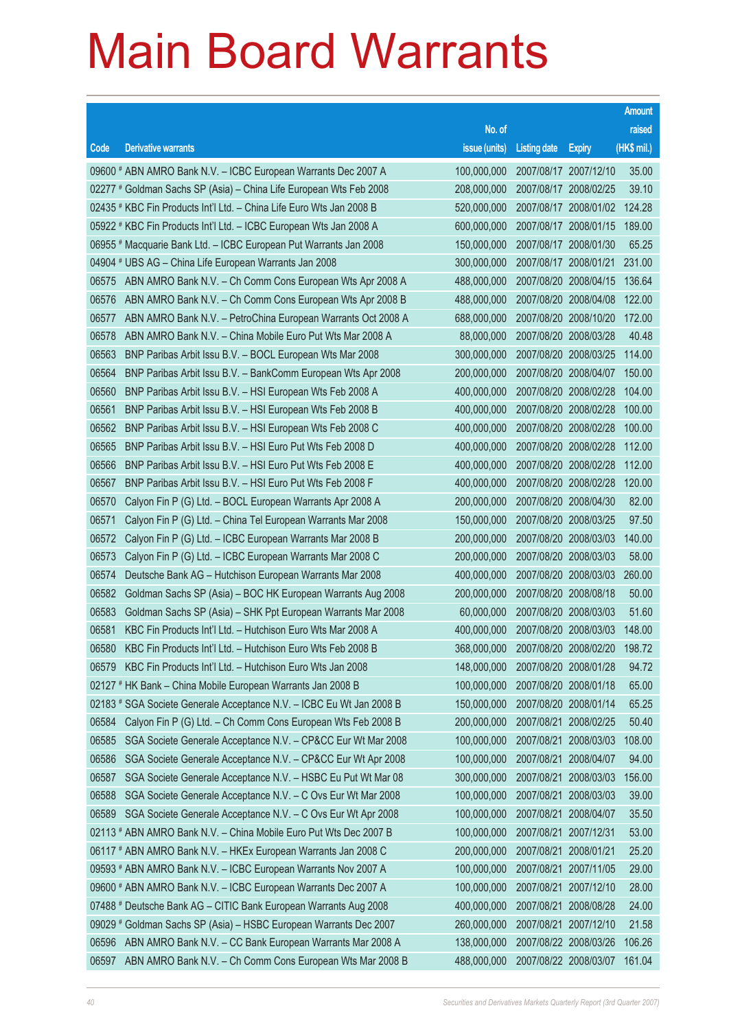|       |                                                                      |                                   |                       |                       | <b>Amount</b> |
|-------|----------------------------------------------------------------------|-----------------------------------|-----------------------|-----------------------|---------------|
|       |                                                                      | No. of                            |                       |                       | raised        |
| Code  | <b>Derivative warrants</b>                                           | issue (units)                     | <b>Listing date</b>   | <b>Expiry</b>         | (HK\$ mil.)   |
|       | 09600 # ABN AMRO Bank N.V. - ICBC European Warrants Dec 2007 A       | 100,000,000                       |                       | 2007/08/17 2007/12/10 | 35.00         |
|       | 02277 # Goldman Sachs SP (Asia) - China Life European Wts Feb 2008   | 208,000,000                       |                       | 2007/08/17 2008/02/25 | 39.10         |
|       | 02435 # KBC Fin Products Int'l Ltd. - China Life Euro Wts Jan 2008 B | 520,000,000                       |                       | 2007/08/17 2008/01/02 | 124.28        |
|       | 05922 # KBC Fin Products Int'l Ltd. - ICBC European Wts Jan 2008 A   | 600,000,000                       |                       | 2007/08/17 2008/01/15 | 189.00        |
|       | 06955 # Macquarie Bank Ltd. - ICBC European Put Warrants Jan 2008    | 150,000,000                       |                       | 2007/08/17 2008/01/30 | 65.25         |
|       | 04904 # UBS AG - China Life European Warrants Jan 2008               | 300,000,000                       | 2007/08/17 2008/01/21 |                       | 231.00        |
| 06575 | ABN AMRO Bank N.V. - Ch Comm Cons European Wts Apr 2008 A            | 488,000,000                       |                       | 2007/08/20 2008/04/15 | 136.64        |
| 06576 | ABN AMRO Bank N.V. - Ch Comm Cons European Wts Apr 2008 B            | 488,000,000                       |                       | 2007/08/20 2008/04/08 | 122.00        |
| 06577 | ABN AMRO Bank N.V. - PetroChina European Warrants Oct 2008 A         | 688,000,000                       |                       | 2007/08/20 2008/10/20 | 172.00        |
| 06578 | ABN AMRO Bank N.V. - China Mobile Euro Put Wts Mar 2008 A            | 88,000,000                        |                       | 2007/08/20 2008/03/28 | 40.48         |
| 06563 | BNP Paribas Arbit Issu B.V. - BOCL European Wts Mar 2008             | 300,000,000                       |                       | 2007/08/20 2008/03/25 | 114.00        |
| 06564 | BNP Paribas Arbit Issu B.V. - BankComm European Wts Apr 2008         | 200,000,000                       |                       | 2007/08/20 2008/04/07 | 150,00        |
| 06560 | BNP Paribas Arbit Issu B.V. - HSI European Wts Feb 2008 A            | 400,000,000                       |                       | 2007/08/20 2008/02/28 | 104.00        |
| 06561 | BNP Paribas Arbit Issu B.V. - HSI European Wts Feb 2008 B            | 400,000,000                       |                       | 2007/08/20 2008/02/28 | 100.00        |
| 06562 | BNP Paribas Arbit Issu B.V. - HSI European Wts Feb 2008 C            | 400,000,000                       |                       | 2007/08/20 2008/02/28 | 100.00        |
| 06565 | BNP Paribas Arbit Issu B.V. - HSI Euro Put Wts Feb 2008 D            | 400,000,000                       | 2007/08/20 2008/02/28 |                       | 112.00        |
| 06566 | BNP Paribas Arbit Issu B.V. - HSI Euro Put Wts Feb 2008 E            | 400,000,000                       |                       | 2007/08/20 2008/02/28 | 112.00        |
| 06567 | BNP Paribas Arbit Issu B.V. - HSI Euro Put Wts Feb 2008 F            | 400,000,000                       |                       | 2007/08/20 2008/02/28 | 120.00        |
| 06570 | Calyon Fin P (G) Ltd. - BOCL European Warrants Apr 2008 A            | 200,000,000                       | 2007/08/20 2008/04/30 |                       | 82.00         |
| 06571 | Calyon Fin P (G) Ltd. - China Tel European Warrants Mar 2008         | 150,000,000                       |                       | 2007/08/20 2008/03/25 | 97.50         |
| 06572 | Calyon Fin P (G) Ltd. - ICBC European Warrants Mar 2008 B            | 200,000,000                       |                       | 2007/08/20 2008/03/03 | 140.00        |
| 06573 | Calyon Fin P (G) Ltd. - ICBC European Warrants Mar 2008 C            | 200,000,000                       |                       | 2007/08/20 2008/03/03 | 58.00         |
| 06574 | Deutsche Bank AG - Hutchison European Warrants Mar 2008              | 400,000,000                       |                       | 2007/08/20 2008/03/03 | 260.00        |
| 06582 | Goldman Sachs SP (Asia) - BOC HK European Warrants Aug 2008          | 200,000,000                       | 2007/08/20 2008/08/18 |                       | 50.00         |
| 06583 | Goldman Sachs SP (Asia) - SHK Ppt European Warrants Mar 2008         | 60,000,000                        |                       | 2007/08/20 2008/03/03 | 51.60         |
| 06581 | KBC Fin Products Int'l Ltd. - Hutchison Euro Wts Mar 2008 A          | 400,000,000                       |                       | 2007/08/20 2008/03/03 | 148.00        |
| 06580 | KBC Fin Products Int'l Ltd. - Hutchison Euro Wts Feb 2008 B          | 368,000,000 2007/08/20 2008/02/20 |                       |                       | 198.72        |
| 06579 | KBC Fin Products Int'l Ltd. - Hutchison Euro Wts Jan 2008            | 148,000,000                       | 2007/08/20 2008/01/28 |                       | 94.72         |
|       | 02127 # HK Bank - China Mobile European Warrants Jan 2008 B          | 100,000,000                       |                       | 2007/08/20 2008/01/18 | 65.00         |
|       | 02183 # SGA Societe Generale Acceptance N.V. - ICBC Eu Wt Jan 2008 B | 150,000,000                       | 2007/08/20 2008/01/14 |                       | 65.25         |
| 06584 | Calyon Fin P (G) Ltd. - Ch Comm Cons European Wts Feb 2008 B         | 200,000,000                       |                       | 2007/08/21 2008/02/25 | 50.40         |
| 06585 | SGA Societe Generale Acceptance N.V. - CP&CC Eur Wt Mar 2008         | 100,000,000                       |                       | 2007/08/21 2008/03/03 | 108.00        |
| 06586 | SGA Societe Generale Acceptance N.V. - CP&CC Eur Wt Apr 2008         | 100,000,000                       | 2007/08/21 2008/04/07 |                       | 94.00         |
| 06587 | SGA Societe Generale Acceptance N.V. - HSBC Eu Put Wt Mar 08         | 300,000,000                       |                       | 2007/08/21 2008/03/03 | 156.00        |
| 06588 | SGA Societe Generale Acceptance N.V. - C Ovs Eur Wt Mar 2008         | 100,000,000                       |                       | 2007/08/21 2008/03/03 | 39.00         |
| 06589 | SGA Societe Generale Acceptance N.V. - C Ovs Eur Wt Apr 2008         | 100,000,000                       | 2007/08/21 2008/04/07 |                       | 35.50         |
|       | 02113 # ABN AMRO Bank N.V. - China Mobile Euro Put Wts Dec 2007 B    | 100,000,000                       | 2007/08/21 2007/12/31 |                       | 53.00         |
|       | 06117 # ABN AMRO Bank N.V. - HKEx European Warrants Jan 2008 C       | 200,000,000                       | 2007/08/21 2008/01/21 |                       | 25.20         |
|       | 09593 # ABN AMRO Bank N.V. - ICBC European Warrants Nov 2007 A       | 100,000,000                       |                       | 2007/08/21 2007/11/05 | 29.00         |
|       | 09600 # ABN AMRO Bank N.V. - ICBC European Warrants Dec 2007 A       | 100,000,000                       |                       | 2007/08/21 2007/12/10 | 28.00         |
|       | 07488 # Deutsche Bank AG - CITIC Bank European Warrants Aug 2008     | 400,000,000                       |                       | 2007/08/21 2008/08/28 | 24.00         |
|       | 09029 # Goldman Sachs SP (Asia) - HSBC European Warrants Dec 2007    | 260,000,000                       | 2007/08/21 2007/12/10 |                       | 21.58         |
| 06596 | ABN AMRO Bank N.V. - CC Bank European Warrants Mar 2008 A            | 138,000,000                       |                       | 2007/08/22 2008/03/26 | 106.26        |
| 06597 | ABN AMRO Bank N.V. - Ch Comm Cons European Wts Mar 2008 B            | 488,000,000                       | 2007/08/22 2008/03/07 |                       | 161.04        |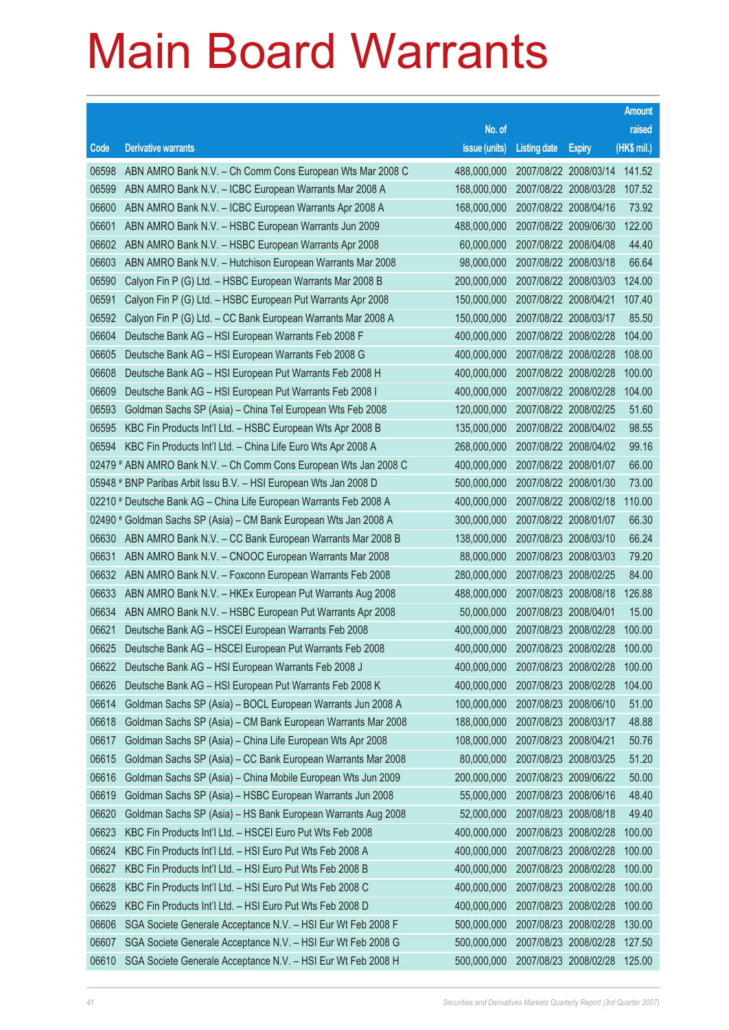|       |                                                                    |                                   |                       |                       | <b>Amount</b> |
|-------|--------------------------------------------------------------------|-----------------------------------|-----------------------|-----------------------|---------------|
|       |                                                                    | No. of                            |                       |                       | raised        |
| Code  | <b>Derivative warrants</b>                                         | issue (units)                     | <b>Listing date</b>   | <b>Expiry</b>         | $(HK$$ mil.)  |
| 06598 | ABN AMRO Bank N.V. - Ch Comm Cons European Wts Mar 2008 C          | 488,000,000                       | 2007/08/22 2008/03/14 |                       | 141.52        |
| 06599 | ABN AMRO Bank N.V. - ICBC European Warrants Mar 2008 A             | 168,000,000                       | 2007/08/22 2008/03/28 |                       | 107.52        |
| 06600 | ABN AMRO Bank N.V. - ICBC European Warrants Apr 2008 A             | 168,000,000                       | 2007/08/22 2008/04/16 |                       | 73.92         |
| 06601 | ABN AMRO Bank N.V. - HSBC European Warrants Jun 2009               | 488,000,000                       | 2007/08/22 2009/06/30 |                       | 122.00        |
| 06602 | ABN AMRO Bank N.V. - HSBC European Warrants Apr 2008               | 60,000,000                        | 2007/08/22 2008/04/08 |                       | 44.40         |
| 06603 | ABN AMRO Bank N.V. - Hutchison European Warrants Mar 2008          | 98,000,000                        | 2007/08/22 2008/03/18 |                       | 66.64         |
| 06590 | Calyon Fin P (G) Ltd. - HSBC European Warrants Mar 2008 B          | 200,000,000                       | 2007/08/22 2008/03/03 |                       | 124.00        |
| 06591 | Calyon Fin P (G) Ltd. - HSBC European Put Warrants Apr 2008        | 150,000,000                       | 2007/08/22 2008/04/21 |                       | 107.40        |
| 06592 | Calyon Fin P (G) Ltd. - CC Bank European Warrants Mar 2008 A       | 150,000,000                       | 2007/08/22 2008/03/17 |                       | 85.50         |
| 06604 | Deutsche Bank AG - HSI European Warrants Feb 2008 F                | 400,000,000                       | 2007/08/22 2008/02/28 |                       | 104.00        |
| 06605 | Deutsche Bank AG - HSI European Warrants Feb 2008 G                | 400.000.000                       | 2007/08/22 2008/02/28 |                       | 108.00        |
| 06608 | Deutsche Bank AG - HSI European Put Warrants Feb 2008 H            | 400,000,000                       | 2007/08/22 2008/02/28 |                       | 100.00        |
| 06609 | Deutsche Bank AG - HSI European Put Warrants Feb 2008 I            | 400,000,000                       |                       | 2007/08/22 2008/02/28 | 104.00        |
| 06593 | Goldman Sachs SP (Asia) - China Tel European Wts Feb 2008          | 120,000,000                       | 2007/08/22 2008/02/25 |                       | 51.60         |
| 06595 | KBC Fin Products Int'l Ltd. - HSBC European Wts Apr 2008 B         | 135,000,000                       | 2007/08/22 2008/04/02 |                       | 98.55         |
| 06594 | KBC Fin Products Int'l Ltd. - China Life Euro Wts Apr 2008 A       | 268,000,000                       | 2007/08/22 2008/04/02 |                       | 99.16         |
|       | 02479 # ABN AMRO Bank N.V. - Ch Comm Cons European Wts Jan 2008 C  | 400,000,000                       | 2007/08/22 2008/01/07 |                       | 66.00         |
|       | 05948 # BNP Paribas Arbit Issu B.V. - HSI European Wts Jan 2008 D  | 500,000,000                       | 2007/08/22 2008/01/30 |                       | 73.00         |
|       | 02210 # Deutsche Bank AG - China Life European Warrants Feb 2008 A | 400,000,000                       |                       | 2007/08/22 2008/02/18 | 110.00        |
|       | 02490 # Goldman Sachs SP (Asia) – CM Bank European Wts Jan 2008 A  | 300,000,000                       | 2007/08/22 2008/01/07 |                       | 66.30         |
| 06630 | ABN AMRO Bank N.V. - CC Bank European Warrants Mar 2008 B          | 138,000,000                       | 2007/08/23 2008/03/10 |                       | 66.24         |
| 06631 | ABN AMRO Bank N.V. - CNOOC European Warrants Mar 2008              | 88,000,000                        | 2007/08/23 2008/03/03 |                       | 79.20         |
| 06632 | ABN AMRO Bank N.V. - Foxconn European Warrants Feb 2008            | 280,000,000                       | 2007/08/23 2008/02/25 |                       | 84.00         |
| 06633 | ABN AMRO Bank N.V. - HKEx European Put Warrants Aug 2008           | 488,000,000                       | 2007/08/23 2008/08/18 |                       | 126.88        |
| 06634 | ABN AMRO Bank N.V. - HSBC European Put Warrants Apr 2008           | 50,000,000                        | 2007/08/23 2008/04/01 |                       | 15.00         |
| 06621 | Deutsche Bank AG - HSCEI European Warrants Feb 2008                | 400,000,000                       | 2007/08/23 2008/02/28 |                       | 100.00        |
|       | 06625 Deutsche Bank AG - HSCEI European Put Warrants Feb 2008      | 400,000,000 2007/08/23 2008/02/28 |                       |                       | 100.00        |
| 06622 | Deutsche Bank AG - HSI European Warrants Feb 2008 J                | 400,000,000                       | 2007/08/23 2008/02/28 |                       | 100.00        |
| 06626 | Deutsche Bank AG - HSI European Put Warrants Feb 2008 K            | 400,000,000                       | 2007/08/23 2008/02/28 |                       | 104.00        |
| 06614 | Goldman Sachs SP (Asia) - BOCL European Warrants Jun 2008 A        | 100,000,000                       | 2007/08/23 2008/06/10 |                       | 51.00         |
| 06618 | Goldman Sachs SP (Asia) – CM Bank European Warrants Mar 2008       | 188,000,000                       | 2007/08/23 2008/03/17 |                       | 48.88         |
| 06617 | Goldman Sachs SP (Asia) - China Life European Wts Apr 2008         | 108,000,000                       | 2007/08/23 2008/04/21 |                       | 50.76         |
| 06615 | Goldman Sachs SP (Asia) - CC Bank European Warrants Mar 2008       | 80,000,000                        | 2007/08/23 2008/03/25 |                       | 51.20         |
| 06616 | Goldman Sachs SP (Asia) – China Mobile European Wts Jun 2009       | 200,000,000                       | 2007/08/23 2009/06/22 |                       | 50.00         |
| 06619 | Goldman Sachs SP (Asia) – HSBC European Warrants Jun 2008          | 55,000,000                        | 2007/08/23 2008/06/16 |                       | 48.40         |
| 06620 | Goldman Sachs SP (Asia) - HS Bank European Warrants Aug 2008       | 52,000,000                        | 2007/08/23 2008/08/18 |                       | 49.40         |
| 06623 | KBC Fin Products Int'l Ltd. - HSCEI Euro Put Wts Feb 2008          | 400,000,000                       |                       | 2007/08/23 2008/02/28 | 100.00        |
| 06624 | KBC Fin Products Int'l Ltd. - HSI Euro Put Wts Feb 2008 A          | 400,000,000                       | 2007/08/23 2008/02/28 |                       | 100.00        |
| 06627 | KBC Fin Products Int'l Ltd. - HSI Euro Put Wts Feb 2008 B          | 400,000,000                       |                       | 2007/08/23 2008/02/28 | 100.00        |
| 06628 | KBC Fin Products Int'l Ltd. - HSI Euro Put Wts Feb 2008 C          | 400,000,000                       | 2007/08/23 2008/02/28 |                       | 100.00        |
| 06629 | KBC Fin Products Int'l Ltd. - HSI Euro Put Wts Feb 2008 D          | 400,000,000                       | 2007/08/23 2008/02/28 |                       | 100.00        |
| 06606 | SGA Societe Generale Acceptance N.V. - HSI Eur Wt Feb 2008 F       | 500,000,000                       | 2007/08/23 2008/02/28 |                       | 130.00        |
| 06607 | SGA Societe Generale Acceptance N.V. - HSI Eur Wt Feb 2008 G       | 500,000,000                       |                       | 2007/08/23 2008/02/28 | 127.50        |
| 06610 | SGA Societe Generale Acceptance N.V. - HSI Eur Wt Feb 2008 H       | 500,000,000                       | 2007/08/23 2008/02/28 |                       | 125.00        |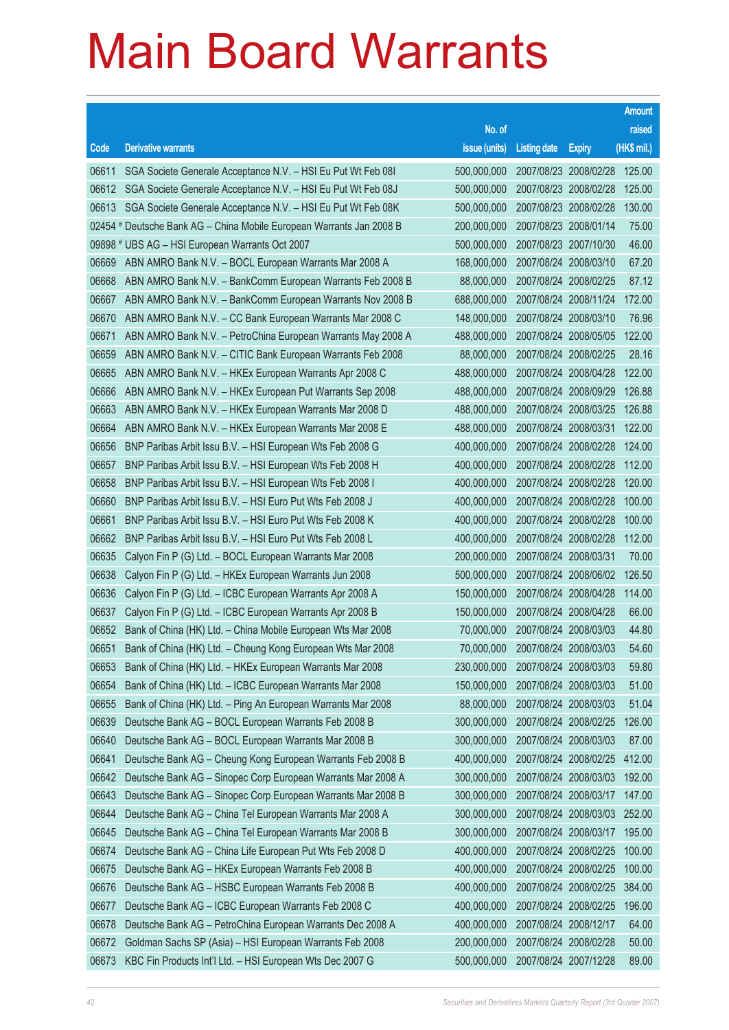|       |                                                                      |               |                                  |                       | <b>Amount</b> |
|-------|----------------------------------------------------------------------|---------------|----------------------------------|-----------------------|---------------|
|       |                                                                      | No. of        |                                  |                       | raised        |
| Code  | <b>Derivative warrants</b>                                           | issue (units) | <b>Listing date</b>              | <b>Expiry</b>         | (HK\$ mil.)   |
| 06611 | SGA Societe Generale Acceptance N.V. - HSI Eu Put Wt Feb 081         | 500,000,000   |                                  | 2007/08/23 2008/02/28 | 125.00        |
| 06612 | SGA Societe Generale Acceptance N.V. - HSI Eu Put Wt Feb 08J         | 500,000,000   |                                  | 2007/08/23 2008/02/28 | 125.00        |
| 06613 | SGA Societe Generale Acceptance N.V. - HSI Eu Put Wt Feb 08K         | 500,000,000   |                                  | 2007/08/23 2008/02/28 | 130.00        |
|       | 02454 # Deutsche Bank AG - China Mobile European Warrants Jan 2008 B | 200,000,000   | 2007/08/23 2008/01/14            |                       | 75.00         |
|       | 09898 # UBS AG - HSI European Warrants Oct 2007                      | 500,000,000   |                                  | 2007/08/23 2007/10/30 | 46.00         |
| 06669 | ABN AMRO Bank N.V. - BOCL European Warrants Mar 2008 A               | 168,000,000   | 2007/08/24 2008/03/10            |                       | 67.20         |
| 06668 | ABN AMRO Bank N.V. - BankComm European Warrants Feb 2008 B           | 88,000,000    |                                  | 2007/08/24 2008/02/25 | 87.12         |
| 06667 | ABN AMRO Bank N.V. - BankComm European Warrants Nov 2008 B           | 688,000,000   | 2007/08/24 2008/11/24            |                       | 172.00        |
| 06670 | ABN AMRO Bank N.V. - CC Bank European Warrants Mar 2008 C            | 148,000,000   |                                  | 2007/08/24 2008/03/10 | 76.96         |
| 06671 | ABN AMRO Bank N.V. - PetroChina European Warrants May 2008 A         | 488,000,000   | 2007/08/24 2008/05/05            |                       | 122.00        |
| 06659 | ABN AMRO Bank N.V. - CITIC Bank European Warrants Feb 2008           | 88,000,000    |                                  | 2007/08/24 2008/02/25 | 28.16         |
| 06665 | ABN AMRO Bank N.V. - HKEx European Warrants Apr 2008 C               | 488,000,000   | 2007/08/24 2008/04/28            |                       | 122.00        |
| 06666 | ABN AMRO Bank N.V. - HKEx European Put Warrants Sep 2008             | 488,000,000   |                                  | 2007/08/24 2008/09/29 | 126.88        |
| 06663 | ABN AMRO Bank N.V. - HKEx European Warrants Mar 2008 D               | 488,000,000   | 2007/08/24 2008/03/25            |                       | 126.88        |
| 06664 | ABN AMRO Bank N.V. - HKEx European Warrants Mar 2008 E               | 488,000,000   | 2007/08/24 2008/03/31            |                       | 122.00        |
| 06656 | BNP Paribas Arbit Issu B.V. - HSI European Wts Feb 2008 G            | 400,000,000   | 2007/08/24 2008/02/28            |                       | 124.00        |
| 06657 | BNP Paribas Arbit Issu B.V. - HSI European Wts Feb 2008 H            | 400,000,000   |                                  | 2007/08/24 2008/02/28 | 112.00        |
| 06658 | BNP Paribas Arbit Issu B.V. - HSI European Wts Feb 2008 I            | 400,000,000   | 2007/08/24 2008/02/28            |                       | 120.00        |
| 06660 | BNP Paribas Arbit Issu B.V. - HSI Euro Put Wts Feb 2008 J            | 400,000,000   |                                  | 2007/08/24 2008/02/28 | 100.00        |
| 06661 | BNP Paribas Arbit Issu B.V. - HSI Euro Put Wts Feb 2008 K            | 400,000,000   | 2007/08/24 2008/02/28            |                       | 100.00        |
| 06662 | BNP Paribas Arbit Issu B.V. - HSI Euro Put Wts Feb 2008 L            | 400,000,000   |                                  | 2007/08/24 2008/02/28 | 112.00        |
| 06635 | Calyon Fin P (G) Ltd. - BOCL European Warrants Mar 2008              | 200,000,000   | 2007/08/24 2008/03/31            |                       | 70.00         |
| 06638 | Calyon Fin P (G) Ltd. - HKEx European Warrants Jun 2008              | 500,000,000   |                                  | 2007/08/24 2008/06/02 | 126.50        |
| 06636 | Calyon Fin P (G) Ltd. - ICBC European Warrants Apr 2008 A            | 150,000,000   | 2007/08/24 2008/04/28            |                       | 114.00        |
| 06637 | Calyon Fin P (G) Ltd. - ICBC European Warrants Apr 2008 B            | 150,000,000   |                                  | 2007/08/24 2008/04/28 | 66.00         |
| 06652 | Bank of China (HK) Ltd. - China Mobile European Wts Mar 2008         | 70,000,000    | 2007/08/24 2008/03/03            |                       | 44.80         |
| 06651 | Bank of China (HK) Ltd. - Cheung Kong European Wts Mar 2008          |               | 70,000,000 2007/08/24 2008/03/03 |                       | 54.60         |
| 06653 | Bank of China (HK) Ltd. - HKEx European Warrants Mar 2008            | 230,000,000   | 2007/08/24 2008/03/03            |                       | 59.80         |
| 06654 | Bank of China (HK) Ltd. - ICBC European Warrants Mar 2008            | 150,000,000   |                                  | 2007/08/24 2008/03/03 | 51.00         |
| 06655 | Bank of China (HK) Ltd. - Ping An European Warrants Mar 2008         | 88,000,000    |                                  | 2007/08/24 2008/03/03 | 51.04         |
| 06639 | Deutsche Bank AG - BOCL European Warrants Feb 2008 B                 | 300,000,000   |                                  | 2007/08/24 2008/02/25 | 126.00        |
| 06640 | Deutsche Bank AG - BOCL European Warrants Mar 2008 B                 | 300,000,000   |                                  | 2007/08/24 2008/03/03 | 87.00         |
| 06641 | Deutsche Bank AG - Cheung Kong European Warrants Feb 2008 B          | 400,000,000   |                                  | 2007/08/24 2008/02/25 | 412.00        |
| 06642 | Deutsche Bank AG - Sinopec Corp European Warrants Mar 2008 A         | 300,000,000   |                                  | 2007/08/24 2008/03/03 | 192.00        |
| 06643 | Deutsche Bank AG - Sinopec Corp European Warrants Mar 2008 B         | 300,000,000   |                                  | 2007/08/24 2008/03/17 | 147.00        |
| 06644 | Deutsche Bank AG - China Tel European Warrants Mar 2008 A            | 300,000,000   |                                  | 2007/08/24 2008/03/03 | 252.00        |
| 06645 | Deutsche Bank AG - China Tel European Warrants Mar 2008 B            | 300,000,000   |                                  | 2007/08/24 2008/03/17 | 195.00        |
| 06674 | Deutsche Bank AG - China Life European Put Wts Feb 2008 D            | 400,000,000   |                                  | 2007/08/24 2008/02/25 | 100.00        |
| 06675 | Deutsche Bank AG - HKEx European Warrants Feb 2008 B                 | 400,000,000   |                                  | 2007/08/24 2008/02/25 | 100.00        |
| 06676 | Deutsche Bank AG - HSBC European Warrants Feb 2008 B                 | 400,000,000   |                                  | 2007/08/24 2008/02/25 | 384.00        |
| 06677 | Deutsche Bank AG - ICBC European Warrants Feb 2008 C                 | 400,000,000   |                                  | 2007/08/24 2008/02/25 | 196.00        |
| 06678 | Deutsche Bank AG - PetroChina European Warrants Dec 2008 A           | 400,000,000   |                                  | 2007/08/24 2008/12/17 | 64.00         |
| 06672 | Goldman Sachs SP (Asia) - HSI European Warrants Feb 2008             | 200,000,000   |                                  | 2007/08/24 2008/02/28 | 50.00         |
| 06673 | KBC Fin Products Int'l Ltd. - HSI European Wts Dec 2007 G            | 500,000,000   |                                  | 2007/08/24 2007/12/28 | 89.00         |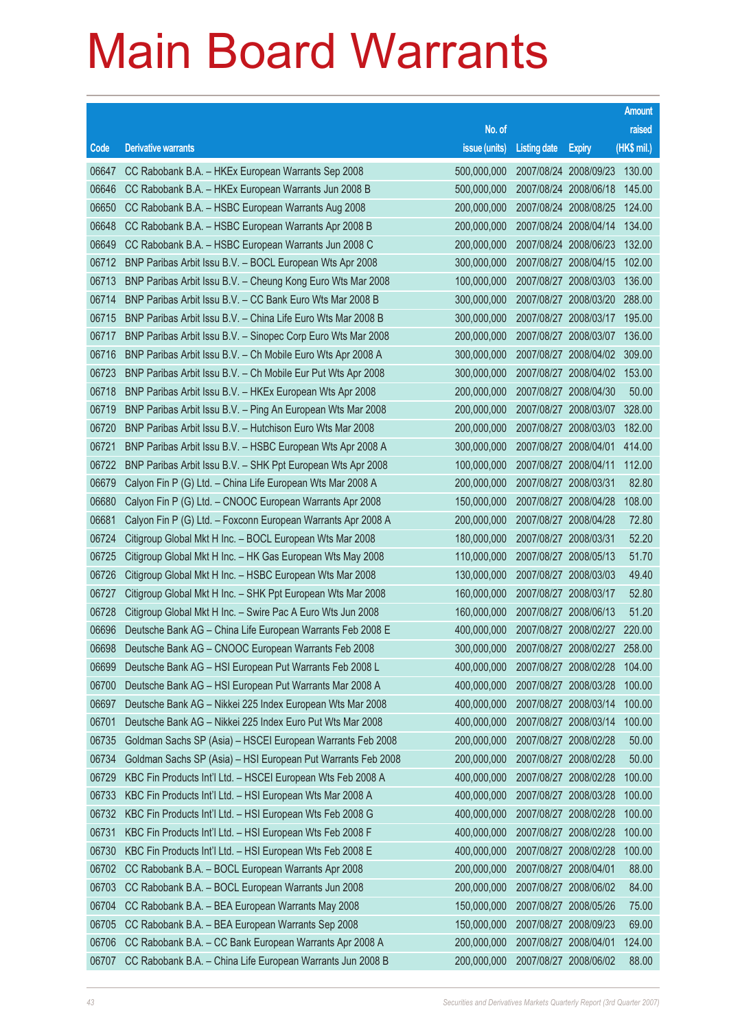|       |                                                              |               |                              |                       | <b>Amount</b> |
|-------|--------------------------------------------------------------|---------------|------------------------------|-----------------------|---------------|
|       |                                                              | No. of        |                              |                       | raised        |
| Code  | <b>Derivative warrants</b>                                   | issue (units) | <b>Listing date</b>          | <b>Expiry</b>         | $(HK$$ mil.)  |
| 06647 | CC Rabobank B.A. - HKEx European Warrants Sep 2008           | 500,000,000   | 2007/08/24 2008/09/23        |                       | 130.00        |
| 06646 | CC Rabobank B.A. - HKEx European Warrants Jun 2008 B         | 500,000,000   |                              | 2007/08/24 2008/06/18 | 145.00        |
| 06650 | CC Rabobank B.A. - HSBC European Warrants Aug 2008           | 200,000,000   |                              | 2007/08/24 2008/08/25 | 124.00        |
| 06648 | CC Rabobank B.A. - HSBC European Warrants Apr 2008 B         | 200,000,000   | 2007/08/24 2008/04/14        |                       | 134.00        |
| 06649 | CC Rabobank B.A. - HSBC European Warrants Jun 2008 C         | 200,000,000   |                              | 2007/08/24 2008/06/23 | 132.00        |
| 06712 | BNP Paribas Arbit Issu B.V. - BOCL European Wts Apr 2008     | 300,000,000   |                              | 2007/08/27 2008/04/15 | 102.00        |
| 06713 | BNP Paribas Arbit Issu B.V. - Cheung Kong Euro Wts Mar 2008  | 100.000.000   |                              | 2007/08/27 2008/03/03 | 136.00        |
| 06714 | BNP Paribas Arbit Issu B.V. - CC Bank Euro Wts Mar 2008 B    | 300,000,000   | 2007/08/27 2008/03/20        |                       | 288.00        |
| 06715 | BNP Paribas Arbit Issu B.V. - China Life Euro Wts Mar 2008 B | 300,000,000   |                              | 2007/08/27 2008/03/17 | 195.00        |
| 06717 | BNP Paribas Arbit Issu B.V. - Sinopec Corp Euro Wts Mar 2008 | 200,000,000   |                              | 2007/08/27 2008/03/07 | 136.00        |
| 06716 | BNP Paribas Arbit Issu B.V. - Ch Mobile Euro Wts Apr 2008 A  | 300,000,000   |                              | 2007/08/27 2008/04/02 | 309.00        |
| 06723 | BNP Paribas Arbit Issu B.V. - Ch Mobile Eur Put Wts Apr 2008 | 300,000,000   | 2007/08/27 2008/04/02 153.00 |                       |               |
| 06718 | BNP Paribas Arbit Issu B.V. - HKEx European Wts Apr 2008     | 200,000,000   |                              | 2007/08/27 2008/04/30 | 50.00         |
| 06719 | BNP Paribas Arbit Issu B.V. - Ping An European Wts Mar 2008  | 200,000,000   |                              | 2007/08/27 2008/03/07 | 328.00        |
| 06720 | BNP Paribas Arbit Issu B.V. - Hutchison Euro Wts Mar 2008    | 200,000,000   |                              | 2007/08/27 2008/03/03 | 182.00        |
| 06721 | BNP Paribas Arbit Issu B.V. - HSBC European Wts Apr 2008 A   | 300,000,000   | 2007/08/27 2008/04/01        |                       | 414.00        |
| 06722 | BNP Paribas Arbit Issu B.V. - SHK Ppt European Wts Apr 2008  | 100,000,000   |                              | 2007/08/27 2008/04/11 | 112.00        |
| 06679 | Calyon Fin P (G) Ltd. - China Life European Wts Mar 2008 A   | 200,000,000   | 2007/08/27 2008/03/31        |                       | 82.80         |
| 06680 | Calyon Fin P (G) Ltd. - CNOOC European Warrants Apr 2008     | 150,000,000   |                              | 2007/08/27 2008/04/28 | 108.00        |
| 06681 | Calyon Fin P (G) Ltd. - Foxconn European Warrants Apr 2008 A | 200,000,000   | 2007/08/27 2008/04/28        |                       | 72.80         |
| 06724 | Citigroup Global Mkt H Inc. - BOCL European Wts Mar 2008     | 180,000,000   | 2007/08/27 2008/03/31        |                       | 52.20         |
| 06725 | Citigroup Global Mkt H Inc. - HK Gas European Wts May 2008   | 110,000,000   | 2007/08/27 2008/05/13        |                       | 51.70         |
| 06726 | Citigroup Global Mkt H Inc. - HSBC European Wts Mar 2008     | 130,000,000   | 2007/08/27 2008/03/03        |                       | 49.40         |
| 06727 | Citigroup Global Mkt H Inc. - SHK Ppt European Wts Mar 2008  | 160,000,000   | 2007/08/27 2008/03/17        |                       | 52.80         |
| 06728 | Citigroup Global Mkt H Inc. - Swire Pac A Euro Wts Jun 2008  | 160,000,000   |                              | 2007/08/27 2008/06/13 | 51.20         |
| 06696 | Deutsche Bank AG - China Life European Warrants Feb 2008 E   | 400.000.000   |                              | 2007/08/27 2008/02/27 | 220.00        |
| 06698 | Deutsche Bank AG - CNOOC European Warrants Feb 2008          | 300,000,000   | 2007/08/27 2008/02/27 258.00 |                       |               |
| 06699 | Deutsche Bank AG - HSI European Put Warrants Feb 2008 L      | 400,000,000   | 2007/08/27 2008/02/28        |                       | 104.00        |
| 06700 | Deutsche Bank AG - HSI European Put Warrants Mar 2008 A      | 400,000,000   | 2007/08/27 2008/03/28        |                       | 100.00        |
| 06697 | Deutsche Bank AG - Nikkei 225 Index European Wts Mar 2008    | 400.000.000   |                              | 2007/08/27 2008/03/14 | 100.00        |
| 06701 | Deutsche Bank AG - Nikkei 225 Index Euro Put Wts Mar 2008    | 400,000,000   |                              | 2007/08/27 2008/03/14 | 100.00        |
| 06735 | Goldman Sachs SP (Asia) - HSCEI European Warrants Feb 2008   | 200,000,000   | 2007/08/27 2008/02/28        |                       | 50.00         |
| 06734 | Goldman Sachs SP (Asia) - HSI European Put Warrants Feb 2008 | 200,000,000   |                              | 2007/08/27 2008/02/28 | 50.00         |
| 06729 | KBC Fin Products Int'l Ltd. - HSCEI European Wts Feb 2008 A  | 400,000,000   |                              | 2007/08/27 2008/02/28 | 100.00        |
| 06733 | KBC Fin Products Int'l Ltd. - HSI European Wts Mar 2008 A    | 400,000,000   |                              | 2007/08/27 2008/03/28 | 100.00        |
| 06732 | KBC Fin Products Int'l Ltd. - HSI European Wts Feb 2008 G    | 400,000,000   |                              | 2007/08/27 2008/02/28 | 100.00        |
| 06731 | KBC Fin Products Int'l Ltd. - HSI European Wts Feb 2008 F    | 400,000,000   |                              | 2007/08/27 2008/02/28 | 100.00        |
| 06730 | KBC Fin Products Int'l Ltd. - HSI European Wts Feb 2008 E    | 400,000,000   |                              | 2007/08/27 2008/02/28 | 100.00        |
| 06702 | CC Rabobank B.A. - BOCL European Warrants Apr 2008           | 200,000,000   | 2007/08/27 2008/04/01        |                       | 88.00         |
| 06703 | CC Rabobank B.A. - BOCL European Warrants Jun 2008           | 200,000,000   | 2007/08/27 2008/06/02        |                       | 84.00         |
| 06704 | CC Rabobank B.A. - BEA European Warrants May 2008            | 150,000,000   | 2007/08/27 2008/05/26        |                       | 75.00         |
| 06705 | CC Rabobank B.A. - BEA European Warrants Sep 2008            | 150,000,000   | 2007/08/27 2008/09/23        |                       | 69.00         |
| 06706 | CC Rabobank B.A. - CC Bank European Warrants Apr 2008 A      | 200,000,000   |                              | 2007/08/27 2008/04/01 | 124.00        |
| 06707 | CC Rabobank B.A. - China Life European Warrants Jun 2008 B   | 200,000,000   | 2007/08/27 2008/06/02        |                       | 88.00         |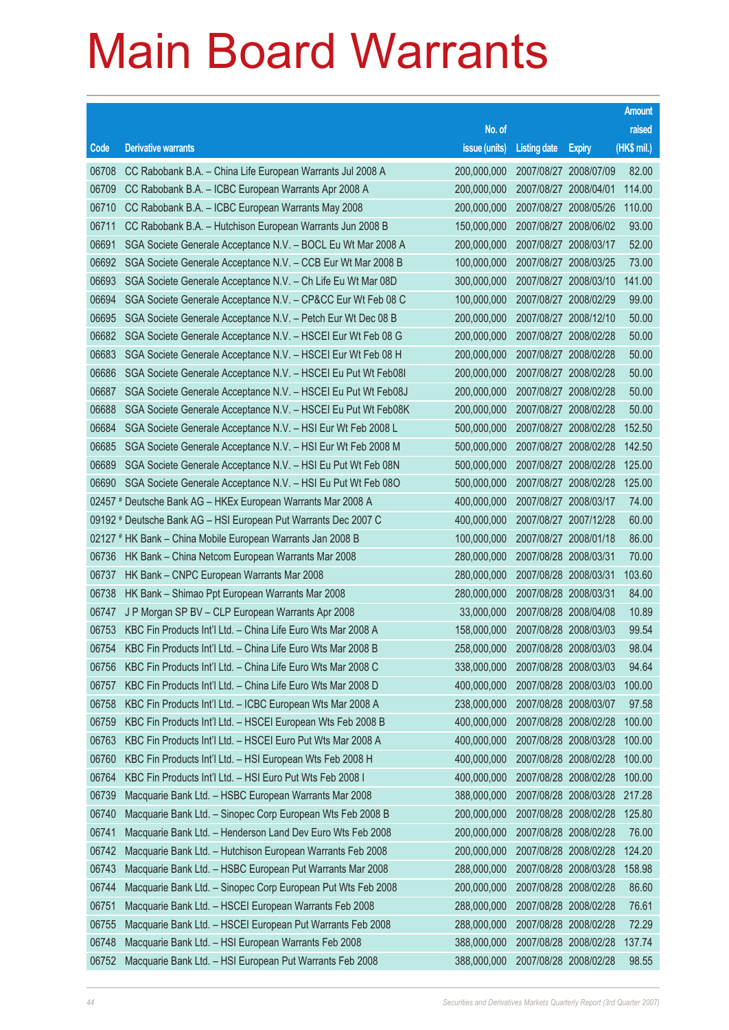|       |                                                                 |                                   |                       |                       | <b>Amount</b> |
|-------|-----------------------------------------------------------------|-----------------------------------|-----------------------|-----------------------|---------------|
|       |                                                                 | No. of                            |                       |                       | raised        |
| Code  | <b>Derivative warrants</b>                                      | issue (units)                     | <b>Listing date</b>   | <b>Expiry</b>         | $(HK$$ mil.)  |
| 06708 | CC Rabobank B.A. - China Life European Warrants Jul 2008 A      | 200,000,000                       | 2007/08/27 2008/07/09 |                       | 82.00         |
| 06709 | CC Rabobank B.A. - ICBC European Warrants Apr 2008 A            | 200,000,000                       | 2007/08/27 2008/04/01 |                       | 114.00        |
| 06710 | CC Rabobank B.A. - ICBC European Warrants May 2008              | 200,000,000                       | 2007/08/27 2008/05/26 |                       | 110.00        |
| 06711 | CC Rabobank B.A. - Hutchison European Warrants Jun 2008 B       | 150,000,000                       | 2007/08/27 2008/06/02 |                       | 93.00         |
| 06691 | SGA Societe Generale Acceptance N.V. - BOCL Eu Wt Mar 2008 A    | 200,000,000                       | 2007/08/27 2008/03/17 |                       | 52.00         |
| 06692 | SGA Societe Generale Acceptance N.V. - CCB Eur Wt Mar 2008 B    | 100,000,000                       | 2007/08/27 2008/03/25 |                       | 73.00         |
| 06693 | SGA Societe Generale Acceptance N.V. - Ch Life Eu Wt Mar 08D    | 300,000,000                       | 2007/08/27 2008/03/10 |                       | 141.00        |
| 06694 | SGA Societe Generale Acceptance N.V. - CP&CC Eur Wt Feb 08 C    | 100,000,000                       | 2007/08/27 2008/02/29 |                       | 99.00         |
| 06695 | SGA Societe Generale Acceptance N.V. - Petch Eur Wt Dec 08 B    | 200,000,000                       | 2007/08/27 2008/12/10 |                       | 50.00         |
| 06682 | SGA Societe Generale Acceptance N.V. - HSCEI Eur Wt Feb 08 G    | 200,000,000                       | 2007/08/27 2008/02/28 |                       | 50.00         |
| 06683 | SGA Societe Generale Acceptance N.V. - HSCEI Eur Wt Feb 08 H    | 200,000,000                       | 2007/08/27 2008/02/28 |                       | 50.00         |
| 06686 | SGA Societe Generale Acceptance N.V. - HSCEI Eu Put Wt Feb08I   | 200,000,000                       | 2007/08/27 2008/02/28 |                       | 50.00         |
| 06687 | SGA Societe Generale Acceptance N.V. - HSCEI Eu Put Wt Feb08J   | 200,000,000                       | 2007/08/27 2008/02/28 |                       | 50.00         |
| 06688 | SGA Societe Generale Acceptance N.V. - HSCEI Eu Put Wt Feb08K   | 200,000,000                       | 2007/08/27 2008/02/28 |                       | 50.00         |
| 06684 | SGA Societe Generale Acceptance N.V. - HSI Eur Wt Feb 2008 L    | 500,000,000                       | 2007/08/27 2008/02/28 |                       | 152.50        |
| 06685 | SGA Societe Generale Acceptance N.V. - HSI Eur Wt Feb 2008 M    | 500,000,000                       | 2007/08/27 2008/02/28 |                       | 142.50        |
| 06689 | SGA Societe Generale Acceptance N.V. - HSI Eu Put Wt Feb 08N    | 500,000,000                       | 2007/08/27 2008/02/28 |                       | 125.00        |
| 06690 | SGA Societe Generale Acceptance N.V. - HSI Eu Put Wt Feb 08O    | 500,000,000                       | 2007/08/27 2008/02/28 |                       | 125.00        |
|       | 02457 # Deutsche Bank AG - HKEx European Warrants Mar 2008 A    | 400,000,000                       | 2007/08/27 2008/03/17 |                       | 74.00         |
|       | 09192 # Deutsche Bank AG - HSI European Put Warrants Dec 2007 C | 400,000,000                       | 2007/08/27 2007/12/28 |                       | 60.00         |
|       | 02127 # HK Bank - China Mobile European Warrants Jan 2008 B     | 100,000,000                       | 2007/08/27 2008/01/18 |                       | 86.00         |
| 06736 | HK Bank - China Netcom European Warrants Mar 2008               | 280,000,000                       | 2007/08/28 2008/03/31 |                       | 70.00         |
| 06737 | HK Bank - CNPC European Warrants Mar 2008                       | 280,000,000                       | 2007/08/28 2008/03/31 |                       | 103.60        |
| 06738 | HK Bank - Shimao Ppt European Warrants Mar 2008                 | 280,000,000                       | 2007/08/28 2008/03/31 |                       | 84.00         |
| 06747 | J P Morgan SP BV - CLP European Warrants Apr 2008               | 33,000,000                        | 2007/08/28 2008/04/08 |                       | 10.89         |
| 06753 | KBC Fin Products Int'l Ltd. - China Life Euro Wts Mar 2008 A    | 158,000,000                       | 2007/08/28 2008/03/03 |                       | 99.54         |
| 06754 | KBC Fin Products Int'l Ltd. - China Life Euro Wts Mar 2008 B    | 258,000,000 2007/08/28 2008/03/03 |                       |                       | 98.04         |
| 06756 | KBC Fin Products Int'l Ltd. - China Life Euro Wts Mar 2008 C    | 338,000,000                       | 2007/08/28 2008/03/03 |                       | 94.64         |
| 06757 | KBC Fin Products Int'l Ltd. - China Life Euro Wts Mar 2008 D    | 400,000,000                       |                       | 2007/08/28 2008/03/03 | 100.00        |
| 06758 | KBC Fin Products Int'l Ltd. - ICBC European Wts Mar 2008 A      | 238,000,000                       | 2007/08/28 2008/03/07 |                       | 97.58         |
| 06759 | KBC Fin Products Int'l Ltd. - HSCEI European Wts Feb 2008 B     | 400,000,000                       |                       | 2007/08/28 2008/02/28 | 100.00        |
| 06763 | KBC Fin Products Int'l Ltd. - HSCEI Euro Put Wts Mar 2008 A     | 400,000,000                       | 2007/08/28 2008/03/28 |                       | 100.00        |
| 06760 | KBC Fin Products Int'l Ltd. - HSI European Wts Feb 2008 H       | 400,000,000                       |                       | 2007/08/28 2008/02/28 | 100.00        |
| 06764 | KBC Fin Products Int'l Ltd. - HSI Euro Put Wts Feb 2008 I       | 400,000,000                       | 2007/08/28 2008/02/28 |                       | 100.00        |
| 06739 | Macquarie Bank Ltd. - HSBC European Warrants Mar 2008           | 388,000,000                       |                       | 2007/08/28 2008/03/28 | 217.28        |
| 06740 | Macquarie Bank Ltd. - Sinopec Corp European Wts Feb 2008 B      | 200,000,000                       |                       | 2007/08/28 2008/02/28 | 125.80        |
| 06741 | Macquarie Bank Ltd. - Henderson Land Dev Euro Wts Feb 2008      | 200,000,000                       |                       | 2007/08/28 2008/02/28 | 76.00         |
| 06742 | Macquarie Bank Ltd. - Hutchison European Warrants Feb 2008      | 200,000,000                       | 2007/08/28 2008/02/28 |                       | 124.20        |
| 06743 | Macquarie Bank Ltd. - HSBC European Put Warrants Mar 2008       | 288,000,000                       |                       | 2007/08/28 2008/03/28 | 158.98        |
| 06744 | Macquarie Bank Ltd. - Sinopec Corp European Put Wts Feb 2008    | 200,000,000                       | 2007/08/28 2008/02/28 |                       | 86.60         |
| 06751 | Macquarie Bank Ltd. - HSCEI European Warrants Feb 2008          | 288,000,000                       |                       | 2007/08/28 2008/02/28 | 76.61         |
| 06755 | Macquarie Bank Ltd. - HSCEI European Put Warrants Feb 2008      | 288,000,000                       | 2007/08/28 2008/02/28 |                       | 72.29         |
| 06748 | Macquarie Bank Ltd. - HSI European Warrants Feb 2008            | 388,000,000                       |                       | 2007/08/28 2008/02/28 | 137.74        |
| 06752 | Macquarie Bank Ltd. - HSI European Put Warrants Feb 2008        | 388,000,000                       | 2007/08/28 2008/02/28 |                       | 98.55         |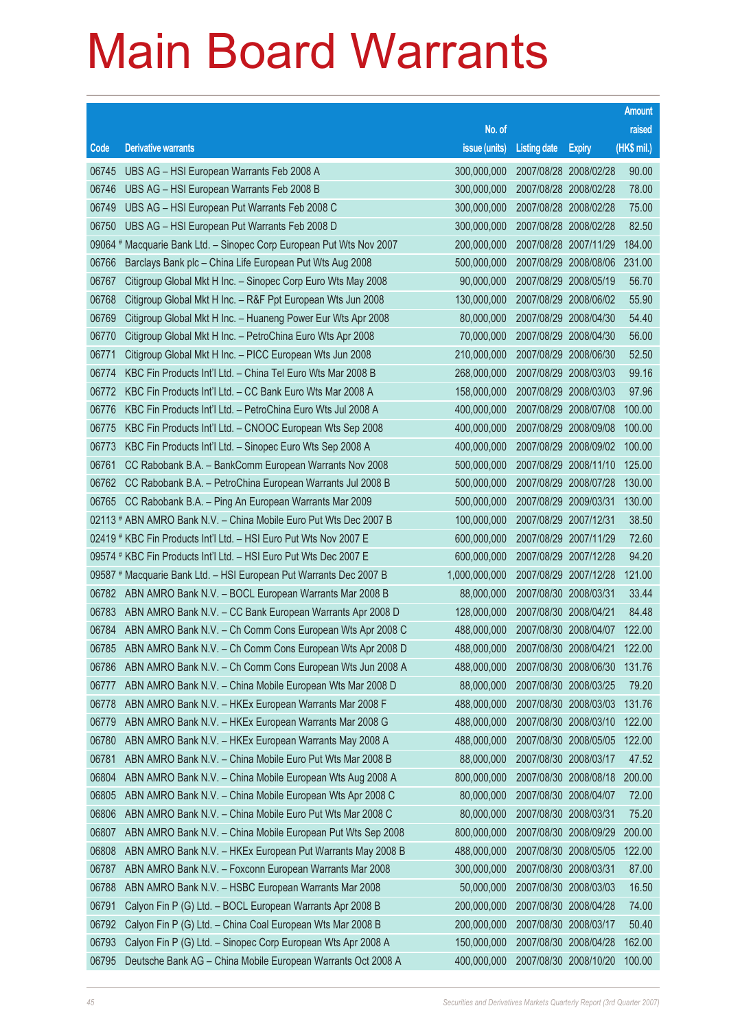|       |                                                                      |                                   |                       |               | <b>Amount</b> |
|-------|----------------------------------------------------------------------|-----------------------------------|-----------------------|---------------|---------------|
|       |                                                                      | No. of                            |                       |               | raised        |
| Code  | <b>Derivative warrants</b>                                           | issue (units)                     | <b>Listing date</b>   | <b>Expiry</b> | (HK\$ mil.)   |
| 06745 | UBS AG - HSI European Warrants Feb 2008 A                            | 300,000,000                       | 2007/08/28 2008/02/28 |               | 90.00         |
| 06746 | UBS AG - HSI European Warrants Feb 2008 B                            | 300,000,000                       | 2007/08/28 2008/02/28 |               | 78.00         |
| 06749 | UBS AG - HSI European Put Warrants Feb 2008 C                        | 300,000,000                       | 2007/08/28 2008/02/28 |               | 75.00         |
| 06750 | UBS AG - HSI European Put Warrants Feb 2008 D                        | 300,000,000                       | 2007/08/28 2008/02/28 |               | 82.50         |
|       | 09064 # Macquarie Bank Ltd. - Sinopec Corp European Put Wts Nov 2007 | 200,000,000                       | 2007/08/28 2007/11/29 |               | 184.00        |
| 06766 | Barclays Bank plc - China Life European Put Wts Aug 2008             | 500,000,000                       | 2007/08/29 2008/08/06 |               | 231.00        |
| 06767 | Citigroup Global Mkt H Inc. - Sinopec Corp Euro Wts May 2008         | 90,000,000                        | 2007/08/29 2008/05/19 |               | 56.70         |
| 06768 | Citigroup Global Mkt H Inc. - R&F Ppt European Wts Jun 2008          | 130,000,000                       | 2007/08/29 2008/06/02 |               | 55.90         |
| 06769 | Citigroup Global Mkt H Inc. - Huaneng Power Eur Wts Apr 2008         | 80,000,000                        | 2007/08/29 2008/04/30 |               | 54.40         |
| 06770 | Citigroup Global Mkt H Inc. - PetroChina Euro Wts Apr 2008           | 70,000,000                        | 2007/08/29 2008/04/30 |               | 56.00         |
| 06771 | Citigroup Global Mkt H Inc. - PICC European Wts Jun 2008             | 210,000,000                       | 2007/08/29 2008/06/30 |               | 52.50         |
| 06774 | KBC Fin Products Int'l Ltd. - China Tel Euro Wts Mar 2008 B          | 268,000,000                       | 2007/08/29 2008/03/03 |               | 99.16         |
| 06772 | KBC Fin Products Int'l Ltd. - CC Bank Euro Wts Mar 2008 A            | 158,000,000                       | 2007/08/29 2008/03/03 |               | 97.96         |
| 06776 | KBC Fin Products Int'l Ltd. - PetroChina Euro Wts Jul 2008 A         | 400,000,000                       | 2007/08/29 2008/07/08 |               | 100.00        |
| 06775 | KBC Fin Products Int'l Ltd. - CNOOC European Wts Sep 2008            | 400,000,000                       | 2007/08/29 2008/09/08 |               | 100.00        |
| 06773 | KBC Fin Products Int'l Ltd. - Sinopec Euro Wts Sep 2008 A            | 400,000,000                       | 2007/08/29 2008/09/02 |               | 100.00        |
| 06761 | CC Rabobank B.A. - BankComm European Warrants Nov 2008               | 500,000,000                       | 2007/08/29 2008/11/10 |               | 125.00        |
| 06762 | CC Rabobank B.A. - PetroChina European Warrants Jul 2008 B           | 500,000,000                       | 2007/08/29 2008/07/28 |               | 130.00        |
| 06765 | CC Rabobank B.A. - Ping An European Warrants Mar 2009                | 500,000,000                       | 2007/08/29 2009/03/31 |               | 130.00        |
|       | 02113 # ABN AMRO Bank N.V. - China Mobile Euro Put Wts Dec 2007 B    | 100,000,000                       | 2007/08/29 2007/12/31 |               | 38.50         |
|       | 02419 # KBC Fin Products Int'l Ltd. - HSI Euro Put Wts Nov 2007 E    | 600,000,000                       | 2007/08/29 2007/11/29 |               | 72.60         |
|       | 09574 # KBC Fin Products Int'l Ltd. - HSI Euro Put Wts Dec 2007 E    | 600,000,000                       | 2007/08/29 2007/12/28 |               | 94.20         |
|       | 09587 # Macquarie Bank Ltd. - HSI European Put Warrants Dec 2007 B   | 1,000,000,000                     | 2007/08/29 2007/12/28 |               | 121.00        |
| 06782 | ABN AMRO Bank N.V. - BOCL European Warrants Mar 2008 B               | 88,000,000                        | 2007/08/30 2008/03/31 |               | 33.44         |
| 06783 | ABN AMRO Bank N.V. - CC Bank European Warrants Apr 2008 D            | 128,000,000                       | 2007/08/30 2008/04/21 |               | 84.48         |
| 06784 | ABN AMRO Bank N.V. - Ch Comm Cons European Wts Apr 2008 C            | 488,000,000                       | 2007/08/30 2008/04/07 |               | 122.00        |
|       | 06785 ABN AMRO Bank N.V. - Ch Comm Cons European Wts Apr 2008 D      | 488,000,000 2007/08/30 2008/04/21 |                       |               | 122.00        |
| 06786 | ABN AMRO Bank N.V. - Ch Comm Cons European Wts Jun 2008 A            | 488,000,000                       | 2007/08/30 2008/06/30 |               | 131.76        |
| 06777 | ABN AMRO Bank N.V. - China Mobile European Wts Mar 2008 D            | 88,000,000                        | 2007/08/30 2008/03/25 |               | 79.20         |
| 06778 | ABN AMRO Bank N.V. - HKEx European Warrants Mar 2008 F               | 488,000,000                       | 2007/08/30 2008/03/03 |               | 131.76        |
| 06779 | ABN AMRO Bank N.V. - HKEx European Warrants Mar 2008 G               | 488,000,000                       | 2007/08/30 2008/03/10 |               | 122.00        |
| 06780 | ABN AMRO Bank N.V. - HKEx European Warrants May 2008 A               | 488,000,000                       | 2007/08/30 2008/05/05 |               | 122.00        |
| 06781 | ABN AMRO Bank N.V. - China Mobile Euro Put Wts Mar 2008 B            | 88,000,000                        | 2007/08/30 2008/03/17 |               | 47.52         |
| 06804 | ABN AMRO Bank N.V. - China Mobile European Wts Aug 2008 A            | 800,000,000                       | 2007/08/30 2008/08/18 |               | 200.00        |
| 06805 | ABN AMRO Bank N.V. - China Mobile European Wts Apr 2008 C            | 80,000,000                        | 2007/08/30 2008/04/07 |               | 72.00         |
| 06806 | ABN AMRO Bank N.V. - China Mobile Euro Put Wts Mar 2008 C            | 80,000,000                        | 2007/08/30 2008/03/31 |               | 75.20         |
| 06807 | ABN AMRO Bank N.V. - China Mobile European Put Wts Sep 2008          | 800,000,000                       | 2007/08/30 2008/09/29 |               | 200.00        |
| 06808 | ABN AMRO Bank N.V. - HKEx European Put Warrants May 2008 B           | 488,000,000                       | 2007/08/30 2008/05/05 |               | 122.00        |
| 06787 | ABN AMRO Bank N.V. - Foxconn European Warrants Mar 2008              | 300,000,000                       | 2007/08/30 2008/03/31 |               | 87.00         |
| 06788 | ABN AMRO Bank N.V. - HSBC European Warrants Mar 2008                 | 50,000,000                        | 2007/08/30 2008/03/03 |               | 16.50         |
| 06791 | Calyon Fin P (G) Ltd. - BOCL European Warrants Apr 2008 B            | 200,000,000                       | 2007/08/30 2008/04/28 |               | 74.00         |
| 06792 | Calyon Fin P (G) Ltd. - China Coal European Wts Mar 2008 B           | 200,000,000                       | 2007/08/30 2008/03/17 |               | 50.40         |
| 06793 | Calyon Fin P (G) Ltd. - Sinopec Corp European Wts Apr 2008 A         | 150,000,000                       | 2007/08/30 2008/04/28 |               | 162.00        |
| 06795 | Deutsche Bank AG - China Mobile European Warrants Oct 2008 A         | 400,000,000                       | 2007/08/30 2008/10/20 |               | 100.00        |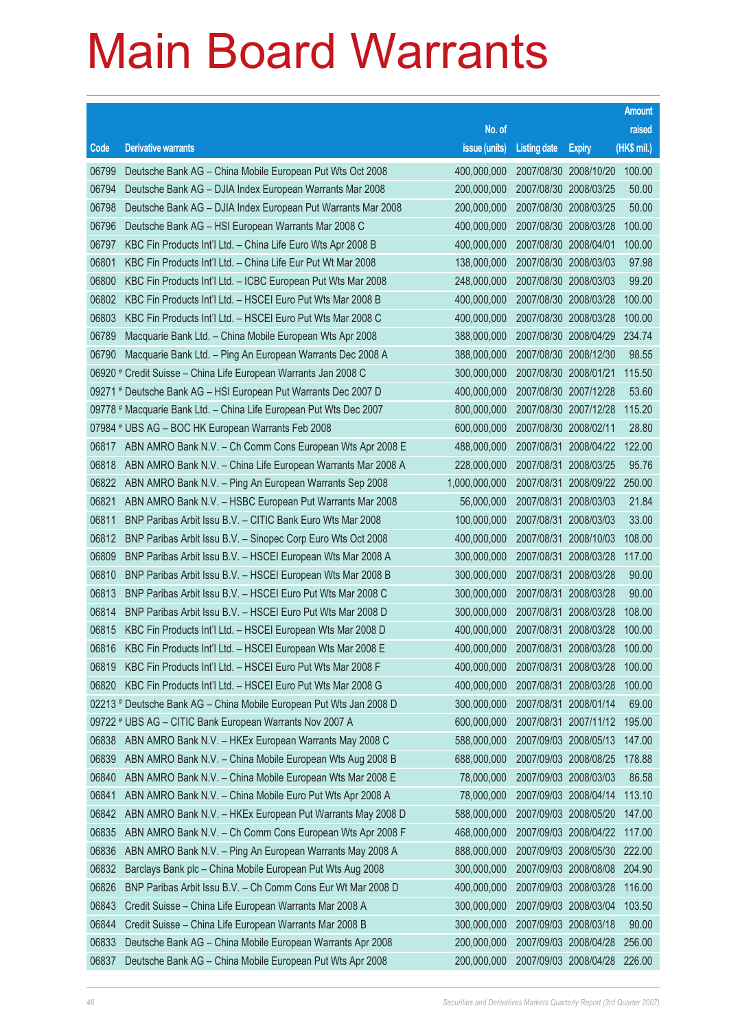|                |                                                                                                                                    |                            |                                                |                       | <b>Amount</b>    |
|----------------|------------------------------------------------------------------------------------------------------------------------------------|----------------------------|------------------------------------------------|-----------------------|------------------|
|                |                                                                                                                                    | No. of                     |                                                |                       | raised           |
| Code           | <b>Derivative warrants</b>                                                                                                         | issue (units)              | <b>Listing date</b>                            | <b>Expiry</b>         | (HK\$ mil.)      |
| 06799          | Deutsche Bank AG - China Mobile European Put Wts Oct 2008                                                                          | 400,000,000                | 2007/08/30 2008/10/20                          |                       | 100.00           |
| 06794          | Deutsche Bank AG - DJIA Index European Warrants Mar 2008                                                                           | 200,000,000                | 2007/08/30 2008/03/25                          |                       | 50.00            |
| 06798          | Deutsche Bank AG - DJIA Index European Put Warrants Mar 2008                                                                       | 200,000,000                | 2007/08/30 2008/03/25                          |                       | 50.00            |
| 06796          | Deutsche Bank AG - HSI European Warrants Mar 2008 C                                                                                | 400,000,000                | 2007/08/30 2008/03/28                          |                       | 100.00           |
| 06797          | KBC Fin Products Int'l Ltd. - China Life Euro Wts Apr 2008 B                                                                       | 400,000,000                | 2007/08/30 2008/04/01                          |                       | 100.00           |
| 06801          | KBC Fin Products Int'l Ltd. - China Life Eur Put Wt Mar 2008                                                                       | 138,000,000                | 2007/08/30 2008/03/03                          |                       | 97.98            |
| 06800          | KBC Fin Products Int'l Ltd. - ICBC European Put Wts Mar 2008                                                                       | 248,000,000                | 2007/08/30 2008/03/03                          |                       | 99.20            |
| 06802          | KBC Fin Products Int'l Ltd. - HSCEI Euro Put Wts Mar 2008 B                                                                        | 400,000,000                | 2007/08/30 2008/03/28                          |                       | 100.00           |
| 06803          | KBC Fin Products Int'l Ltd. - HSCEI Euro Put Wts Mar 2008 C                                                                        | 400,000,000                | 2007/08/30 2008/03/28                          |                       | 100.00           |
| 06789          | Macquarie Bank Ltd. - China Mobile European Wts Apr 2008                                                                           | 388,000,000                | 2007/08/30 2008/04/29                          |                       | 234.74           |
| 06790          | Macquarie Bank Ltd. - Ping An European Warrants Dec 2008 A                                                                         | 388,000,000                | 2007/08/30 2008/12/30                          |                       | 98.55            |
|                | 06920 # Credit Suisse – China Life European Warrants Jan 2008 C                                                                    | 300,000,000                | 2007/08/30 2008/01/21                          |                       | 115.50           |
|                | 09271 # Deutsche Bank AG - HSI European Put Warrants Dec 2007 D                                                                    | 400,000,000                | 2007/08/30 2007/12/28                          |                       | 53.60            |
|                | 09778 # Macquarie Bank Ltd. - China Life European Put Wts Dec 2007                                                                 | 800,000,000                | 2007/08/30 2007/12/28                          |                       | 115.20           |
|                | 07984 # UBS AG - BOC HK European Warrants Feb 2008                                                                                 | 600,000,000                | 2007/08/30 2008/02/11                          |                       | 28.80            |
| 06817          | ABN AMRO Bank N.V. - Ch Comm Cons European Wts Apr 2008 E                                                                          | 488,000,000                | 2007/08/31 2008/04/22                          |                       | 122.00           |
| 06818          | ABN AMRO Bank N.V. - China Life European Warrants Mar 2008 A                                                                       | 228,000,000                | 2007/08/31 2008/03/25                          |                       | 95.76            |
| 06822          | ABN AMRO Bank N.V. - Ping An European Warrants Sep 2008                                                                            | 1,000,000,000              | 2007/08/31 2008/09/22                          |                       | 250.00           |
| 06821          | ABN AMRO Bank N.V. - HSBC European Put Warrants Mar 2008                                                                           | 56,000,000                 | 2007/08/31 2008/03/03                          |                       | 21.84            |
| 06811          | BNP Paribas Arbit Issu B.V. - CITIC Bank Euro Wts Mar 2008                                                                         | 100,000,000                | 2007/08/31 2008/03/03                          |                       | 33.00            |
| 06812          | BNP Paribas Arbit Issu B.V. - Sinopec Corp Euro Wts Oct 2008                                                                       | 400,000,000                | 2007/08/31 2008/10/03                          |                       | 108.00           |
| 06809          | BNP Paribas Arbit Issu B.V. - HSCEI European Wts Mar 2008 A                                                                        | 300,000,000                | 2007/08/31 2008/03/28                          |                       | 117.00           |
| 06810          | BNP Paribas Arbit Issu B.V. - HSCEI European Wts Mar 2008 B                                                                        | 300,000,000                | 2007/08/31 2008/03/28                          |                       | 90.00            |
| 06813          | BNP Paribas Arbit Issu B.V. - HSCEI Euro Put Wts Mar 2008 C                                                                        | 300,000,000                | 2007/08/31 2008/03/28                          |                       | 90.00            |
| 06814          | BNP Paribas Arbit Issu B.V. - HSCEI Euro Put Wts Mar 2008 D                                                                        | 300,000,000                | 2007/08/31 2008/03/28                          |                       | 108.00           |
| 06815          | KBC Fin Products Int'l Ltd. - HSCEI European Wts Mar 2008 D                                                                        | 400,000,000                | 2007/08/31 2008/03/28                          |                       | 100.00           |
| 06816          | KBC Fin Products Int'l Ltd. - HSCEI European Wts Mar 2008 E                                                                        | 400,000,000                | 2007/08/31 2008/03/28                          |                       | 100.00           |
| 06819<br>06820 | KBC Fin Products Int'l Ltd. - HSCEI Euro Put Wts Mar 2008 F                                                                        | 400,000,000                | 2007/08/31 2008/03/28                          |                       | 100.00<br>100.00 |
|                | KBC Fin Products Int'l Ltd. - HSCEI Euro Put Wts Mar 2008 G<br>02213 # Deutsche Bank AG - China Mobile European Put Wts Jan 2008 D | 400,000,000<br>300,000,000 | 2007/08/31 2008/03/28<br>2007/08/31 2008/01/14 |                       | 69.00            |
|                | 09722 # UBS AG - CITIC Bank European Warrants Nov 2007 A                                                                           | 600,000,000                | 2007/08/31 2007/11/12                          |                       | 195.00           |
| 06838          | ABN AMRO Bank N.V. - HKEx European Warrants May 2008 C                                                                             | 588,000,000                | 2007/09/03 2008/05/13                          |                       | 147.00           |
| 06839          | ABN AMRO Bank N.V. - China Mobile European Wts Aug 2008 B                                                                          | 688,000,000                | 2007/09/03 2008/08/25                          |                       | 178.88           |
| 06840          | ABN AMRO Bank N.V. - China Mobile European Wts Mar 2008 E                                                                          | 78,000,000                 | 2007/09/03 2008/03/03                          |                       | 86.58            |
| 06841          | ABN AMRO Bank N.V. - China Mobile Euro Put Wts Apr 2008 A                                                                          | 78,000,000                 | 2007/09/03 2008/04/14                          |                       | 113.10           |
| 06842          | ABN AMRO Bank N.V. - HKEx European Put Warrants May 2008 D                                                                         | 588,000,000                | 2007/09/03 2008/05/20                          |                       | 147.00           |
| 06835          | ABN AMRO Bank N.V. - Ch Comm Cons European Wts Apr 2008 F                                                                          | 468,000,000                | 2007/09/03 2008/04/22                          |                       | 117.00           |
| 06836          | ABN AMRO Bank N.V. - Ping An European Warrants May 2008 A                                                                          | 888,000,000                | 2007/09/03 2008/05/30                          |                       | 222.00           |
| 06832          | Barclays Bank plc - China Mobile European Put Wts Aug 2008                                                                         | 300,000,000                | 2007/09/03 2008/08/08                          |                       | 204.90           |
| 06826          | BNP Paribas Arbit Issu B.V. - Ch Comm Cons Eur Wt Mar 2008 D                                                                       | 400,000,000                | 2007/09/03 2008/03/28                          |                       | 116.00           |
| 06843          | Credit Suisse - China Life European Warrants Mar 2008 A                                                                            | 300,000,000                | 2007/09/03 2008/03/04                          |                       | 103.50           |
| 06844          | Credit Suisse - China Life European Warrants Mar 2008 B                                                                            | 300,000,000                | 2007/09/03 2008/03/18                          |                       | 90.00            |
| 06833          | Deutsche Bank AG - China Mobile European Warrants Apr 2008                                                                         | 200,000,000                |                                                | 2007/09/03 2008/04/28 | 256.00           |
| 06837          | Deutsche Bank AG - China Mobile European Put Wts Apr 2008                                                                          | 200,000,000                | 2007/09/03 2008/04/28                          |                       | 226.00           |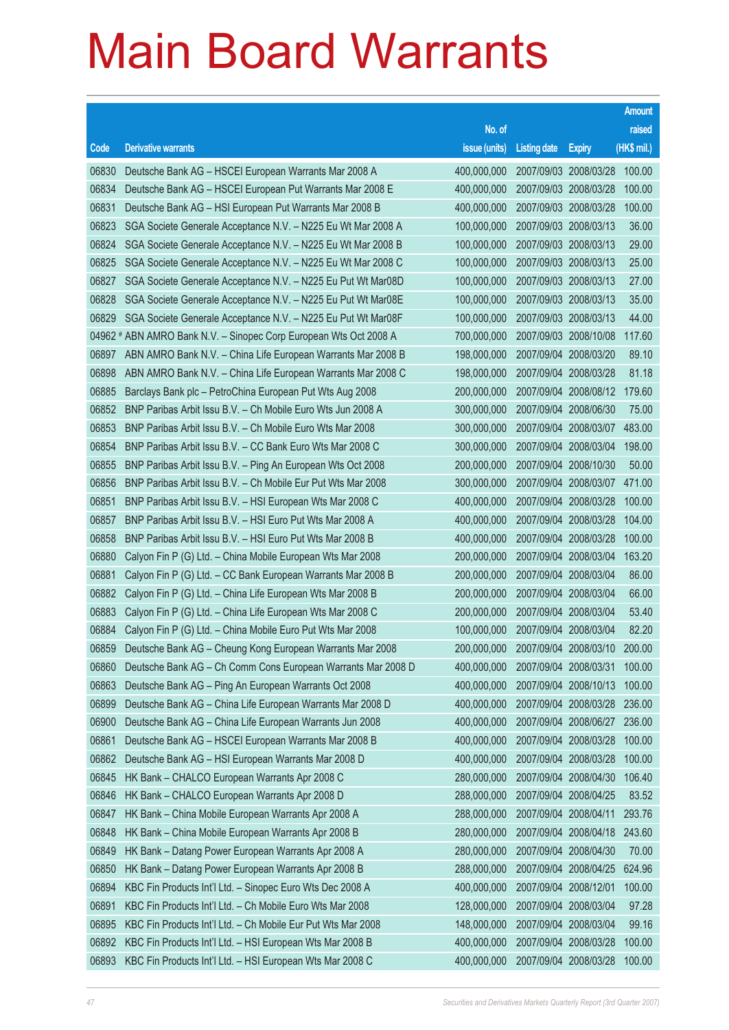|       |                                                                   |               |                       |                       | <b>Amount</b> |
|-------|-------------------------------------------------------------------|---------------|-----------------------|-----------------------|---------------|
|       |                                                                   | No. of        |                       |                       | raised        |
| Code  | <b>Derivative warrants</b>                                        | issue (units) | <b>Listing date</b>   | <b>Expiry</b>         | (HK\$ mil.)   |
| 06830 | Deutsche Bank AG - HSCEI European Warrants Mar 2008 A             | 400,000,000   | 2007/09/03 2008/03/28 |                       | 100.00        |
| 06834 | Deutsche Bank AG - HSCEI European Put Warrants Mar 2008 E         | 400,000,000   | 2007/09/03 2008/03/28 |                       | 100.00        |
| 06831 | Deutsche Bank AG - HSI European Put Warrants Mar 2008 B           | 400,000,000   | 2007/09/03 2008/03/28 |                       | 100.00        |
| 06823 | SGA Societe Generale Acceptance N.V. - N225 Eu Wt Mar 2008 A      | 100,000,000   | 2007/09/03 2008/03/13 |                       | 36.00         |
| 06824 | SGA Societe Generale Acceptance N.V. - N225 Eu Wt Mar 2008 B      | 100,000,000   | 2007/09/03 2008/03/13 |                       | 29.00         |
| 06825 | SGA Societe Generale Acceptance N.V. - N225 Eu Wt Mar 2008 C      | 100,000,000   | 2007/09/03 2008/03/13 |                       | 25.00         |
| 06827 | SGA Societe Generale Acceptance N.V. - N225 Eu Put Wt Mar08D      | 100,000,000   | 2007/09/03 2008/03/13 |                       | 27.00         |
| 06828 | SGA Societe Generale Acceptance N.V. - N225 Eu Put Wt Mar08E      | 100,000,000   | 2007/09/03 2008/03/13 |                       | 35.00         |
| 06829 | SGA Societe Generale Acceptance N.V. - N225 Eu Put Wt Mar08F      | 100,000,000   | 2007/09/03 2008/03/13 |                       | 44.00         |
|       | 04962 # ABN AMRO Bank N.V. - Sinopec Corp European Wts Oct 2008 A | 700,000,000   | 2007/09/03 2008/10/08 |                       | 117.60        |
| 06897 | ABN AMRO Bank N.V. - China Life European Warrants Mar 2008 B      | 198,000,000   | 2007/09/04 2008/03/20 |                       | 89.10         |
| 06898 | ABN AMRO Bank N.V. - China Life European Warrants Mar 2008 C      | 198,000,000   | 2007/09/04 2008/03/28 |                       | 81.18         |
| 06885 | Barclays Bank plc - PetroChina European Put Wts Aug 2008          | 200,000,000   |                       | 2007/09/04 2008/08/12 | 179.60        |
| 06852 | BNP Paribas Arbit Issu B.V. - Ch Mobile Euro Wts Jun 2008 A       | 300,000,000   | 2007/09/04 2008/06/30 |                       | 75.00         |
| 06853 | BNP Paribas Arbit Issu B.V. - Ch Mobile Euro Wts Mar 2008         | 300,000,000   |                       | 2007/09/04 2008/03/07 | 483.00        |
| 06854 | BNP Paribas Arbit Issu B.V. - CC Bank Euro Wts Mar 2008 C         | 300,000,000   | 2007/09/04 2008/03/04 |                       | 198.00        |
| 06855 | BNP Paribas Arbit Issu B.V. - Ping An European Wts Oct 2008       | 200,000,000   | 2007/09/04 2008/10/30 |                       | 50.00         |
| 06856 | BNP Paribas Arbit Issu B.V. - Ch Mobile Eur Put Wts Mar 2008      | 300,000,000   |                       | 2007/09/04 2008/03/07 | 471.00        |
| 06851 | BNP Paribas Arbit Issu B.V. - HSI European Wts Mar 2008 C         | 400,000,000   | 2007/09/04 2008/03/28 |                       | 100.00        |
| 06857 | BNP Paribas Arbit Issu B.V. - HSI Euro Put Wts Mar 2008 A         | 400,000,000   | 2007/09/04 2008/03/28 |                       | 104.00        |
| 06858 | BNP Paribas Arbit Issu B.V. - HSI Euro Put Wts Mar 2008 B         | 400,000,000   | 2007/09/04 2008/03/28 |                       | 100.00        |
| 06880 | Calyon Fin P (G) Ltd. - China Mobile European Wts Mar 2008        | 200,000,000   |                       | 2007/09/04 2008/03/04 | 163.20        |
| 06881 | Calyon Fin P (G) Ltd. - CC Bank European Warrants Mar 2008 B      | 200,000,000   | 2007/09/04 2008/03/04 |                       | 86.00         |
| 06882 | Calyon Fin P (G) Ltd. - China Life European Wts Mar 2008 B        | 200,000,000   | 2007/09/04 2008/03/04 |                       | 66.00         |
| 06883 | Calyon Fin P (G) Ltd. - China Life European Wts Mar 2008 C        | 200,000,000   | 2007/09/04 2008/03/04 |                       | 53.40         |
| 06884 | Calyon Fin P (G) Ltd. - China Mobile Euro Put Wts Mar 2008        | 100,000,000   | 2007/09/04 2008/03/04 |                       | 82.20         |
| 06859 | Deutsche Bank AG - Cheung Kong European Warrants Mar 2008         | 200,000,000   | 2007/09/04 2008/03/10 |                       | 200.00        |
| 06860 | Deutsche Bank AG - Ch Comm Cons European Warrants Mar 2008 D      | 400,000,000   | 2007/09/04 2008/03/31 |                       | 100.00        |
| 06863 | Deutsche Bank AG - Ping An European Warrants Oct 2008             | 400,000,000   | 2007/09/04 2008/10/13 |                       | 100.00        |
| 06899 | Deutsche Bank AG - China Life European Warrants Mar 2008 D        | 400,000,000   |                       | 2007/09/04 2008/03/28 | 236.00        |
| 06900 | Deutsche Bank AG - China Life European Warrants Jun 2008          | 400,000,000   |                       | 2007/09/04 2008/06/27 | 236.00        |
| 06861 | Deutsche Bank AG - HSCEI European Warrants Mar 2008 B             | 400,000,000   | 2007/09/04 2008/03/28 |                       | 100.00        |
| 06862 | Deutsche Bank AG - HSI European Warrants Mar 2008 D               | 400,000,000   |                       | 2007/09/04 2008/03/28 | 100.00        |
| 06845 | HK Bank – CHALCO European Warrants Apr 2008 C                     | 280,000,000   |                       | 2007/09/04 2008/04/30 | 106.40        |
| 06846 | HK Bank - CHALCO European Warrants Apr 2008 D                     | 288,000,000   | 2007/09/04 2008/04/25 |                       | 83.52         |
| 06847 | HK Bank - China Mobile European Warrants Apr 2008 A               | 288,000,000   | 2007/09/04 2008/04/11 |                       | 293.76        |
| 06848 | HK Bank - China Mobile European Warrants Apr 2008 B               | 280,000,000   | 2007/09/04 2008/04/18 |                       | 243.60        |
| 06849 | HK Bank - Datang Power European Warrants Apr 2008 A               | 280,000,000   | 2007/09/04 2008/04/30 |                       | 70.00         |
| 06850 | HK Bank - Datang Power European Warrants Apr 2008 B               | 288,000,000   | 2007/09/04 2008/04/25 |                       | 624.96        |
| 06894 | KBC Fin Products Int'l Ltd. - Sinopec Euro Wts Dec 2008 A         | 400,000,000   | 2007/09/04 2008/12/01 |                       | 100.00        |
| 06891 | KBC Fin Products Int'l Ltd. - Ch Mobile Euro Wts Mar 2008         | 128,000,000   | 2007/09/04 2008/03/04 |                       | 97.28         |
| 06895 | KBC Fin Products Int'l Ltd. - Ch Mobile Eur Put Wts Mar 2008      | 148,000,000   | 2007/09/04 2008/03/04 |                       | 99.16         |
| 06892 | KBC Fin Products Int'l Ltd. - HSI European Wts Mar 2008 B         | 400,000,000   | 2007/09/04 2008/03/28 |                       | 100.00        |
| 06893 | KBC Fin Products Int'l Ltd. - HSI European Wts Mar 2008 C         | 400,000,000   | 2007/09/04 2008/03/28 |                       | 100.00        |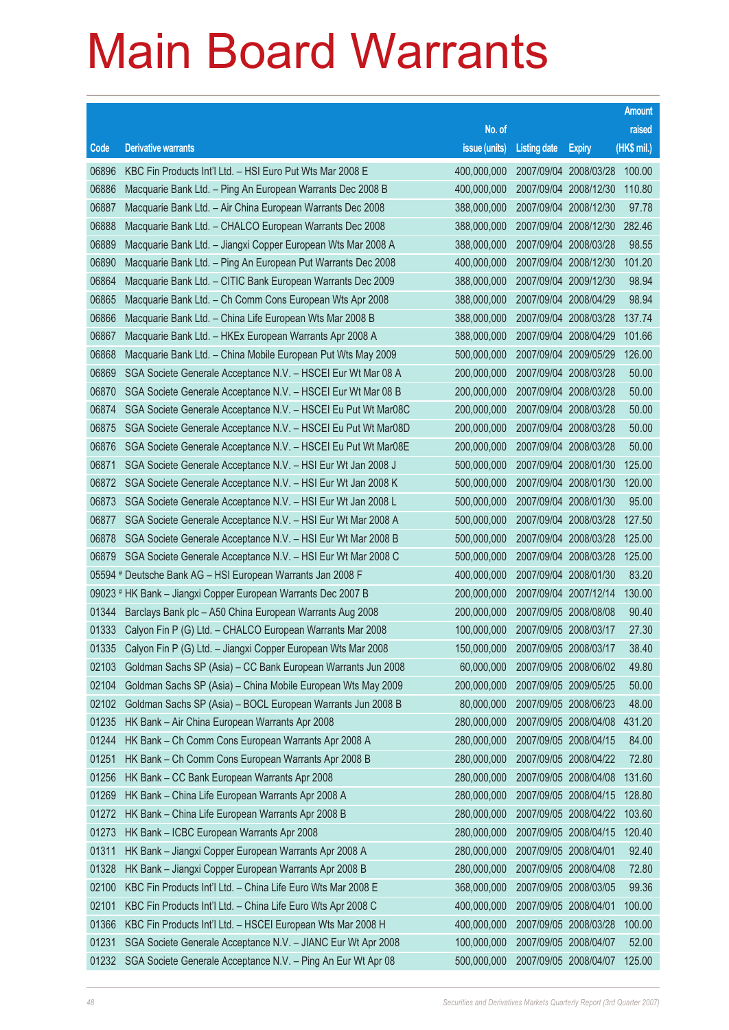|       |                                                                    |                                   |                       |                       | <b>Amount</b> |
|-------|--------------------------------------------------------------------|-----------------------------------|-----------------------|-----------------------|---------------|
|       |                                                                    | No. of                            |                       |                       | raised        |
| Code  | <b>Derivative warrants</b>                                         | issue (units)                     | <b>Listing date</b>   | <b>Expiry</b>         | $(HK$$ mil.)  |
| 06896 | KBC Fin Products Int'l Ltd. - HSI Euro Put Wts Mar 2008 E          | 400,000,000                       |                       | 2007/09/04 2008/03/28 | 100.00        |
| 06886 | Macquarie Bank Ltd. - Ping An European Warrants Dec 2008 B         | 400,000,000                       |                       | 2007/09/04 2008/12/30 | 110.80        |
| 06887 | Macquarie Bank Ltd. - Air China European Warrants Dec 2008         | 388,000,000                       |                       | 2007/09/04 2008/12/30 | 97.78         |
| 06888 | Macquarie Bank Ltd. - CHALCO European Warrants Dec 2008            | 388,000,000                       |                       | 2007/09/04 2008/12/30 | 282.46        |
| 06889 | Macquarie Bank Ltd. - Jiangxi Copper European Wts Mar 2008 A       | 388,000,000                       |                       | 2007/09/04 2008/03/28 | 98.55         |
| 06890 | Macquarie Bank Ltd. - Ping An European Put Warrants Dec 2008       | 400,000,000                       |                       | 2007/09/04 2008/12/30 | 101.20        |
| 06864 | Macquarie Bank Ltd. - CITIC Bank European Warrants Dec 2009        | 388,000,000                       |                       | 2007/09/04 2009/12/30 | 98.94         |
| 06865 | Macquarie Bank Ltd. - Ch Comm Cons European Wts Apr 2008           | 388,000,000                       |                       | 2007/09/04 2008/04/29 | 98.94         |
| 06866 | Macquarie Bank Ltd. - China Life European Wts Mar 2008 B           | 388,000,000                       |                       | 2007/09/04 2008/03/28 | 137.74        |
| 06867 | Macquarie Bank Ltd. - HKEx European Warrants Apr 2008 A            | 388,000,000                       |                       | 2007/09/04 2008/04/29 | 101.66        |
| 06868 | Macquarie Bank Ltd. - China Mobile European Put Wts May 2009       | 500,000,000                       |                       | 2007/09/04 2009/05/29 | 126.00        |
| 06869 | SGA Societe Generale Acceptance N.V. - HSCEI Eur Wt Mar 08 A       | 200,000,000                       |                       | 2007/09/04 2008/03/28 | 50.00         |
| 06870 | SGA Societe Generale Acceptance N.V. - HSCEI Eur Wt Mar 08 B       | 200,000,000                       |                       | 2007/09/04 2008/03/28 | 50.00         |
| 06874 | SGA Societe Generale Acceptance N.V. - HSCEI Eu Put Wt Mar08C      | 200,000,000                       |                       | 2007/09/04 2008/03/28 | 50.00         |
| 06875 | SGA Societe Generale Acceptance N.V. - HSCEI Eu Put Wt Mar08D      | 200,000,000                       |                       | 2007/09/04 2008/03/28 | 50.00         |
| 06876 | SGA Societe Generale Acceptance N.V. - HSCEI Eu Put Wt Mar08E      | 200,000,000                       |                       | 2007/09/04 2008/03/28 | 50.00         |
| 06871 | SGA Societe Generale Acceptance N.V. - HSI Eur Wt Jan 2008 J       | 500,000,000                       |                       | 2007/09/04 2008/01/30 | 125.00        |
| 06872 | SGA Societe Generale Acceptance N.V. - HSI Eur Wt Jan 2008 K       | 500,000,000                       |                       | 2007/09/04 2008/01/30 | 120.00        |
| 06873 | SGA Societe Generale Acceptance N.V. - HSI Eur Wt Jan 2008 L       | 500,000,000                       |                       | 2007/09/04 2008/01/30 | 95.00         |
| 06877 | SGA Societe Generale Acceptance N.V. - HSI Eur Wt Mar 2008 A       | 500,000,000                       |                       | 2007/09/04 2008/03/28 | 127.50        |
| 06878 | SGA Societe Generale Acceptance N.V. - HSI Eur Wt Mar 2008 B       | 500,000,000                       |                       | 2007/09/04 2008/03/28 | 125.00        |
| 06879 | SGA Societe Generale Acceptance N.V. - HSI Eur Wt Mar 2008 C       | 500,000,000                       |                       | 2007/09/04 2008/03/28 | 125.00        |
|       | 05594 # Deutsche Bank AG - HSI European Warrants Jan 2008 F        | 400,000,000                       |                       | 2007/09/04 2008/01/30 | 83.20         |
|       | 09023 # HK Bank - Jiangxi Copper European Warrants Dec 2007 B      | 200,000,000                       |                       | 2007/09/04 2007/12/14 | 130.00        |
| 01344 | Barclays Bank plc - A50 China European Warrants Aug 2008           | 200,000,000                       |                       | 2007/09/05 2008/08/08 | 90.40         |
| 01333 | Calyon Fin P (G) Ltd. - CHALCO European Warrants Mar 2008          | 100,000,000                       |                       | 2007/09/05 2008/03/17 | 27.30         |
|       | 01335 Calyon Fin P (G) Ltd. - Jiangxi Copper European Wts Mar 2008 | 150,000,000 2007/09/05 2008/03/17 |                       |                       | 38.40         |
| 02103 | Goldman Sachs SP (Asia) - CC Bank European Warrants Jun 2008       | 60,000,000                        |                       | 2007/09/05 2008/06/02 | 49.80         |
| 02104 | Goldman Sachs SP (Asia) - China Mobile European Wts May 2009       | 200,000,000                       |                       | 2007/09/05 2009/05/25 | 50.00         |
| 02102 | Goldman Sachs SP (Asia) - BOCL European Warrants Jun 2008 B        | 80,000,000                        |                       | 2007/09/05 2008/06/23 | 48.00         |
| 01235 | HK Bank - Air China European Warrants Apr 2008                     | 280,000,000                       |                       | 2007/09/05 2008/04/08 | 431.20        |
| 01244 | HK Bank - Ch Comm Cons European Warrants Apr 2008 A                | 280,000,000                       |                       | 2007/09/05 2008/04/15 | 84.00         |
| 01251 | HK Bank - Ch Comm Cons European Warrants Apr 2008 B                | 280,000,000                       |                       | 2007/09/05 2008/04/22 | 72.80         |
| 01256 | HK Bank - CC Bank European Warrants Apr 2008                       | 280,000,000                       |                       | 2007/09/05 2008/04/08 | 131.60        |
| 01269 | HK Bank - China Life European Warrants Apr 2008 A                  | 280,000,000                       |                       | 2007/09/05 2008/04/15 | 128.80        |
| 01272 | HK Bank - China Life European Warrants Apr 2008 B                  | 280,000,000                       |                       | 2007/09/05 2008/04/22 | 103.60        |
| 01273 | HK Bank - ICBC European Warrants Apr 2008                          | 280,000,000                       |                       | 2007/09/05 2008/04/15 | 120.40        |
| 01311 | HK Bank - Jiangxi Copper European Warrants Apr 2008 A              | 280,000,000                       | 2007/09/05 2008/04/01 |                       | 92.40         |
| 01328 | HK Bank - Jiangxi Copper European Warrants Apr 2008 B              | 280,000,000                       |                       | 2007/09/05 2008/04/08 | 72.80         |
| 02100 | KBC Fin Products Int'l Ltd. - China Life Euro Wts Mar 2008 E       | 368,000,000                       |                       | 2007/09/05 2008/03/05 | 99.36         |
| 02101 | KBC Fin Products Int'l Ltd. - China Life Euro Wts Apr 2008 C       | 400,000,000                       |                       | 2007/09/05 2008/04/01 | 100.00        |
| 01366 | KBC Fin Products Int'l Ltd. - HSCEI European Wts Mar 2008 H        | 400,000,000                       |                       | 2007/09/05 2008/03/28 | 100.00        |
| 01231 | SGA Societe Generale Acceptance N.V. - JIANC Eur Wt Apr 2008       | 100,000,000                       |                       | 2007/09/05 2008/04/07 | 52.00         |
| 01232 | SGA Societe Generale Acceptance N.V. - Ping An Eur Wt Apr 08       | 500,000,000                       |                       | 2007/09/05 2008/04/07 | 125.00        |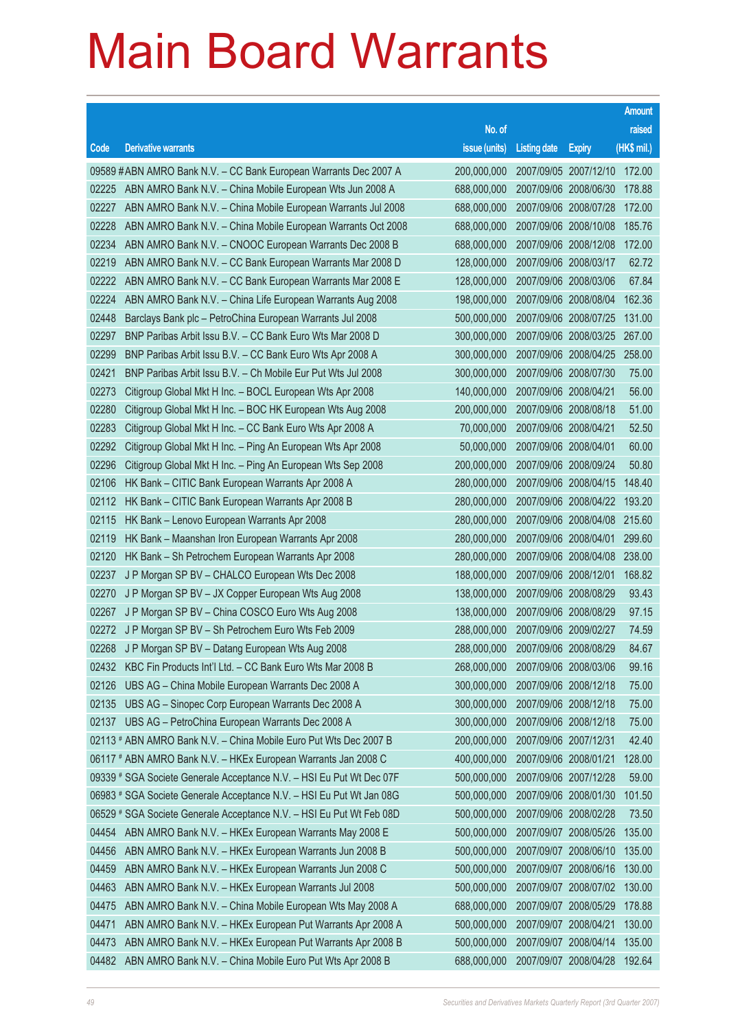|       |                                                                      |                                   |                       |                       | <b>Amount</b> |
|-------|----------------------------------------------------------------------|-----------------------------------|-----------------------|-----------------------|---------------|
|       |                                                                      | No. of                            |                       |                       | raised        |
| Code  | <b>Derivative warrants</b>                                           | issue (units)                     | <b>Listing date</b>   | <b>Expiry</b>         | $(HK$$ mil.)  |
|       | 09589 #ABN AMRO Bank N.V. - CC Bank European Warrants Dec 2007 A     | 200,000,000                       |                       | 2007/09/05 2007/12/10 | 172.00        |
| 02225 | ABN AMRO Bank N.V. - China Mobile European Wts Jun 2008 A            | 688,000,000                       |                       | 2007/09/06 2008/06/30 | 178.88        |
| 02227 | ABN AMRO Bank N.V. - China Mobile European Warrants Jul 2008         | 688,000,000                       |                       | 2007/09/06 2008/07/28 | 172.00        |
| 02228 | ABN AMRO Bank N.V. - China Mobile European Warrants Oct 2008         | 688,000,000                       | 2007/09/06 2008/10/08 |                       | 185.76        |
| 02234 | ABN AMRO Bank N.V. - CNOOC European Warrants Dec 2008 B              | 688,000,000                       |                       | 2007/09/06 2008/12/08 | 172.00        |
| 02219 | ABN AMRO Bank N.V. - CC Bank European Warrants Mar 2008 D            | 128,000,000                       | 2007/09/06 2008/03/17 |                       | 62.72         |
| 02222 | ABN AMRO Bank N.V. - CC Bank European Warrants Mar 2008 E            | 128,000,000                       |                       | 2007/09/06 2008/03/06 | 67.84         |
| 02224 | ABN AMRO Bank N.V. - China Life European Warrants Aug 2008           | 198,000,000                       | 2007/09/06 2008/08/04 |                       | 162.36        |
| 02448 | Barclays Bank plc - PetroChina European Warrants Jul 2008            | 500,000,000                       |                       | 2007/09/06 2008/07/25 | 131.00        |
| 02297 | BNP Paribas Arbit Issu B.V. - CC Bank Euro Wts Mar 2008 D            | 300,000,000                       | 2007/09/06 2008/03/25 |                       | 267.00        |
| 02299 | BNP Paribas Arbit Issu B.V. - CC Bank Euro Wts Apr 2008 A            | 300,000,000                       |                       | 2007/09/06 2008/04/25 | 258.00        |
| 02421 | BNP Paribas Arbit Issu B.V. - Ch Mobile Eur Put Wts Jul 2008         | 300.000.000                       | 2007/09/06 2008/07/30 |                       | 75.00         |
| 02273 | Citigroup Global Mkt H Inc. - BOCL European Wts Apr 2008             | 140,000,000                       |                       | 2007/09/06 2008/04/21 | 56.00         |
| 02280 | Citigroup Global Mkt H Inc. - BOC HK European Wts Aug 2008           | 200,000,000                       | 2007/09/06 2008/08/18 |                       | 51.00         |
| 02283 | Citigroup Global Mkt H Inc. - CC Bank Euro Wts Apr 2008 A            | 70,000,000                        |                       | 2007/09/06 2008/04/21 | 52.50         |
| 02292 | Citigroup Global Mkt H Inc. - Ping An European Wts Apr 2008          | 50,000,000                        | 2007/09/06 2008/04/01 |                       | 60.00         |
| 02296 | Citigroup Global Mkt H Inc. - Ping An European Wts Sep 2008          | 200,000,000                       |                       | 2007/09/06 2008/09/24 | 50.80         |
| 02106 | HK Bank - CITIC Bank European Warrants Apr 2008 A                    | 280,000,000                       | 2007/09/06 2008/04/15 |                       | 148.40        |
| 02112 | HK Bank - CITIC Bank European Warrants Apr 2008 B                    | 280,000,000                       |                       | 2007/09/06 2008/04/22 | 193.20        |
| 02115 | HK Bank – Lenovo European Warrants Apr 2008                          | 280,000,000                       | 2007/09/06 2008/04/08 |                       | 215.60        |
| 02119 | HK Bank – Maanshan Iron European Warrants Apr 2008                   | 280,000,000                       |                       | 2007/09/06 2008/04/01 | 299.60        |
| 02120 | HK Bank - Sh Petrochem European Warrants Apr 2008                    | 280,000,000                       | 2007/09/06 2008/04/08 |                       | 238.00        |
| 02237 | J P Morgan SP BV - CHALCO European Wts Dec 2008                      | 188,000,000                       |                       | 2007/09/06 2008/12/01 | 168.82        |
| 02270 | J P Morgan SP BV - JX Copper European Wts Aug 2008                   | 138,000,000                       | 2007/09/06 2008/08/29 |                       | 93.43         |
| 02267 | J P Morgan SP BV - China COSCO Euro Wts Aug 2008                     | 138,000,000                       |                       | 2007/09/06 2008/08/29 | 97.15         |
| 02272 | J P Morgan SP BV - Sh Petrochem Euro Wts Feb 2009                    | 288,000,000                       | 2007/09/06 2009/02/27 |                       | 74.59         |
| 02268 | J P Morgan SP BV - Datang European Wts Aug 2008                      | 288,000,000 2007/09/06 2008/08/29 |                       |                       | 84.67         |
|       | 02432 KBC Fin Products Int'l Ltd. - CC Bank Euro Wts Mar 2008 B      | 268,000,000                       | 2007/09/06 2008/03/06 |                       | 99.16         |
| 02126 | UBS AG - China Mobile European Warrants Dec 2008 A                   | 300,000,000                       |                       | 2007/09/06 2008/12/18 | 75.00         |
| 02135 | UBS AG - Sinopec Corp European Warrants Dec 2008 A                   | 300,000,000                       | 2007/09/06 2008/12/18 |                       | 75.00         |
| 02137 | UBS AG - PetroChina European Warrants Dec 2008 A                     | 300,000,000                       |                       | 2007/09/06 2008/12/18 | 75.00         |
|       | 02113 # ABN AMRO Bank N.V. - China Mobile Euro Put Wts Dec 2007 B    | 200,000,000                       | 2007/09/06 2007/12/31 |                       | 42.40         |
|       | 06117 # ABN AMRO Bank N.V. - HKEx European Warrants Jan 2008 C       | 400,000,000                       |                       | 2007/09/06 2008/01/21 | 128.00        |
|       | 09339 # SGA Societe Generale Acceptance N.V. - HSI Eu Put Wt Dec 07F | 500,000,000                       | 2007/09/06 2007/12/28 |                       | 59.00         |
|       | 06983 # SGA Societe Generale Acceptance N.V. - HSI Eu Put Wt Jan 08G | 500,000,000                       |                       | 2007/09/06 2008/01/30 | 101.50        |
|       | 06529 # SGA Societe Generale Acceptance N.V. - HSI Eu Put Wt Feb 08D | 500,000,000                       |                       | 2007/09/06 2008/02/28 | 73.50         |
| 04454 | ABN AMRO Bank N.V. - HKEx European Warrants May 2008 E               | 500,000,000                       |                       | 2007/09/07 2008/05/26 | 135.00        |
| 04456 | ABN AMRO Bank N.V. - HKEx European Warrants Jun 2008 B               | 500,000,000                       | 2007/09/07 2008/06/10 |                       | 135.00        |
| 04459 | ABN AMRO Bank N.V. - HKEx European Warrants Jun 2008 C               | 500,000,000                       |                       | 2007/09/07 2008/06/16 | 130.00        |
| 04463 | ABN AMRO Bank N.V. - HKEx European Warrants Jul 2008                 | 500,000,000                       |                       | 2007/09/07 2008/07/02 | 130.00        |
| 04475 | ABN AMRO Bank N.V. - China Mobile European Wts May 2008 A            | 688,000,000                       |                       | 2007/09/07 2008/05/29 | 178.88        |
| 04471 | ABN AMRO Bank N.V. - HKEx European Put Warrants Apr 2008 A           | 500,000,000                       | 2007/09/07 2008/04/21 |                       | 130.00        |
| 04473 | ABN AMRO Bank N.V. - HKEx European Put Warrants Apr 2008 B           | 500,000,000                       |                       | 2007/09/07 2008/04/14 | 135.00        |
| 04482 | ABN AMRO Bank N.V. - China Mobile Euro Put Wts Apr 2008 B            | 688,000,000                       | 2007/09/07 2008/04/28 |                       | 192.64        |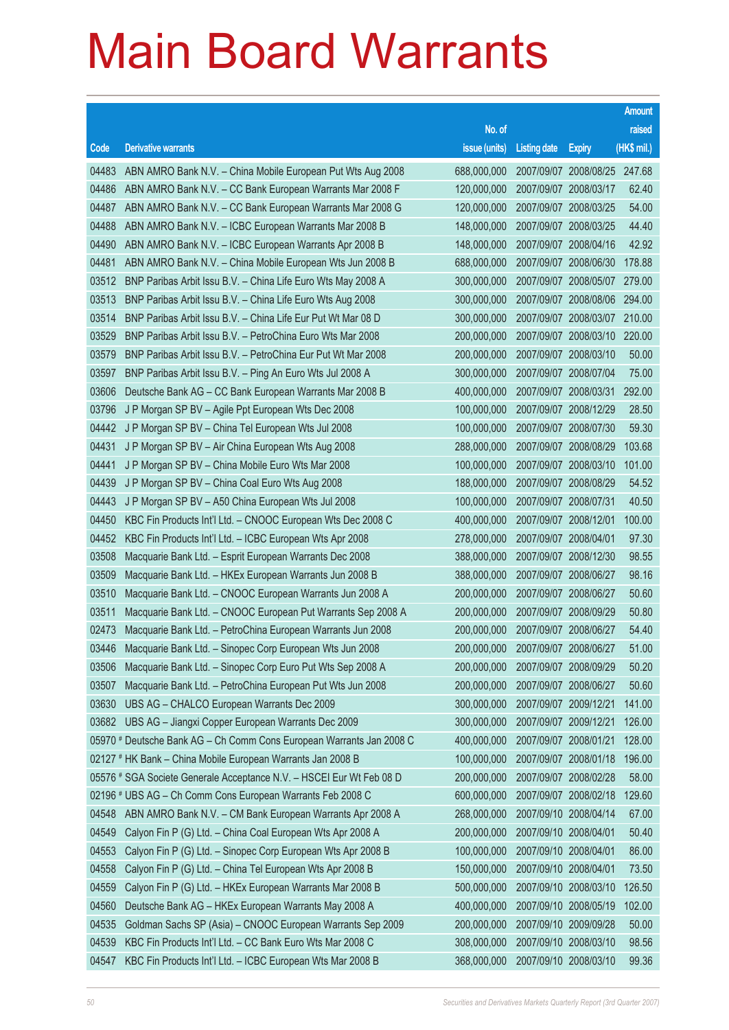|       |                                                                      |                                   |                       |                              | <b>Amount</b> |
|-------|----------------------------------------------------------------------|-----------------------------------|-----------------------|------------------------------|---------------|
|       |                                                                      | No. of                            |                       |                              | raised        |
| Code  | <b>Derivative warrants</b>                                           | issue (units)                     | <b>Listing date</b>   | <b>Expiry</b>                | $(HK$$ mil.)  |
| 04483 | ABN AMRO Bank N.V. - China Mobile European Put Wts Aug 2008          | 688,000,000                       |                       | 2007/09/07 2008/08/25 247.68 |               |
| 04486 | ABN AMRO Bank N.V. - CC Bank European Warrants Mar 2008 F            | 120,000,000                       | 2007/09/07 2008/03/17 |                              | 62.40         |
| 04487 | ABN AMRO Bank N.V. - CC Bank European Warrants Mar 2008 G            | 120,000,000                       |                       | 2007/09/07 2008/03/25        | 54.00         |
| 04488 | ABN AMRO Bank N.V. - ICBC European Warrants Mar 2008 B               | 148,000,000                       | 2007/09/07 2008/03/25 |                              | 44.40         |
| 04490 | ABN AMRO Bank N.V. - ICBC European Warrants Apr 2008 B               | 148,000,000                       |                       | 2007/09/07 2008/04/16        | 42.92         |
| 04481 | ABN AMRO Bank N.V. - China Mobile European Wts Jun 2008 B            | 688,000,000                       | 2007/09/07 2008/06/30 |                              | 178.88        |
| 03512 | BNP Paribas Arbit Issu B.V. - China Life Euro Wts May 2008 A         | 300,000,000                       |                       | 2007/09/07 2008/05/07        | 279.00        |
| 03513 | BNP Paribas Arbit Issu B.V. - China Life Euro Wts Aug 2008           | 300,000,000                       | 2007/09/07 2008/08/06 |                              | 294.00        |
| 03514 | BNP Paribas Arbit Issu B.V. - China Life Eur Put Wt Mar 08 D         | 300,000,000                       |                       | 2007/09/07 2008/03/07        | 210.00        |
| 03529 | BNP Paribas Arbit Issu B.V. - PetroChina Euro Wts Mar 2008           | 200,000,000                       |                       | 2007/09/07 2008/03/10        | 220.00        |
| 03579 | BNP Paribas Arbit Issu B.V. - PetroChina Eur Put Wt Mar 2008         | 200,000,000                       |                       | 2007/09/07 2008/03/10        | 50.00         |
| 03597 | BNP Paribas Arbit Issu B.V. - Ping An Euro Wts Jul 2008 A            | 300,000,000                       | 2007/09/07 2008/07/04 |                              | 75.00         |
| 03606 | Deutsche Bank AG - CC Bank European Warrants Mar 2008 B              | 400,000,000                       |                       | 2007/09/07 2008/03/31        | 292.00        |
| 03796 | J P Morgan SP BV - Agile Ppt European Wts Dec 2008                   | 100,000,000                       | 2007/09/07 2008/12/29 |                              | 28.50         |
| 04442 | J P Morgan SP BV - China Tel European Wts Jul 2008                   | 100,000,000                       | 2007/09/07 2008/07/30 |                              | 59.30         |
| 04431 | J P Morgan SP BV - Air China European Wts Aug 2008                   | 288,000,000                       | 2007/09/07 2008/08/29 |                              | 103.68        |
| 04441 | J P Morgan SP BV - China Mobile Euro Wts Mar 2008                    | 100,000,000                       |                       | 2007/09/07 2008/03/10        | 101.00        |
| 04439 | J P Morgan SP BV - China Coal Euro Wts Aug 2008                      | 188,000,000                       | 2007/09/07 2008/08/29 |                              | 54.52         |
| 04443 | J P Morgan SP BV - A50 China European Wts Jul 2008                   | 100,000,000                       | 2007/09/07 2008/07/31 |                              | 40.50         |
| 04450 | KBC Fin Products Int'l Ltd. - CNOOC European Wts Dec 2008 C          | 400,000,000                       | 2007/09/07 2008/12/01 |                              | 100.00        |
| 04452 | KBC Fin Products Int'l Ltd. - ICBC European Wts Apr 2008             | 278,000,000                       | 2007/09/07 2008/04/01 |                              | 97.30         |
| 03508 | Macquarie Bank Ltd. - Esprit European Warrants Dec 2008              | 388,000,000                       | 2007/09/07 2008/12/30 |                              | 98.55         |
| 03509 | Macquarie Bank Ltd. - HKEx European Warrants Jun 2008 B              | 388,000,000                       | 2007/09/07 2008/06/27 |                              | 98.16         |
| 03510 | Macquarie Bank Ltd. - CNOOC European Warrants Jun 2008 A             | 200,000,000                       | 2007/09/07 2008/06/27 |                              | 50.60         |
| 03511 | Macquarie Bank Ltd. - CNOOC European Put Warrants Sep 2008 A         | 200,000,000                       |                       | 2007/09/07 2008/09/29        | 50.80         |
| 02473 | Macquarie Bank Ltd. - PetroChina European Warrants Jun 2008          | 200,000,000                       | 2007/09/07 2008/06/27 |                              | 54.40         |
| 03446 | Macquarie Bank Ltd. - Sinopec Corp European Wts Jun 2008             | 200,000,000 2007/09/07 2008/06/27 |                       |                              | 51.00         |
| 03506 | Macquarie Bank Ltd. - Sinopec Corp Euro Put Wts Sep 2008 A           | 200,000,000                       | 2007/09/07 2008/09/29 |                              | 50.20         |
| 03507 | Macquarie Bank Ltd. - PetroChina European Put Wts Jun 2008           | 200,000,000                       | 2007/09/07 2008/06/27 |                              | 50.60         |
| 03630 | UBS AG - CHALCO European Warrants Dec 2009                           | 300,000,000                       | 2007/09/07 2009/12/21 |                              | 141.00        |
| 03682 | UBS AG - Jiangxi Copper European Warrants Dec 2009                   | 300,000,000                       | 2007/09/07 2009/12/21 |                              | 126.00        |
|       | 05970 # Deutsche Bank AG - Ch Comm Cons European Warrants Jan 2008 C | 400,000,000                       | 2007/09/07 2008/01/21 |                              | 128.00        |
|       | 02127 # HK Bank - China Mobile European Warrants Jan 2008 B          | 100,000,000                       |                       | 2007/09/07 2008/01/18        | 196.00        |
|       | 05576 # SGA Societe Generale Acceptance N.V. - HSCEI Eur Wt Feb 08 D | 200,000,000                       | 2007/09/07 2008/02/28 |                              | 58.00         |
|       | 02196 # UBS AG - Ch Comm Cons European Warrants Feb 2008 C           | 600,000,000                       |                       | 2007/09/07 2008/02/18        | 129.60        |
| 04548 | ABN AMRO Bank N.V. - CM Bank European Warrants Apr 2008 A            | 268,000,000                       | 2007/09/10 2008/04/14 |                              | 67.00         |
| 04549 | Calyon Fin P (G) Ltd. - China Coal European Wts Apr 2008 A           | 200,000,000                       | 2007/09/10 2008/04/01 |                              | 50.40         |
| 04553 | Calyon Fin P (G) Ltd. - Sinopec Corp European Wts Apr 2008 B         | 100,000,000                       | 2007/09/10 2008/04/01 |                              | 86.00         |
| 04558 | Calyon Fin P (G) Ltd. - China Tel European Wts Apr 2008 B            | 150,000,000                       | 2007/09/10 2008/04/01 |                              | 73.50         |
| 04559 | Calyon Fin P (G) Ltd. - HKEx European Warrants Mar 2008 B            | 500,000,000                       |                       | 2007/09/10 2008/03/10        | 126.50        |
| 04560 | Deutsche Bank AG - HKEx European Warrants May 2008 A                 | 400,000,000                       |                       | 2007/09/10 2008/05/19        | 102.00        |
| 04535 | Goldman Sachs SP (Asia) - CNOOC European Warrants Sep 2009           | 200,000,000                       | 2007/09/10 2009/09/28 |                              | 50.00         |
| 04539 | KBC Fin Products Int'l Ltd. - CC Bank Euro Wts Mar 2008 C            | 308,000,000                       | 2007/09/10 2008/03/10 |                              | 98.56         |
| 04547 | KBC Fin Products Int'l Ltd. - ICBC European Wts Mar 2008 B           | 368,000,000                       | 2007/09/10 2008/03/10 |                              | 99.36         |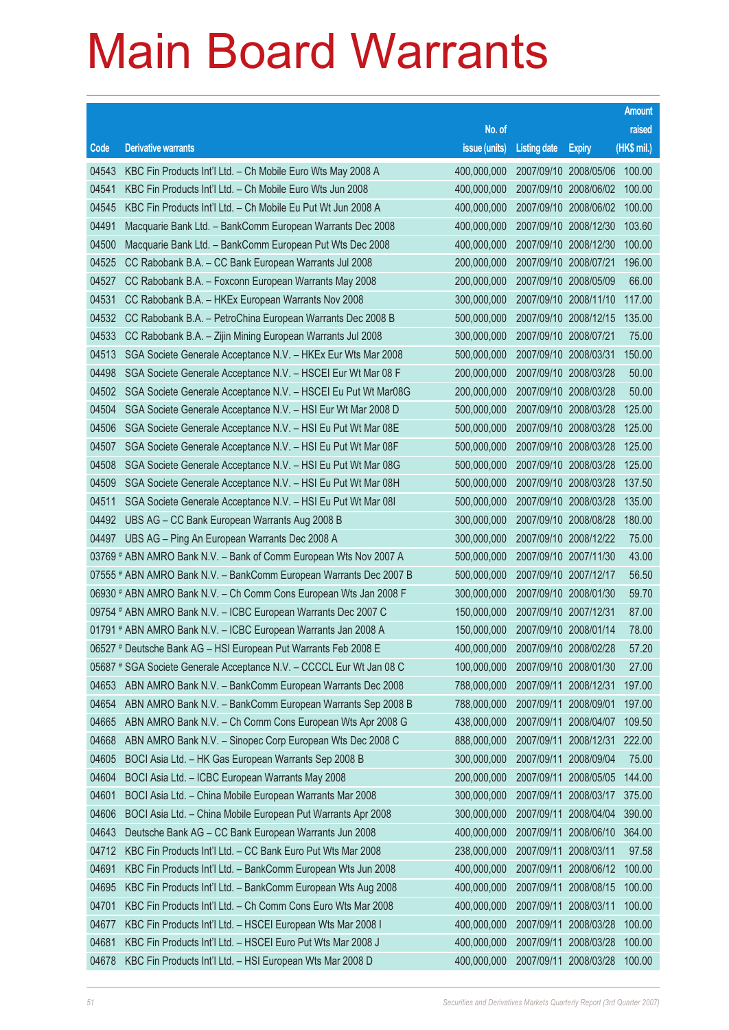|       |                                                                      |                                   |                       |                       | <b>Amount</b> |
|-------|----------------------------------------------------------------------|-----------------------------------|-----------------------|-----------------------|---------------|
|       |                                                                      | No. of                            |                       |                       | raised        |
| Code  | <b>Derivative warrants</b>                                           | issue (units)                     | <b>Listing date</b>   | <b>Expiry</b>         | (HK\$ mil.)   |
| 04543 | KBC Fin Products Int'l Ltd. - Ch Mobile Euro Wts May 2008 A          | 400,000,000                       |                       | 2007/09/10 2008/05/06 | 100.00        |
| 04541 | KBC Fin Products Int'l Ltd. - Ch Mobile Euro Wts Jun 2008            | 400,000,000                       |                       | 2007/09/10 2008/06/02 | 100.00        |
| 04545 | KBC Fin Products Int'l Ltd. - Ch Mobile Eu Put Wt Jun 2008 A         | 400,000,000                       |                       | 2007/09/10 2008/06/02 | 100.00        |
| 04491 | Macquarie Bank Ltd. - BankComm European Warrants Dec 2008            | 400,000,000                       | 2007/09/10 2008/12/30 |                       | 103.60        |
| 04500 | Macquarie Bank Ltd. - BankComm European Put Wts Dec 2008             | 400,000,000                       |                       | 2007/09/10 2008/12/30 | 100.00        |
| 04525 | CC Rabobank B.A. - CC Bank European Warrants Jul 2008                | 200,000,000                       | 2007/09/10 2008/07/21 |                       | 196.00        |
| 04527 | CC Rabobank B.A. - Foxconn European Warrants May 2008                | 200,000,000                       | 2007/09/10 2008/05/09 |                       | 66.00         |
| 04531 | CC Rabobank B.A. - HKEx European Warrants Nov 2008                   | 300,000,000                       | 2007/09/10 2008/11/10 |                       | 117.00        |
| 04532 | CC Rabobank B.A. - PetroChina European Warrants Dec 2008 B           | 500,000,000                       |                       | 2007/09/10 2008/12/15 | 135.00        |
| 04533 | CC Rabobank B.A. - Zijin Mining European Warrants Jul 2008           | 300,000,000                       | 2007/09/10 2008/07/21 |                       | 75.00         |
| 04513 | SGA Societe Generale Acceptance N.V. - HKEx Eur Wts Mar 2008         | 500,000,000                       | 2007/09/10 2008/03/31 |                       | 150.00        |
| 04498 | SGA Societe Generale Acceptance N.V. - HSCEI Eur Wt Mar 08 F         | 200,000,000                       | 2007/09/10 2008/03/28 |                       | 50.00         |
| 04502 | SGA Societe Generale Acceptance N.V. - HSCEI Eu Put Wt Mar08G        | 200,000,000                       |                       | 2007/09/10 2008/03/28 | 50.00         |
| 04504 | SGA Societe Generale Acceptance N.V. - HSI Eur Wt Mar 2008 D         | 500,000,000                       |                       | 2007/09/10 2008/03/28 | 125.00        |
| 04506 | SGA Societe Generale Acceptance N.V. - HSI Eu Put Wt Mar 08E         | 500,000,000                       |                       | 2007/09/10 2008/03/28 | 125.00        |
| 04507 | SGA Societe Generale Acceptance N.V. - HSI Eu Put Wt Mar 08F         | 500,000,000                       | 2007/09/10 2008/03/28 |                       | 125.00        |
| 04508 | SGA Societe Generale Acceptance N.V. - HSI Eu Put Wt Mar 08G         | 500,000,000                       |                       | 2007/09/10 2008/03/28 | 125.00        |
| 04509 | SGA Societe Generale Acceptance N.V. - HSI Eu Put Wt Mar 08H         | 500,000,000                       | 2007/09/10 2008/03/28 |                       | 137.50        |
| 04511 | SGA Societe Generale Acceptance N.V. - HSI Eu Put Wt Mar 081         | 500,000,000                       |                       | 2007/09/10 2008/03/28 | 135.00        |
| 04492 | UBS AG - CC Bank European Warrants Aug 2008 B                        | 300,000,000                       | 2007/09/10 2008/08/28 |                       | 180.00        |
| 04497 | UBS AG - Ping An European Warrants Dec 2008 A                        | 300,000,000                       |                       | 2007/09/10 2008/12/22 | 75.00         |
|       | 03769 # ABN AMRO Bank N.V. - Bank of Comm European Wts Nov 2007 A    | 500,000,000                       | 2007/09/10 2007/11/30 |                       | 43.00         |
|       | 07555 # ABN AMRO Bank N.V. - BankComm European Warrants Dec 2007 B   | 500,000,000                       | 2007/09/10 2007/12/17 |                       | 56.50         |
|       | 06930 # ABN AMRO Bank N.V. - Ch Comm Cons European Wts Jan 2008 F    | 300,000,000                       | 2007/09/10 2008/01/30 |                       | 59.70         |
|       | 09754 # ABN AMRO Bank N.V. - ICBC European Warrants Dec 2007 C       | 150,000,000                       | 2007/09/10 2007/12/31 |                       | 87.00         |
|       | 01791 # ABN AMRO Bank N.V. - ICBC European Warrants Jan 2008 A       | 150,000,000                       | 2007/09/10 2008/01/14 |                       | 78.00         |
|       | 06527 # Deutsche Bank AG - HSI European Put Warrants Feb 2008 E      | 400,000,000 2007/09/10 2008/02/28 |                       |                       | 57.20         |
|       | 05687 # SGA Societe Generale Acceptance N.V. - CCCCL Eur Wt Jan 08 C | 100,000,000                       | 2007/09/10 2008/01/30 |                       | 27.00         |
| 04653 | ABN AMRO Bank N.V. - BankComm European Warrants Dec 2008             | 788,000,000                       | 2007/09/11 2008/12/31 |                       | 197.00        |
| 04654 | ABN AMRO Bank N.V. - BankComm European Warrants Sep 2008 B           | 788,000,000                       | 2007/09/11 2008/09/01 |                       | 197.00        |
| 04665 | ABN AMRO Bank N.V. - Ch Comm Cons European Wts Apr 2008 G            | 438,000,000                       | 2007/09/11 2008/04/07 |                       | 109.50        |
| 04668 | ABN AMRO Bank N.V. - Sinopec Corp European Wts Dec 2008 C            | 888,000,000                       | 2007/09/11 2008/12/31 |                       | 222.00        |
| 04605 | BOCI Asia Ltd. - HK Gas European Warrants Sep 2008 B                 | 300,000,000                       | 2007/09/11 2008/09/04 |                       | 75.00         |
| 04604 | BOCI Asia Ltd. - ICBC European Warrants May 2008                     | 200,000,000                       | 2007/09/11 2008/05/05 |                       | 144.00        |
| 04601 | BOCI Asia Ltd. - China Mobile European Warrants Mar 2008             | 300,000,000                       |                       | 2007/09/11 2008/03/17 | 375.00        |
| 04606 | BOCI Asia Ltd. - China Mobile European Put Warrants Apr 2008         | 300,000,000                       |                       | 2007/09/11 2008/04/04 | 390.00        |
| 04643 | Deutsche Bank AG - CC Bank European Warrants Jun 2008                | 400,000,000                       |                       | 2007/09/11 2008/06/10 | 364.00        |
| 04712 | KBC Fin Products Int'l Ltd. - CC Bank Euro Put Wts Mar 2008          | 238,000,000                       | 2007/09/11 2008/03/11 |                       | 97.58         |
| 04691 | KBC Fin Products Int'l Ltd. - BankComm European Wts Jun 2008         | 400,000,000                       |                       | 2007/09/11 2008/06/12 | 100.00        |
| 04695 | KBC Fin Products Int'l Ltd. - BankComm European Wts Aug 2008         | 400,000,000                       |                       | 2007/09/11 2008/08/15 | 100.00        |
| 04701 | KBC Fin Products Int'l Ltd. - Ch Comm Cons Euro Wts Mar 2008         | 400,000,000                       | 2007/09/11 2008/03/11 |                       | 100.00        |
| 04677 | KBC Fin Products Int'l Ltd. - HSCEI European Wts Mar 2008 I          | 400,000,000                       | 2007/09/11 2008/03/28 |                       | 100.00        |
| 04681 | KBC Fin Products Int'l Ltd. - HSCEI Euro Put Wts Mar 2008 J          | 400,000,000                       |                       | 2007/09/11 2008/03/28 | 100.00        |
| 04678 | KBC Fin Products Int'l Ltd. - HSI European Wts Mar 2008 D            | 400,000,000                       |                       | 2007/09/11 2008/03/28 | 100.00        |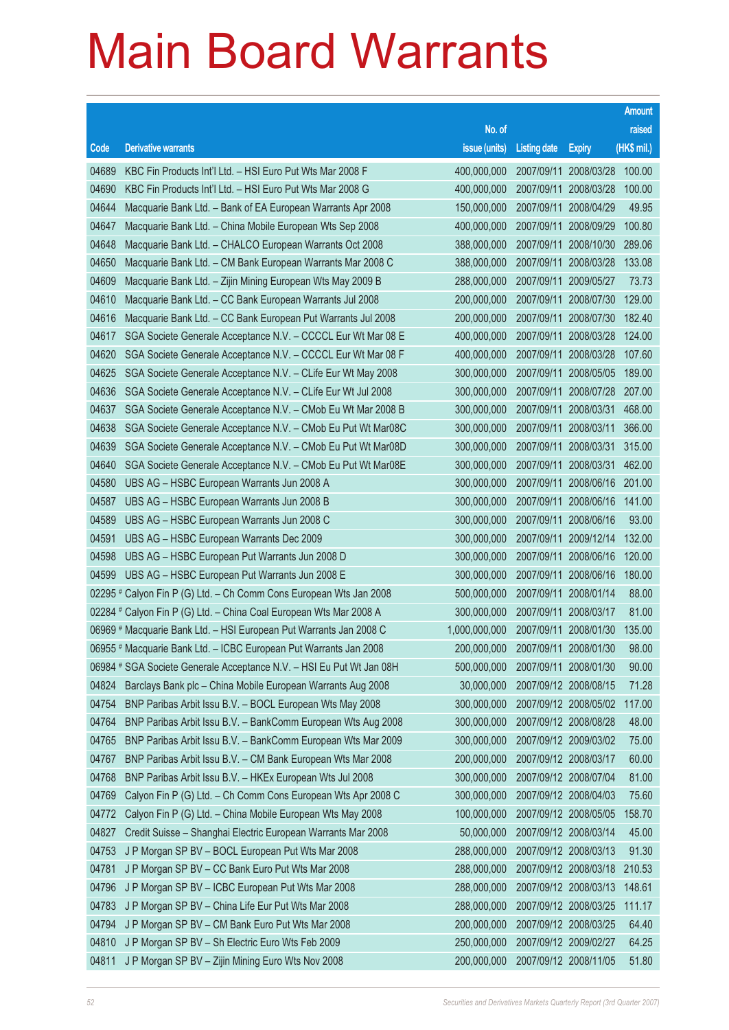|       |                                                                      |                                   |                       |                       | <b>Amount</b> |
|-------|----------------------------------------------------------------------|-----------------------------------|-----------------------|-----------------------|---------------|
|       |                                                                      | No. of                            |                       |                       | raised        |
| Code  | <b>Derivative warrants</b>                                           | issue (units)                     | <b>Listing date</b>   | <b>Expiry</b>         | $(HK$$ mil.)  |
| 04689 | KBC Fin Products Int'l Ltd. - HSI Euro Put Wts Mar 2008 F            | 400,000,000                       |                       | 2007/09/11 2008/03/28 | 100.00        |
| 04690 | KBC Fin Products Int'l Ltd. - HSI Euro Put Wts Mar 2008 G            | 400,000,000                       | 2007/09/11            | 2008/03/28            | 100.00        |
| 04644 | Macquarie Bank Ltd. - Bank of EA European Warrants Apr 2008          | 150,000,000                       |                       | 2007/09/11 2008/04/29 | 49.95         |
| 04647 | Macquarie Bank Ltd. - China Mobile European Wts Sep 2008             | 400,000,000                       |                       | 2007/09/11 2008/09/29 | 100.80        |
| 04648 | Macquarie Bank Ltd. - CHALCO European Warrants Oct 2008              | 388,000,000                       |                       | 2007/09/11 2008/10/30 | 289.06        |
| 04650 | Macquarie Bank Ltd. - CM Bank European Warrants Mar 2008 C           | 388,000,000                       |                       | 2007/09/11 2008/03/28 | 133.08        |
| 04609 | Macquarie Bank Ltd. - Zijin Mining European Wts May 2009 B           | 288,000,000                       |                       | 2007/09/11 2009/05/27 | 73.73         |
| 04610 | Macquarie Bank Ltd. - CC Bank European Warrants Jul 2008             | 200,000,000                       |                       | 2007/09/11 2008/07/30 | 129.00        |
| 04616 | Macquarie Bank Ltd. - CC Bank European Put Warrants Jul 2008         | 200,000,000                       |                       | 2007/09/11 2008/07/30 | 182.40        |
| 04617 | SGA Societe Generale Acceptance N.V. - CCCCL Eur Wt Mar 08 E         | 400,000,000                       |                       | 2007/09/11 2008/03/28 | 124.00        |
| 04620 | SGA Societe Generale Acceptance N.V. - CCCCL Eur Wt Mar 08 F         | 400,000,000                       |                       | 2007/09/11 2008/03/28 | 107.60        |
| 04625 | SGA Societe Generale Acceptance N.V. - CLife Eur Wt May 2008         | 300,000,000                       |                       | 2007/09/11 2008/05/05 | 189.00        |
| 04636 | SGA Societe Generale Acceptance N.V. - CLife Eur Wt Jul 2008         | 300,000,000                       |                       | 2007/09/11 2008/07/28 | 207.00        |
| 04637 | SGA Societe Generale Acceptance N.V. - CMob Eu Wt Mar 2008 B         | 300,000,000                       |                       | 2007/09/11 2008/03/31 | 468.00        |
| 04638 | SGA Societe Generale Acceptance N.V. - CMob Eu Put Wt Mar08C         | 300,000,000                       |                       | 2007/09/11 2008/03/11 | 366.00        |
| 04639 | SGA Societe Generale Acceptance N.V. - CMob Eu Put Wt Mar08D         | 300,000,000                       |                       | 2007/09/11 2008/03/31 | 315.00        |
| 04640 | SGA Societe Generale Acceptance N.V. - CMob Eu Put Wt Mar08E         | 300,000,000                       |                       | 2007/09/11 2008/03/31 | 462.00        |
| 04580 | UBS AG - HSBC European Warrants Jun 2008 A                           | 300,000,000                       |                       | 2007/09/11 2008/06/16 | 201.00        |
| 04587 | UBS AG - HSBC European Warrants Jun 2008 B                           | 300,000,000                       |                       | 2007/09/11 2008/06/16 | 141.00        |
| 04589 | UBS AG - HSBC European Warrants Jun 2008 C                           | 300,000,000                       |                       | 2007/09/11 2008/06/16 | 93.00         |
| 04591 | UBS AG - HSBC European Warrants Dec 2009                             | 300,000,000                       |                       | 2007/09/11 2009/12/14 | 132.00        |
| 04598 | UBS AG - HSBC European Put Warrants Jun 2008 D                       | 300,000,000                       |                       | 2007/09/11 2008/06/16 | 120.00        |
| 04599 | UBS AG - HSBC European Put Warrants Jun 2008 E                       | 300,000,000                       |                       | 2007/09/11 2008/06/16 | 180.00        |
|       | 02295 # Calyon Fin P (G) Ltd. - Ch Comm Cons European Wts Jan 2008   | 500,000,000                       |                       | 2007/09/11 2008/01/14 | 88.00         |
|       | 02284 # Calyon Fin P (G) Ltd. - China Coal European Wts Mar 2008 A   | 300,000,000                       |                       | 2007/09/11 2008/03/17 | 81.00         |
|       | 06969 # Macquarie Bank Ltd. - HSI European Put Warrants Jan 2008 C   | 1,000,000,000                     |                       | 2007/09/11 2008/01/30 | 135.00        |
|       | 06955 # Macquarie Bank Ltd. - ICBC European Put Warrants Jan 2008    | 200,000,000 2007/09/11 2008/01/30 |                       |                       | 98.00         |
|       | 06984 # SGA Societe Generale Acceptance N.V. - HSI Eu Put Wt Jan 08H | 500,000,000                       | 2007/09/11 2008/01/30 |                       | 90.00         |
| 04824 | Barclays Bank plc - China Mobile European Warrants Aug 2008          | 30,000,000                        |                       | 2007/09/12 2008/08/15 | 71.28         |
| 04754 | BNP Paribas Arbit Issu B.V. - BOCL European Wts May 2008             | 300,000,000                       |                       | 2007/09/12 2008/05/02 | 117.00        |
| 04764 | BNP Paribas Arbit Issu B.V. - BankComm European Wts Aug 2008         | 300,000,000                       |                       | 2007/09/12 2008/08/28 | 48.00         |
| 04765 | BNP Paribas Arbit Issu B.V. - BankComm European Wts Mar 2009         | 300,000,000                       |                       | 2007/09/12 2009/03/02 | 75.00         |
| 04767 | BNP Paribas Arbit Issu B.V. - CM Bank European Wts Mar 2008          | 200,000,000                       |                       | 2007/09/12 2008/03/17 | 60.00         |
| 04768 | BNP Paribas Arbit Issu B.V. - HKEx European Wts Jul 2008             | 300,000,000                       |                       | 2007/09/12 2008/07/04 | 81.00         |
| 04769 | Calyon Fin P (G) Ltd. - Ch Comm Cons European Wts Apr 2008 C         | 300,000,000                       |                       | 2007/09/12 2008/04/03 | 75.60         |
| 04772 | Calyon Fin P (G) Ltd. - China Mobile European Wts May 2008           | 100,000,000                       |                       | 2007/09/12 2008/05/05 | 158.70        |
| 04827 | Credit Suisse - Shanghai Electric European Warrants Mar 2008         | 50,000,000                        |                       | 2007/09/12 2008/03/14 | 45.00         |
| 04753 | J P Morgan SP BV - BOCL European Put Wts Mar 2008                    | 288,000,000                       |                       | 2007/09/12 2008/03/13 | 91.30         |
| 04781 | J P Morgan SP BV - CC Bank Euro Put Wts Mar 2008                     | 288,000,000                       |                       | 2007/09/12 2008/03/18 | 210.53        |
| 04796 | J P Morgan SP BV - ICBC European Put Wts Mar 2008                    | 288,000,000                       |                       | 2007/09/12 2008/03/13 | 148.61        |
| 04783 | J P Morgan SP BV - China Life Eur Put Wts Mar 2008                   | 288,000,000                       |                       | 2007/09/12 2008/03/25 | 111.17        |
| 04794 | J P Morgan SP BV - CM Bank Euro Put Wts Mar 2008                     | 200,000,000                       |                       | 2007/09/12 2008/03/25 | 64.40         |
| 04810 | J P Morgan SP BV - Sh Electric Euro Wts Feb 2009                     | 250,000,000                       |                       | 2007/09/12 2009/02/27 | 64.25         |
| 04811 | J P Morgan SP BV - Zijin Mining Euro Wts Nov 2008                    | 200,000,000                       |                       | 2007/09/12 2008/11/05 | 51.80         |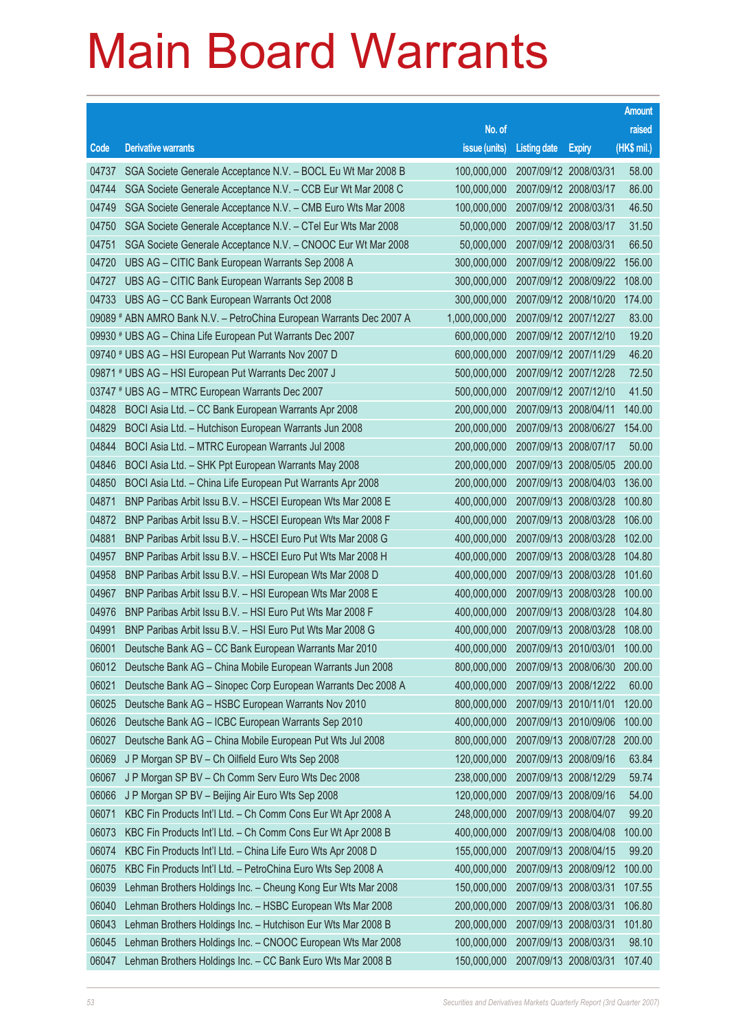|       |                                                                      |                                          |                       |                       | <b>Amount</b> |
|-------|----------------------------------------------------------------------|------------------------------------------|-----------------------|-----------------------|---------------|
|       |                                                                      | No. of                                   |                       |                       | raised        |
| Code  | <b>Derivative warrants</b>                                           | issue (units)                            | <b>Listing date</b>   | <b>Expiry</b>         | (HK\$ mil.)   |
| 04737 | SGA Societe Generale Acceptance N.V. - BOCL Eu Wt Mar 2008 B         | 100,000,000                              |                       | 2007/09/12 2008/03/31 | 58.00         |
| 04744 | SGA Societe Generale Acceptance N.V. - CCB Eur Wt Mar 2008 C         | 100,000,000                              | 2007/09/12 2008/03/17 |                       | 86.00         |
| 04749 | SGA Societe Generale Acceptance N.V. - CMB Euro Wts Mar 2008         | 100,000,000                              | 2007/09/12 2008/03/31 |                       | 46.50         |
| 04750 | SGA Societe Generale Acceptance N.V. - CTel Eur Wts Mar 2008         | 50,000,000                               | 2007/09/12 2008/03/17 |                       | 31.50         |
| 04751 | SGA Societe Generale Acceptance N.V. - CNOOC Eur Wt Mar 2008         | 50,000,000                               | 2007/09/12 2008/03/31 |                       | 66.50         |
| 04720 | UBS AG - CITIC Bank European Warrants Sep 2008 A                     | 300,000,000                              |                       | 2007/09/12 2008/09/22 | 156.00        |
| 04727 | UBS AG - CITIC Bank European Warrants Sep 2008 B                     | 300,000,000                              |                       | 2007/09/12 2008/09/22 | 108.00        |
| 04733 | UBS AG - CC Bank European Warrants Oct 2008                          | 300,000,000                              |                       | 2007/09/12 2008/10/20 | 174.00        |
|       | 09089 # ABN AMRO Bank N.V. - PetroChina European Warrants Dec 2007 A | 1,000,000,000                            |                       | 2007/09/12 2007/12/27 | 83.00         |
|       | 09930 # UBS AG – China Life European Put Warrants Dec 2007           | 600,000,000                              |                       | 2007/09/12 2007/12/10 | 19.20         |
|       | 09740 # UBS AG - HSI European Put Warrants Nov 2007 D                | 600,000,000                              |                       | 2007/09/12 2007/11/29 | 46.20         |
|       | 09871 # UBS AG - HSI European Put Warrants Dec 2007 J                | 500,000,000                              |                       | 2007/09/12 2007/12/28 | 72.50         |
|       | 03747 # UBS AG - MTRC European Warrants Dec 2007                     | 500,000,000                              |                       | 2007/09/12 2007/12/10 | 41.50         |
| 04828 | BOCI Asia Ltd. - CC Bank European Warrants Apr 2008                  | 200,000,000                              | 2007/09/13 2008/04/11 |                       | 140.00        |
| 04829 | BOCI Asia Ltd. - Hutchison European Warrants Jun 2008                | 200,000,000                              |                       | 2007/09/13 2008/06/27 | 154.00        |
| 04844 | BOCI Asia Ltd. - MTRC European Warrants Jul 2008                     | 200,000,000                              | 2007/09/13 2008/07/17 |                       | 50.00         |
| 04846 | BOCI Asia Ltd. - SHK Ppt European Warrants May 2008                  | 200,000,000                              |                       | 2007/09/13 2008/05/05 | 200.00        |
| 04850 | BOCI Asia Ltd. - China Life European Put Warrants Apr 2008           | 200,000,000                              |                       | 2007/09/13 2008/04/03 | 136.00        |
| 04871 | BNP Paribas Arbit Issu B.V. - HSCEI European Wts Mar 2008 E          | 400,000,000                              |                       | 2007/09/13 2008/03/28 | 100.80        |
| 04872 | BNP Paribas Arbit Issu B.V. - HSCEI European Wts Mar 2008 F          | 400,000,000                              |                       | 2007/09/13 2008/03/28 | 106.00        |
| 04881 | BNP Paribas Arbit Issu B.V. - HSCEI Euro Put Wts Mar 2008 G          | 400,000,000                              |                       | 2007/09/13 2008/03/28 | 102.00        |
| 04957 | BNP Paribas Arbit Issu B.V. - HSCEI Euro Put Wts Mar 2008 H          | 400,000,000                              |                       | 2007/09/13 2008/03/28 | 104.80        |
| 04958 | BNP Paribas Arbit Issu B.V. - HSI European Wts Mar 2008 D            | 400,000,000                              |                       | 2007/09/13 2008/03/28 | 101.60        |
| 04967 | BNP Paribas Arbit Issu B.V. - HSI European Wts Mar 2008 E            | 400,000,000                              |                       | 2007/09/13 2008/03/28 | 100.00        |
| 04976 | BNP Paribas Arbit Issu B.V. - HSI Euro Put Wts Mar 2008 F            | 400,000,000                              |                       | 2007/09/13 2008/03/28 | 104.80        |
| 04991 | BNP Paribas Arbit Issu B.V. - HSI Euro Put Wts Mar 2008 G            | 400,000,000                              |                       | 2007/09/13 2008/03/28 | 108.00        |
| 06001 | Deutsche Bank AG - CC Bank European Warrants Mar 2010                | 400,000,000 2007/09/13 2010/03/01 100.00 |                       |                       |               |
| 06012 | Deutsche Bank AG - China Mobile European Warrants Jun 2008           | 800,000,000                              |                       | 2007/09/13 2008/06/30 | 200.00        |
| 06021 | Deutsche Bank AG - Sinopec Corp European Warrants Dec 2008 A         | 400,000,000                              |                       | 2007/09/13 2008/12/22 | 60.00         |
| 06025 | Deutsche Bank AG - HSBC European Warrants Nov 2010                   | 800,000,000                              | 2007/09/13 2010/11/01 |                       | 120.00        |
| 06026 | Deutsche Bank AG - ICBC European Warrants Sep 2010                   | 400,000,000                              |                       | 2007/09/13 2010/09/06 | 100.00        |
| 06027 | Deutsche Bank AG - China Mobile European Put Wts Jul 2008            | 800,000,000                              |                       | 2007/09/13 2008/07/28 | 200.00        |
| 06069 | J P Morgan SP BV - Ch Oilfield Euro Wts Sep 2008                     | 120,000,000                              |                       | 2007/09/13 2008/09/16 | 63.84         |
| 06067 | J P Morgan SP BV - Ch Comm Serv Euro Wts Dec 2008                    | 238,000,000                              |                       | 2007/09/13 2008/12/29 | 59.74         |
| 06066 | J P Morgan SP BV - Beijing Air Euro Wts Sep 2008                     | 120,000,000                              |                       | 2007/09/13 2008/09/16 | 54.00         |
| 06071 | KBC Fin Products Int'l Ltd. - Ch Comm Cons Eur Wt Apr 2008 A         | 248,000,000                              | 2007/09/13 2008/04/07 |                       | 99.20         |
| 06073 | KBC Fin Products Int'l Ltd. - Ch Comm Cons Eur Wt Apr 2008 B         | 400,000,000                              |                       | 2007/09/13 2008/04/08 | 100.00        |
| 06074 | KBC Fin Products Int'l Ltd. - China Life Euro Wts Apr 2008 D         | 155,000,000                              |                       | 2007/09/13 2008/04/15 | 99.20         |
| 06075 | KBC Fin Products Int'l Ltd. - PetroChina Euro Wts Sep 2008 A         | 400,000,000                              |                       | 2007/09/13 2008/09/12 | 100.00        |
| 06039 | Lehman Brothers Holdings Inc. - Cheung Kong Eur Wts Mar 2008         | 150,000,000                              |                       | 2007/09/13 2008/03/31 | 107.55        |
| 06040 | Lehman Brothers Holdings Inc. - HSBC European Wts Mar 2008           | 200,000,000                              |                       | 2007/09/13 2008/03/31 | 106.80        |
| 06043 | Lehman Brothers Holdings Inc. - Hutchison Eur Wts Mar 2008 B         | 200,000,000                              | 2007/09/13 2008/03/31 |                       | 101.80        |
| 06045 | Lehman Brothers Holdings Inc. - CNOOC European Wts Mar 2008          | 100,000,000                              | 2007/09/13 2008/03/31 |                       | 98.10         |
| 06047 | Lehman Brothers Holdings Inc. - CC Bank Euro Wts Mar 2008 B          | 150,000,000                              | 2007/09/13 2008/03/31 |                       | 107.40        |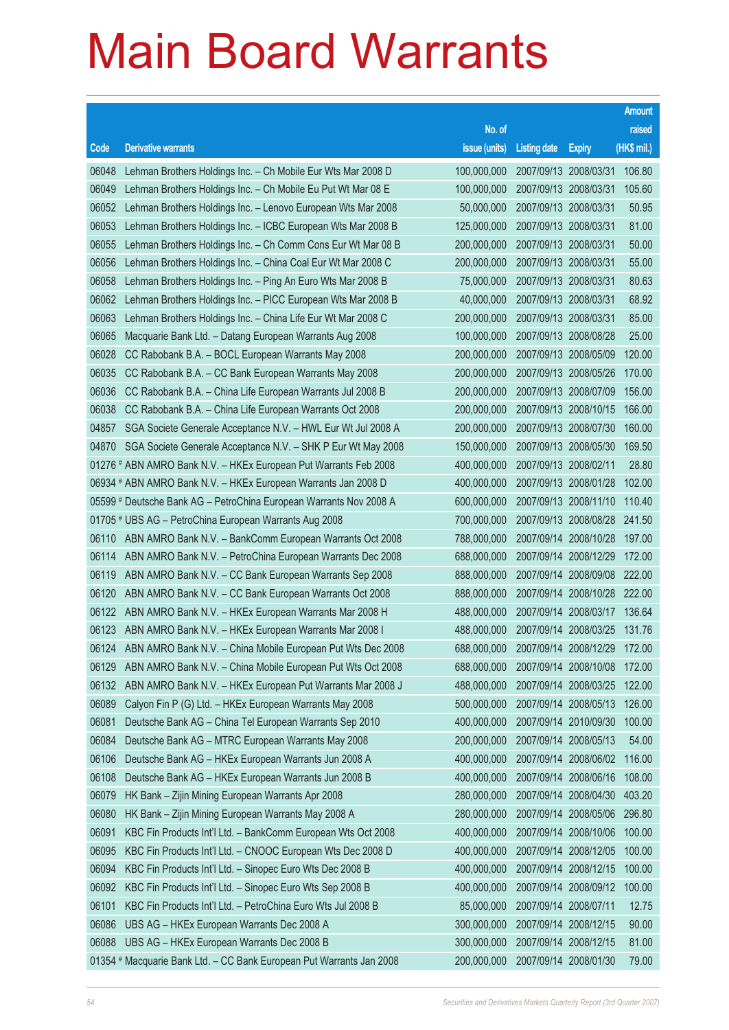|       |                                                                      |                                          |                       |                       | <b>Amount</b> |
|-------|----------------------------------------------------------------------|------------------------------------------|-----------------------|-----------------------|---------------|
|       |                                                                      | No. of                                   |                       |                       | raised        |
| Code  | <b>Derivative warrants</b>                                           | issue (units)                            | <b>Listing date</b>   | <b>Expiry</b>         | (HK\$ mil.)   |
| 06048 | Lehman Brothers Holdings Inc. - Ch Mobile Eur Wts Mar 2008 D         | 100,000,000                              |                       | 2007/09/13 2008/03/31 | 106.80        |
| 06049 | Lehman Brothers Holdings Inc. - Ch Mobile Eu Put Wt Mar 08 E         | 100,000,000                              |                       | 2007/09/13 2008/03/31 | 105.60        |
| 06052 | Lehman Brothers Holdings Inc. - Lenovo European Wts Mar 2008         | 50,000,000                               | 2007/09/13 2008/03/31 |                       | 50.95         |
| 06053 | Lehman Brothers Holdings Inc. - ICBC European Wts Mar 2008 B         | 125,000,000                              | 2007/09/13 2008/03/31 |                       | 81.00         |
| 06055 | Lehman Brothers Holdings Inc. - Ch Comm Cons Eur Wt Mar 08 B         | 200,000,000                              | 2007/09/13 2008/03/31 |                       | 50.00         |
| 06056 | Lehman Brothers Holdings Inc. - China Coal Eur Wt Mar 2008 C         | 200,000,000                              | 2007/09/13 2008/03/31 |                       | 55.00         |
| 06058 | Lehman Brothers Holdings Inc. - Ping An Euro Wts Mar 2008 B          | 75,000,000                               | 2007/09/13 2008/03/31 |                       | 80.63         |
| 06062 | Lehman Brothers Holdings Inc. - PICC European Wts Mar 2008 B         | 40,000,000                               | 2007/09/13 2008/03/31 |                       | 68.92         |
| 06063 | Lehman Brothers Holdings Inc. - China Life Eur Wt Mar 2008 C         | 200,000,000                              | 2007/09/13 2008/03/31 |                       | 85.00         |
| 06065 | Macquarie Bank Ltd. - Datang European Warrants Aug 2008              | 100,000,000                              |                       | 2007/09/13 2008/08/28 | 25.00         |
| 06028 | CC Rabobank B.A. - BOCL European Warrants May 2008                   | 200,000,000                              |                       | 2007/09/13 2008/05/09 | 120.00        |
| 06035 | CC Rabobank B.A. - CC Bank European Warrants May 2008                | 200,000,000                              |                       | 2007/09/13 2008/05/26 | 170.00        |
| 06036 | CC Rabobank B.A. - China Life European Warrants Jul 2008 B           | 200,000,000                              |                       | 2007/09/13 2008/07/09 | 156.00        |
| 06038 | CC Rabobank B.A. - China Life European Warrants Oct 2008             | 200,000,000                              |                       | 2007/09/13 2008/10/15 | 166.00        |
| 04857 | SGA Societe Generale Acceptance N.V. - HWL Eur Wt Jul 2008 A         | 200,000,000                              |                       | 2007/09/13 2008/07/30 | 160.00        |
| 04870 | SGA Societe Generale Acceptance N.V. - SHK P Eur Wt May 2008         | 150,000,000                              |                       | 2007/09/13 2008/05/30 | 169.50        |
|       | 01276 # ABN AMRO Bank N.V. - HKEx European Put Warrants Feb 2008     | 400,000,000                              | 2007/09/13 2008/02/11 |                       | 28.80         |
|       | 06934 # ABN AMRO Bank N.V. - HKEx European Warrants Jan 2008 D       | 400,000,000                              |                       | 2007/09/13 2008/01/28 | 102.00        |
|       | 05599 # Deutsche Bank AG - PetroChina European Warrants Nov 2008 A   | 600,000,000                              |                       | 2007/09/13 2008/11/10 | 110.40        |
|       | 01705 # UBS AG - PetroChina European Warrants Aug 2008               | 700,000,000                              |                       | 2007/09/13 2008/08/28 | 241.50        |
| 06110 | ABN AMRO Bank N.V. - BankComm European Warrants Oct 2008             | 788,000,000                              |                       | 2007/09/14 2008/10/28 | 197.00        |
| 06114 | ABN AMRO Bank N.V. - PetroChina European Warrants Dec 2008           | 688,000,000                              |                       | 2007/09/14 2008/12/29 | 172.00        |
| 06119 | ABN AMRO Bank N.V. - CC Bank European Warrants Sep 2008              | 888,000,000                              |                       | 2007/09/14 2008/09/08 | 222.00        |
| 06120 | ABN AMRO Bank N.V. - CC Bank European Warrants Oct 2008              | 888,000,000                              |                       | 2007/09/14 2008/10/28 | 222.00        |
| 06122 | ABN AMRO Bank N.V. - HKEx European Warrants Mar 2008 H               | 488,000,000                              |                       | 2007/09/14 2008/03/17 | 136.64        |
| 06123 | ABN AMRO Bank N.V. - HKEx European Warrants Mar 2008 I               | 488,000,000                              |                       | 2007/09/14 2008/03/25 | 131.76        |
| 06124 | ABN AMRO Bank N.V. - China Mobile European Put Wts Dec 2008          | 688,000,000 2007/09/14 2008/12/29 172.00 |                       |                       |               |
| 06129 | ABN AMRO Bank N.V. - China Mobile European Put Wts Oct 2008          | 688,000,000                              |                       | 2007/09/14 2008/10/08 | 172.00        |
| 06132 | ABN AMRO Bank N.V. - HKEx European Put Warrants Mar 2008 J           | 488,000,000                              |                       | 2007/09/14 2008/03/25 | 122.00        |
| 06089 | Calyon Fin P (G) Ltd. - HKEx European Warrants May 2008              | 500,000,000                              |                       | 2007/09/14 2008/05/13 | 126.00        |
| 06081 | Deutsche Bank AG - China Tel European Warrants Sep 2010              | 400,000,000                              |                       | 2007/09/14 2010/09/30 | 100.00        |
| 06084 | Deutsche Bank AG - MTRC European Warrants May 2008                   | 200,000,000                              |                       | 2007/09/14 2008/05/13 | 54.00         |
| 06106 | Deutsche Bank AG - HKEx European Warrants Jun 2008 A                 | 400,000,000                              |                       | 2007/09/14 2008/06/02 | 116.00        |
| 06108 | Deutsche Bank AG - HKEx European Warrants Jun 2008 B                 | 400,000,000                              |                       | 2007/09/14 2008/06/16 | 108.00        |
| 06079 | HK Bank - Zijin Mining European Warrants Apr 2008                    | 280,000,000                              |                       | 2007/09/14 2008/04/30 | 403.20        |
| 06080 | HK Bank - Zijin Mining European Warrants May 2008 A                  | 280,000,000                              |                       | 2007/09/14 2008/05/06 | 296.80        |
| 06091 | KBC Fin Products Int'l Ltd. - BankComm European Wts Oct 2008         | 400,000,000                              |                       | 2007/09/14 2008/10/06 | 100.00        |
| 06095 | KBC Fin Products Int'l Ltd. - CNOOC European Wts Dec 2008 D          | 400,000,000                              |                       | 2007/09/14 2008/12/05 | 100.00        |
| 06094 | KBC Fin Products Int'l Ltd. - Sinopec Euro Wts Dec 2008 B            | 400,000,000                              |                       | 2007/09/14 2008/12/15 | 100.00        |
| 06092 | KBC Fin Products Int'l Ltd. - Sinopec Euro Wts Sep 2008 B            | 400,000,000                              |                       | 2007/09/14 2008/09/12 | 100.00        |
| 06101 | KBC Fin Products Int'l Ltd. - PetroChina Euro Wts Jul 2008 B         | 85,000,000                               | 2007/09/14 2008/07/11 |                       | 12.75         |
| 06086 | UBS AG - HKEx European Warrants Dec 2008 A                           | 300,000,000                              |                       | 2007/09/14 2008/12/15 | 90.00         |
| 06088 | UBS AG - HKEx European Warrants Dec 2008 B                           | 300,000,000                              |                       | 2007/09/14 2008/12/15 | 81.00         |
|       | 01354 # Macquarie Bank Ltd. - CC Bank European Put Warrants Jan 2008 | 200,000,000                              |                       | 2007/09/14 2008/01/30 | 79.00         |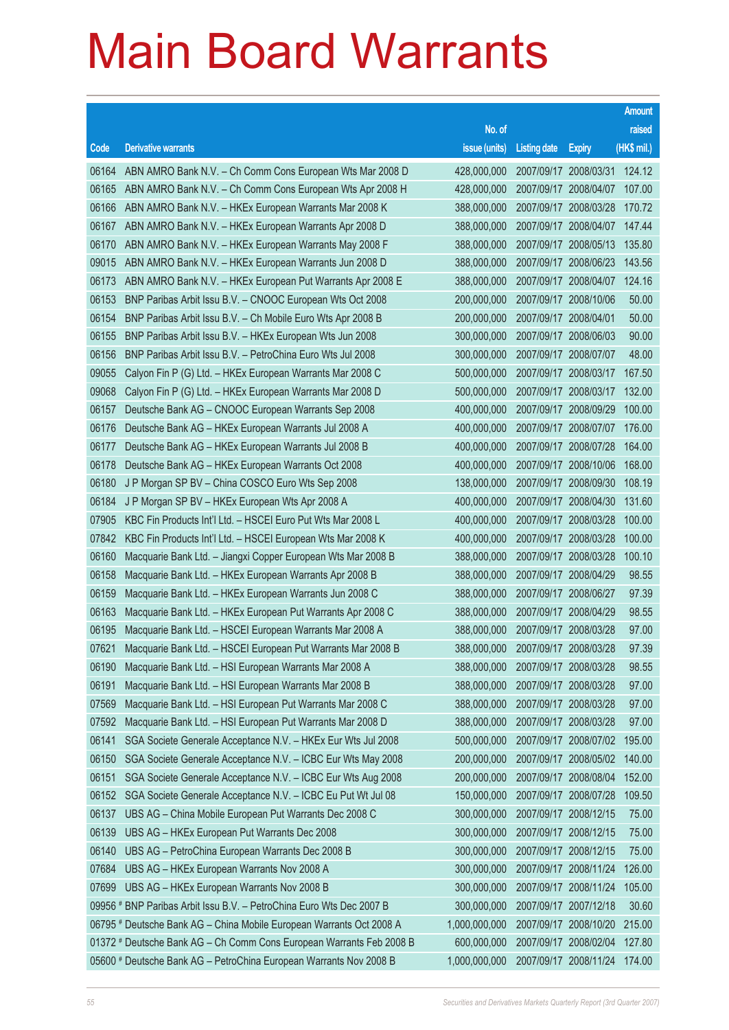|       |                                                                      |                                   |                       |                       | <b>Amount</b> |
|-------|----------------------------------------------------------------------|-----------------------------------|-----------------------|-----------------------|---------------|
|       |                                                                      | No. of                            |                       |                       | raised        |
| Code  | <b>Derivative warrants</b>                                           | issue (units)                     | <b>Listing date</b>   | <b>Expiry</b>         | $(HK$$ mil.)  |
| 06164 | ABN AMRO Bank N.V. - Ch Comm Cons European Wts Mar 2008 D            | 428,000,000                       |                       | 2007/09/17 2008/03/31 | 124.12        |
| 06165 | ABN AMRO Bank N.V. - Ch Comm Cons European Wts Apr 2008 H            | 428,000,000                       | 2007/09/17 2008/04/07 |                       | 107.00        |
| 06166 | ABN AMRO Bank N.V. - HKEx European Warrants Mar 2008 K               | 388,000,000                       | 2007/09/17 2008/03/28 |                       | 170.72        |
| 06167 | ABN AMRO Bank N.V. - HKEx European Warrants Apr 2008 D               | 388,000,000                       | 2007/09/17 2008/04/07 |                       | 147.44        |
| 06170 | ABN AMRO Bank N.V. - HKEx European Warrants May 2008 F               | 388,000,000                       |                       | 2007/09/17 2008/05/13 | 135.80        |
| 09015 | ABN AMRO Bank N.V. - HKEx European Warrants Jun 2008 D               | 388,000,000                       |                       | 2007/09/17 2008/06/23 | 143.56        |
| 06173 | ABN AMRO Bank N.V. - HKEx European Put Warrants Apr 2008 E           | 388,000,000                       |                       | 2007/09/17 2008/04/07 | 124.16        |
| 06153 | BNP Paribas Arbit Issu B.V. - CNOOC European Wts Oct 2008            | 200,000,000                       | 2007/09/17 2008/10/06 |                       | 50.00         |
| 06154 | BNP Paribas Arbit Issu B.V. - Ch Mobile Euro Wts Apr 2008 B          | 200,000,000                       | 2007/09/17 2008/04/01 |                       | 50.00         |
| 06155 | BNP Paribas Arbit Issu B.V. - HKEx European Wts Jun 2008             | 300,000,000                       | 2007/09/17 2008/06/03 |                       | 90.00         |
| 06156 | BNP Paribas Arbit Issu B.V. - PetroChina Euro Wts Jul 2008           | 300,000,000                       | 2007/09/17 2008/07/07 |                       | 48.00         |
| 09055 | Calyon Fin P (G) Ltd. - HKEx European Warrants Mar 2008 C            | 500,000,000                       |                       | 2007/09/17 2008/03/17 | 167.50        |
| 09068 | Calyon Fin P (G) Ltd. - HKEx European Warrants Mar 2008 D            | 500,000,000                       |                       | 2007/09/17 2008/03/17 | 132.00        |
| 06157 | Deutsche Bank AG - CNOOC European Warrants Sep 2008                  | 400,000,000                       |                       | 2007/09/17 2008/09/29 | 100.00        |
| 06176 | Deutsche Bank AG - HKEx European Warrants Jul 2008 A                 | 400,000,000                       | 2007/09/17 2008/07/07 |                       | 176.00        |
| 06177 | Deutsche Bank AG - HKEx European Warrants Jul 2008 B                 | 400,000,000                       |                       | 2007/09/17 2008/07/28 | 164.00        |
| 06178 | Deutsche Bank AG - HKEx European Warrants Oct 2008                   | 400,000,000                       |                       | 2007/09/17 2008/10/06 | 168.00        |
| 06180 | J P Morgan SP BV - China COSCO Euro Wts Sep 2008                     | 138,000,000                       |                       | 2007/09/17 2008/09/30 | 108.19        |
| 06184 | J P Morgan SP BV - HKEx European Wts Apr 2008 A                      | 400,000,000                       |                       | 2007/09/17 2008/04/30 | 131.60        |
| 07905 | KBC Fin Products Int'l Ltd. - HSCEI Euro Put Wts Mar 2008 L          | 400,000,000                       |                       | 2007/09/17 2008/03/28 | 100.00        |
| 07842 | KBC Fin Products Int'l Ltd. - HSCEI European Wts Mar 2008 K          | 400,000,000                       |                       | 2007/09/17 2008/03/28 | 100.00        |
| 06160 | Macquarie Bank Ltd. - Jiangxi Copper European Wts Mar 2008 B         | 388,000,000                       |                       | 2007/09/17 2008/03/28 | 100.10        |
| 06158 | Macquarie Bank Ltd. - HKEx European Warrants Apr 2008 B              | 388,000,000                       | 2007/09/17 2008/04/29 |                       | 98.55         |
| 06159 | Macquarie Bank Ltd. - HKEx European Warrants Jun 2008 C              | 388,000,000                       | 2007/09/17 2008/06/27 |                       | 97.39         |
| 06163 | Macquarie Bank Ltd. - HKEx European Put Warrants Apr 2008 C          | 388,000,000                       | 2007/09/17 2008/04/29 |                       | 98.55         |
| 06195 | Macquarie Bank Ltd. - HSCEI European Warrants Mar 2008 A             | 388,000,000                       | 2007/09/17 2008/03/28 |                       | 97.00         |
| 07621 | Macquarie Bank Ltd. - HSCEI European Put Warrants Mar 2008 B         | 388,000,000 2007/09/17 2008/03/28 |                       |                       | 97.39         |
| 06190 | Macquarie Bank Ltd. - HSI European Warrants Mar 2008 A               | 388,000,000                       | 2007/09/17 2008/03/28 |                       | 98.55         |
| 06191 | Macquarie Bank Ltd. - HSI European Warrants Mar 2008 B               | 388,000,000                       | 2007/09/17 2008/03/28 |                       | 97.00         |
| 07569 | Macquarie Bank Ltd. - HSI European Put Warrants Mar 2008 C           | 388,000,000                       | 2007/09/17 2008/03/28 |                       | 97.00         |
| 07592 | Macquarie Bank Ltd. - HSI European Put Warrants Mar 2008 D           | 388,000,000                       | 2007/09/17 2008/03/28 |                       | 97.00         |
| 06141 | SGA Societe Generale Acceptance N.V. - HKEx Eur Wts Jul 2008         | 500,000,000                       |                       | 2007/09/17 2008/07/02 | 195.00        |
| 06150 | SGA Societe Generale Acceptance N.V. - ICBC Eur Wts May 2008         | 200,000,000                       |                       | 2007/09/17 2008/05/02 | 140.00        |
| 06151 | SGA Societe Generale Acceptance N.V. - ICBC Eur Wts Aug 2008         | 200,000,000                       |                       | 2007/09/17 2008/08/04 | 152.00        |
| 06152 | SGA Societe Generale Acceptance N.V. - ICBC Eu Put Wt Jul 08         | 150,000,000                       |                       | 2007/09/17 2008/07/28 | 109.50        |
| 06137 | UBS AG - China Mobile European Put Warrants Dec 2008 C               | 300,000,000                       | 2007/09/17 2008/12/15 |                       | 75.00         |
| 06139 | UBS AG - HKEx European Put Warrants Dec 2008                         | 300,000,000                       | 2007/09/17 2008/12/15 |                       | 75.00         |
| 06140 | UBS AG - PetroChina European Warrants Dec 2008 B                     | 300,000,000                       | 2007/09/17 2008/12/15 |                       | 75.00         |
| 07684 | UBS AG - HKEx European Warrants Nov 2008 A                           | 300,000,000                       |                       | 2007/09/17 2008/11/24 | 126.00        |
| 07699 | UBS AG - HKEx European Warrants Nov 2008 B                           | 300,000,000                       |                       | 2007/09/17 2008/11/24 | 105.00        |
|       | 09956 # BNP Paribas Arbit Issu B.V. - PetroChina Euro Wts Dec 2007 B | 300,000,000                       | 2007/09/17 2007/12/18 |                       | 30.60         |
|       | 06795 # Deutsche Bank AG - China Mobile European Warrants Oct 2008 A | 1,000,000,000                     |                       | 2007/09/17 2008/10/20 | 215.00        |
|       | 01372 # Deutsche Bank AG - Ch Comm Cons European Warrants Feb 2008 B | 600,000,000                       |                       | 2007/09/17 2008/02/04 | 127.80        |
|       | 05600 # Deutsche Bank AG - PetroChina European Warrants Nov 2008 B   | 1,000,000,000                     |                       | 2007/09/17 2008/11/24 | 174.00        |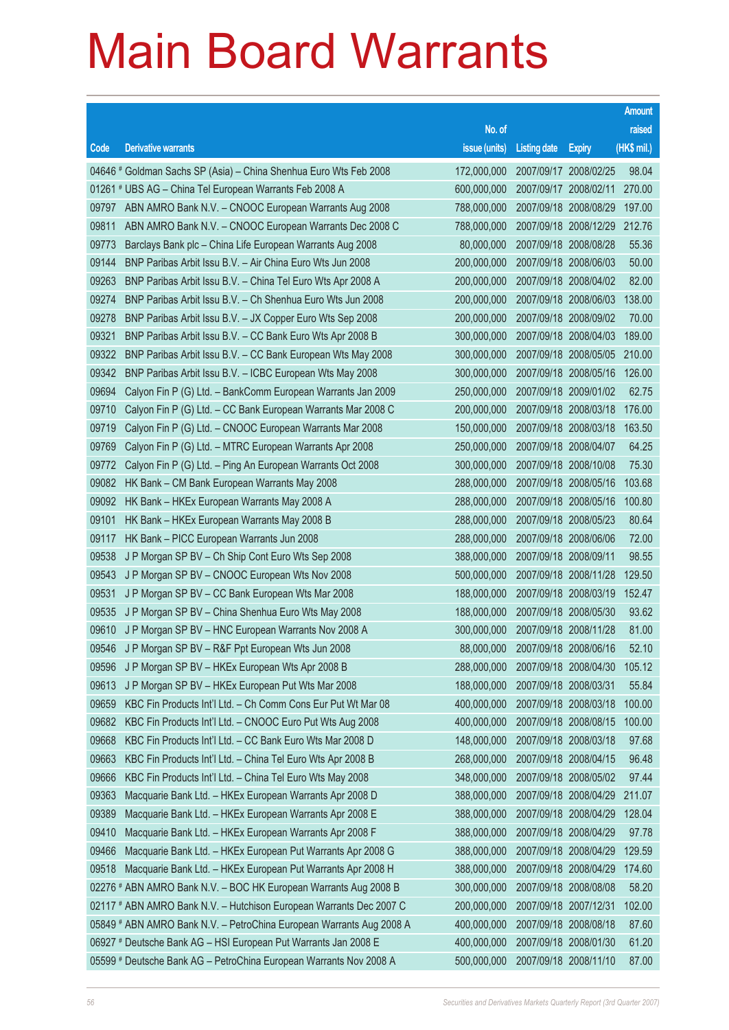|       |                                                                      |               |                                  |                       | <b>Amount</b> |
|-------|----------------------------------------------------------------------|---------------|----------------------------------|-----------------------|---------------|
|       |                                                                      | No. of        |                                  |                       | raised        |
| Code  | <b>Derivative warrants</b>                                           | issue (units) | <b>Listing date</b>              | <b>Expiry</b>         | (HK\$ mil.)   |
|       | 04646 # Goldman Sachs SP (Asia) – China Shenhua Euro Wts Feb 2008    | 172,000,000   |                                  | 2007/09/17 2008/02/25 | 98.04         |
|       | 01261 # UBS AG - China Tel European Warrants Feb 2008 A              | 600,000,000   |                                  | 2007/09/17 2008/02/11 | 270.00        |
| 09797 | ABN AMRO Bank N.V. - CNOOC European Warrants Aug 2008                | 788,000,000   |                                  | 2007/09/18 2008/08/29 | 197.00        |
| 09811 | ABN AMRO Bank N.V. - CNOOC European Warrants Dec 2008 C              | 788,000,000   |                                  | 2007/09/18 2008/12/29 | 212.76        |
| 09773 | Barclays Bank plc - China Life European Warrants Aug 2008            | 80,000,000    |                                  | 2007/09/18 2008/08/28 | 55.36         |
| 09144 | BNP Paribas Arbit Issu B.V. - Air China Euro Wts Jun 2008            | 200,000,000   |                                  | 2007/09/18 2008/06/03 | 50.00         |
| 09263 | BNP Paribas Arbit Issu B.V. - China Tel Euro Wts Apr 2008 A          | 200,000,000   |                                  | 2007/09/18 2008/04/02 | 82.00         |
| 09274 | BNP Paribas Arbit Issu B.V. - Ch Shenhua Euro Wts Jun 2008           | 200,000,000   |                                  | 2007/09/18 2008/06/03 | 138.00        |
| 09278 | BNP Paribas Arbit Issu B.V. - JX Copper Euro Wts Sep 2008            | 200,000,000   |                                  | 2007/09/18 2008/09/02 | 70.00         |
| 09321 | BNP Paribas Arbit Issu B.V. - CC Bank Euro Wts Apr 2008 B            | 300,000,000   |                                  | 2007/09/18 2008/04/03 | 189.00        |
| 09322 | BNP Paribas Arbit Issu B.V. - CC Bank European Wts May 2008          | 300,000,000   |                                  | 2007/09/18 2008/05/05 | 210.00        |
| 09342 | BNP Paribas Arbit Issu B.V. - ICBC European Wts May 2008             | 300,000,000   |                                  | 2007/09/18 2008/05/16 | 126.00        |
| 09694 | Calyon Fin P (G) Ltd. - BankComm European Warrants Jan 2009          | 250,000,000   |                                  | 2007/09/18 2009/01/02 | 62.75         |
| 09710 | Calyon Fin P (G) Ltd. - CC Bank European Warrants Mar 2008 C         | 200,000,000   |                                  | 2007/09/18 2008/03/18 | 176.00        |
| 09719 | Calyon Fin P (G) Ltd. - CNOOC European Warrants Mar 2008             | 150,000,000   |                                  | 2007/09/18 2008/03/18 | 163.50        |
| 09769 | Calyon Fin P (G) Ltd. - MTRC European Warrants Apr 2008              | 250,000,000   |                                  | 2007/09/18 2008/04/07 | 64.25         |
| 09772 | Calyon Fin P (G) Ltd. - Ping An European Warrants Oct 2008           | 300,000,000   |                                  | 2007/09/18 2008/10/08 | 75.30         |
| 09082 | HK Bank - CM Bank European Warrants May 2008                         | 288,000,000   |                                  | 2007/09/18 2008/05/16 | 103.68        |
| 09092 | HK Bank - HKEx European Warrants May 2008 A                          | 288,000,000   |                                  | 2007/09/18 2008/05/16 | 100.80        |
| 09101 | HK Bank - HKEx European Warrants May 2008 B                          | 288,000,000   |                                  | 2007/09/18 2008/05/23 | 80.64         |
| 09117 | HK Bank - PICC European Warrants Jun 2008                            | 288,000,000   |                                  | 2007/09/18 2008/06/06 | 72.00         |
| 09538 | J P Morgan SP BV - Ch Ship Cont Euro Wts Sep 2008                    | 388,000,000   | 2007/09/18 2008/09/11            |                       | 98.55         |
| 09543 | J P Morgan SP BV - CNOOC European Wts Nov 2008                       | 500,000,000   |                                  | 2007/09/18 2008/11/28 | 129.50        |
| 09531 | J P Morgan SP BV – CC Bank European Wts Mar 2008                     | 188,000,000   |                                  | 2007/09/18 2008/03/19 | 152.47        |
| 09535 | J P Morgan SP BV - China Shenhua Euro Wts May 2008                   | 188,000,000   |                                  | 2007/09/18 2008/05/30 | 93.62         |
| 09610 | J P Morgan SP BV - HNC European Warrants Nov 2008 A                  | 300,000,000   |                                  | 2007/09/18 2008/11/28 | 81.00         |
|       | 09546 J P Morgan SP BV - R&F Ppt European Wts Jun 2008               |               | 88,000,000 2007/09/18 2008/06/16 |                       | 52.10         |
| 09596 | J P Morgan SP BV - HKEx European Wts Apr 2008 B                      | 288,000,000   |                                  | 2007/09/18 2008/04/30 | 105.12        |
| 09613 | J P Morgan SP BV - HKEx European Put Wts Mar 2008                    | 188,000,000   |                                  | 2007/09/18 2008/03/31 | 55.84         |
| 09659 | KBC Fin Products Int'l Ltd. - Ch Comm Cons Eur Put Wt Mar 08         | 400,000,000   |                                  | 2007/09/18 2008/03/18 | 100.00        |
| 09682 | KBC Fin Products Int'l Ltd. - CNOOC Euro Put Wts Aug 2008            | 400,000,000   |                                  | 2007/09/18 2008/08/15 | 100.00        |
| 09668 | KBC Fin Products Int'l Ltd. - CC Bank Euro Wts Mar 2008 D            | 148,000,000   |                                  | 2007/09/18 2008/03/18 | 97.68         |
| 09663 | KBC Fin Products Int'l Ltd. - China Tel Euro Wts Apr 2008 B          | 268,000,000   |                                  | 2007/09/18 2008/04/15 | 96.48         |
| 09666 | KBC Fin Products Int'l Ltd. - China Tel Euro Wts May 2008            | 348,000,000   |                                  | 2007/09/18 2008/05/02 | 97.44         |
| 09363 | Macquarie Bank Ltd. - HKEx European Warrants Apr 2008 D              | 388,000,000   |                                  | 2007/09/18 2008/04/29 | 211.07        |
| 09389 | Macquarie Bank Ltd. - HKEx European Warrants Apr 2008 E              | 388,000,000   |                                  | 2007/09/18 2008/04/29 | 128.04        |
| 09410 | Macquarie Bank Ltd. - HKEx European Warrants Apr 2008 F              | 388,000,000   |                                  | 2007/09/18 2008/04/29 | 97.78         |
| 09466 | Macquarie Bank Ltd. - HKEx European Put Warrants Apr 2008 G          | 388,000,000   |                                  | 2007/09/18 2008/04/29 | 129.59        |
| 09518 | Macquarie Bank Ltd. - HKEx European Put Warrants Apr 2008 H          | 388,000,000   |                                  | 2007/09/18 2008/04/29 | 174.60        |
|       | 02276 # ABN AMRO Bank N.V. - BOC HK European Warrants Aug 2008 B     | 300,000,000   |                                  | 2007/09/18 2008/08/08 | 58.20         |
|       | 02117 # ABN AMRO Bank N.V. - Hutchison European Warrants Dec 2007 C  | 200,000,000   |                                  | 2007/09/18 2007/12/31 | 102.00        |
|       | 05849 # ABN AMRO Bank N.V. - PetroChina European Warrants Aug 2008 A | 400,000,000   |                                  | 2007/09/18 2008/08/18 | 87.60         |
|       | 06927 # Deutsche Bank AG - HSI European Put Warrants Jan 2008 E      | 400,000,000   |                                  | 2007/09/18 2008/01/30 | 61.20         |
|       | 05599 # Deutsche Bank AG - PetroChina European Warrants Nov 2008 A   | 500,000,000   |                                  | 2007/09/18 2008/11/10 | 87.00         |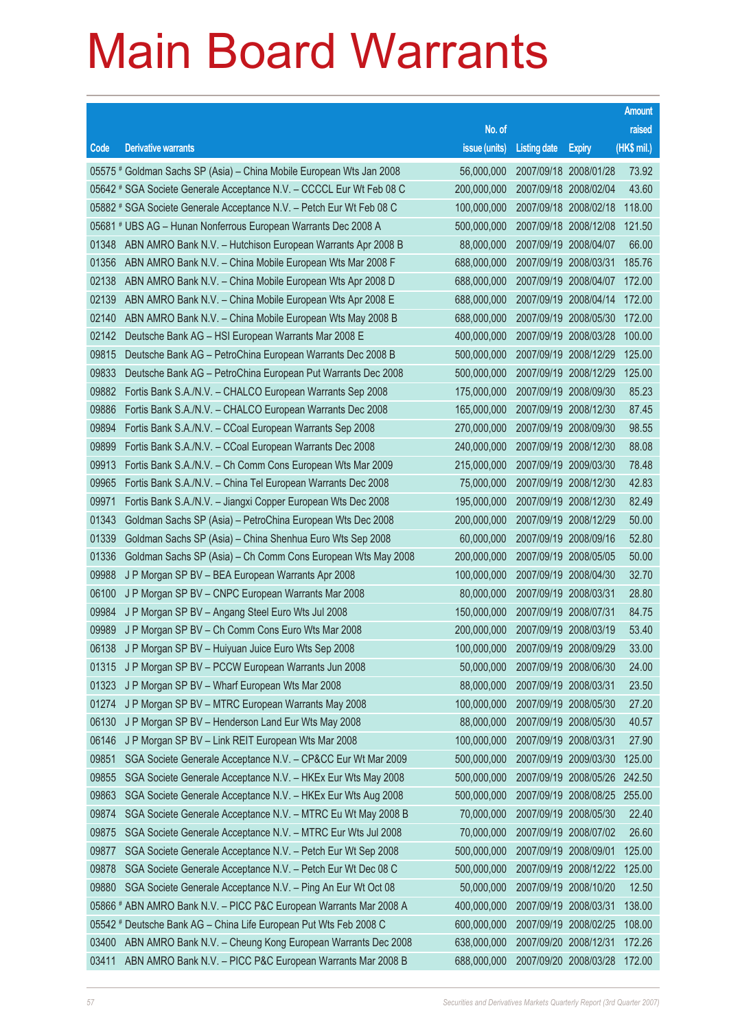|       |                                                                      |                                   |                       |                       | <b>Amount</b> |
|-------|----------------------------------------------------------------------|-----------------------------------|-----------------------|-----------------------|---------------|
|       |                                                                      | No. of                            |                       |                       | raised        |
| Code  | <b>Derivative warrants</b>                                           | issue (units)                     | <b>Listing date</b>   | <b>Expiry</b>         | (HK\$ mil.)   |
|       | 05575 # Goldman Sachs SP (Asia) – China Mobile European Wts Jan 2008 | 56,000,000                        |                       | 2007/09/18 2008/01/28 | 73.92         |
|       | 05642 # SGA Societe Generale Acceptance N.V. - CCCCL Eur Wt Feb 08 C | 200,000,000                       |                       | 2007/09/18 2008/02/04 | 43.60         |
|       | 05882 # SGA Societe Generale Acceptance N.V. - Petch Eur Wt Feb 08 C | 100,000,000                       |                       | 2007/09/18 2008/02/18 | 118.00        |
|       | 05681 # UBS AG - Hunan Nonferrous European Warrants Dec 2008 A       | 500,000,000                       |                       | 2007/09/18 2008/12/08 | 121.50        |
| 01348 | ABN AMRO Bank N.V. - Hutchison European Warrants Apr 2008 B          | 88,000,000                        |                       | 2007/09/19 2008/04/07 | 66.00         |
| 01356 | ABN AMRO Bank N.V. - China Mobile European Wts Mar 2008 F            | 688,000,000                       |                       | 2007/09/19 2008/03/31 | 185.76        |
| 02138 | ABN AMRO Bank N.V. - China Mobile European Wts Apr 2008 D            | 688,000,000                       |                       | 2007/09/19 2008/04/07 | 172.00        |
| 02139 | ABN AMRO Bank N.V. - China Mobile European Wts Apr 2008 E            | 688,000,000                       |                       | 2007/09/19 2008/04/14 | 172.00        |
| 02140 | ABN AMRO Bank N.V. - China Mobile European Wts May 2008 B            | 688,000,000                       |                       | 2007/09/19 2008/05/30 | 172.00        |
| 02142 | Deutsche Bank AG - HSI European Warrants Mar 2008 E                  | 400,000,000                       |                       | 2007/09/19 2008/03/28 | 100.00        |
| 09815 | Deutsche Bank AG - PetroChina European Warrants Dec 2008 B           | 500,000,000                       |                       | 2007/09/19 2008/12/29 | 125.00        |
| 09833 | Deutsche Bank AG - PetroChina European Put Warrants Dec 2008         | 500,000,000                       |                       | 2007/09/19 2008/12/29 | 125.00        |
| 09882 | Fortis Bank S.A./N.V. - CHALCO European Warrants Sep 2008            | 175,000,000                       |                       | 2007/09/19 2008/09/30 | 85.23         |
| 09886 | Fortis Bank S.A./N.V. - CHALCO European Warrants Dec 2008            | 165,000,000                       |                       | 2007/09/19 2008/12/30 | 87.45         |
| 09894 | Fortis Bank S.A./N.V. - CCoal European Warrants Sep 2008             | 270,000,000                       |                       | 2007/09/19 2008/09/30 | 98.55         |
| 09899 | Fortis Bank S.A./N.V. - CCoal European Warrants Dec 2008             | 240,000,000                       |                       | 2007/09/19 2008/12/30 | 88.08         |
| 09913 | Fortis Bank S.A./N.V. - Ch Comm Cons European Wts Mar 2009           | 215,000,000                       |                       | 2007/09/19 2009/03/30 | 78.48         |
| 09965 | Fortis Bank S.A./N.V. - China Tel European Warrants Dec 2008         | 75,000,000                        |                       | 2007/09/19 2008/12/30 | 42.83         |
| 09971 | Fortis Bank S.A./N.V. - Jiangxi Copper European Wts Dec 2008         | 195,000,000                       |                       | 2007/09/19 2008/12/30 | 82.49         |
| 01343 | Goldman Sachs SP (Asia) – PetroChina European Wts Dec 2008           | 200,000,000                       |                       | 2007/09/19 2008/12/29 | 50.00         |
| 01339 | Goldman Sachs SP (Asia) - China Shenhua Euro Wts Sep 2008            | 60,000,000                        |                       | 2007/09/19 2008/09/16 | 52.80         |
| 01336 | Goldman Sachs SP (Asia) - Ch Comm Cons European Wts May 2008         | 200,000,000                       |                       | 2007/09/19 2008/05/05 | 50.00         |
| 09988 | J P Morgan SP BV - BEA European Warrants Apr 2008                    | 100,000,000                       |                       | 2007/09/19 2008/04/30 | 32.70         |
| 06100 | J P Morgan SP BV - CNPC European Warrants Mar 2008                   | 80,000,000                        | 2007/09/19 2008/03/31 |                       | 28.80         |
| 09984 | J P Morgan SP BV - Angang Steel Euro Wts Jul 2008                    | 150,000,000                       |                       | 2007/09/19 2008/07/31 | 84.75         |
| 09989 | J P Morgan SP BV – Ch Comm Cons Euro Wts Mar 2008                    | 200,000,000                       |                       | 2007/09/19 2008/03/19 | 53.40         |
| 06138 | J P Morgan SP BV - Huiyuan Juice Euro Wts Sep 2008                   | 100,000,000 2007/09/19 2008/09/29 |                       |                       | 33.00         |
| 01315 | J P Morgan SP BV - PCCW European Warrants Jun 2008                   | 50,000,000                        |                       | 2007/09/19 2008/06/30 | 24.00         |
| 01323 | J P Morgan SP BV - Wharf European Wts Mar 2008                       | 88,000,000                        |                       | 2007/09/19 2008/03/31 | 23.50         |
| 01274 | J P Morgan SP BV - MTRC European Warrants May 2008                   | 100,000,000                       |                       | 2007/09/19 2008/05/30 | 27.20         |
| 06130 | J P Morgan SP BV - Henderson Land Eur Wts May 2008                   | 88,000,000                        |                       | 2007/09/19 2008/05/30 | 40.57         |
| 06146 | J P Morgan SP BV - Link REIT European Wts Mar 2008                   | 100,000,000                       |                       | 2007/09/19 2008/03/31 | 27.90         |
| 09851 | SGA Societe Generale Acceptance N.V. - CP&CC Eur Wt Mar 2009         | 500,000,000                       |                       | 2007/09/19 2009/03/30 | 125.00        |
| 09855 | SGA Societe Generale Acceptance N.V. - HKEx Eur Wts May 2008         | 500,000,000                       |                       | 2007/09/19 2008/05/26 | 242.50        |
| 09863 | SGA Societe Generale Acceptance N.V. - HKEx Eur Wts Aug 2008         | 500,000,000                       |                       | 2007/09/19 2008/08/25 | 255.00        |
| 09874 | SGA Societe Generale Acceptance N.V. - MTRC Eu Wt May 2008 B         | 70,000,000                        |                       | 2007/09/19 2008/05/30 | 22.40         |
| 09875 | SGA Societe Generale Acceptance N.V. - MTRC Eur Wts Jul 2008         | 70,000,000                        |                       | 2007/09/19 2008/07/02 | 26.60         |
| 09877 | SGA Societe Generale Acceptance N.V. - Petch Eur Wt Sep 2008         | 500,000,000                       |                       | 2007/09/19 2008/09/01 | 125.00        |
| 09878 | SGA Societe Generale Acceptance N.V. - Petch Eur Wt Dec 08 C         | 500,000,000                       |                       | 2007/09/19 2008/12/22 | 125.00        |
| 09880 | SGA Societe Generale Acceptance N.V. - Ping An Eur Wt Oct 08         | 50,000,000                        |                       | 2007/09/19 2008/10/20 | 12.50         |
|       | 05866 # ABN AMRO Bank N.V. - PICC P&C European Warrants Mar 2008 A   | 400,000,000                       |                       | 2007/09/19 2008/03/31 | 138.00        |
|       | 05542 # Deutsche Bank AG - China Life European Put Wts Feb 2008 C    | 600,000,000                       |                       | 2007/09/19 2008/02/25 | 108.00        |
| 03400 | ABN AMRO Bank N.V. - Cheung Kong European Warrants Dec 2008          | 638,000,000                       |                       | 2007/09/20 2008/12/31 | 172.26        |
| 03411 | ABN AMRO Bank N.V. - PICC P&C European Warrants Mar 2008 B           | 688,000,000                       |                       | 2007/09/20 2008/03/28 | 172.00        |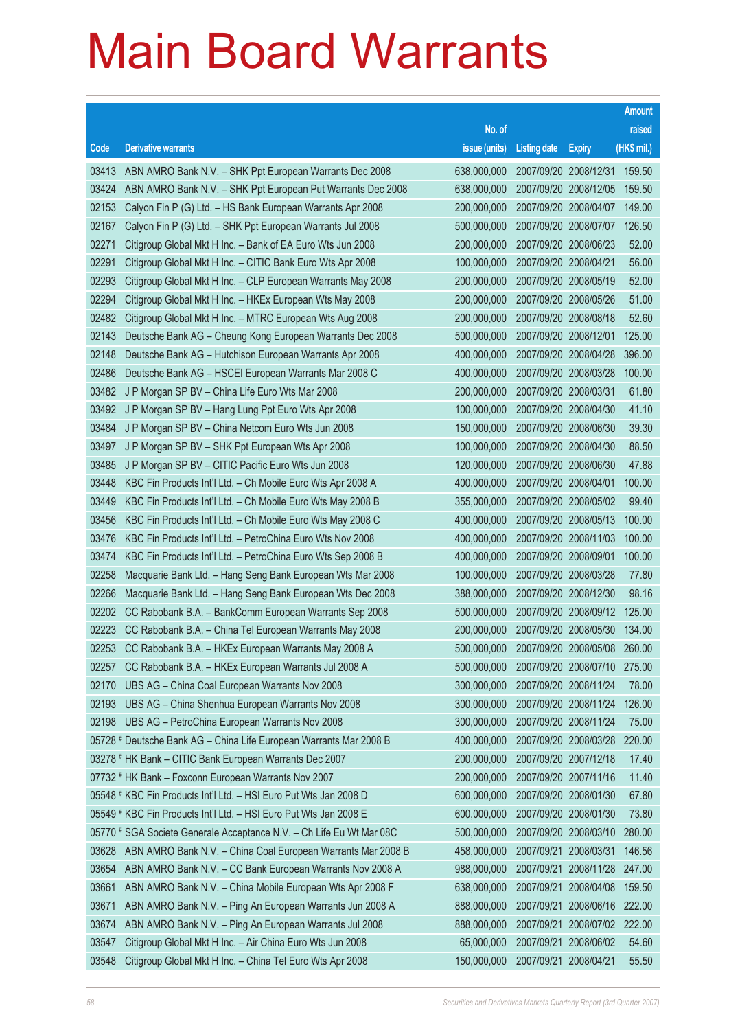|       |                                                                      |                                          |                       |                              | <b>Amount</b> |
|-------|----------------------------------------------------------------------|------------------------------------------|-----------------------|------------------------------|---------------|
|       |                                                                      | No. of                                   |                       |                              | raised        |
| Code  | <b>Derivative warrants</b>                                           | issue (units)                            | <b>Listing date</b>   | <b>Expiry</b>                | (HK\$ mil.)   |
| 03413 | ABN AMRO Bank N.V. - SHK Ppt European Warrants Dec 2008              | 638,000,000                              |                       | 2007/09/20 2008/12/31        | 159.50        |
| 03424 | ABN AMRO Bank N.V. - SHK Ppt European Put Warrants Dec 2008          | 638,000,000                              |                       | 2007/09/20 2008/12/05        | 159.50        |
| 02153 | Calyon Fin P (G) Ltd. - HS Bank European Warrants Apr 2008           | 200,000,000                              |                       | 2007/09/20 2008/04/07        | 149.00        |
| 02167 | Calyon Fin P (G) Ltd. - SHK Ppt European Warrants Jul 2008           | 500,000,000                              |                       | 2007/09/20 2008/07/07        | 126.50        |
| 02271 | Citigroup Global Mkt H Inc. - Bank of EA Euro Wts Jun 2008           | 200,000,000                              |                       | 2007/09/20 2008/06/23        | 52.00         |
| 02291 | Citigroup Global Mkt H Inc. - CITIC Bank Euro Wts Apr 2008           | 100,000,000                              |                       | 2007/09/20 2008/04/21        | 56.00         |
| 02293 | Citigroup Global Mkt H Inc. - CLP European Warrants May 2008         | 200,000,000                              |                       | 2007/09/20 2008/05/19        | 52.00         |
| 02294 | Citigroup Global Mkt H Inc. - HKEx European Wts May 2008             | 200,000,000                              |                       | 2007/09/20 2008/05/26        | 51.00         |
| 02482 | Citigroup Global Mkt H Inc. - MTRC European Wts Aug 2008             | 200,000,000                              |                       | 2007/09/20 2008/08/18        | 52.60         |
| 02143 | Deutsche Bank AG - Cheung Kong European Warrants Dec 2008            | 500,000,000                              |                       | 2007/09/20 2008/12/01        | 125.00        |
| 02148 | Deutsche Bank AG - Hutchison European Warrants Apr 2008              | 400,000,000                              |                       | 2007/09/20 2008/04/28        | 396.00        |
| 02486 | Deutsche Bank AG - HSCEI European Warrants Mar 2008 C                | 400,000,000                              |                       | 2007/09/20 2008/03/28        | 100.00        |
| 03482 | J P Morgan SP BV - China Life Euro Wts Mar 2008                      | 200,000,000                              |                       | 2007/09/20 2008/03/31        | 61.80         |
| 03492 | J P Morgan SP BV - Hang Lung Ppt Euro Wts Apr 2008                   | 100,000,000                              |                       | 2007/09/20 2008/04/30        | 41.10         |
| 03484 | J P Morgan SP BV - China Netcom Euro Wts Jun 2008                    | 150,000,000                              |                       | 2007/09/20 2008/06/30        | 39.30         |
| 03497 | J P Morgan SP BV - SHK Ppt European Wts Apr 2008                     | 100,000,000                              |                       | 2007/09/20 2008/04/30        | 88.50         |
| 03485 | J P Morgan SP BV - CITIC Pacific Euro Wts Jun 2008                   | 120,000,000                              |                       | 2007/09/20 2008/06/30        | 47.88         |
| 03448 | KBC Fin Products Int'l Ltd. - Ch Mobile Euro Wts Apr 2008 A          | 400,000,000                              |                       | 2007/09/20 2008/04/01        | 100.00        |
| 03449 | KBC Fin Products Int'l Ltd. - Ch Mobile Euro Wts May 2008 B          | 355,000,000                              |                       | 2007/09/20 2008/05/02        | 99.40         |
| 03456 | KBC Fin Products Int'l Ltd. - Ch Mobile Euro Wts May 2008 C          | 400,000,000                              |                       | 2007/09/20 2008/05/13        | 100.00        |
| 03476 | KBC Fin Products Int'l Ltd. - PetroChina Euro Wts Nov 2008           | 400,000,000                              |                       | 2007/09/20 2008/11/03        | 100.00        |
| 03474 | KBC Fin Products Int'l Ltd. - PetroChina Euro Wts Sep 2008 B         | 400,000,000                              |                       | 2007/09/20 2008/09/01        | 100.00        |
| 02258 | Macquarie Bank Ltd. - Hang Seng Bank European Wts Mar 2008           | 100,000,000                              |                       | 2007/09/20 2008/03/28        | 77.80         |
| 02266 | Macquarie Bank Ltd. - Hang Seng Bank European Wts Dec 2008           | 388,000,000                              |                       | 2007/09/20 2008/12/30        | 98.16         |
| 02202 | CC Rabobank B.A. - BankComm European Warrants Sep 2008               | 500,000,000                              |                       | 2007/09/20 2008/09/12        | 125.00        |
| 02223 | CC Rabobank B.A. - China Tel European Warrants May 2008              | 200,000,000                              |                       | 2007/09/20 2008/05/30        | 134.00        |
| 02253 | CC Rabobank B.A. - HKEx European Warrants May 2008 A                 | 500,000,000 2007/09/20 2008/05/08 260.00 |                       |                              |               |
| 02257 | CC Rabobank B.A. - HKEx European Warrants Jul 2008 A                 | 500,000,000                              |                       | 2007/09/20 2008/07/10        | 275.00        |
| 02170 | UBS AG - China Coal European Warrants Nov 2008                       | 300,000,000                              |                       | 2007/09/20 2008/11/24        | 78.00         |
| 02193 | UBS AG - China Shenhua European Warrants Nov 2008                    | 300,000,000                              |                       | 2007/09/20 2008/11/24        | 126.00        |
| 02198 | UBS AG - PetroChina European Warrants Nov 2008                       | 300,000,000                              |                       | 2007/09/20 2008/11/24        | 75.00         |
|       | 05728 # Deutsche Bank AG - China Life European Warrants Mar 2008 B   | 400,000,000                              |                       | 2007/09/20 2008/03/28        | 220.00        |
|       | 03278 # HK Bank - CITIC Bank European Warrants Dec 2007              | 200,000,000                              |                       | 2007/09/20 2007/12/18        | 17.40         |
|       | 07732 # HK Bank - Foxconn European Warrants Nov 2007                 | 200,000,000                              |                       | 2007/09/20 2007/11/16        | 11.40         |
|       | 05548 # KBC Fin Products Int'l Ltd. - HSI Euro Put Wts Jan 2008 D    | 600,000,000                              |                       | 2007/09/20 2008/01/30        | 67.80         |
|       | 05549 # KBC Fin Products Int'l Ltd. - HSI Euro Put Wts Jan 2008 E    | 600,000,000                              |                       | 2007/09/20 2008/01/30        | 73.80         |
|       | 05770 # SGA Societe Generale Acceptance N.V. - Ch Life Eu Wt Mar 08C | 500,000,000                              |                       | 2007/09/20 2008/03/10        | 280.00        |
| 03628 | ABN AMRO Bank N.V. - China Coal European Warrants Mar 2008 B         | 458,000,000                              |                       | 2007/09/21 2008/03/31        | 146.56        |
| 03654 | ABN AMRO Bank N.V. - CC Bank European Warrants Nov 2008 A            | 988,000,000                              |                       | 2007/09/21 2008/11/28        | 247.00        |
| 03661 | ABN AMRO Bank N.V. - China Mobile European Wts Apr 2008 F            | 638,000,000                              |                       | 2007/09/21 2008/04/08        | 159.50        |
| 03671 | ABN AMRO Bank N.V. - Ping An European Warrants Jun 2008 A            | 888,000,000                              |                       | 2007/09/21 2008/06/16        | 222.00        |
| 03674 | ABN AMRO Bank N.V. - Ping An European Warrants Jul 2008              | 888,000,000                              |                       | 2007/09/21 2008/07/02 222.00 |               |
| 03547 | Citigroup Global Mkt H Inc. - Air China Euro Wts Jun 2008            | 65,000,000                               |                       | 2007/09/21 2008/06/02        | 54.60         |
| 03548 | Citigroup Global Mkt H Inc. - China Tel Euro Wts Apr 2008            | 150,000,000                              | 2007/09/21 2008/04/21 |                              | 55.50         |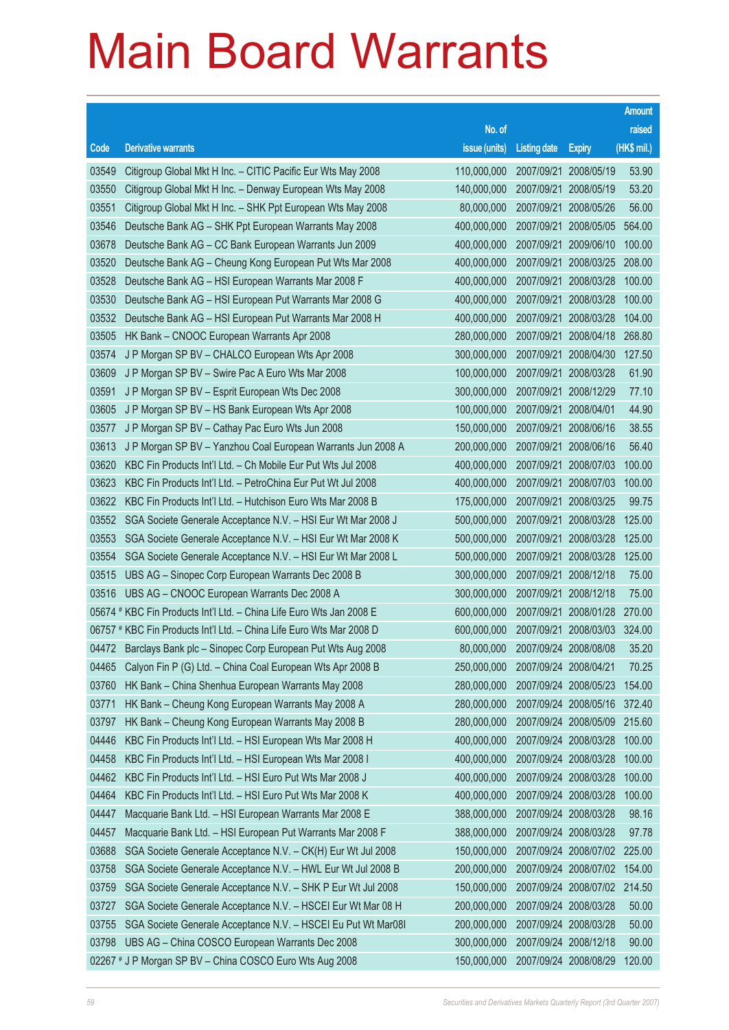|       |                                                                      |               |                                  |                       | <b>Amount</b> |
|-------|----------------------------------------------------------------------|---------------|----------------------------------|-----------------------|---------------|
|       |                                                                      | No. of        |                                  |                       | raised        |
| Code  | <b>Derivative warrants</b>                                           | issue (units) | <b>Listing date</b>              | <b>Expiry</b>         | (HK\$ mil.)   |
| 03549 | Citigroup Global Mkt H Inc. - CITIC Pacific Eur Wts May 2008         | 110,000,000   |                                  | 2007/09/21 2008/05/19 | 53.90         |
| 03550 | Citigroup Global Mkt H Inc. - Denway European Wts May 2008           | 140,000,000   |                                  | 2007/09/21 2008/05/19 | 53.20         |
| 03551 | Citigroup Global Mkt H Inc. - SHK Ppt European Wts May 2008          | 80,000,000    |                                  | 2007/09/21 2008/05/26 | 56.00         |
| 03546 | Deutsche Bank AG - SHK Ppt European Warrants May 2008                | 400,000,000   |                                  | 2007/09/21 2008/05/05 | 564.00        |
| 03678 | Deutsche Bank AG - CC Bank European Warrants Jun 2009                | 400,000,000   |                                  | 2007/09/21 2009/06/10 | 100.00        |
| 03520 | Deutsche Bank AG - Cheung Kong European Put Wts Mar 2008             | 400,000,000   |                                  | 2007/09/21 2008/03/25 | 208.00        |
| 03528 | Deutsche Bank AG - HSI European Warrants Mar 2008 F                  | 400,000,000   |                                  | 2007/09/21 2008/03/28 | 100.00        |
| 03530 | Deutsche Bank AG - HSI European Put Warrants Mar 2008 G              | 400,000,000   |                                  | 2007/09/21 2008/03/28 | 100.00        |
| 03532 | Deutsche Bank AG - HSI European Put Warrants Mar 2008 H              | 400,000,000   |                                  | 2007/09/21 2008/03/28 | 104.00        |
| 03505 | HK Bank - CNOOC European Warrants Apr 2008                           | 280,000,000   |                                  | 2007/09/21 2008/04/18 | 268.80        |
| 03574 | J P Morgan SP BV - CHALCO European Wts Apr 2008                      | 300,000,000   |                                  | 2007/09/21 2008/04/30 | 127.50        |
| 03609 | J P Morgan SP BV - Swire Pac A Euro Wts Mar 2008                     | 100,000,000   | 2007/09/21 2008/03/28            |                       | 61.90         |
| 03591 | J P Morgan SP BV - Esprit European Wts Dec 2008                      | 300,000,000   |                                  | 2007/09/21 2008/12/29 | 77.10         |
| 03605 | J P Morgan SP BV - HS Bank European Wts Apr 2008                     | 100,000,000   | 2007/09/21 2008/04/01            |                       | 44.90         |
| 03577 | J P Morgan SP BV - Cathay Pac Euro Wts Jun 2008                      | 150,000,000   |                                  | 2007/09/21 2008/06/16 | 38.55         |
| 03613 | J P Morgan SP BV - Yanzhou Coal European Warrants Jun 2008 A         | 200,000,000   |                                  | 2007/09/21 2008/06/16 | 56.40         |
| 03620 | KBC Fin Products Int'l Ltd. - Ch Mobile Eur Put Wts Jul 2008         | 400,000,000   |                                  | 2007/09/21 2008/07/03 | 100.00        |
| 03623 | KBC Fin Products Int'l Ltd. - PetroChina Eur Put Wt Jul 2008         | 400,000,000   |                                  | 2007/09/21 2008/07/03 | 100.00        |
| 03622 | KBC Fin Products Int'l Ltd. - Hutchison Euro Wts Mar 2008 B          | 175,000,000   |                                  | 2007/09/21 2008/03/25 | 99.75         |
| 03552 | SGA Societe Generale Acceptance N.V. - HSI Eur Wt Mar 2008 J         | 500,000,000   |                                  | 2007/09/21 2008/03/28 | 125.00        |
| 03553 | SGA Societe Generale Acceptance N.V. - HSI Eur Wt Mar 2008 K         | 500,000,000   |                                  | 2007/09/21 2008/03/28 | 125.00        |
| 03554 | SGA Societe Generale Acceptance N.V. - HSI Eur Wt Mar 2008 L         | 500,000,000   |                                  | 2007/09/21 2008/03/28 | 125.00        |
| 03515 | UBS AG - Sinopec Corp European Warrants Dec 2008 B                   | 300,000,000   |                                  | 2007/09/21 2008/12/18 | 75.00         |
| 03516 | UBS AG - CNOOC European Warrants Dec 2008 A                          | 300,000,000   | 2007/09/21 2008/12/18            |                       | 75.00         |
|       | 05674 # KBC Fin Products Int'l Ltd. - China Life Euro Wts Jan 2008 E | 600,000,000   |                                  | 2007/09/21 2008/01/28 | 270.00        |
|       | 06757 # KBC Fin Products Int'l Ltd. - China Life Euro Wts Mar 2008 D | 600,000,000   |                                  | 2007/09/21 2008/03/03 | 324.00        |
|       | 04472 Barclays Bank plc - Sinopec Corp European Put Wts Aug 2008     |               | 80,000,000 2007/09/24 2008/08/08 |                       | 35.20         |
| 04465 | Calyon Fin P (G) Ltd. - China Coal European Wts Apr 2008 B           | 250,000,000   | 2007/09/24 2008/04/21            |                       | 70.25         |
| 03760 | HK Bank - China Shenhua European Warrants May 2008                   | 280,000,000   |                                  | 2007/09/24 2008/05/23 | 154.00        |
| 03771 | HK Bank - Cheung Kong European Warrants May 2008 A                   | 280,000,000   |                                  | 2007/09/24 2008/05/16 | 372.40        |
| 03797 | HK Bank - Cheung Kong European Warrants May 2008 B                   | 280,000,000   |                                  | 2007/09/24 2008/05/09 | 215.60        |
| 04446 | KBC Fin Products Int'l Ltd. - HSI European Wts Mar 2008 H            | 400,000,000   |                                  | 2007/09/24 2008/03/28 | 100.00        |
| 04458 | KBC Fin Products Int'l Ltd. - HSI European Wts Mar 2008 I            | 400,000,000   |                                  | 2007/09/24 2008/03/28 | 100.00        |
| 04462 | KBC Fin Products Int'l Ltd. - HSI Euro Put Wts Mar 2008 J            | 400,000,000   |                                  | 2007/09/24 2008/03/28 | 100.00        |
| 04464 | KBC Fin Products Int'l Ltd. - HSI Euro Put Wts Mar 2008 K            | 400,000,000   |                                  | 2007/09/24 2008/03/28 | 100.00        |
| 04447 | Macquarie Bank Ltd. - HSI European Warrants Mar 2008 E               | 388,000,000   |                                  | 2007/09/24 2008/03/28 | 98.16         |
| 04457 | Macquarie Bank Ltd. - HSI European Put Warrants Mar 2008 F           | 388,000,000   |                                  | 2007/09/24 2008/03/28 | 97.78         |
| 03688 | SGA Societe Generale Acceptance N.V. - CK(H) Eur Wt Jul 2008         | 150,000,000   |                                  | 2007/09/24 2008/07/02 | 225.00        |
| 03758 | SGA Societe Generale Acceptance N.V. - HWL Eur Wt Jul 2008 B         | 200,000,000   |                                  | 2007/09/24 2008/07/02 | 154.00        |
| 03759 | SGA Societe Generale Acceptance N.V. - SHK P Eur Wt Jul 2008         | 150,000,000   |                                  | 2007/09/24 2008/07/02 | 214.50        |
| 03727 | SGA Societe Generale Acceptance N.V. - HSCEI Eur Wt Mar 08 H         | 200,000,000   |                                  | 2007/09/24 2008/03/28 | 50.00         |
| 03755 | SGA Societe Generale Acceptance N.V. - HSCEI Eu Put Wt Mar081        | 200,000,000   |                                  | 2007/09/24 2008/03/28 | 50.00         |
| 03798 | UBS AG - China COSCO European Warrants Dec 2008                      | 300,000,000   |                                  | 2007/09/24 2008/12/18 | 90.00         |
|       | 02267 # J P Morgan SP BV - China COSCO Euro Wts Aug 2008             | 150,000,000   |                                  | 2007/09/24 2008/08/29 | 120.00        |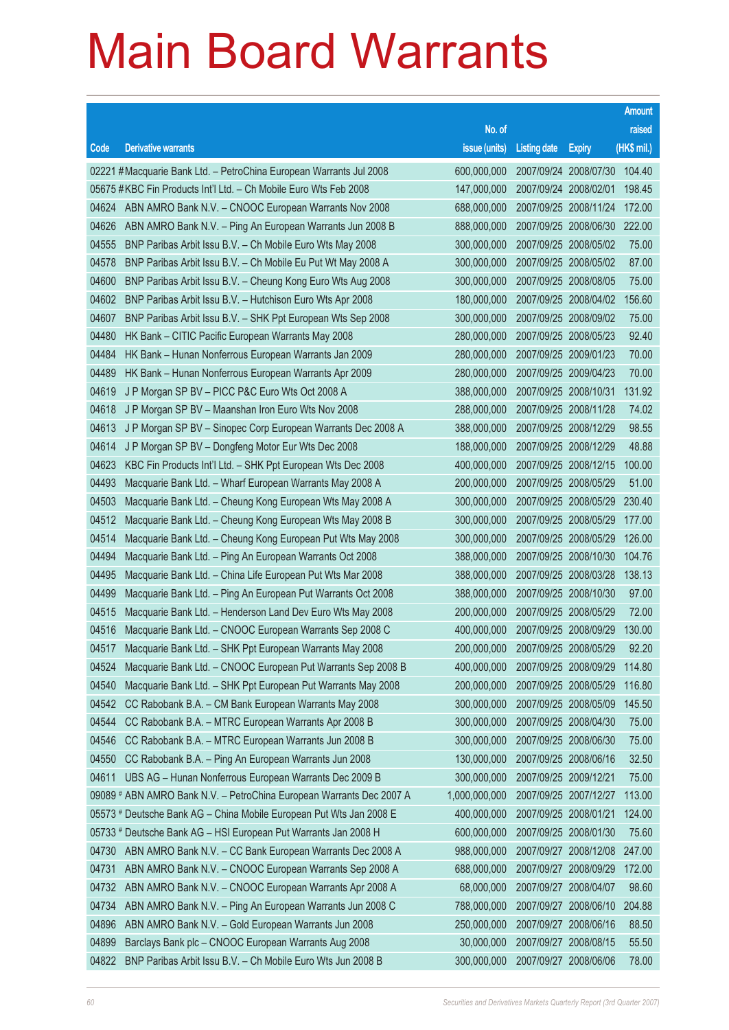|       |                                                                      |               |                       |                       | <b>Amount</b> |
|-------|----------------------------------------------------------------------|---------------|-----------------------|-----------------------|---------------|
|       |                                                                      | No. of        |                       |                       | raised        |
| Code  | <b>Derivative warrants</b>                                           | issue (units) | <b>Listing date</b>   | <b>Expiry</b>         | (HK\$ mil.)   |
|       | 02221 #Macquarie Bank Ltd. - PetroChina European Warrants Jul 2008   | 600,000,000   |                       | 2007/09/24 2008/07/30 | 104.40        |
|       | 05675 #KBC Fin Products Int'l Ltd. - Ch Mobile Euro Wts Feb 2008     | 147,000,000   | 2007/09/24 2008/02/01 |                       | 198.45        |
| 04624 | ABN AMRO Bank N.V. - CNOOC European Warrants Nov 2008                | 688,000,000   |                       | 2007/09/25 2008/11/24 | 172.00        |
| 04626 | ABN AMRO Bank N.V. - Ping An European Warrants Jun 2008 B            | 888,000,000   |                       | 2007/09/25 2008/06/30 | 222.00        |
| 04555 | BNP Paribas Arbit Issu B.V. - Ch Mobile Euro Wts May 2008            | 300,000,000   | 2007/09/25 2008/05/02 |                       | 75.00         |
| 04578 | BNP Paribas Arbit Issu B.V. - Ch Mobile Eu Put Wt May 2008 A         | 300,000,000   | 2007/09/25 2008/05/02 |                       | 87.00         |
| 04600 | BNP Paribas Arbit Issu B.V. - Cheung Kong Euro Wts Aug 2008          | 300,000,000   |                       | 2007/09/25 2008/08/05 | 75.00         |
| 04602 | BNP Paribas Arbit Issu B.V. - Hutchison Euro Wts Apr 2008            | 180,000,000   |                       | 2007/09/25 2008/04/02 | 156.60        |
| 04607 | BNP Paribas Arbit Issu B.V. - SHK Ppt European Wts Sep 2008          | 300,000,000   | 2007/09/25 2008/09/02 |                       | 75.00         |
| 04480 | HK Bank - CITIC Pacific European Warrants May 2008                   | 280,000,000   | 2007/09/25 2008/05/23 |                       | 92.40         |
| 04484 | HK Bank - Hunan Nonferrous European Warrants Jan 2009                | 280,000,000   |                       | 2007/09/25 2009/01/23 | 70.00         |
| 04489 | HK Bank – Hunan Nonferrous European Warrants Apr 2009                | 280,000,000   | 2007/09/25 2009/04/23 |                       | 70.00         |
| 04619 | J P Morgan SP BV - PICC P&C Euro Wts Oct 2008 A                      | 388,000,000   | 2007/09/25 2008/10/31 |                       | 131.92        |
| 04618 | J P Morgan SP BV - Maanshan Iron Euro Wts Nov 2008                   | 288,000,000   | 2007/09/25 2008/11/28 |                       | 74.02         |
| 04613 | J P Morgan SP BV - Sinopec Corp European Warrants Dec 2008 A         | 388,000,000   |                       | 2007/09/25 2008/12/29 | 98.55         |
| 04614 | J P Morgan SP BV - Dongfeng Motor Eur Wts Dec 2008                   | 188,000,000   | 2007/09/25 2008/12/29 |                       | 48.88         |
| 04623 | KBC Fin Products Int'l Ltd. - SHK Ppt European Wts Dec 2008          | 400,000,000   |                       | 2007/09/25 2008/12/15 | 100.00        |
| 04493 | Macquarie Bank Ltd. - Wharf European Warrants May 2008 A             | 200,000,000   | 2007/09/25 2008/05/29 |                       | 51.00         |
| 04503 | Macquarie Bank Ltd. - Cheung Kong European Wts May 2008 A            | 300,000,000   |                       | 2007/09/25 2008/05/29 | 230.40        |
| 04512 | Macquarie Bank Ltd. - Cheung Kong European Wts May 2008 B            | 300,000,000   | 2007/09/25 2008/05/29 |                       | 177.00        |
| 04514 | Macquarie Bank Ltd. - Cheung Kong European Put Wts May 2008          | 300,000,000   | 2007/09/25 2008/05/29 |                       | 126.00        |
| 04494 | Macquarie Bank Ltd. - Ping An European Warrants Oct 2008             | 388,000,000   | 2007/09/25 2008/10/30 |                       | 104.76        |
| 04495 | Macquarie Bank Ltd. - China Life European Put Wts Mar 2008           | 388,000,000   |                       | 2007/09/25 2008/03/28 | 138.13        |
| 04499 | Macquarie Bank Ltd. - Ping An European Put Warrants Oct 2008         | 388,000,000   | 2007/09/25 2008/10/30 |                       | 97.00         |
| 04515 | Macquarie Bank Ltd. - Henderson Land Dev Euro Wts May 2008           | 200,000,000   | 2007/09/25 2008/05/29 |                       | 72.00         |
| 04516 | Macquarie Bank Ltd. - CNOOC European Warrants Sep 2008 C             | 400,000,000   | 2007/09/25 2008/09/29 |                       | 130.00        |
| 04517 | Macquarie Bank Ltd. - SHK Ppt European Warrants May 2008             | 200,000,000   | 2007/09/25 2008/05/29 |                       | 92.20         |
| 04524 | Macquarie Bank Ltd. - CNOOC European Put Warrants Sep 2008 B         | 400,000,000   | 2007/09/25 2008/09/29 |                       | 114.80        |
| 04540 | Macquarie Bank Ltd. - SHK Ppt European Put Warrants May 2008         | 200,000,000   |                       | 2007/09/25 2008/05/29 | 116.80        |
| 04542 | CC Rabobank B.A. - CM Bank European Warrants May 2008                | 300,000,000   | 2007/09/25 2008/05/09 |                       | 145.50        |
| 04544 | CC Rabobank B.A. - MTRC European Warrants Apr 2008 B                 | 300,000,000   |                       | 2007/09/25 2008/04/30 | 75.00         |
| 04546 | CC Rabobank B.A. - MTRC European Warrants Jun 2008 B                 | 300,000,000   | 2007/09/25 2008/06/30 |                       | 75.00         |
| 04550 | CC Rabobank B.A. - Ping An European Warrants Jun 2008                | 130,000,000   |                       | 2007/09/25 2008/06/16 | 32.50         |
| 04611 | UBS AG - Hunan Nonferrous European Warrants Dec 2009 B               | 300,000,000   | 2007/09/25 2009/12/21 |                       | 75.00         |
|       | 09089 # ABN AMRO Bank N.V. - PetroChina European Warrants Dec 2007 A | 1,000,000,000 |                       | 2007/09/25 2007/12/27 | 113.00        |
|       | 05573 # Deutsche Bank AG - China Mobile European Put Wts Jan 2008 E  | 400,000,000   | 2007/09/25 2008/01/21 |                       | 124.00        |
|       | 05733 # Deutsche Bank AG - HSI European Put Warrants Jan 2008 H      | 600,000,000   | 2007/09/25 2008/01/30 |                       | 75.60         |
| 04730 | ABN AMRO Bank N.V. - CC Bank European Warrants Dec 2008 A            | 988,000,000   |                       | 2007/09/27 2008/12/08 | 247.00        |
| 04731 | ABN AMRO Bank N.V. - CNOOC European Warrants Sep 2008 A              | 688,000,000   |                       | 2007/09/27 2008/09/29 | 172.00        |
| 04732 | ABN AMRO Bank N.V. - CNOOC European Warrants Apr 2008 A              | 68,000,000    | 2007/09/27 2008/04/07 |                       | 98.60         |
| 04734 | ABN AMRO Bank N.V. - Ping An European Warrants Jun 2008 C            | 788,000,000   |                       | 2007/09/27 2008/06/10 | 204.88        |
| 04896 | ABN AMRO Bank N.V. - Gold European Warrants Jun 2008                 | 250,000,000   | 2007/09/27 2008/06/16 |                       | 88.50         |
| 04899 | Barclays Bank plc - CNOOC European Warrants Aug 2008                 | 30,000,000    |                       | 2007/09/27 2008/08/15 | 55.50         |
| 04822 | BNP Paribas Arbit Issu B.V. - Ch Mobile Euro Wts Jun 2008 B          | 300,000,000   | 2007/09/27 2008/06/06 |                       | 78.00         |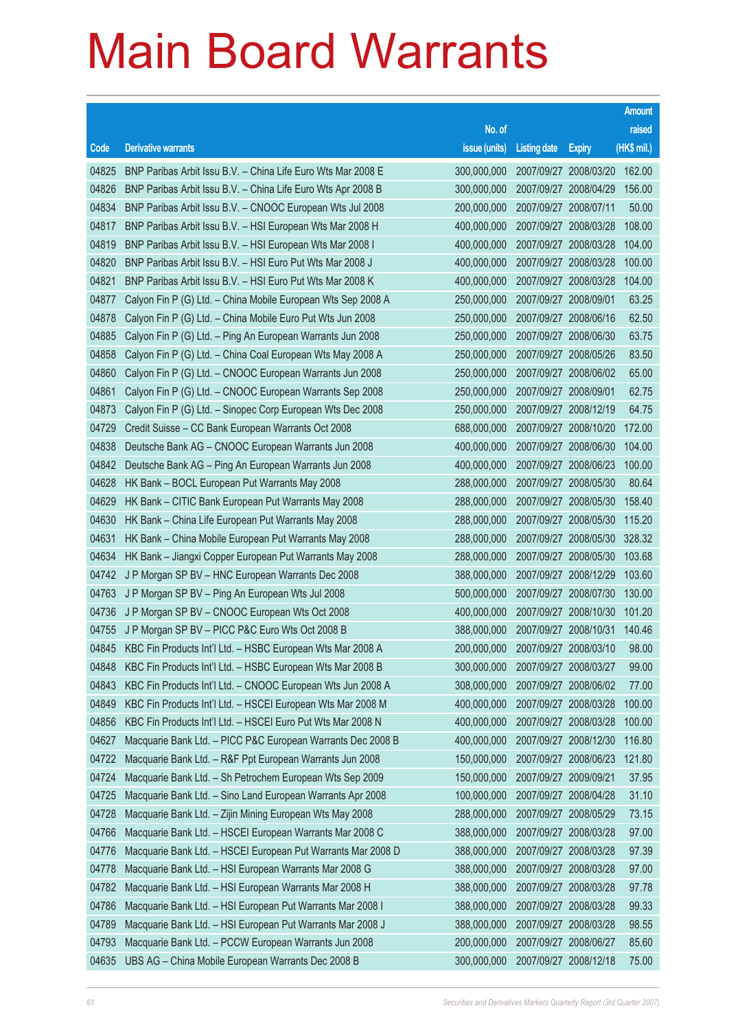|       |                                                              |                                   |                       |                       | <b>Amount</b> |
|-------|--------------------------------------------------------------|-----------------------------------|-----------------------|-----------------------|---------------|
|       |                                                              | No. of                            |                       |                       | raised        |
| Code  | <b>Derivative warrants</b>                                   | issue (units)                     | <b>Listing date</b>   | <b>Expiry</b>         | (HK\$ mil.)   |
| 04825 | BNP Paribas Arbit Issu B.V. - China Life Euro Wts Mar 2008 E | 300,000,000                       |                       | 2007/09/27 2008/03/20 | 162.00        |
| 04826 | BNP Paribas Arbit Issu B.V. - China Life Euro Wts Apr 2008 B | 300,000,000                       |                       | 2007/09/27 2008/04/29 | 156.00        |
| 04834 | BNP Paribas Arbit Issu B.V. - CNOOC European Wts Jul 2008    | 200,000,000                       |                       | 2007/09/27 2008/07/11 | 50.00         |
| 04817 | BNP Paribas Arbit Issu B.V. - HSI European Wts Mar 2008 H    | 400,000,000                       |                       | 2007/09/27 2008/03/28 | 108.00        |
| 04819 | BNP Paribas Arbit Issu B.V. - HSI European Wts Mar 2008 I    | 400,000,000                       |                       | 2007/09/27 2008/03/28 | 104.00        |
| 04820 | BNP Paribas Arbit Issu B.V. - HSI Euro Put Wts Mar 2008 J    | 400,000,000                       |                       | 2007/09/27 2008/03/28 | 100.00        |
| 04821 | BNP Paribas Arbit Issu B.V. - HSI Euro Put Wts Mar 2008 K    | 400,000,000                       |                       | 2007/09/27 2008/03/28 | 104.00        |
| 04877 | Calyon Fin P (G) Ltd. - China Mobile European Wts Sep 2008 A | 250,000,000                       | 2007/09/27 2008/09/01 |                       | 63.25         |
| 04878 | Calyon Fin P (G) Ltd. - China Mobile Euro Put Wts Jun 2008   | 250,000,000                       |                       | 2007/09/27 2008/06/16 | 62.50         |
| 04885 | Calyon Fin P (G) Ltd. - Ping An European Warrants Jun 2008   | 250,000,000                       |                       | 2007/09/27 2008/06/30 | 63.75         |
| 04858 | Calyon Fin P (G) Ltd. - China Coal European Wts May 2008 A   | 250,000,000                       |                       | 2007/09/27 2008/05/26 | 83.50         |
| 04860 | Calyon Fin P (G) Ltd. - CNOOC European Warrants Jun 2008     | 250,000,000                       |                       | 2007/09/27 2008/06/02 | 65.00         |
| 04861 | Calyon Fin P (G) Ltd. - CNOOC European Warrants Sep 2008     | 250,000,000                       |                       | 2007/09/27 2008/09/01 | 62.75         |
| 04873 | Calyon Fin P (G) Ltd. - Sinopec Corp European Wts Dec 2008   | 250,000,000                       |                       | 2007/09/27 2008/12/19 | 64.75         |
| 04729 | Credit Suisse – CC Bank European Warrants Oct 2008           | 688,000,000                       |                       | 2007/09/27 2008/10/20 | 172.00        |
| 04838 | Deutsche Bank AG - CNOOC European Warrants Jun 2008          | 400,000,000                       |                       | 2007/09/27 2008/06/30 | 104.00        |
| 04842 | Deutsche Bank AG - Ping An European Warrants Jun 2008        | 400,000,000                       |                       | 2007/09/27 2008/06/23 | 100.00        |
| 04628 | HK Bank - BOCL European Put Warrants May 2008                | 288,000,000                       |                       | 2007/09/27 2008/05/30 | 80.64         |
| 04629 | HK Bank - CITIC Bank European Put Warrants May 2008          | 288,000,000                       |                       | 2007/09/27 2008/05/30 | 158.40        |
| 04630 | HK Bank – China Life European Put Warrants May 2008          | 288,000,000                       |                       | 2007/09/27 2008/05/30 | 115.20        |
| 04631 | HK Bank - China Mobile European Put Warrants May 2008        | 288,000,000                       |                       | 2007/09/27 2008/05/30 | 328.32        |
| 04634 | HK Bank - Jiangxi Copper European Put Warrants May 2008      | 288,000,000                       |                       | 2007/09/27 2008/05/30 | 103.68        |
| 04742 | J P Morgan SP BV - HNC European Warrants Dec 2008            | 388,000,000                       |                       | 2007/09/27 2008/12/29 | 103.60        |
| 04763 | J P Morgan SP BV - Ping An European Wts Jul 2008             | 500,000,000                       |                       | 2007/09/27 2008/07/30 | 130.00        |
| 04736 | J P Morgan SP BV - CNOOC European Wts Oct 2008               | 400,000,000                       |                       | 2007/09/27 2008/10/30 | 101.20        |
| 04755 | J P Morgan SP BV - PICC P&C Euro Wts Oct 2008 B              | 388,000,000                       |                       | 2007/09/27 2008/10/31 | 140.46        |
| 04845 | KBC Fin Products Int'l Ltd. - HSBC European Wts Mar 2008 A   | 200,000,000 2007/09/27 2008/03/10 |                       |                       | 98.00         |
| 04848 | KBC Fin Products Int'l Ltd. - HSBC European Wts Mar 2008 B   | 300,000,000                       |                       | 2007/09/27 2008/03/27 | 99.00         |
| 04843 | KBC Fin Products Int'l Ltd. - CNOOC European Wts Jun 2008 A  | 308,000,000                       |                       | 2007/09/27 2008/06/02 | 77.00         |
| 04849 | KBC Fin Products Int'l Ltd. - HSCEI European Wts Mar 2008 M  | 400,000,000                       |                       | 2007/09/27 2008/03/28 | 100.00        |
| 04856 | KBC Fin Products Int'l Ltd. - HSCEI Euro Put Wts Mar 2008 N  | 400,000,000                       |                       | 2007/09/27 2008/03/28 | 100.00        |
| 04627 | Macquarie Bank Ltd. - PICC P&C European Warrants Dec 2008 B  | 400,000,000                       |                       | 2007/09/27 2008/12/30 | 116.80        |
| 04722 | Macquarie Bank Ltd. - R&F Ppt European Warrants Jun 2008     | 150,000,000                       |                       | 2007/09/27 2008/06/23 | 121.80        |
| 04724 | Macquarie Bank Ltd. - Sh Petrochem European Wts Sep 2009     | 150,000,000                       |                       | 2007/09/27 2009/09/21 | 37.95         |
| 04725 | Macquarie Bank Ltd. - Sino Land European Warrants Apr 2008   | 100,000,000                       |                       | 2007/09/27 2008/04/28 | 31.10         |
| 04728 | Macquarie Bank Ltd. - Zijin Mining European Wts May 2008     | 288,000,000                       |                       | 2007/09/27 2008/05/29 | 73.15         |
| 04766 | Macquarie Bank Ltd. - HSCEI European Warrants Mar 2008 C     | 388,000,000                       |                       | 2007/09/27 2008/03/28 | 97.00         |
| 04776 | Macquarie Bank Ltd. - HSCEI European Put Warrants Mar 2008 D | 388,000,000                       |                       | 2007/09/27 2008/03/28 | 97.39         |
| 04778 | Macquarie Bank Ltd. - HSI European Warrants Mar 2008 G       | 388,000,000                       |                       | 2007/09/27 2008/03/28 | 97.00         |
| 04782 | Macquarie Bank Ltd. - HSI European Warrants Mar 2008 H       | 388,000,000                       |                       | 2007/09/27 2008/03/28 | 97.78         |
| 04786 | Macquarie Bank Ltd. - HSI European Put Warrants Mar 2008 I   | 388,000,000                       |                       | 2007/09/27 2008/03/28 | 99.33         |
| 04789 | Macquarie Bank Ltd. - HSI European Put Warrants Mar 2008 J   | 388,000,000                       |                       | 2007/09/27 2008/03/28 | 98.55         |
| 04793 | Macquarie Bank Ltd. - PCCW European Warrants Jun 2008        | 200,000,000                       |                       | 2007/09/27 2008/06/27 | 85.60         |
| 04635 | UBS AG - China Mobile European Warrants Dec 2008 B           | 300,000,000                       |                       | 2007/09/27 2008/12/18 | 75.00         |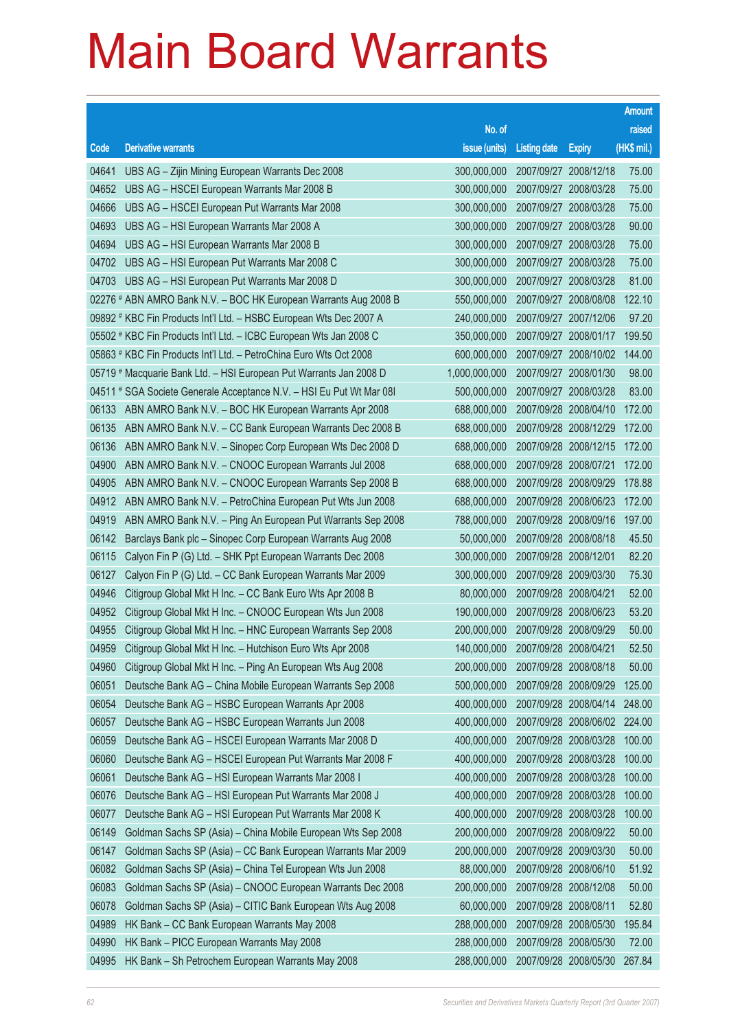|       |                                                                      |               |                       |                       | <b>Amount</b> |
|-------|----------------------------------------------------------------------|---------------|-----------------------|-----------------------|---------------|
|       |                                                                      | No. of        |                       |                       | raised        |
| Code  | <b>Derivative warrants</b>                                           | issue (units) | <b>Listing date</b>   | <b>Expiry</b>         | (HK\$ mil.)   |
| 04641 | UBS AG - Zijin Mining European Warrants Dec 2008                     | 300,000,000   |                       | 2007/09/27 2008/12/18 | 75.00         |
| 04652 | UBS AG - HSCEI European Warrants Mar 2008 B                          | 300,000,000   |                       | 2007/09/27 2008/03/28 | 75.00         |
| 04666 | UBS AG - HSCEI European Put Warrants Mar 2008                        | 300,000,000   |                       | 2007/09/27 2008/03/28 | 75.00         |
| 04693 | UBS AG - HSI European Warrants Mar 2008 A                            | 300,000,000   |                       | 2007/09/27 2008/03/28 | 90.00         |
| 04694 | UBS AG - HSI European Warrants Mar 2008 B                            | 300,000,000   |                       | 2007/09/27 2008/03/28 | 75.00         |
| 04702 | UBS AG - HSI European Put Warrants Mar 2008 C                        | 300,000,000   |                       | 2007/09/27 2008/03/28 | 75.00         |
| 04703 | UBS AG - HSI European Put Warrants Mar 2008 D                        | 300,000,000   |                       | 2007/09/27 2008/03/28 | 81.00         |
|       | 02276 # ABN AMRO Bank N.V. - BOC HK European Warrants Aug 2008 B     | 550,000,000   |                       | 2007/09/27 2008/08/08 | 122.10        |
|       | 09892 # KBC Fin Products Int'l Ltd. - HSBC European Wts Dec 2007 A   | 240,000,000   |                       | 2007/09/27 2007/12/06 | 97.20         |
|       | 05502 # KBC Fin Products Int'l Ltd. - ICBC European Wts Jan 2008 C   | 350,000,000   |                       | 2007/09/27 2008/01/17 | 199.50        |
|       | 05863 # KBC Fin Products Int'l Ltd. - PetroChina Euro Wts Oct 2008   | 600,000,000   |                       | 2007/09/27 2008/10/02 | 144.00        |
|       | 05719 # Macquarie Bank Ltd. - HSI European Put Warrants Jan 2008 D   | 1,000,000,000 |                       | 2007/09/27 2008/01/30 | 98.00         |
|       | 04511 # SGA Societe Generale Acceptance N.V. - HSI Eu Put Wt Mar 08I | 500,000,000   |                       | 2007/09/27 2008/03/28 | 83.00         |
| 06133 | ABN AMRO Bank N.V. - BOC HK European Warrants Apr 2008               | 688,000,000   |                       | 2007/09/28 2008/04/10 | 172.00        |
| 06135 | ABN AMRO Bank N.V. - CC Bank European Warrants Dec 2008 B            | 688,000,000   |                       | 2007/09/28 2008/12/29 | 172.00        |
| 06136 | ABN AMRO Bank N.V. - Sinopec Corp European Wts Dec 2008 D            | 688,000,000   |                       | 2007/09/28 2008/12/15 | 172.00        |
| 04900 | ABN AMRO Bank N.V. - CNOOC European Warrants Jul 2008                | 688,000,000   |                       | 2007/09/28 2008/07/21 | 172.00        |
| 04905 | ABN AMRO Bank N.V. - CNOOC European Warrants Sep 2008 B              | 688,000,000   |                       | 2007/09/28 2008/09/29 | 178.88        |
| 04912 | ABN AMRO Bank N.V. - PetroChina European Put Wts Jun 2008            | 688,000,000   |                       | 2007/09/28 2008/06/23 | 172.00        |
| 04919 | ABN AMRO Bank N.V. - Ping An European Put Warrants Sep 2008          | 788,000,000   |                       | 2007/09/28 2008/09/16 | 197.00        |
| 06142 | Barclays Bank plc - Sinopec Corp European Warrants Aug 2008          | 50,000,000    |                       | 2007/09/28 2008/08/18 | 45.50         |
| 06115 | Calyon Fin P (G) Ltd. - SHK Ppt European Warrants Dec 2008           | 300,000,000   | 2007/09/28 2008/12/01 |                       | 82.20         |
| 06127 | Calyon Fin P (G) Ltd. - CC Bank European Warrants Mar 2009           | 300,000,000   |                       | 2007/09/28 2009/03/30 | 75.30         |
| 04946 | Citigroup Global Mkt H Inc. - CC Bank Euro Wts Apr 2008 B            | 80,000,000    | 2007/09/28 2008/04/21 |                       | 52.00         |
| 04952 | Citigroup Global Mkt H Inc. - CNOOC European Wts Jun 2008            | 190,000,000   |                       | 2007/09/28 2008/06/23 | 53.20         |
| 04955 | Citigroup Global Mkt H Inc. - HNC European Warrants Sep 2008         | 200,000,000   |                       | 2007/09/28 2008/09/29 | 50.00         |
| 04959 | Citigroup Global Mkt H Inc. - Hutchison Euro Wts Apr 2008            | 140,000,000   | 2007/09/28 2008/04/21 |                       | 52.50         |
| 04960 | Citigroup Global Mkt H Inc. - Ping An European Wts Aug 2008          | 200,000,000   |                       | 2007/09/28 2008/08/18 | 50.00         |
| 06051 | Deutsche Bank AG - China Mobile European Warrants Sep 2008           | 500,000,000   |                       | 2007/09/28 2008/09/29 | 125.00        |
| 06054 | Deutsche Bank AG - HSBC European Warrants Apr 2008                   | 400,000,000   |                       | 2007/09/28 2008/04/14 | 248.00        |
| 06057 | Deutsche Bank AG - HSBC European Warrants Jun 2008                   | 400,000,000   |                       | 2007/09/28 2008/06/02 | 224.00        |
| 06059 | Deutsche Bank AG - HSCEI European Warrants Mar 2008 D                | 400,000,000   |                       | 2007/09/28 2008/03/28 | 100.00        |
| 06060 | Deutsche Bank AG - HSCEI European Put Warrants Mar 2008 F            | 400,000,000   |                       | 2007/09/28 2008/03/28 | 100.00        |
| 06061 | Deutsche Bank AG - HSI European Warrants Mar 2008 I                  | 400,000,000   |                       | 2007/09/28 2008/03/28 | 100.00        |
| 06076 | Deutsche Bank AG - HSI European Put Warrants Mar 2008 J              | 400,000,000   |                       | 2007/09/28 2008/03/28 | 100.00        |
| 06077 | Deutsche Bank AG - HSI European Put Warrants Mar 2008 K              | 400,000,000   |                       | 2007/09/28 2008/03/28 | 100.00        |
| 06149 | Goldman Sachs SP (Asia) - China Mobile European Wts Sep 2008         | 200,000,000   |                       | 2007/09/28 2008/09/22 | 50.00         |
| 06147 | Goldman Sachs SP (Asia) - CC Bank European Warrants Mar 2009         | 200,000,000   |                       | 2007/09/28 2009/03/30 | 50.00         |
| 06082 | Goldman Sachs SP (Asia) - China Tel European Wts Jun 2008            | 88,000,000    |                       | 2007/09/28 2008/06/10 | 51.92         |
| 06083 | Goldman Sachs SP (Asia) - CNOOC European Warrants Dec 2008           | 200,000,000   |                       | 2007/09/28 2008/12/08 | 50.00         |
| 06078 | Goldman Sachs SP (Asia) - CITIC Bank European Wts Aug 2008           | 60,000,000    |                       | 2007/09/28 2008/08/11 | 52.80         |
| 04989 | HK Bank - CC Bank European Warrants May 2008                         | 288,000,000   |                       | 2007/09/28 2008/05/30 | 195.84        |
| 04990 | HK Bank - PICC European Warrants May 2008                            | 288,000,000   |                       | 2007/09/28 2008/05/30 | 72.00         |
| 04995 | HK Bank - Sh Petrochem European Warrants May 2008                    | 288,000,000   |                       | 2007/09/28 2008/05/30 | 267.84        |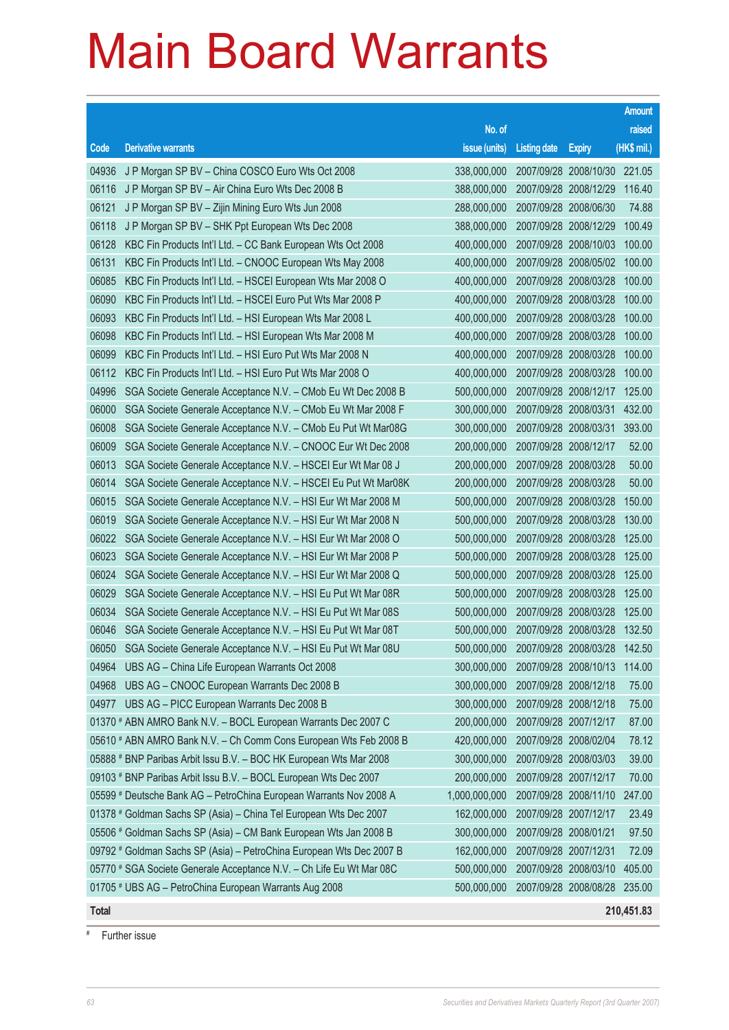|              |                                                                      |                                          |                       |                       | <b>Amount</b> |
|--------------|----------------------------------------------------------------------|------------------------------------------|-----------------------|-----------------------|---------------|
|              |                                                                      | No. of                                   |                       |                       | raised        |
| Code         | <b>Derivative warrants</b>                                           | issue (units)                            | <b>Listing date</b>   | <b>Expiry</b>         | $(HK$$ mil.)  |
| 04936        | J P Morgan SP BV - China COSCO Euro Wts Oct 2008                     | 338,000,000                              |                       | 2007/09/28 2008/10/30 | 221.05        |
| 06116        | J P Morgan SP BV - Air China Euro Wts Dec 2008 B                     | 388,000,000                              |                       | 2007/09/28 2008/12/29 | 116.40        |
| 06121        | J P Morgan SP BV - Zijin Mining Euro Wts Jun 2008                    | 288,000,000                              |                       | 2007/09/28 2008/06/30 | 74.88         |
| 06118        | J P Morgan SP BV - SHK Ppt European Wts Dec 2008                     | 388,000,000                              | 2007/09/28 2008/12/29 |                       | 100.49        |
| 06128        | KBC Fin Products Int'l Ltd. - CC Bank European Wts Oct 2008          | 400,000,000                              |                       | 2007/09/28 2008/10/03 | 100.00        |
| 06131        | KBC Fin Products Int'l Ltd. - CNOOC European Wts May 2008            | 400,000,000                              |                       | 2007/09/28 2008/05/02 | 100.00        |
| 06085        | KBC Fin Products Int'l Ltd. - HSCEI European Wts Mar 2008 O          | 400,000,000                              |                       | 2007/09/28 2008/03/28 | 100.00        |
| 06090        | KBC Fin Products Int'l Ltd. - HSCEI Euro Put Wts Mar 2008 P          | 400,000,000                              | 2007/09/28 2008/03/28 |                       | 100.00        |
| 06093        | KBC Fin Products Int'l Ltd. - HSI European Wts Mar 2008 L            | 400,000,000                              |                       | 2007/09/28 2008/03/28 | 100.00        |
| 06098        | KBC Fin Products Int'l Ltd. - HSI European Wts Mar 2008 M            | 400,000,000                              |                       | 2007/09/28 2008/03/28 | 100.00        |
| 06099        | KBC Fin Products Int'l Ltd. - HSI Euro Put Wts Mar 2008 N            | 400,000,000                              |                       | 2007/09/28 2008/03/28 | 100.00        |
| 06112        | KBC Fin Products Int'l Ltd. - HSI Euro Put Wts Mar 2008 O            | 400,000,000                              | 2007/09/28 2008/03/28 |                       | 100.00        |
| 04996        | SGA Societe Generale Acceptance N.V. - CMob Eu Wt Dec 2008 B         | 500,000,000                              |                       | 2007/09/28 2008/12/17 | 125.00        |
| 06000        | SGA Societe Generale Acceptance N.V. - CMob Eu Wt Mar 2008 F         | 300,000,000                              | 2007/09/28 2008/03/31 |                       | 432.00        |
| 06008        | SGA Societe Generale Acceptance N.V. - CMob Eu Put Wt Mar08G         | 300,000,000                              |                       | 2007/09/28 2008/03/31 | 393.00        |
| 06009        | SGA Societe Generale Acceptance N.V. - CNOOC Eur Wt Dec 2008         | 200,000,000                              | 2007/09/28 2008/12/17 |                       | 52.00         |
| 06013        | SGA Societe Generale Acceptance N.V. - HSCEI Eur Wt Mar 08 J         | 200,000,000                              |                       | 2007/09/28 2008/03/28 | 50.00         |
| 06014        | SGA Societe Generale Acceptance N.V. - HSCEI Eu Put Wt Mar08K        | 200,000,000                              |                       | 2007/09/28 2008/03/28 | 50.00         |
| 06015        | SGA Societe Generale Acceptance N.V. - HSI Eur Wt Mar 2008 M         | 500,000,000                              |                       | 2007/09/28 2008/03/28 | 150.00        |
| 06019        | SGA Societe Generale Acceptance N.V. - HSI Eur Wt Mar 2008 N         | 500,000,000                              |                       | 2007/09/28 2008/03/28 | 130.00        |
| 06022        | SGA Societe Generale Acceptance N.V. - HSI Eur Wt Mar 2008 O         | 500,000,000                              |                       | 2007/09/28 2008/03/28 | 125.00        |
| 06023        | SGA Societe Generale Acceptance N.V. - HSI Eur Wt Mar 2008 P         | 500,000,000                              |                       | 2007/09/28 2008/03/28 | 125.00        |
| 06024        | SGA Societe Generale Acceptance N.V. - HSI Eur Wt Mar 2008 Q         | 500,000,000                              | 2007/09/28 2008/03/28 |                       | 125.00        |
| 06029        | SGA Societe Generale Acceptance N.V. - HSI Eu Put Wt Mar 08R         | 500,000,000                              | 2007/09/28 2008/03/28 |                       | 125.00        |
| 06034        | SGA Societe Generale Acceptance N.V. - HSI Eu Put Wt Mar 08S         | 500,000,000                              |                       | 2007/09/28 2008/03/28 | 125.00        |
| 06046        | SGA Societe Generale Acceptance N.V. - HSI Eu Put Wt Mar 08T         | 500,000,000                              |                       | 2007/09/28 2008/03/28 | 132.50        |
| 06050        | SGA Societe Generale Acceptance N.V. - HSI Eu Put Wt Mar 08U         | 500,000,000 2007/09/28 2008/03/28 142.50 |                       |                       |               |
| 04964        | UBS AG - China Life European Warrants Oct 2008                       | 300,000,000                              | 2007/09/28 2008/10/13 |                       | 114.00        |
| 04968        | UBS AG - CNOOC European Warrants Dec 2008 B                          | 300,000,000                              | 2007/09/28 2008/12/18 |                       | 75.00         |
| 04977        | UBS AG - PICC European Warrants Dec 2008 B                           | 300,000,000                              | 2007/09/28 2008/12/18 |                       | 75.00         |
|              | 01370 # ABN AMRO Bank N.V. - BOCL European Warrants Dec 2007 C       | 200,000,000                              |                       | 2007/09/28 2007/12/17 | 87.00         |
|              | 05610 # ABN AMRO Bank N.V. - Ch Comm Cons European Wts Feb 2008 B    | 420,000,000                              | 2007/09/28 2008/02/04 |                       | 78.12         |
|              | 05888 # BNP Paribas Arbit Issu B.V. - BOC HK European Wts Mar 2008   | 300,000,000                              |                       | 2007/09/28 2008/03/03 | 39.00         |
|              | 09103 # BNP Paribas Arbit Issu B.V. - BOCL European Wts Dec 2007     | 200,000,000                              | 2007/09/28 2007/12/17 |                       | 70.00         |
|              | 05599 # Deutsche Bank AG - PetroChina European Warrants Nov 2008 A   | 1,000,000,000                            |                       | 2007/09/28 2008/11/10 | 247.00        |
|              | 01378 # Goldman Sachs SP (Asia) - China Tel European Wts Dec 2007    | 162,000,000                              | 2007/09/28 2007/12/17 |                       | 23.49         |
|              | 05506 # Goldman Sachs SP (Asia) - CM Bank European Wts Jan 2008 B    | 300,000,000                              | 2007/09/28 2008/01/21 |                       | 97.50         |
|              | 09792 # Goldman Sachs SP (Asia) - PetroChina European Wts Dec 2007 B | 162,000,000                              | 2007/09/28 2007/12/31 |                       | 72.09         |
|              | 05770 # SGA Societe Generale Acceptance N.V. - Ch Life Eu Wt Mar 08C | 500,000,000                              |                       | 2007/09/28 2008/03/10 | 405.00        |
|              | 01705 # UBS AG - PetroChina European Warrants Aug 2008               | 500,000,000                              |                       | 2007/09/28 2008/08/28 | 235.00        |
| <b>Total</b> |                                                                      |                                          |                       |                       | 210,451.83    |

# Further issue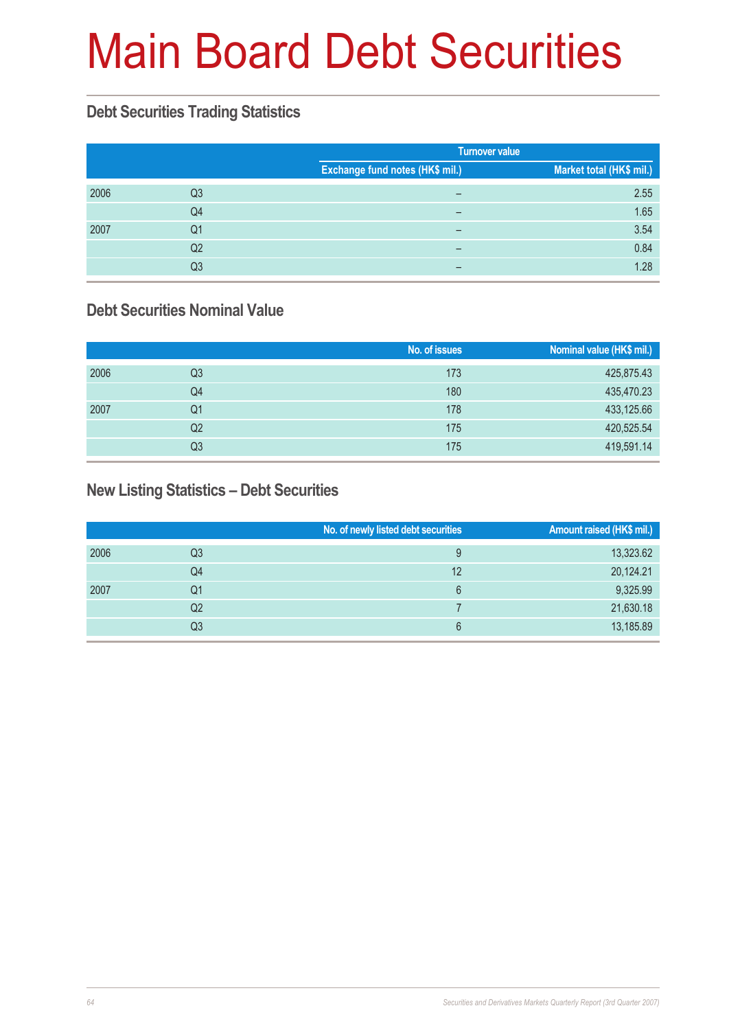# Main Board Debt Securities

### **Debt Securities Trading Statistics**

|      |    |                                 | <b>Turnover value</b>    |  |  |
|------|----|---------------------------------|--------------------------|--|--|
|      |    | Exchange fund notes (HK\$ mil.) | Market total (HK\$ mil.) |  |  |
| 2006 | Q3 | $\overline{\phantom{0}}$        | 2.55                     |  |  |
|      | Q4 | -                               | 1.65                     |  |  |
| 2007 | Q1 | -                               | 3.54                     |  |  |
|      | Q2 |                                 | 0.84                     |  |  |
|      | Q3 | -                               | 1.28                     |  |  |

### **Debt Securities Nominal Value**

|      |    | No. of issues | Nominal value (HK\$ mil.) |
|------|----|---------------|---------------------------|
| 2006 | Q3 | 173           | 425,875.43                |
|      | Q4 | 180           | 435,470.23                |
| 2007 | Q1 | 178           | 433,125.66                |
|      | Q2 | 175           | 420,525.54                |
|      | Q3 | 175           | 419,591.14                |

#### **New Listing Statistics – Debt Securities**

|      |    | No. of newly listed debt securities | <b>Amount raised (HK\$ mil.)</b> |
|------|----|-------------------------------------|----------------------------------|
| 2006 | Q3 | 9                                   | 13,323.62                        |
|      | Q4 | 12                                  | 20,124.21                        |
| 2007 | Q1 | 6                                   | 9,325.99                         |
|      | Q2 |                                     | 21,630.18                        |
|      | Q3 | 6                                   | 13,185.89                        |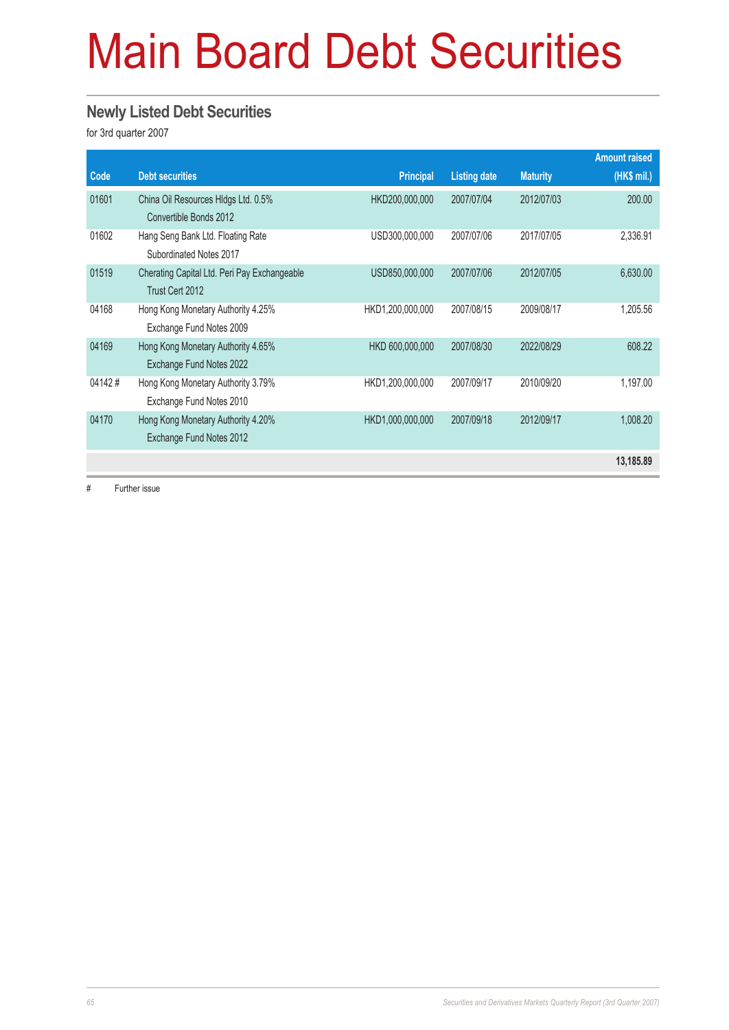# Main Board Debt Securities

#### **Newly Listed Debt Securities**

for 3rd quarter 2007

|        |                                                                 |                  |                     |                 | <b>Amount raised</b> |
|--------|-----------------------------------------------------------------|------------------|---------------------|-----------------|----------------------|
| Code   | <b>Debt securities</b>                                          | <b>Principal</b> | <b>Listing date</b> | <b>Maturity</b> | (HK\$ mil.)          |
| 01601  | China Oil Resources HIdgs Ltd. 0.5%<br>Convertible Bonds 2012   | HKD200,000,000   | 2007/07/04          | 2012/07/03      | 200,00               |
| 01602  | Hang Seng Bank Ltd. Floating Rate<br>Subordinated Notes 2017    | USD300,000,000   | 2007/07/06          | 2017/07/05      | 2,336.91             |
| 01519  | Cherating Capital Ltd. Peri Pay Exchangeable<br>Trust Cert 2012 | USD850,000,000   | 2007/07/06          | 2012/07/05      | 6,630.00             |
| 04168  | Hong Kong Monetary Authority 4.25%<br>Exchange Fund Notes 2009  | HKD1,200,000,000 | 2007/08/15          | 2009/08/17      | 1,205.56             |
| 04169  | Hong Kong Monetary Authority 4.65%<br>Exchange Fund Notes 2022  | HKD 600,000,000  | 2007/08/30          | 2022/08/29      | 608.22               |
| 04142# | Hong Kong Monetary Authority 3.79%<br>Exchange Fund Notes 2010  | HKD1,200,000,000 | 2007/09/17          | 2010/09/20      | 1,197.00             |
| 04170  | Hong Kong Monetary Authority 4.20%<br>Exchange Fund Notes 2012  | HKD1,000,000,000 | 2007/09/18          | 2012/09/17      | 1,008.20             |
|        |                                                                 |                  |                     |                 | 13,185.89            |

# Further issue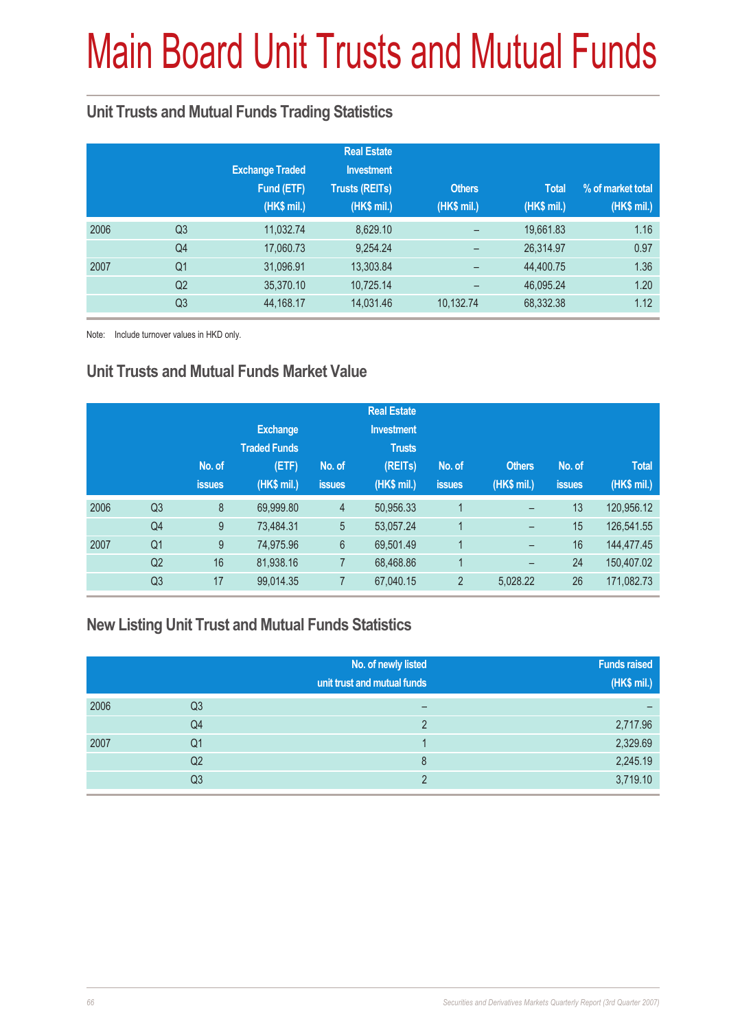# Main Board Unit Trusts and Mutual Funds

### **Unit Trusts and Mutual Funds Trading Statistics**

|      |                |                        | <b>Real Estate</b>    |             |              |                   |
|------|----------------|------------------------|-----------------------|-------------|--------------|-------------------|
|      |                | <b>Exchange Traded</b> | <b>Investment</b>     |             |              |                   |
|      |                | Fund (ETF)             | <b>Trusts (REITs)</b> | Others      | <b>Total</b> | % of market total |
|      |                | (HK\$ mil.)            | (HK\$ mil.)           | (HK\$ mil.) | (HK\$ mil.)  | (HK\$ mil.)       |
| 2006 | Q <sub>3</sub> | 11,032.74              | 8,629.10              |             | 19,661.83    | 1.16              |
|      | Q <sub>4</sub> | 17,060.73              | 9,254.24              |             | 26,314.97    | 0.97              |
| 2007 | Q <sub>1</sub> | 31,096.91              | 13,303.84             |             | 44,400.75    | 1.36              |
|      | Q <sub>2</sub> | 35,370.10              | 10,725.14             |             | 46,095.24    | 1.20              |
|      | Q <sub>3</sub> | 44,168.17              | 14,031.46             | 10,132.74   | 68,332.38    | 1.12              |

Note: Include turnover values in HKD only.

### **Unit Trusts and Mutual Funds Market Value**

|                |               |                     |                 | <b>Real Estate</b> |                |                   |               |              |
|----------------|---------------|---------------------|-----------------|--------------------|----------------|-------------------|---------------|--------------|
|                |               | <b>Exchange</b>     |                 | <b>Investment</b>  |                |                   |               |              |
|                |               | <b>Traded Funds</b> |                 | <b>Trusts</b>      |                |                   |               |              |
|                | No. of        | (ETF)               | No. of          | (REITs)            | No. of         | <b>Others</b>     | No. of        | <b>Total</b> |
|                | <b>issues</b> | (HK\$ mil.)         | <b>issues</b>   | (HK\$ mil.)        | <b>issues</b>  | (HK\$ mil.)       | <b>issues</b> | (HK\$ mil.)  |
| Q <sub>3</sub> | 8             | 69,999.80           | $\overline{4}$  | 50,956.33          |                | -                 | 13            | 120,956.12   |
| Q4             | 9             | 73,484.31           | 5               | 53,057.24          | 1              | -                 | 15            | 126,541.55   |
| Q <sub>1</sub> | 9             | 74,975.96           | $6\phantom{.}6$ | 69,501.49          | 1              | -                 | 16            | 144,477.45   |
| Q <sub>2</sub> | 16            | 81,938.16           | $\overline{7}$  | 68,468.86          |                | $\qquad \qquad -$ | 24            | 150,407.02   |
| Q <sub>3</sub> | 17            | 99,014.35           | $\overline{7}$  | 67,040.15          | $\overline{2}$ | 5,028.22          | 26            | 171,082.73   |
|                |               |                     |                 |                    |                |                   |               |              |

### **New Listing Unit Trust and Mutual Funds Statistics**

|      |                | No. of newly listed<br>unit trust and mutual funds | <b>Funds raised</b><br>(HK\$ mil.) |
|------|----------------|----------------------------------------------------|------------------------------------|
| 2006 | Q3             |                                                    |                                    |
|      | Q4             | っ                                                  | 2,717.96                           |
| 2007 | Q <sub>1</sub> |                                                    | 2,329.69                           |
|      | Q <sub>2</sub> | 8                                                  | 2,245.19                           |
|      | Q3             | ∩                                                  | 3,719.10                           |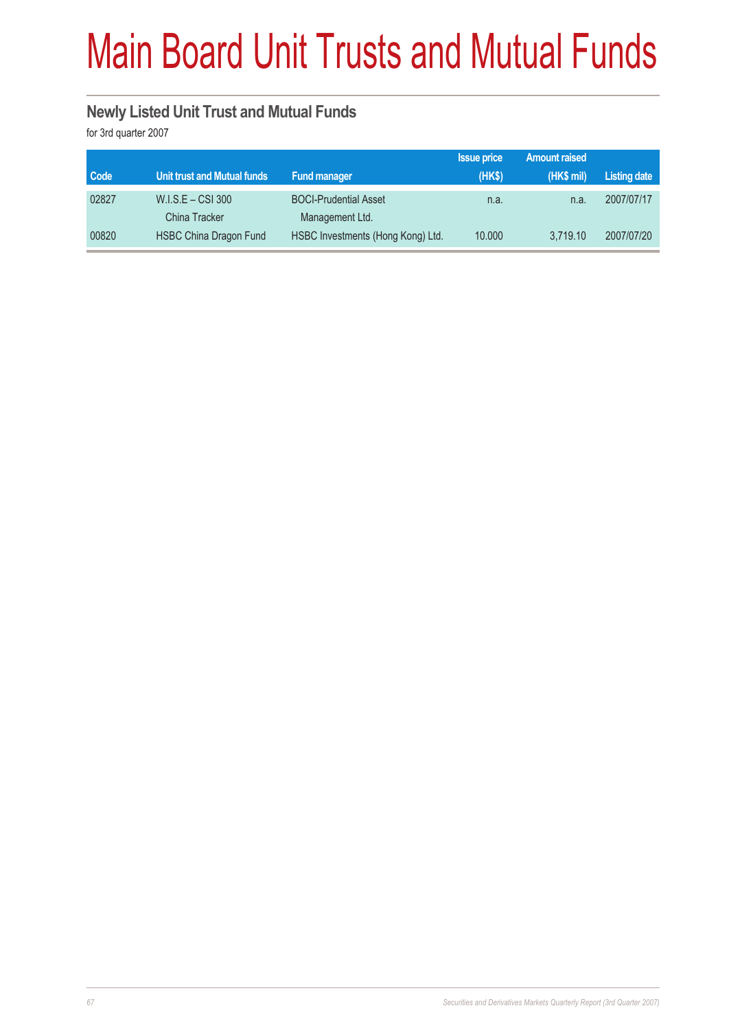# Main Board Unit Trusts and Mutual Funds

### **Newly Listed Unit Trust and Mutual Funds**

for 3rd quarter 2007

|       |                                      |                                                 | <b>Issue price</b> | <b>Amount raised</b> |                     |
|-------|--------------------------------------|-------------------------------------------------|--------------------|----------------------|---------------------|
| Code  | Unit trust and Mutual funds          | <b>Fund manager</b>                             | (HKS)              | (HK\$ mil)           | <b>Listing date</b> |
| 02827 | $W.I.S.E - CSI 300$<br>China Tracker | <b>BOCI-Prudential Asset</b><br>Management Ltd. | n.a.               | n.a.                 | 2007/07/17          |
| 00820 | <b>HSBC China Dragon Fund</b>        | HSBC Investments (Hong Kong) Ltd.               | 10.000             | 3.719.10             | 2007/07/20          |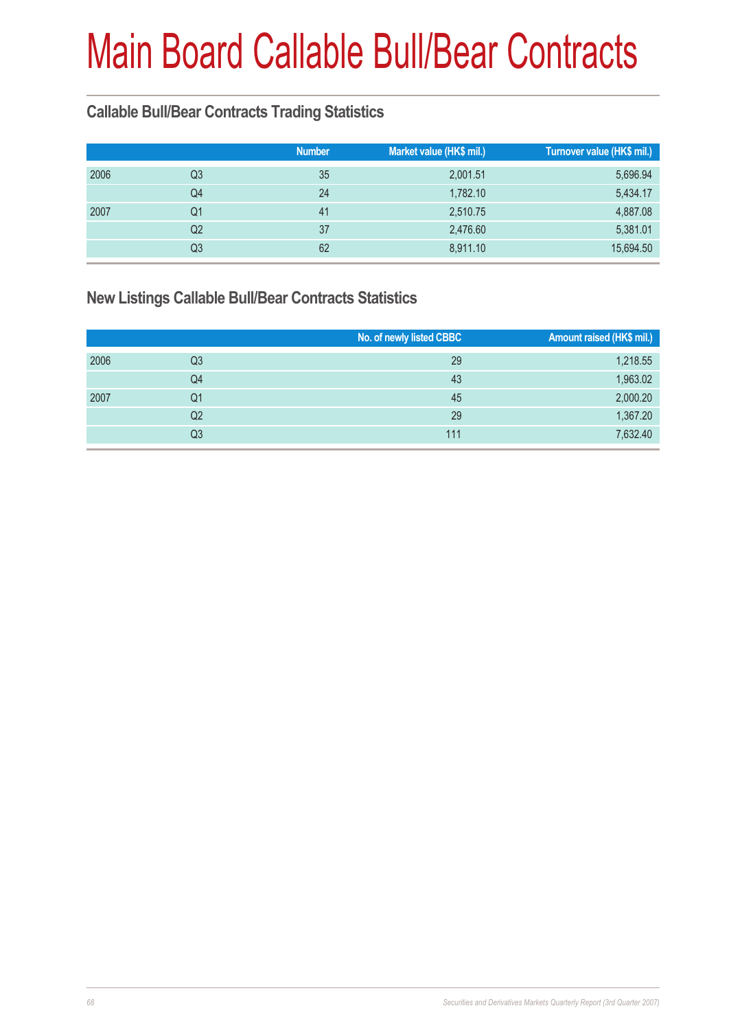### **Callable Bull/Bear Contracts Trading Statistics**

|                |    |               | Turnover value (HK\$ mil.) |
|----------------|----|---------------|----------------------------|
| Q <sub>3</sub> | 35 | 2,001.51      | 5,696.94                   |
| Q4             | 24 | 1,782.10      | 5,434.17                   |
| Q1             | 41 | 2,510.75      | 4,887.08                   |
| Q <sub>2</sub> | 37 | 2,476.60      | 5,381.01                   |
| Q3             | 62 | 8,911.10      | 15,694.50                  |
|                |    | <b>Number</b> | Market value (HK\$ mil.)   |

### **New Listings Callable Bull/Bear Contracts Statistics**

|      |                | No. of newly listed CBBC | <b>Amount raised (HK\$ mil.)</b> |
|------|----------------|--------------------------|----------------------------------|
| 2006 | Q3             | 29                       | 1,218.55                         |
|      | Q4             | 43                       | 1,963.02                         |
| 2007 | Q1             | 45                       | 2,000.20                         |
|      | Q <sub>2</sub> | 29                       | 1,367.20                         |
|      | Q3             | 111                      | 7,632.40                         |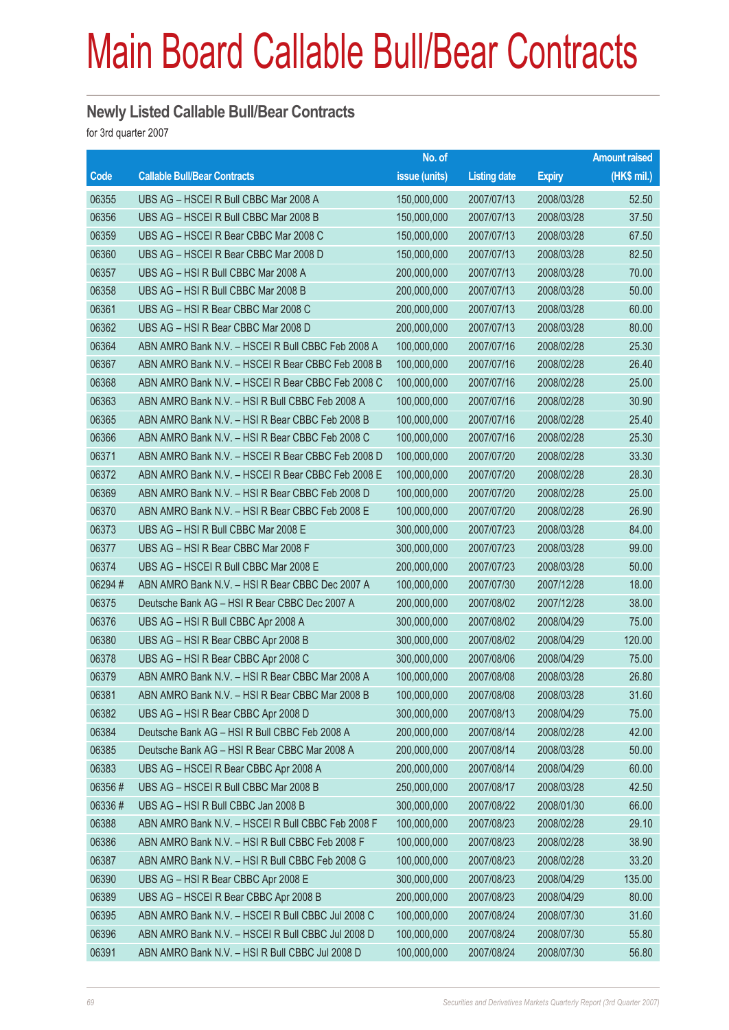#### **Newly Listed Callable Bull/Bear Contracts**

for 3rd quarter 2007

|        |                                                   | No. of        |                     |               | <b>Amount raised</b> |
|--------|---------------------------------------------------|---------------|---------------------|---------------|----------------------|
| Code   | <b>Callable Bull/Bear Contracts</b>               | issue (units) | <b>Listing date</b> | <b>Expiry</b> | $(HK$$ mil.)         |
| 06355  | UBS AG - HSCEI R Bull CBBC Mar 2008 A             | 150,000,000   | 2007/07/13          | 2008/03/28    | 52.50                |
| 06356  | UBS AG - HSCEI R Bull CBBC Mar 2008 B             | 150,000,000   | 2007/07/13          | 2008/03/28    | 37.50                |
| 06359  | UBS AG - HSCEI R Bear CBBC Mar 2008 C             | 150,000,000   | 2007/07/13          | 2008/03/28    | 67.50                |
| 06360  | UBS AG - HSCEI R Bear CBBC Mar 2008 D             | 150,000,000   | 2007/07/13          | 2008/03/28    | 82.50                |
| 06357  | UBS AG - HSI R Bull CBBC Mar 2008 A               | 200,000,000   | 2007/07/13          | 2008/03/28    | 70.00                |
| 06358  | UBS AG - HSI R Bull CBBC Mar 2008 B               | 200,000,000   | 2007/07/13          | 2008/03/28    | 50.00                |
| 06361  | UBS AG - HSI R Bear CBBC Mar 2008 C               | 200,000,000   | 2007/07/13          | 2008/03/28    | 60.00                |
| 06362  | UBS AG - HSI R Bear CBBC Mar 2008 D               | 200,000,000   | 2007/07/13          | 2008/03/28    | 80.00                |
| 06364  | ABN AMRO Bank N.V. - HSCEI R Bull CBBC Feb 2008 A | 100,000,000   | 2007/07/16          | 2008/02/28    | 25.30                |
| 06367  | ABN AMRO Bank N.V. - HSCEI R Bear CBBC Feb 2008 B | 100,000,000   | 2007/07/16          | 2008/02/28    | 26.40                |
| 06368  | ABN AMRO Bank N.V. - HSCEI R Bear CBBC Feb 2008 C | 100,000,000   | 2007/07/16          | 2008/02/28    | 25.00                |
| 06363  | ABN AMRO Bank N.V. - HSI R Bull CBBC Feb 2008 A   | 100,000,000   | 2007/07/16          | 2008/02/28    | 30.90                |
| 06365  | ABN AMRO Bank N.V. - HSI R Bear CBBC Feb 2008 B   | 100,000,000   | 2007/07/16          | 2008/02/28    | 25.40                |
| 06366  | ABN AMRO Bank N.V. - HSI R Bear CBBC Feb 2008 C   | 100,000,000   | 2007/07/16          | 2008/02/28    | 25.30                |
| 06371  | ABN AMRO Bank N.V. - HSCEI R Bear CBBC Feb 2008 D | 100,000,000   | 2007/07/20          | 2008/02/28    | 33.30                |
| 06372  | ABN AMRO Bank N.V. - HSCEI R Bear CBBC Feb 2008 E | 100,000,000   | 2007/07/20          | 2008/02/28    | 28.30                |
| 06369  | ABN AMRO Bank N.V. - HSI R Bear CBBC Feb 2008 D   | 100,000,000   | 2007/07/20          | 2008/02/28    | 25.00                |
| 06370  | ABN AMRO Bank N.V. - HSI R Bear CBBC Feb 2008 E   | 100,000,000   | 2007/07/20          | 2008/02/28    | 26.90                |
| 06373  | UBS AG - HSI R Bull CBBC Mar 2008 E               | 300,000,000   | 2007/07/23          | 2008/03/28    | 84.00                |
| 06377  | UBS AG - HSI R Bear CBBC Mar 2008 F               | 300,000,000   | 2007/07/23          | 2008/03/28    | 99.00                |
| 06374  | UBS AG - HSCEI R Bull CBBC Mar 2008 E             | 200,000,000   | 2007/07/23          | 2008/03/28    | 50.00                |
| 06294# | ABN AMRO Bank N.V. - HSI R Bear CBBC Dec 2007 A   | 100,000,000   | 2007/07/30          | 2007/12/28    | 18.00                |
| 06375  | Deutsche Bank AG - HSI R Bear CBBC Dec 2007 A     | 200,000,000   | 2007/08/02          | 2007/12/28    | 38.00                |
| 06376  | UBS AG - HSI R Bull CBBC Apr 2008 A               | 300,000,000   | 2007/08/02          | 2008/04/29    | 75.00                |
| 06380  | UBS AG - HSI R Bear CBBC Apr 2008 B               | 300,000,000   | 2007/08/02          | 2008/04/29    | 120.00               |
| 06378  | UBS AG - HSI R Bear CBBC Apr 2008 C               | 300,000,000   | 2007/08/06          | 2008/04/29    | 75.00                |
| 06379  | ABN AMRO Bank N.V. - HSI R Bear CBBC Mar 2008 A   | 100,000,000   | 2007/08/08          | 2008/03/28    | 26.80                |
| 06381  | ABN AMRO Bank N.V. - HSI R Bear CBBC Mar 2008 B   | 100,000,000   | 2007/08/08          | 2008/03/28    | 31.60                |
| 06382  | UBS AG - HSI R Bear CBBC Apr 2008 D               | 300,000,000   | 2007/08/13          | 2008/04/29    | 75.00                |
| 06384  | Deutsche Bank AG - HSI R Bull CBBC Feb 2008 A     | 200,000,000   | 2007/08/14          | 2008/02/28    | 42.00                |
| 06385  | Deutsche Bank AG - HSI R Bear CBBC Mar 2008 A     | 200,000,000   | 2007/08/14          | 2008/03/28    | 50.00                |
| 06383  | UBS AG - HSCEI R Bear CBBC Apr 2008 A             | 200,000,000   | 2007/08/14          | 2008/04/29    | 60.00                |
| 06356# | UBS AG - HSCEI R Bull CBBC Mar 2008 B             | 250,000,000   | 2007/08/17          | 2008/03/28    | 42.50                |
| 06336# | UBS AG - HSI R Bull CBBC Jan 2008 B               | 300,000,000   | 2007/08/22          | 2008/01/30    | 66.00                |
| 06388  | ABN AMRO Bank N.V. - HSCEI R Bull CBBC Feb 2008 F | 100,000,000   | 2007/08/23          | 2008/02/28    | 29.10                |
| 06386  | ABN AMRO Bank N.V. - HSI R Bull CBBC Feb 2008 F   | 100,000,000   | 2007/08/23          | 2008/02/28    | 38.90                |
| 06387  | ABN AMRO Bank N.V. - HSI R Bull CBBC Feb 2008 G   | 100,000,000   | 2007/08/23          | 2008/02/28    | 33.20                |
| 06390  | UBS AG - HSI R Bear CBBC Apr 2008 E               | 300,000,000   | 2007/08/23          | 2008/04/29    | 135.00               |
| 06389  | UBS AG - HSCEI R Bear CBBC Apr 2008 B             | 200,000,000   | 2007/08/23          | 2008/04/29    | 80.00                |
| 06395  | ABN AMRO Bank N.V. - HSCEI R Bull CBBC Jul 2008 C | 100,000,000   | 2007/08/24          | 2008/07/30    | 31.60                |
| 06396  | ABN AMRO Bank N.V. - HSCEI R Bull CBBC Jul 2008 D | 100,000,000   | 2007/08/24          | 2008/07/30    | 55.80                |
| 06391  | ABN AMRO Bank N.V. - HSI R Bull CBBC Jul 2008 D   | 100,000,000   | 2007/08/24          | 2008/07/30    | 56.80                |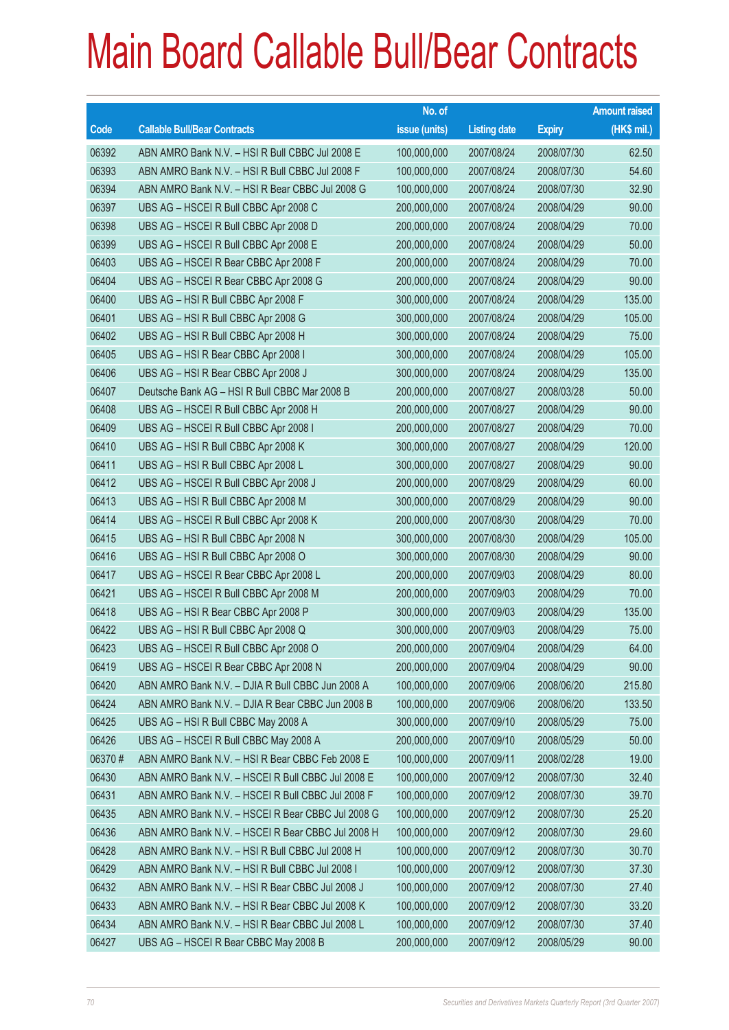|        |                                                   | No. of        |                     |               | <b>Amount raised</b> |
|--------|---------------------------------------------------|---------------|---------------------|---------------|----------------------|
| Code   | <b>Callable Bull/Bear Contracts</b>               | issue (units) | <b>Listing date</b> | <b>Expiry</b> | (HK\$ mil.)          |
| 06392  | ABN AMRO Bank N.V. - HSI R Bull CBBC Jul 2008 E   | 100,000,000   | 2007/08/24          | 2008/07/30    | 62.50                |
| 06393  | ABN AMRO Bank N.V. - HSI R Bull CBBC Jul 2008 F   | 100,000,000   | 2007/08/24          | 2008/07/30    | 54.60                |
| 06394  | ABN AMRO Bank N.V. - HSI R Bear CBBC Jul 2008 G   | 100,000,000   | 2007/08/24          | 2008/07/30    | 32.90                |
| 06397  | UBS AG - HSCEI R Bull CBBC Apr 2008 C             | 200,000,000   | 2007/08/24          | 2008/04/29    | 90.00                |
| 06398  | UBS AG - HSCEI R Bull CBBC Apr 2008 D             | 200,000,000   | 2007/08/24          | 2008/04/29    | 70.00                |
| 06399  | UBS AG - HSCEI R Bull CBBC Apr 2008 E             | 200,000,000   | 2007/08/24          | 2008/04/29    | 50.00                |
| 06403  | UBS AG - HSCEI R Bear CBBC Apr 2008 F             | 200,000,000   | 2007/08/24          | 2008/04/29    | 70.00                |
| 06404  | UBS AG - HSCEI R Bear CBBC Apr 2008 G             | 200,000,000   | 2007/08/24          | 2008/04/29    | 90.00                |
| 06400  | UBS AG - HSI R Bull CBBC Apr 2008 F               | 300,000,000   | 2007/08/24          | 2008/04/29    | 135.00               |
| 06401  | UBS AG - HSI R Bull CBBC Apr 2008 G               | 300,000,000   | 2007/08/24          | 2008/04/29    | 105.00               |
| 06402  | UBS AG - HSI R Bull CBBC Apr 2008 H               | 300,000,000   | 2007/08/24          | 2008/04/29    | 75.00                |
| 06405  | UBS AG - HSI R Bear CBBC Apr 2008 I               | 300,000,000   | 2007/08/24          | 2008/04/29    | 105.00               |
| 06406  | UBS AG - HSI R Bear CBBC Apr 2008 J               | 300,000,000   | 2007/08/24          | 2008/04/29    | 135.00               |
| 06407  | Deutsche Bank AG - HSI R Bull CBBC Mar 2008 B     | 200,000,000   | 2007/08/27          | 2008/03/28    | 50.00                |
| 06408  | UBS AG - HSCEI R Bull CBBC Apr 2008 H             | 200,000,000   | 2007/08/27          | 2008/04/29    | 90.00                |
| 06409  | UBS AG - HSCEI R Bull CBBC Apr 2008 I             | 200,000,000   | 2007/08/27          | 2008/04/29    | 70.00                |
| 06410  | UBS AG - HSI R Bull CBBC Apr 2008 K               | 300,000,000   | 2007/08/27          | 2008/04/29    | 120.00               |
| 06411  | UBS AG - HSI R Bull CBBC Apr 2008 L               | 300,000,000   | 2007/08/27          | 2008/04/29    | 90.00                |
| 06412  | UBS AG - HSCEI R Bull CBBC Apr 2008 J             | 200,000,000   | 2007/08/29          | 2008/04/29    | 60.00                |
| 06413  | UBS AG - HSI R Bull CBBC Apr 2008 M               | 300,000,000   | 2007/08/29          | 2008/04/29    | 90.00                |
| 06414  | UBS AG - HSCEI R Bull CBBC Apr 2008 K             | 200,000,000   | 2007/08/30          | 2008/04/29    | 70.00                |
| 06415  | UBS AG - HSI R Bull CBBC Apr 2008 N               | 300,000,000   | 2007/08/30          | 2008/04/29    | 105.00               |
| 06416  | UBS AG - HSI R Bull CBBC Apr 2008 O               | 300,000,000   | 2007/08/30          | 2008/04/29    | 90.00                |
| 06417  | UBS AG - HSCEI R Bear CBBC Apr 2008 L             | 200,000,000   | 2007/09/03          | 2008/04/29    | 80.00                |
| 06421  | UBS AG - HSCEI R Bull CBBC Apr 2008 M             | 200,000,000   | 2007/09/03          | 2008/04/29    | 70.00                |
| 06418  | UBS AG - HSI R Bear CBBC Apr 2008 P               | 300,000,000   | 2007/09/03          | 2008/04/29    | 135.00               |
| 06422  | UBS AG - HSI R Bull CBBC Apr 2008 Q               | 300,000,000   | 2007/09/03          | 2008/04/29    | 75.00                |
| 06423  | UBS AG - HSCEI R Bull CBBC Apr 2008 O             | 200,000,000   | 2007/09/04          | 2008/04/29    | 64.00                |
| 06419  | UBS AG - HSCEI R Bear CBBC Apr 2008 N             | 200,000,000   | 2007/09/04          | 2008/04/29    | 90.00                |
| 06420  | ABN AMRO Bank N.V. - DJIA R Bull CBBC Jun 2008 A  | 100,000,000   | 2007/09/06          | 2008/06/20    | 215.80               |
| 06424  | ABN AMRO Bank N.V. - DJIA R Bear CBBC Jun 2008 B  | 100,000,000   | 2007/09/06          | 2008/06/20    | 133.50               |
| 06425  | UBS AG - HSI R Bull CBBC May 2008 A               | 300,000,000   | 2007/09/10          | 2008/05/29    | 75.00                |
| 06426  | UBS AG - HSCEI R Bull CBBC May 2008 A             | 200,000,000   | 2007/09/10          | 2008/05/29    | 50.00                |
| 06370# | ABN AMRO Bank N.V. - HSI R Bear CBBC Feb 2008 E   | 100,000,000   | 2007/09/11          | 2008/02/28    | 19.00                |
| 06430  | ABN AMRO Bank N.V. - HSCEI R Bull CBBC Jul 2008 E | 100,000,000   | 2007/09/12          | 2008/07/30    | 32.40                |
| 06431  | ABN AMRO Bank N.V. - HSCEI R Bull CBBC Jul 2008 F | 100,000,000   | 2007/09/12          | 2008/07/30    | 39.70                |
| 06435  | ABN AMRO Bank N.V. - HSCEI R Bear CBBC Jul 2008 G | 100,000,000   | 2007/09/12          | 2008/07/30    | 25.20                |
| 06436  | ABN AMRO Bank N.V. - HSCEI R Bear CBBC Jul 2008 H | 100,000,000   | 2007/09/12          | 2008/07/30    | 29.60                |
| 06428  | ABN AMRO Bank N.V. - HSI R Bull CBBC Jul 2008 H   | 100,000,000   | 2007/09/12          | 2008/07/30    | 30.70                |
| 06429  | ABN AMRO Bank N.V. - HSI R Bull CBBC Jul 2008 I   | 100,000,000   | 2007/09/12          | 2008/07/30    | 37.30                |
| 06432  | ABN AMRO Bank N.V. - HSI R Bear CBBC Jul 2008 J   | 100,000,000   | 2007/09/12          | 2008/07/30    | 27.40                |
| 06433  | ABN AMRO Bank N.V. - HSI R Bear CBBC Jul 2008 K   | 100,000,000   | 2007/09/12          | 2008/07/30    | 33.20                |
| 06434  | ABN AMRO Bank N.V. - HSI R Bear CBBC Jul 2008 L   | 100,000,000   | 2007/09/12          | 2008/07/30    | 37.40                |
| 06427  | UBS AG - HSCEI R Bear CBBC May 2008 B             | 200,000,000   | 2007/09/12          | 2008/05/29    | 90.00                |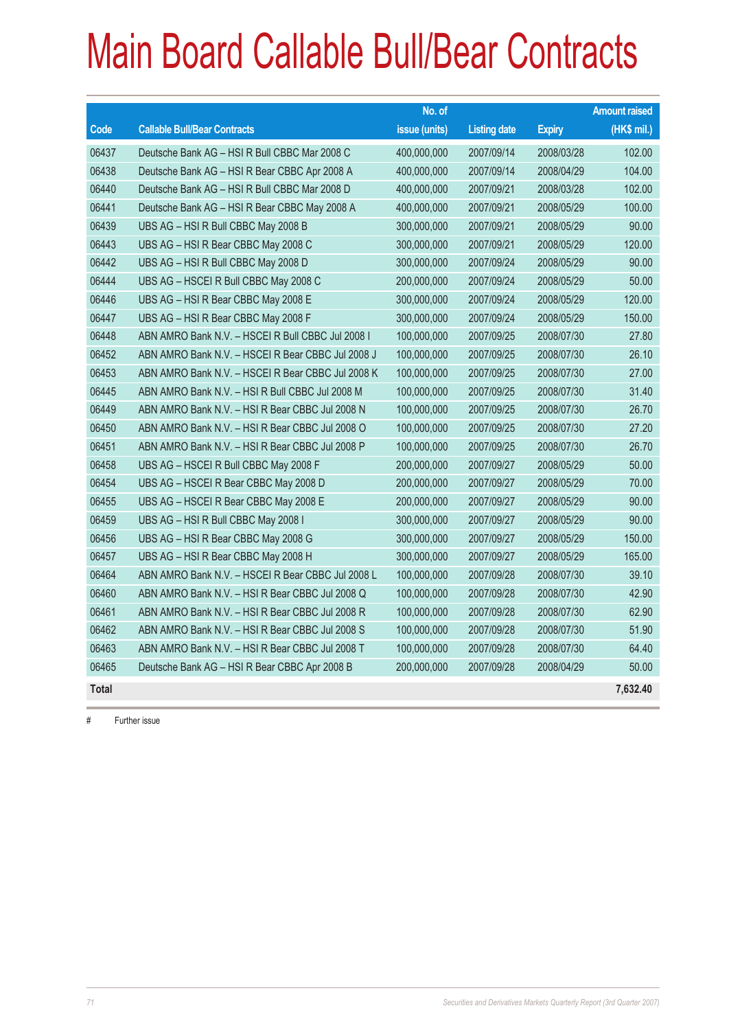|              |                                                   | No. of        |                     |               | <b>Amount raised</b> |
|--------------|---------------------------------------------------|---------------|---------------------|---------------|----------------------|
| Code         | <b>Callable Bull/Bear Contracts</b>               | issue (units) | <b>Listing date</b> | <b>Expiry</b> | (HK\$ mil.)          |
| 06437        | Deutsche Bank AG - HSI R Bull CBBC Mar 2008 C     | 400,000,000   | 2007/09/14          | 2008/03/28    | 102.00               |
| 06438        | Deutsche Bank AG - HSI R Bear CBBC Apr 2008 A     | 400,000,000   | 2007/09/14          | 2008/04/29    | 104.00               |
| 06440        | Deutsche Bank AG - HSI R Bull CBBC Mar 2008 D     | 400,000,000   | 2007/09/21          | 2008/03/28    | 102.00               |
| 06441        | Deutsche Bank AG - HSI R Bear CBBC May 2008 A     | 400,000,000   | 2007/09/21          | 2008/05/29    | 100.00               |
| 06439        | UBS AG - HSI R Bull CBBC May 2008 B               | 300,000,000   | 2007/09/21          | 2008/05/29    | 90.00                |
| 06443        | UBS AG - HSI R Bear CBBC May 2008 C               | 300,000,000   | 2007/09/21          | 2008/05/29    | 120.00               |
| 06442        | UBS AG - HSI R Bull CBBC May 2008 D               | 300,000,000   | 2007/09/24          | 2008/05/29    | 90.00                |
| 06444        | UBS AG - HSCEI R Bull CBBC May 2008 C             | 200,000,000   | 2007/09/24          | 2008/05/29    | 50.00                |
| 06446        | UBS AG - HSI R Bear CBBC May 2008 E               | 300,000,000   | 2007/09/24          | 2008/05/29    | 120.00               |
| 06447        | UBS AG - HSI R Bear CBBC May 2008 F               | 300,000,000   | 2007/09/24          | 2008/05/29    | 150.00               |
| 06448        | ABN AMRO Bank N.V. - HSCEI R Bull CBBC Jul 2008 I | 100,000,000   | 2007/09/25          | 2008/07/30    | 27.80                |
| 06452        | ABN AMRO Bank N.V. - HSCEI R Bear CBBC Jul 2008 J | 100,000,000   | 2007/09/25          | 2008/07/30    | 26.10                |
| 06453        | ABN AMRO Bank N.V. - HSCEI R Bear CBBC Jul 2008 K | 100,000,000   | 2007/09/25          | 2008/07/30    | 27.00                |
| 06445        | ABN AMRO Bank N.V. - HSI R Bull CBBC Jul 2008 M   | 100,000,000   | 2007/09/25          | 2008/07/30    | 31.40                |
| 06449        | ABN AMRO Bank N.V. - HSI R Bear CBBC Jul 2008 N   | 100,000,000   | 2007/09/25          | 2008/07/30    | 26.70                |
| 06450        | ABN AMRO Bank N.V. - HSI R Bear CBBC Jul 2008 O   | 100,000,000   | 2007/09/25          | 2008/07/30    | 27.20                |
| 06451        | ABN AMRO Bank N.V. - HSI R Bear CBBC Jul 2008 P   | 100,000,000   | 2007/09/25          | 2008/07/30    | 26.70                |
| 06458        | UBS AG - HSCEI R Bull CBBC May 2008 F             | 200,000,000   | 2007/09/27          | 2008/05/29    | 50.00                |
| 06454        | UBS AG - HSCEI R Bear CBBC May 2008 D             | 200,000,000   | 2007/09/27          | 2008/05/29    | 70.00                |
| 06455        | UBS AG - HSCEI R Bear CBBC May 2008 E             | 200,000,000   | 2007/09/27          | 2008/05/29    | 90.00                |
| 06459        | UBS AG - HSI R Bull CBBC May 2008 I               | 300,000,000   | 2007/09/27          | 2008/05/29    | 90.00                |
| 06456        | UBS AG - HSI R Bear CBBC May 2008 G               | 300,000,000   | 2007/09/27          | 2008/05/29    | 150.00               |
| 06457        | UBS AG - HSI R Bear CBBC May 2008 H               | 300,000,000   | 2007/09/27          | 2008/05/29    | 165.00               |
| 06464        | ABN AMRO Bank N.V. - HSCEI R Bear CBBC Jul 2008 L | 100,000,000   | 2007/09/28          | 2008/07/30    | 39.10                |
| 06460        | ABN AMRO Bank N.V. - HSI R Bear CBBC Jul 2008 Q   | 100,000,000   | 2007/09/28          | 2008/07/30    | 42.90                |
| 06461        | ABN AMRO Bank N.V. - HSI R Bear CBBC Jul 2008 R   | 100,000,000   | 2007/09/28          | 2008/07/30    | 62.90                |
| 06462        | ABN AMRO Bank N.V. - HSI R Bear CBBC Jul 2008 S   | 100,000,000   | 2007/09/28          | 2008/07/30    | 51.90                |
| 06463        | ABN AMRO Bank N.V. - HSI R Bear CBBC Jul 2008 T   | 100,000,000   | 2007/09/28          | 2008/07/30    | 64.40                |
| 06465        | Deutsche Bank AG - HSI R Bear CBBC Apr 2008 B     | 200,000,000   | 2007/09/28          | 2008/04/29    | 50.00                |
| <b>Total</b> |                                                   |               |                     |               | 7,632.40             |

# Further issue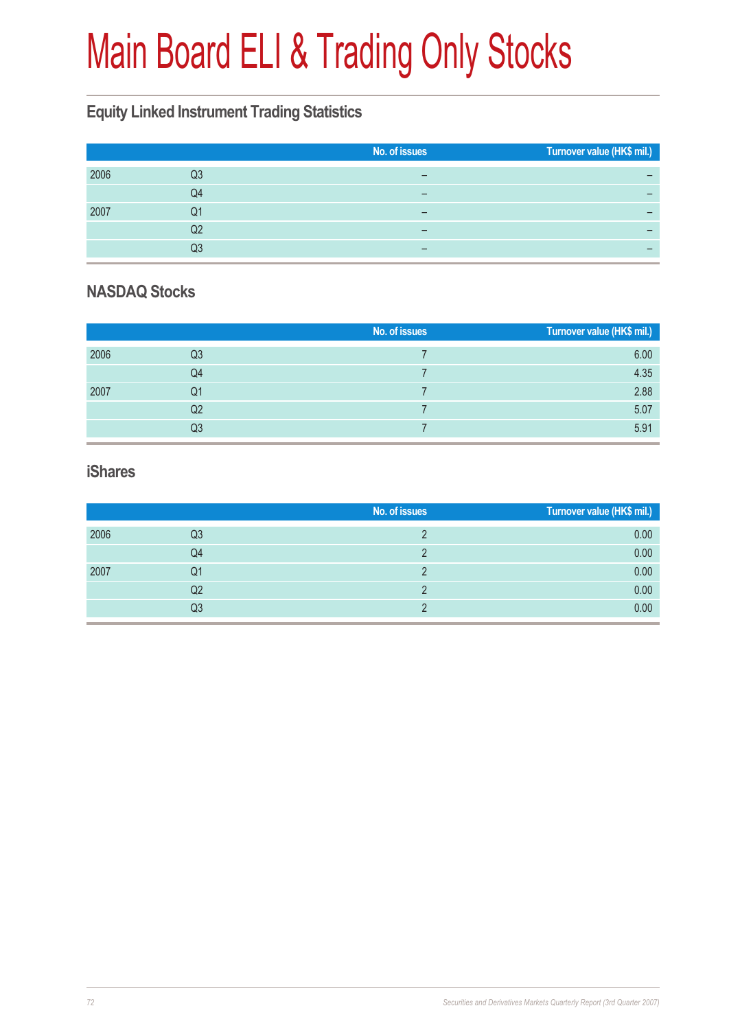# Main Board ELI & Trading Only Stocks

### **Equity Linked Instrument Trading Statistics**

|      |    | No. of issues | Turnover value (HK\$ mil.) |
|------|----|---------------|----------------------------|
| 2006 | Q3 |               |                            |
|      | Q4 | -             | -                          |
| 2007 | Q1 |               |                            |
|      | Q2 |               |                            |
|      | Q3 | -             | -                          |

### **NASDAQ Stocks**

|      |                | No. of issues | Turnover value (HK\$ mil.) |
|------|----------------|---------------|----------------------------|
| 2006 | Q <sub>3</sub> |               | 6.00                       |
|      | Q4             |               | 4.35                       |
| 2007 | Q1             |               | 2.88                       |
|      | Q2             |               | 5.07                       |
|      | Q3             |               | 5.91                       |

#### **iShares**

|      |                | No. of issues | Turnover value (HK\$ mil.) |
|------|----------------|---------------|----------------------------|
| 2006 | Q3             |               | 0.00                       |
|      | Q4             |               | 0.00                       |
| 2007 | Q1             | ∩             | 0.00                       |
|      | Q <sub>2</sub> |               | 0.00                       |
|      | Q3             |               | 0.00                       |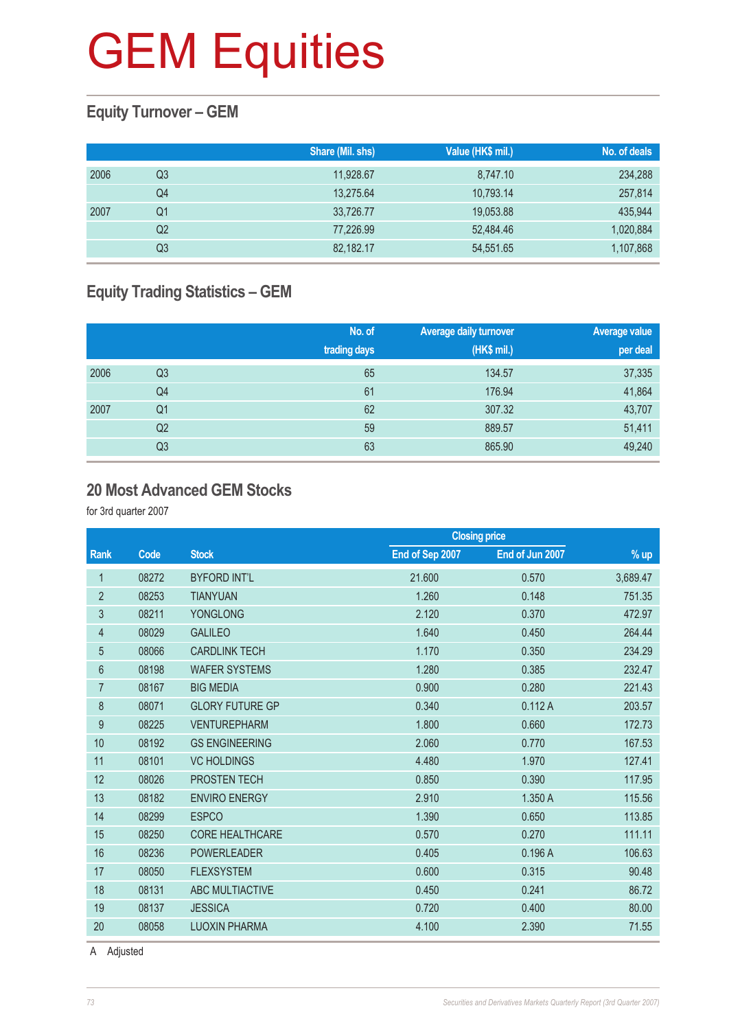### **Equity Turnover – GEM**

|      |                | Share (Mil. shs) | Value (HK\$ mil.) | No. of deals |
|------|----------------|------------------|-------------------|--------------|
| 2006 | Q3             | 11,928.67        | 8,747.10          | 234,288      |
|      | Q4             | 13,275.64        | 10,793.14         | 257,814      |
| 2007 | Q1             | 33,726.77        | 19,053.88         | 435,944      |
|      | Q <sub>2</sub> | 77.226.99        | 52.484.46         | 1,020,884    |
|      | Q3             | 82,182.17        | 54,551.65         | 1,107,868    |

# **Equity Trading Statistics – GEM**

|      |                | No. of<br>trading days | <b>Average daily turnover</b><br>(HK\$ mil.) | Average value<br>per deal |
|------|----------------|------------------------|----------------------------------------------|---------------------------|
| 2006 | Q <sub>3</sub> | 65                     | 134.57                                       | 37,335                    |
|      | Q4             | 61                     | 176.94                                       | 41,864                    |
| 2007 | Q <sub>1</sub> | 62                     | 307.32                                       | 43,707                    |
|      | Q <sub>2</sub> | 59                     | 889.57                                       | 51,411                    |
|      | Q3             | 63                     | 865.90                                       | 49,240                    |

#### **20 Most Advanced GEM Stocks**

for 3rd quarter 2007

| End of Sep 2007<br>End of Jun 2007<br><b>Rank</b><br>Code<br><b>Stock</b><br>$%$ up<br>08272<br><b>BYFORD INT'L</b><br>21.600<br>3,689.47<br>0.570<br>1<br>$\overline{2}$<br>0.148<br>08253<br><b>TIANYUAN</b><br>1.260<br>751.35<br>3<br>08211<br>472.97<br><b>YONGLONG</b><br>2.120<br>0.370<br>264.44<br>08029<br><b>GALILEO</b><br>1.640<br>0.450<br>4<br>234.29<br>5<br>08066<br><b>CARDLINK TECH</b><br>1.170<br>0.350<br>$6\phantom{1}6$<br><b>WAFER SYSTEMS</b><br>1.280<br>232.47<br>08198<br>0.385<br>221.43<br>$\overline{7}$<br><b>BIG MEDIA</b><br>0.900<br>08167<br>0.280<br>203.57<br>8<br><b>GLORY FUTURE GP</b><br>0.112A<br>08071<br>0.340<br>$\boldsymbol{9}$<br>1.800<br>172.73<br>08225<br><b>VENTUREPHARM</b><br>0.660<br>10<br>167.53<br>08192<br><b>GS ENGINEERING</b><br>2.060<br>0.770<br>11<br>127.41<br>08101<br><b>VC HOLDINGS</b><br>4.480<br>1.970<br>12<br>PROSTEN TECH<br>117.95<br>08026<br>0.850<br>0.390<br>13<br>115.56<br>08182<br><b>ENVIRO ENERGY</b><br>2.910<br>1.350 A<br>113.85<br>14<br><b>ESPCO</b><br>1.390<br>08299<br>0.650<br>111.11<br>15<br>08250<br><b>CORE HEALTHCARE</b><br>0.570<br>0.270<br>16<br>08236<br><b>POWERLEADER</b><br>0.405<br>0.196A<br>106.63<br>17<br>08050<br><b>FLEXSYSTEM</b><br>0.600<br>90.48<br>0.315<br>18<br>08131<br>ABC MULTIACTIVE<br>86.72<br>0.450<br>0.241<br>19<br>08137<br><b>JESSICA</b><br>0.720<br>0.400<br>80.00 |    |       |                      |       | <b>Closing price</b> |       |  |
|-------------------------------------------------------------------------------------------------------------------------------------------------------------------------------------------------------------------------------------------------------------------------------------------------------------------------------------------------------------------------------------------------------------------------------------------------------------------------------------------------------------------------------------------------------------------------------------------------------------------------------------------------------------------------------------------------------------------------------------------------------------------------------------------------------------------------------------------------------------------------------------------------------------------------------------------------------------------------------------------------------------------------------------------------------------------------------------------------------------------------------------------------------------------------------------------------------------------------------------------------------------------------------------------------------------------------------------------------------------------------------------------------------------|----|-------|----------------------|-------|----------------------|-------|--|
|                                                                                                                                                                                                                                                                                                                                                                                                                                                                                                                                                                                                                                                                                                                                                                                                                                                                                                                                                                                                                                                                                                                                                                                                                                                                                                                                                                                                             |    |       |                      |       |                      |       |  |
|                                                                                                                                                                                                                                                                                                                                                                                                                                                                                                                                                                                                                                                                                                                                                                                                                                                                                                                                                                                                                                                                                                                                                                                                                                                                                                                                                                                                             |    |       |                      |       |                      |       |  |
|                                                                                                                                                                                                                                                                                                                                                                                                                                                                                                                                                                                                                                                                                                                                                                                                                                                                                                                                                                                                                                                                                                                                                                                                                                                                                                                                                                                                             |    |       |                      |       |                      |       |  |
|                                                                                                                                                                                                                                                                                                                                                                                                                                                                                                                                                                                                                                                                                                                                                                                                                                                                                                                                                                                                                                                                                                                                                                                                                                                                                                                                                                                                             |    |       |                      |       |                      |       |  |
|                                                                                                                                                                                                                                                                                                                                                                                                                                                                                                                                                                                                                                                                                                                                                                                                                                                                                                                                                                                                                                                                                                                                                                                                                                                                                                                                                                                                             |    |       |                      |       |                      |       |  |
|                                                                                                                                                                                                                                                                                                                                                                                                                                                                                                                                                                                                                                                                                                                                                                                                                                                                                                                                                                                                                                                                                                                                                                                                                                                                                                                                                                                                             |    |       |                      |       |                      |       |  |
|                                                                                                                                                                                                                                                                                                                                                                                                                                                                                                                                                                                                                                                                                                                                                                                                                                                                                                                                                                                                                                                                                                                                                                                                                                                                                                                                                                                                             |    |       |                      |       |                      |       |  |
|                                                                                                                                                                                                                                                                                                                                                                                                                                                                                                                                                                                                                                                                                                                                                                                                                                                                                                                                                                                                                                                                                                                                                                                                                                                                                                                                                                                                             |    |       |                      |       |                      |       |  |
|                                                                                                                                                                                                                                                                                                                                                                                                                                                                                                                                                                                                                                                                                                                                                                                                                                                                                                                                                                                                                                                                                                                                                                                                                                                                                                                                                                                                             |    |       |                      |       |                      |       |  |
|                                                                                                                                                                                                                                                                                                                                                                                                                                                                                                                                                                                                                                                                                                                                                                                                                                                                                                                                                                                                                                                                                                                                                                                                                                                                                                                                                                                                             |    |       |                      |       |                      |       |  |
|                                                                                                                                                                                                                                                                                                                                                                                                                                                                                                                                                                                                                                                                                                                                                                                                                                                                                                                                                                                                                                                                                                                                                                                                                                                                                                                                                                                                             |    |       |                      |       |                      |       |  |
|                                                                                                                                                                                                                                                                                                                                                                                                                                                                                                                                                                                                                                                                                                                                                                                                                                                                                                                                                                                                                                                                                                                                                                                                                                                                                                                                                                                                             |    |       |                      |       |                      |       |  |
|                                                                                                                                                                                                                                                                                                                                                                                                                                                                                                                                                                                                                                                                                                                                                                                                                                                                                                                                                                                                                                                                                                                                                                                                                                                                                                                                                                                                             |    |       |                      |       |                      |       |  |
|                                                                                                                                                                                                                                                                                                                                                                                                                                                                                                                                                                                                                                                                                                                                                                                                                                                                                                                                                                                                                                                                                                                                                                                                                                                                                                                                                                                                             |    |       |                      |       |                      |       |  |
|                                                                                                                                                                                                                                                                                                                                                                                                                                                                                                                                                                                                                                                                                                                                                                                                                                                                                                                                                                                                                                                                                                                                                                                                                                                                                                                                                                                                             |    |       |                      |       |                      |       |  |
|                                                                                                                                                                                                                                                                                                                                                                                                                                                                                                                                                                                                                                                                                                                                                                                                                                                                                                                                                                                                                                                                                                                                                                                                                                                                                                                                                                                                             |    |       |                      |       |                      |       |  |
|                                                                                                                                                                                                                                                                                                                                                                                                                                                                                                                                                                                                                                                                                                                                                                                                                                                                                                                                                                                                                                                                                                                                                                                                                                                                                                                                                                                                             |    |       |                      |       |                      |       |  |
|                                                                                                                                                                                                                                                                                                                                                                                                                                                                                                                                                                                                                                                                                                                                                                                                                                                                                                                                                                                                                                                                                                                                                                                                                                                                                                                                                                                                             |    |       |                      |       |                      |       |  |
|                                                                                                                                                                                                                                                                                                                                                                                                                                                                                                                                                                                                                                                                                                                                                                                                                                                                                                                                                                                                                                                                                                                                                                                                                                                                                                                                                                                                             |    |       |                      |       |                      |       |  |
|                                                                                                                                                                                                                                                                                                                                                                                                                                                                                                                                                                                                                                                                                                                                                                                                                                                                                                                                                                                                                                                                                                                                                                                                                                                                                                                                                                                                             |    |       |                      |       |                      |       |  |
|                                                                                                                                                                                                                                                                                                                                                                                                                                                                                                                                                                                                                                                                                                                                                                                                                                                                                                                                                                                                                                                                                                                                                                                                                                                                                                                                                                                                             | 20 | 08058 | <b>LUOXIN PHARMA</b> | 4.100 | 2.390                | 71.55 |  |

A Adjusted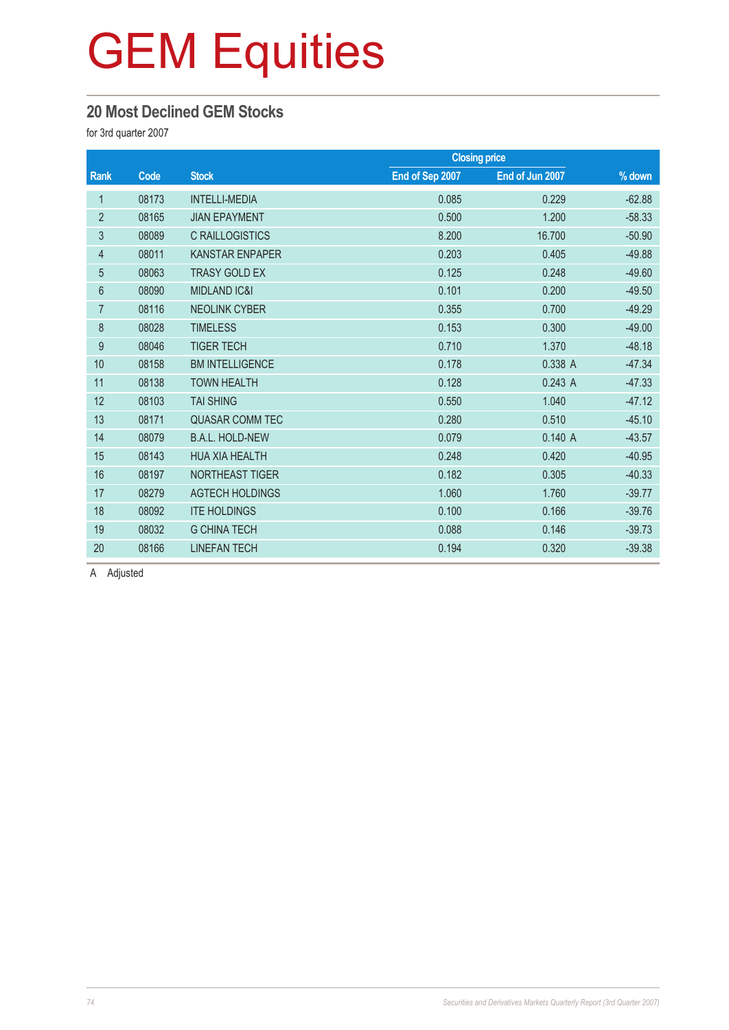### **20 Most Declined GEM Stocks**

for 3rd quarter 2007

|                |       | <b>Closing price</b>    |                 |                 |          |
|----------------|-------|-------------------------|-----------------|-----------------|----------|
| Rank           | Code  | <b>Stock</b>            | End of Sep 2007 | End of Jun 2007 | % down   |
| 1              | 08173 | <b>INTELLI-MEDIA</b>    | 0.085           | 0.229           | $-62.88$ |
| $\overline{2}$ | 08165 | <b>JIAN EPAYMENT</b>    | 0.500           | 1.200           | $-58.33$ |
| 3              | 08089 | <b>C RAILLOGISTICS</b>  | 8.200           | 16.700          | $-50.90$ |
| 4              | 08011 | <b>KANSTAR ENPAPER</b>  | 0.203           | 0.405           | $-49.88$ |
| 5              | 08063 | <b>TRASY GOLD EX</b>    | 0.125           | 0.248           | $-49.60$ |
| $6\phantom{1}$ | 08090 | <b>MIDLAND IC&amp;I</b> | 0.101           | 0.200           | $-49.50$ |
| $\overline{7}$ | 08116 | <b>NEOLINK CYBER</b>    | 0.355           | 0.700           | $-49.29$ |
| 8              | 08028 | <b>TIMELESS</b>         | 0.153           | 0.300           | $-49.00$ |
| $\overline{9}$ | 08046 | <b>TIGER TECH</b>       | 0.710           | 1.370           | $-48.18$ |
| 10             | 08158 | <b>BM INTELLIGENCE</b>  | 0.178           | 0.338 A         | $-47.34$ |
| 11             | 08138 | <b>TOWN HEALTH</b>      | 0.128           | 0.243A          | $-47.33$ |
| 12             | 08103 | <b>TAI SHING</b>        | 0.550           | 1.040           | $-47.12$ |
| 13             | 08171 | <b>QUASAR COMM TEC</b>  | 0.280           | 0.510           | $-45.10$ |
| 14             | 08079 | <b>B.A.L. HOLD-NEW</b>  | 0.079           | 0.140A          | $-43.57$ |
| 15             | 08143 | <b>HUA XIA HEALTH</b>   | 0.248           | 0.420           | $-40.95$ |
| 16             | 08197 | NORTHEAST TIGER         | 0.182           | 0.305           | $-40.33$ |
| 17             | 08279 | <b>AGTECH HOLDINGS</b>  | 1.060           | 1.760           | $-39.77$ |
| 18             | 08092 | <b>ITE HOLDINGS</b>     | 0.100           | 0.166           | $-39.76$ |
| 19             | 08032 | <b>G CHINA TECH</b>     | 0.088           | 0.146           | $-39.73$ |
| 20             | 08166 | <b>LINEFAN TECH</b>     | 0.194           | 0.320           | $-39.38$ |

A Adjusted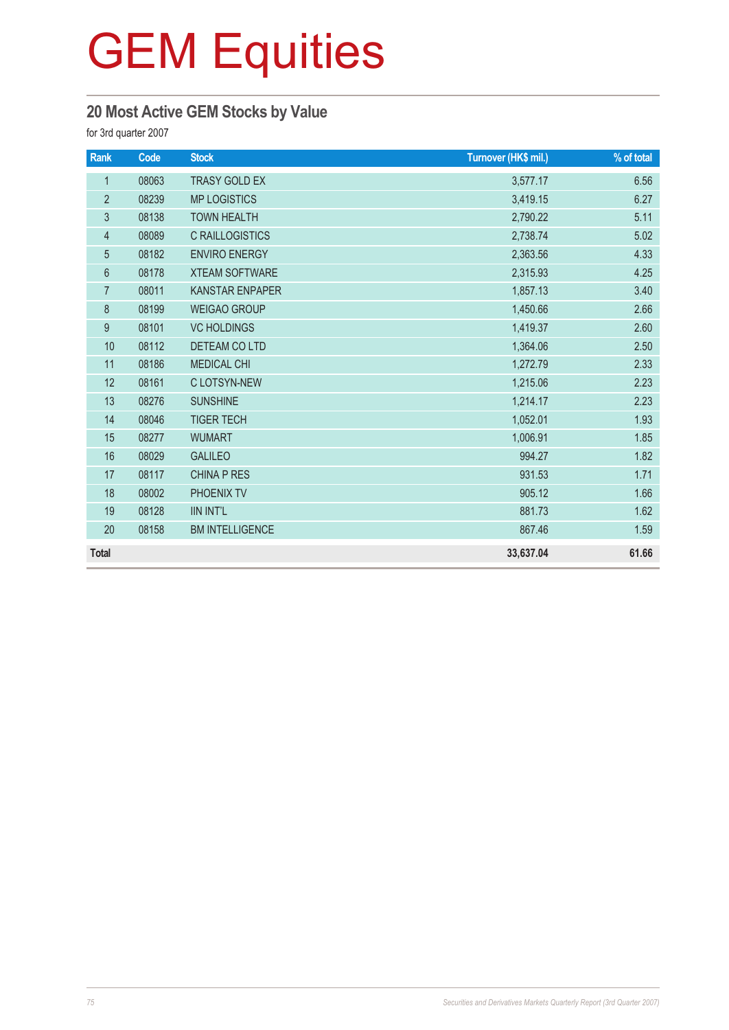# **20 Most Active GEM Stocks by Value**

for 3rd quarter 2007

| Rank           | Code  | <b>Stock</b>           | Turnover (HK\$ mil.) | % of total |
|----------------|-------|------------------------|----------------------|------------|
| $\mathbf{1}$   | 08063 | <b>TRASY GOLD EX</b>   | 3,577.17             | 6.56       |
| $\overline{2}$ | 08239 | <b>MP LOGISTICS</b>    | 3,419.15             | 6.27       |
| $\sqrt{3}$     | 08138 | <b>TOWN HEALTH</b>     | 2,790.22             | 5.11       |
| $\overline{4}$ | 08089 | <b>C RAILLOGISTICS</b> | 2,738.74             | 5.02       |
| 5              | 08182 | <b>ENVIRO ENERGY</b>   | 2,363.56             | 4.33       |
| $6\,$          | 08178 | <b>XTEAM SOFTWARE</b>  | 2,315.93             | 4.25       |
| $\overline{7}$ | 08011 | <b>KANSTAR ENPAPER</b> | 1,857.13             | 3.40       |
| $\delta$       | 08199 | <b>WEIGAO GROUP</b>    | 1,450.66             | 2.66       |
| 9              | 08101 | <b>VC HOLDINGS</b>     | 1,419.37             | 2.60       |
| 10             | 08112 | DETEAM CO LTD          | 1,364.06             | 2.50       |
| 11             | 08186 | <b>MEDICAL CHI</b>     | 1,272.79             | 2.33       |
| 12             | 08161 | C LOTSYN-NEW           | 1,215.06             | 2.23       |
| 13             | 08276 | <b>SUNSHINE</b>        | 1,214.17             | 2.23       |
| 14             | 08046 | <b>TIGER TECH</b>      | 1,052.01             | 1.93       |
| 15             | 08277 | <b>WUMART</b>          | 1,006.91             | 1.85       |
| 16             | 08029 | <b>GALILEO</b>         | 994.27               | 1.82       |
| 17             | 08117 | <b>CHINA P RES</b>     | 931.53               | 1.71       |
| 18             | 08002 | PHOENIX TV             | 905.12               | 1.66       |
| 19             | 08128 | <b>IIN INT'L</b>       | 881.73               | 1.62       |
| 20             | 08158 | <b>BM INTELLIGENCE</b> | 867.46               | 1.59       |
| <b>Total</b>   |       |                        | 33,637.04            | 61.66      |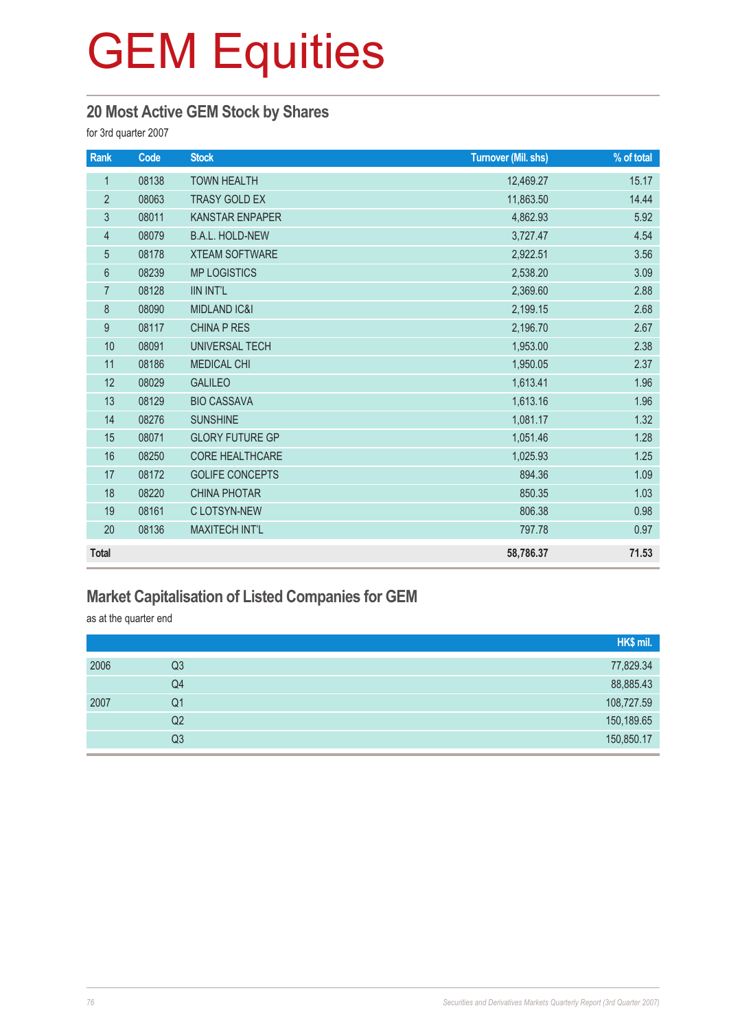### **20 Most Active GEM Stock by Shares**

for 3rd quarter 2007

| Rank             | Code  | <b>Stock</b>            | <b>Turnover (Mil. shs)</b> | % of total |
|------------------|-------|-------------------------|----------------------------|------------|
| $\mathbf{1}$     | 08138 | <b>TOWN HEALTH</b>      | 12,469.27                  | 15.17      |
| $\overline{2}$   | 08063 | <b>TRASY GOLD EX</b>    | 11,863.50                  | 14.44      |
| 3                | 08011 | <b>KANSTAR ENPAPER</b>  | 4,862.93                   | 5.92       |
| $\overline{4}$   | 08079 | <b>B.A.L. HOLD-NEW</b>  | 3,727.47                   | 4.54       |
| $\sqrt{5}$       | 08178 | <b>XTEAM SOFTWARE</b>   | 2,922.51                   | 3.56       |
| $6\,$            | 08239 | <b>MP LOGISTICS</b>     | 2,538.20                   | 3.09       |
| $\overline{7}$   | 08128 | <b>IIN INT'L</b>        | 2,369.60                   | 2.88       |
| $\, 8$           | 08090 | <b>MIDLAND IC&amp;I</b> | 2,199.15                   | 2.68       |
| $\boldsymbol{9}$ | 08117 | <b>CHINA P RES</b>      | 2,196.70                   | 2.67       |
| 10               | 08091 | UNIVERSAL TECH          | 1,953.00                   | 2.38       |
| 11               | 08186 | <b>MEDICAL CHI</b>      | 1,950.05                   | 2.37       |
| 12               | 08029 | <b>GALILEO</b>          | 1,613.41                   | 1.96       |
| 13               | 08129 | <b>BIO CASSAVA</b>      | 1,613.16                   | 1.96       |
| 14               | 08276 | <b>SUNSHINE</b>         | 1,081.17                   | 1.32       |
| 15               | 08071 | <b>GLORY FUTURE GP</b>  | 1,051.46                   | 1.28       |
| 16               | 08250 | <b>CORE HEALTHCARE</b>  | 1,025.93                   | 1.25       |
| 17               | 08172 | <b>GOLIFE CONCEPTS</b>  | 894.36                     | 1.09       |
| 18               | 08220 | <b>CHINA PHOTAR</b>     | 850.35                     | 1.03       |
| 19               | 08161 | C LOTSYN-NEW            | 806.38                     | 0.98       |
| 20               | 08136 | <b>MAXITECH INT'L</b>   | 797.78                     | 0.97       |
| <b>Total</b>     |       |                         | 58,786.37                  | 71.53      |

# **Market Capitalisation of Listed Companies for GEM**

as at the quarter end

|      |                | HK\$ mil.  |
|------|----------------|------------|
| 2006 | Q <sub>3</sub> | 77,829.34  |
|      | Q4             | 88,885.43  |
| 2007 | Q1             | 108,727.59 |
|      | Q2             | 150,189.65 |
|      | Q3             | 150,850.17 |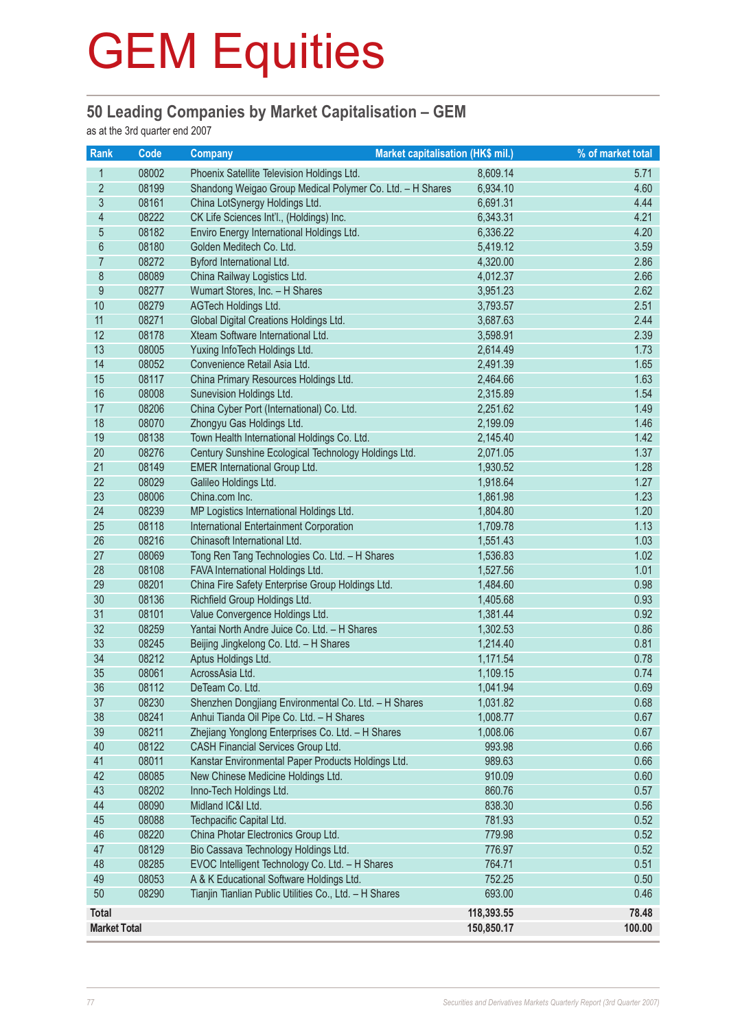### **50 Leading Companies by Market Capitalisation – GEM**

as at the 3rd quarter end 2007

| Rank                | Code  | <b>Market capitalisation (HK\$ mil.)</b><br><b>Company</b> |            | % of market total |
|---------------------|-------|------------------------------------------------------------|------------|-------------------|
| $\mathbf{1}$        | 08002 | Phoenix Satellite Television Holdings Ltd.                 | 8,609.14   | 5.71              |
| $\overline{2}$      | 08199 | Shandong Weigao Group Medical Polymer Co. Ltd. - H Shares  | 6,934.10   | 4.60              |
| $\mathfrak{S}$      | 08161 | China LotSynergy Holdings Ltd.                             | 6,691.31   | 4.44              |
| $\overline{4}$      | 08222 | CK Life Sciences Int'l., (Holdings) Inc.                   | 6,343.31   | 4.21              |
| 5                   | 08182 | Enviro Energy International Holdings Ltd.<br>6,336.22      |            | 4.20              |
| 6                   | 08180 | Golden Meditech Co. Ltd.                                   | 5,419.12   | 3.59              |
| $\overline{7}$      | 08272 | Byford International Ltd.                                  | 4,320.00   | 2.86              |
| $\bf 8$             | 08089 | China Railway Logistics Ltd.                               | 4,012.37   | 2.66              |
| $\boldsymbol{9}$    | 08277 | Wumart Stores, Inc. - H Shares                             | 3,951.23   | 2.62              |
| 10                  | 08279 | AGTech Holdings Ltd.                                       | 3,793.57   | 2.51              |
| 11                  | 08271 | Global Digital Creations Holdings Ltd.                     | 3,687.63   | 2.44              |
| 12                  | 08178 | Xteam Software International Ltd.                          | 3,598.91   | 2.39              |
| 13                  | 08005 | Yuxing InfoTech Holdings Ltd.                              | 2,614.49   | 1.73              |
| 14                  | 08052 | Convenience Retail Asia Ltd.                               | 2,491.39   | 1.65              |
| 15                  | 08117 | China Primary Resources Holdings Ltd.                      | 2,464.66   | 1.63              |
| 16                  | 08008 | Sunevision Holdings Ltd.                                   | 2,315.89   | 1.54              |
| 17                  | 08206 | China Cyber Port (International) Co. Ltd.                  | 2,251.62   | 1.49              |
| 18                  | 08070 | Zhongyu Gas Holdings Ltd.                                  | 2,199.09   | 1.46              |
| 19                  | 08138 | Town Health International Holdings Co. Ltd.                | 2,145.40   | 1.42              |
| 20                  | 08276 | Century Sunshine Ecological Technology Holdings Ltd.       | 2,071.05   | 1.37              |
| 21                  | 08149 | <b>EMER International Group Ltd.</b>                       | 1,930.52   | 1.28              |
| 22                  | 08029 | Galileo Holdings Ltd.                                      | 1,918.64   | 1.27              |
| 23                  | 08006 | China.com Inc.                                             | 1,861.98   | 1.23              |
| 24                  | 08239 | MP Logistics International Holdings Ltd.                   | 1,804.80   | 1.20              |
| 25                  | 08118 | International Entertainment Corporation                    | 1,709.78   | 1.13              |
| 26                  | 08216 | Chinasoft International Ltd.                               | 1,551.43   | 1.03              |
| 27                  | 08069 | Tong Ren Tang Technologies Co. Ltd. - H Shares             | 1,536.83   | 1.02              |
| 28                  | 08108 | FAVA International Holdings Ltd.                           | 1,527.56   | 1.01              |
| 29                  | 08201 | China Fire Safety Enterprise Group Holdings Ltd.           | 1,484.60   | 0.98              |
| 30                  | 08136 | Richfield Group Holdings Ltd.                              | 1,405.68   | 0.93              |
| 31                  | 08101 | Value Convergence Holdings Ltd.                            | 1,381.44   | 0.92              |
| 32                  | 08259 | Yantai North Andre Juice Co. Ltd. - H Shares               | 1,302.53   | 0.86              |
| 33                  | 08245 | Beijing Jingkelong Co. Ltd. - H Shares                     | 1,214.40   | 0.81              |
| 34                  | 08212 | Aptus Holdings Ltd.                                        | 1,171.54   | 0.78              |
| 35                  | 08061 | AcrossAsia Ltd.                                            | 1,109.15   | 0.74              |
| 36                  | 08112 | DeTeam Co. Ltd.                                            | 1,041.94   | 0.69              |
| 37                  | 08230 | Shenzhen Dongjiang Environmental Co. Ltd. - H Shares       | 1,031.82   | 0.68              |
| 38                  | 08241 | Anhui Tianda Oil Pipe Co. Ltd. - H Shares                  | 1,008.77   | 0.67              |
| 39                  | 08211 | Zhejiang Yonglong Enterprises Co. Ltd. - H Shares          | 1,008.06   | 0.67              |
| 40                  | 08122 | CASH Financial Services Group Ltd.                         | 993.98     | 0.66              |
| 41                  | 08011 | Kanstar Environmental Paper Products Holdings Ltd.         | 989.63     | 0.66              |
| 42                  | 08085 | New Chinese Medicine Holdings Ltd.                         | 910.09     | 0.60              |
| 43                  | 08202 | Inno-Tech Holdings Ltd.                                    | 860.76     | 0.57              |
| 44                  | 08090 | Midland IC&I Ltd.                                          | 838.30     | 0.56              |
| 45                  | 08088 | Techpacific Capital Ltd.                                   | 781.93     | 0.52              |
| 46                  | 08220 | China Photar Electronics Group Ltd.                        | 779.98     | 0.52              |
| 47                  | 08129 | Bio Cassava Technology Holdings Ltd.                       | 776.97     | 0.52              |
| 48                  | 08285 | EVOC Intelligent Technology Co. Ltd. - H Shares            | 764.71     | 0.51              |
| 49                  | 08053 | A & K Educational Software Holdings Ltd.                   | 752.25     | 0.50              |
| 50                  | 08290 | Tianjin Tianlian Public Utilities Co., Ltd. - H Shares     | 693.00     | 0.46              |
| Total               |       |                                                            | 118,393.55 | 78.48             |
| <b>Market Total</b> |       |                                                            | 150,850.17 | 100.00            |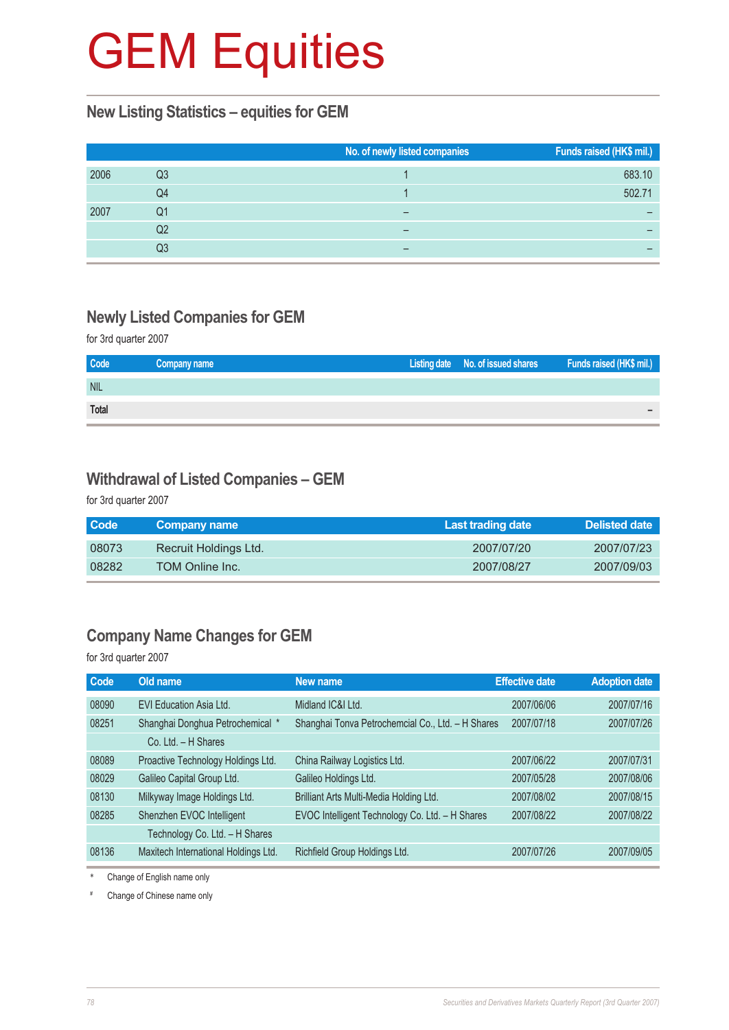#### **New Listing Statistics – equities for GEM**

|      |    | No. of newly listed companies | Funds raised (HK\$ mil.) |
|------|----|-------------------------------|--------------------------|
| 2006 | Q3 |                               | 683.10                   |
|      | Q4 |                               | 502.71                   |
| 2007 | Q1 |                               |                          |
|      | Q2 |                               |                          |
|      | Q3 |                               |                          |

#### **Newly Listed Companies for GEM**

for 3rd quarter 2007

| Code         | Company name | Listing date No. of issued shares | Funds raised (HK\$ mil.) |
|--------------|--------------|-----------------------------------|--------------------------|
| <b>NIL</b>   |              |                                   |                          |
| <b>Total</b> |              |                                   |                          |

#### **Withdrawal of Listed Companies – GEM**

for 3rd quarter 2007

| Code  | <b>Company name</b>   | Last trading date | <b>Delisted date</b> |
|-------|-----------------------|-------------------|----------------------|
| 08073 | Recruit Holdings Ltd. | 2007/07/20        | 2007/07/23           |
| 08282 | TOM Online Inc.       | 2007/08/27        | 2007/09/03           |

## **Company Name Changes for GEM**

for 3rd quarter 2007

| Old name                             | New name                                        |            | <b>Adoption date</b>                                                       |
|--------------------------------------|-------------------------------------------------|------------|----------------------------------------------------------------------------|
| EVI Education Asia Ltd.              | Midland IC&I Ltd.                               | 2007/06/06 | 2007/07/16                                                                 |
| Shanghai Donghua Petrochemical *     |                                                 | 2007/07/18 | 2007/07/26                                                                 |
| Co. Ltd. - H Shares                  |                                                 |            |                                                                            |
| Proactive Technology Holdings Ltd.   | China Railway Logistics Ltd.                    | 2007/06/22 | 2007/07/31                                                                 |
| Galileo Capital Group Ltd.           | Galileo Holdings Ltd.                           | 2007/05/28 | 2007/08/06                                                                 |
| Milkyway Image Holdings Ltd.         | Brilliant Arts Multi-Media Holding Ltd.         | 2007/08/02 | 2007/08/15                                                                 |
| Shenzhen EVOC Intelligent            | EVOC Intelligent Technology Co. Ltd. - H Shares | 2007/08/22 | 2007/08/22                                                                 |
| Technology Co. Ltd. - H Shares       |                                                 |            |                                                                            |
| Maxitech International Holdings Ltd. | Richfield Group Holdings Ltd.                   | 2007/07/26 | 2007/09/05                                                                 |
|                                      |                                                 |            | <b>Effective date</b><br>Shanghai Tonva Petrochemcial Co., Ltd. - H Shares |

\* Change of English name only

# Change of Chinese name only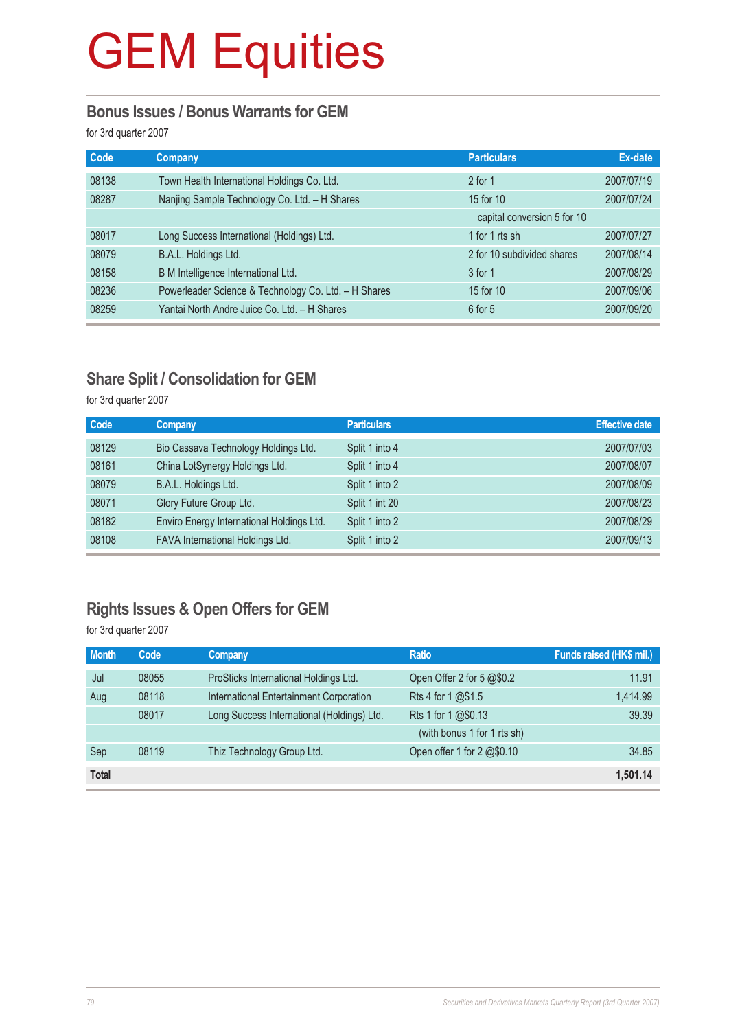#### **Bonus Issues / Bonus Warrants for GEM**

for 3rd quarter 2007

| <b>Code</b> | Company                                              | <b>Particulars</b>          | Ex-date    |
|-------------|------------------------------------------------------|-----------------------------|------------|
| 08138       | Town Health International Holdings Co. Ltd.          | $2$ for 1                   | 2007/07/19 |
| 08287       | Nanjing Sample Technology Co. Ltd. - H Shares        | 15 for 10                   | 2007/07/24 |
|             |                                                      | capital conversion 5 for 10 |            |
| 08017       | Long Success International (Holdings) Ltd.           | 1 for 1 rts sh              | 2007/07/27 |
| 08079       | B.A.L. Holdings Ltd.                                 | 2 for 10 subdivided shares  | 2007/08/14 |
| 08158       | B M Intelligence International Ltd.                  | 3 for 1                     | 2007/08/29 |
| 08236       | Powerleader Science & Technology Co. Ltd. - H Shares | 15 for 10                   | 2007/09/06 |
| 08259       | Yantai North Andre Juice Co. Ltd. - H Shares         | $6$ for $5$                 | 2007/09/20 |

## **Share Split / Consolidation for GEM**

for 3rd quarter 2007

| Code  | <b>Company</b>                            | <b>Particulars</b> | <b>Effective date</b> |
|-------|-------------------------------------------|--------------------|-----------------------|
| 08129 | Bio Cassava Technology Holdings Ltd.      | Split 1 into 4     | 2007/07/03            |
| 08161 | China LotSynergy Holdings Ltd.            | Split 1 into 4     | 2007/08/07            |
| 08079 | B.A.L. Holdings Ltd.                      | Split 1 into 2     | 2007/08/09            |
| 08071 | Glory Future Group Ltd.                   | Split 1 int 20     | 2007/08/23            |
| 08182 | Enviro Energy International Holdings Ltd. | Split 1 into 2     | 2007/08/29            |
| 08108 | FAVA International Holdings Ltd.          | Split 1 into 2     | 2007/09/13            |

# **Rights Issues & Open Offers for GEM**

for 3rd quarter 2007

| <b>Month</b> | Code  | <b>Company</b>                             | <b>Ratio</b>                | Funds raised (HK\$ mil.) |
|--------------|-------|--------------------------------------------|-----------------------------|--------------------------|
| Jul          | 08055 | ProSticks International Holdings Ltd.      | Open Offer 2 for 5 @\$0.2   | 11.91                    |
| Aug          | 08118 | International Entertainment Corporation    | Rts 4 for 1 @\$1.5          | 1,414.99                 |
|              | 08017 | Long Success International (Holdings) Ltd. | Rts 1 for 1 @\$0.13         | 39.39                    |
|              |       |                                            | (with bonus 1 for 1 rts sh) |                          |
| Sep          | 08119 | Thiz Technology Group Ltd.                 | Open offer 1 for 2 @\$0.10  | 34.85                    |
| <b>Total</b> |       |                                            |                             | 1,501.14                 |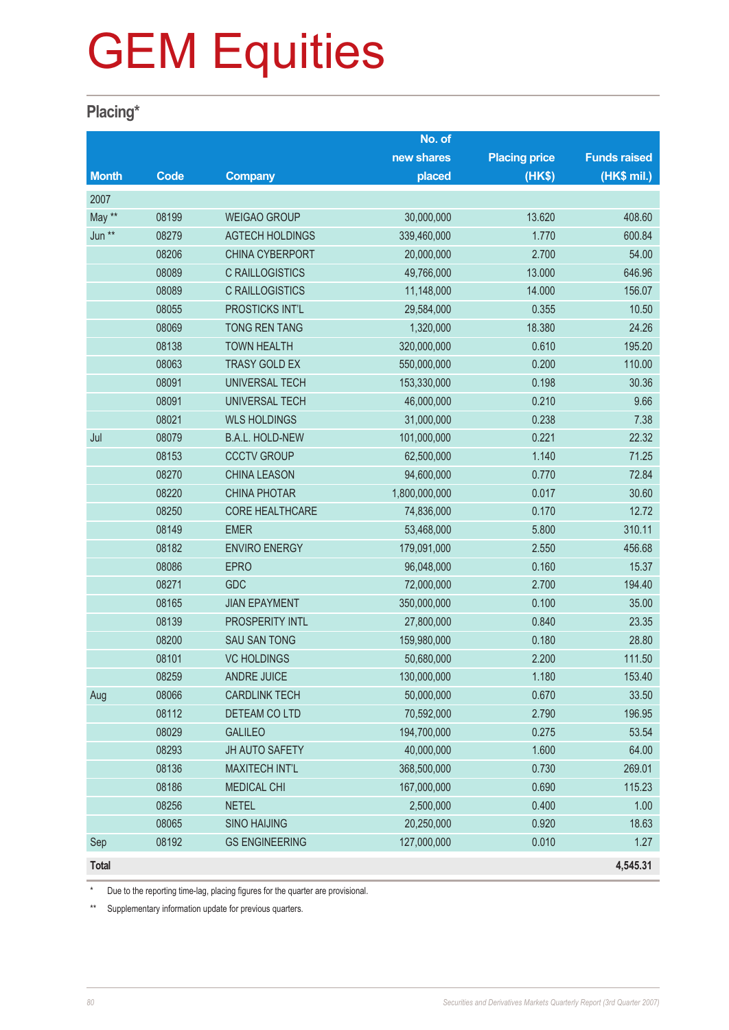### **Placing\***

|              |             |                        | No. of        |                      |                     |
|--------------|-------------|------------------------|---------------|----------------------|---------------------|
|              |             |                        | new shares    | <b>Placing price</b> | <b>Funds raised</b> |
| <b>Month</b> | <b>Code</b> | <b>Company</b>         | placed        | (HK\$)               | (HK\$ mil.)         |
| 2007         |             |                        |               |                      |                     |
| May **       | 08199       | <b>WEIGAO GROUP</b>    | 30,000,000    | 13.620               | 408.60              |
| Jun **       | 08279       | <b>AGTECH HOLDINGS</b> | 339,460,000   | 1.770                | 600.84              |
|              | 08206       | CHINA CYBERPORT        | 20,000,000    | 2.700                | 54.00               |
|              | 08089       | <b>C RAILLOGISTICS</b> | 49,766,000    | 13.000               | 646.96              |
|              | 08089       | <b>C RAILLOGISTICS</b> | 11,148,000    | 14.000               | 156.07              |
|              | 08055       | PROSTICKS INT'L        | 29,584,000    | 0.355                | 10.50               |
|              | 08069       | <b>TONG REN TANG</b>   | 1,320,000     | 18.380               | 24.26               |
|              | 08138       | <b>TOWN HEALTH</b>     | 320,000,000   | 0.610                | 195.20              |
|              | 08063       | <b>TRASY GOLD EX</b>   | 550,000,000   | 0.200                | 110.00              |
|              | 08091       | <b>UNIVERSAL TECH</b>  | 153,330,000   | 0.198                | 30.36               |
|              | 08091       | <b>UNIVERSAL TECH</b>  | 46,000,000    | 0.210                | 9.66                |
|              | 08021       | <b>WLS HOLDINGS</b>    | 31,000,000    | 0.238                | 7.38                |
| Jul          | 08079       | <b>B.A.L. HOLD-NEW</b> | 101,000,000   | 0.221                | 22.32               |
|              | 08153       | <b>CCCTV GROUP</b>     | 62,500,000    | 1.140                | 71.25               |
|              | 08270       | <b>CHINA LEASON</b>    | 94,600,000    | 0.770                | 72.84               |
|              | 08220       | <b>CHINA PHOTAR</b>    | 1,800,000,000 | 0.017                | 30.60               |
|              | 08250       | <b>CORE HEALTHCARE</b> | 74,836,000    | 0.170                | 12.72               |
|              | 08149       | <b>EMER</b>            | 53,468,000    | 5.800                | 310.11              |
|              | 08182       | <b>ENVIRO ENERGY</b>   | 179,091,000   | 2.550                | 456.68              |
|              | 08086       | <b>EPRO</b>            | 96,048,000    | 0.160                | 15.37               |
|              | 08271       | <b>GDC</b>             | 72,000,000    | 2.700                | 194.40              |
|              | 08165       | <b>JIAN EPAYMENT</b>   | 350,000,000   | 0.100                | 35.00               |
|              | 08139       | PROSPERITY INTL        | 27,800,000    | 0.840                | 23.35               |
|              | 08200       | <b>SAU SAN TONG</b>    | 159,980,000   | 0.180                | 28.80               |
|              | 08101       | <b>VC HOLDINGS</b>     | 50,680,000    | 2.200                | 111.50              |
|              | 08259       | <b>ANDRE JUICE</b>     | 130,000,000   | 1.180                | 153.40              |
| Aug          | 08066       | <b>CARDLINK TECH</b>   | 50,000,000    | 0.670                | 33.50               |
|              | 08112       | DETEAM CO LTD          | 70,592,000    | 2.790                | 196.95              |
|              | 08029       | <b>GALILEO</b>         | 194,700,000   | 0.275                | 53.54               |
|              | 08293       | JH AUTO SAFETY         | 40,000,000    | 1.600                | 64.00               |
|              | 08136       | <b>MAXITECH INT'L</b>  | 368,500,000   | 0.730                | 269.01              |
|              | 08186       | <b>MEDICAL CHI</b>     | 167,000,000   | 0.690                | 115.23              |
|              | 08256       | <b>NETEL</b>           | 2,500,000     | 0.400                | 1.00                |
|              | 08065       | <b>SINO HAIJING</b>    | 20,250,000    | 0.920                | 18.63               |
| Sep          | 08192       | <b>GS ENGINEERING</b>  | 127,000,000   | 0.010                | 1.27                |
| <b>Total</b> |             |                        |               |                      | 4,545.31            |

Due to the reporting time-lag, placing figures for the quarter are provisional.

\*\* Supplementary information update for previous quarters.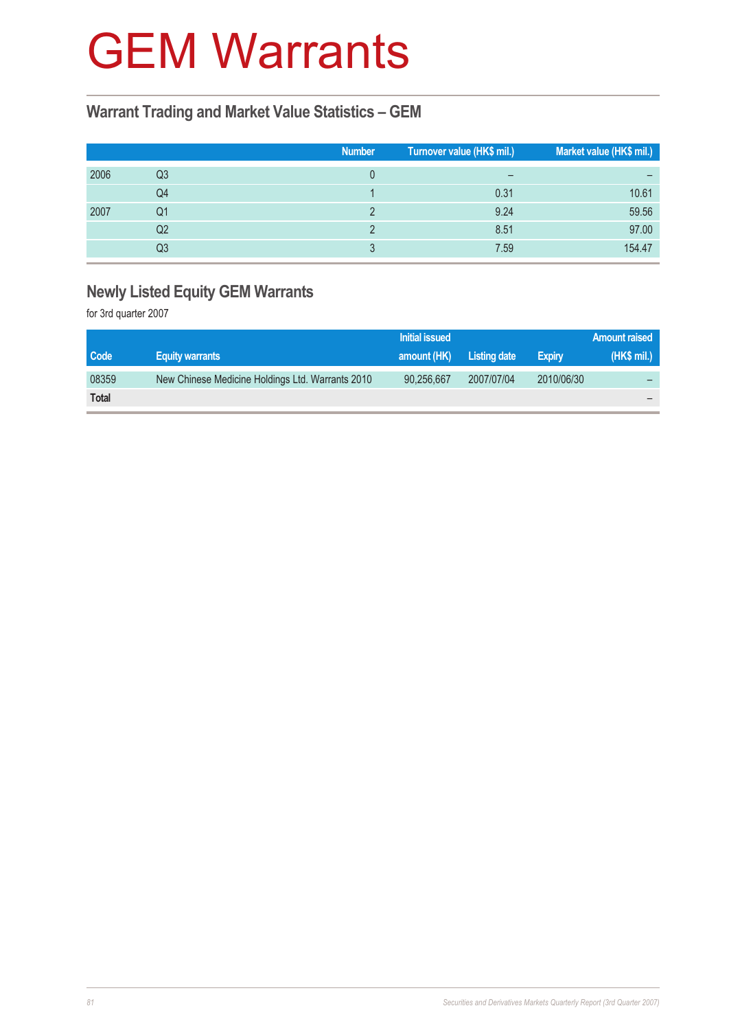# GEM Warrants

### **Warrant Trading and Market Value Statistics – GEM**

|      |    | <b>Number</b> | Turnover value (HK\$ mil.) | Market value (HK\$ mil.) |
|------|----|---------------|----------------------------|--------------------------|
| 2006 | Q3 |               | $\overline{\phantom{m}}$   | -                        |
|      | Q4 |               | 0.31                       | 10.61                    |
| 2007 | Q1 |               | 9.24                       | 59.56                    |
|      | Q2 |               | 8.51                       | 97.00                    |
|      | Q3 |               | 7.59                       | 154.47                   |

# **Newly Listed Equity GEM Warrants**

for 3rd quarter 2007

|              |                                                  | Initial issued |              |               | Amount raised |
|--------------|--------------------------------------------------|----------------|--------------|---------------|---------------|
| Code         | <b>Equity warrants</b>                           | amount (HK)    | Listing date | <b>Expiry</b> | (HK\$ mil.)   |
| 08359        | New Chinese Medicine Holdings Ltd. Warrants 2010 | 90,256,667     | 2007/07/04   | 2010/06/30    |               |
| <b>Total</b> |                                                  |                |              |               |               |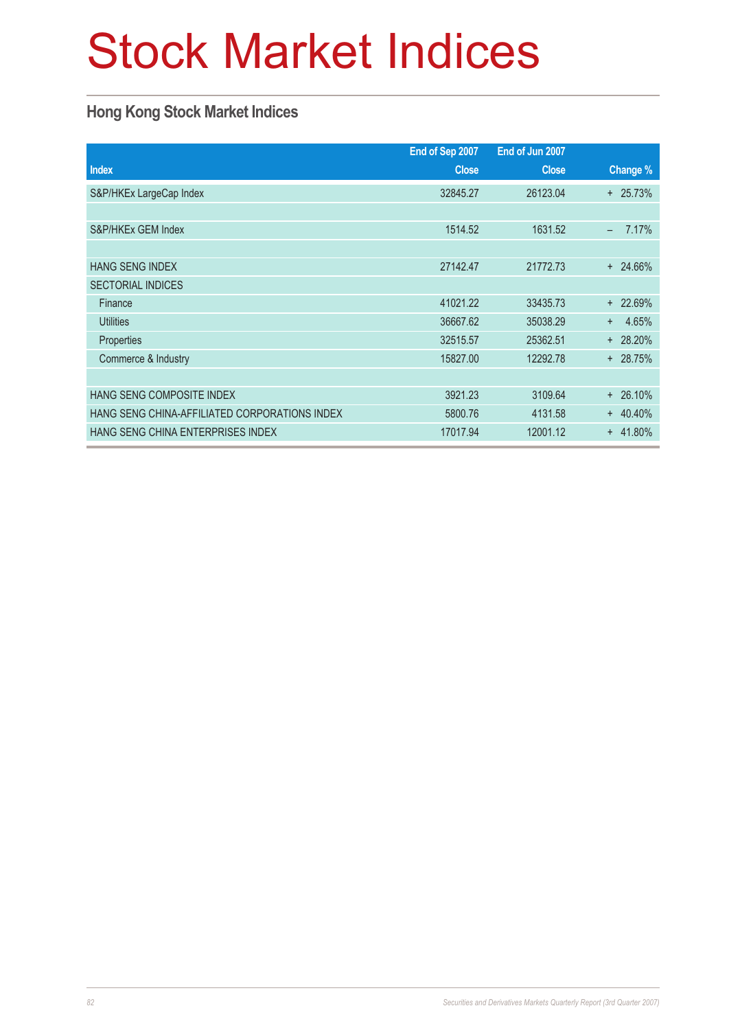# Stock Market Indices

## **Hong Kong Stock Market Indices**

|                                               | End of Sep 2007 | End of Jun 2007 |                                   |
|-----------------------------------------------|-----------------|-----------------|-----------------------------------|
| <b>Index</b>                                  | <b>Close</b>    | <b>Close</b>    | Change %                          |
| S&P/HKEx LargeCap Index                       | 32845.27        | 26123.04        | $+ 25.73%$                        |
|                                               |                 |                 |                                   |
| S&P/HKEx GEM Index                            | 1514.52         | 1631.52         | 7.17%<br>$\overline{\phantom{0}}$ |
|                                               |                 |                 |                                   |
| <b>HANG SENG INDEX</b>                        | 27142.47        | 21772.73        | $+ 24.66\%$                       |
| <b>SECTORIAL INDICES</b>                      |                 |                 |                                   |
| Finance                                       | 41021.22        | 33435.73        | $+ 22.69%$                        |
| <b>Utilities</b>                              | 36667.62        | 35038.29        | 4.65%<br>$+$                      |
| <b>Properties</b>                             | 32515.57        | 25362.51        | $+ 28.20%$                        |
| Commerce & Industry                           | 15827.00        | 12292.78        | $+ 28.75%$                        |
|                                               |                 |                 |                                   |
| HANG SENG COMPOSITE INDEX                     | 3921.23         | 3109.64         | 26.10%<br>$\ddot{}$               |
| HANG SENG CHINA-AFFILIATED CORPORATIONS INDEX | 5800.76         | 4131.58         | $+ 40.40%$                        |
| HANG SENG CHINA ENTERPRISES INDEX             | 17017.94        | 12001.12        | 41.80%<br>$+$                     |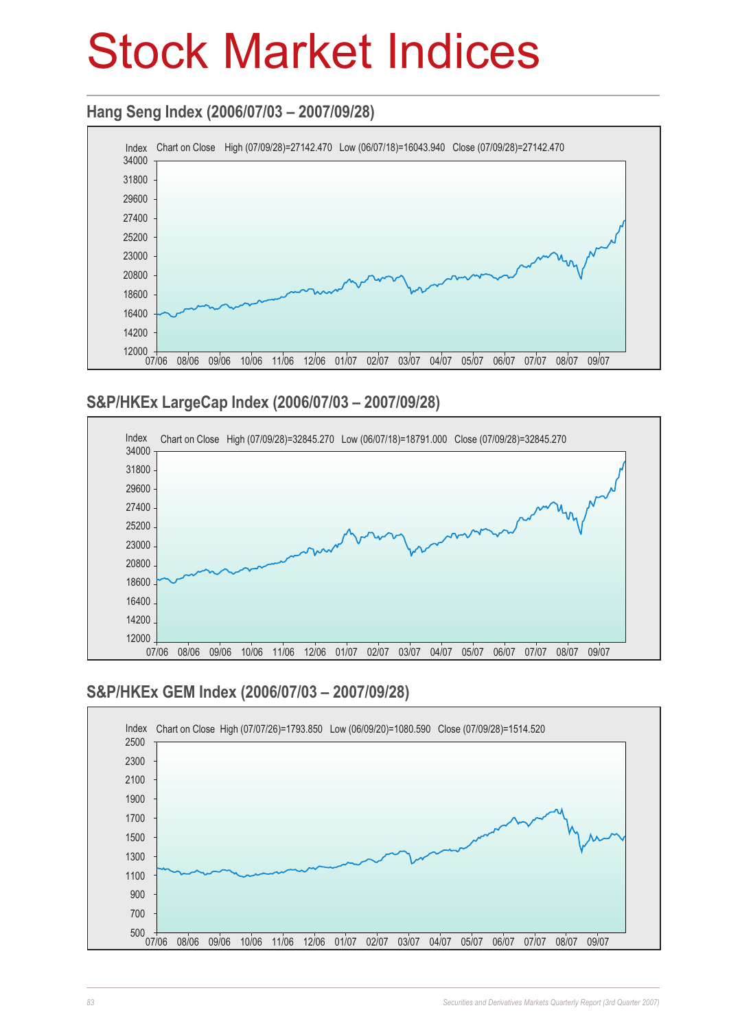# Stock Market Indices

## **Hang Seng Index (2006/07/03 – 2007/09/28)**



### **S&P/HKEx LargeCap Index (2006/07/03 – 2007/09/28)**



## **S&P/HKEx GEM Index (2006/07/03 – 2007/09/28)**

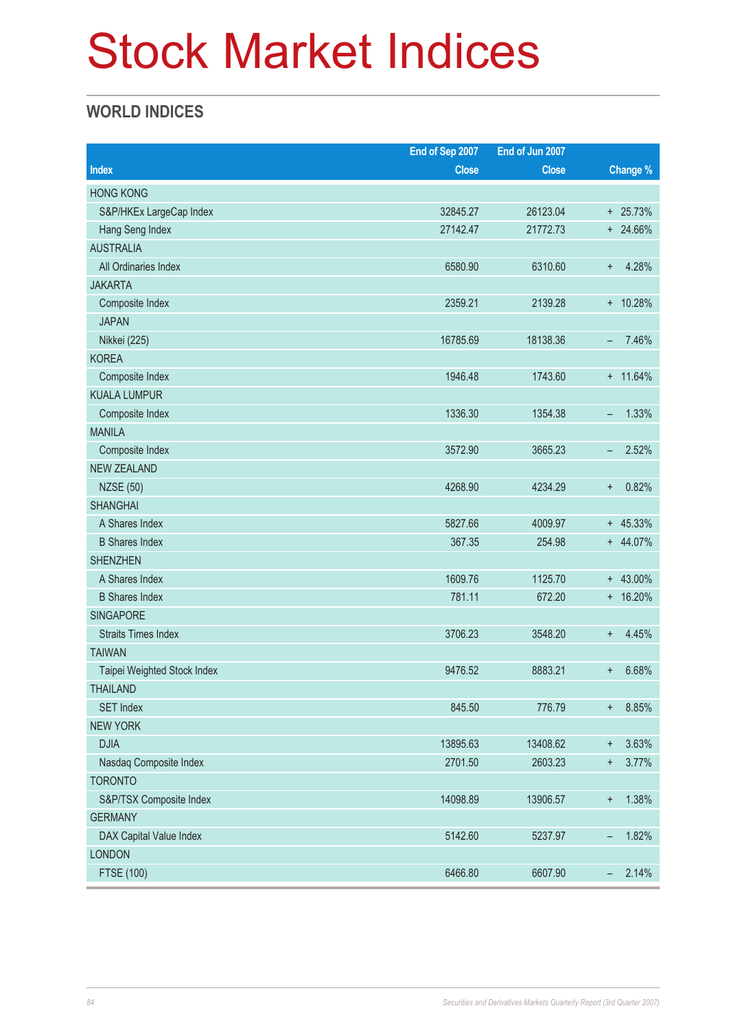# Stock Market Indices

# **WORLD INDICES**

|                             | End of Sep 2007 | End of Jun 2007 |                                   |
|-----------------------------|-----------------|-----------------|-----------------------------------|
| <b>Index</b>                | <b>Close</b>    | <b>Close</b>    | Change %                          |
| <b>HONG KONG</b>            |                 |                 |                                   |
| S&P/HKEx LargeCap Index     | 32845.27        | 26123.04        | $+ 25.73%$                        |
| Hang Seng Index             | 27142.47        | 21772.73        | + 24.66%                          |
| <b>AUSTRALIA</b>            |                 |                 |                                   |
| All Ordinaries Index        | 6580.90         | 6310.60         | 4.28%<br>$+$                      |
| <b>JAKARTA</b>              |                 |                 |                                   |
| Composite Index             | 2359.21         | 2139.28         | + 10.28%                          |
| <b>JAPAN</b>                |                 |                 |                                   |
| Nikkei (225)                | 16785.69        | 18138.36        | 7.46%<br>-                        |
| <b>KOREA</b>                |                 |                 |                                   |
| Composite Index             | 1946.48         | 1743.60         | $+ 11.64\%$                       |
| <b>KUALA LUMPUR</b>         |                 |                 |                                   |
| Composite Index             | 1336.30         | 1354.38         | 1.33%<br>-                        |
| <b>MANILA</b>               |                 |                 |                                   |
| Composite Index             | 3572.90         | 3665.23         | 2.52%<br>-                        |
| <b>NEW ZEALAND</b>          |                 |                 |                                   |
| <b>NZSE (50)</b>            | 4268.90         | 4234.29         | 0.82%<br>$\pmb{+}$                |
| <b>SHANGHAI</b>             |                 |                 |                                   |
| A Shares Index              | 5827.66         | 4009.97         | $+ 45.33%$                        |
| <b>B</b> Shares Index       | 367.35          | 254.98          | + 44.07%                          |
| <b>SHENZHEN</b>             |                 |                 |                                   |
| A Shares Index              | 1609.76         | 1125.70         | $+ 43.00\%$                       |
| <b>B</b> Shares Index       | 781.11          | 672.20          | + 16.20%                          |
| SINGAPORE                   |                 |                 |                                   |
| <b>Straits Times Index</b>  | 3706.23         | 3548.20         | 4.45%<br>$\pm$                    |
| <b>TAIWAN</b>               |                 |                 |                                   |
| Taipei Weighted Stock Index | 9476.52         | 8883.21         | 6.68%<br>÷                        |
| <b>THAILAND</b>             |                 |                 |                                   |
| <b>SET Index</b>            | 845.50          | 776.79          | 8.85%<br>$^+$                     |
| <b>NEW YORK</b>             |                 |                 |                                   |
| <b>DJIA</b>                 | 13895.63        | 13408.62        | 3.63%<br>$\ddagger$               |
| Nasdaq Composite Index      | 2701.50         | 2603.23         | 3.77%<br>$\ddagger$               |
| <b>TORONTO</b>              |                 |                 |                                   |
| S&P/TSX Composite Index     | 14098.89        | 13906.57        | 1.38%<br>$\ddot{}$                |
| <b>GERMANY</b>              |                 |                 |                                   |
| DAX Capital Value Index     | 5142.60         | 5237.97         | 1.82%<br>-                        |
| <b>LONDON</b>               |                 |                 |                                   |
| FTSE (100)                  | 6466.80         | 6607.90         | 2.14%<br>$\overline{\phantom{0}}$ |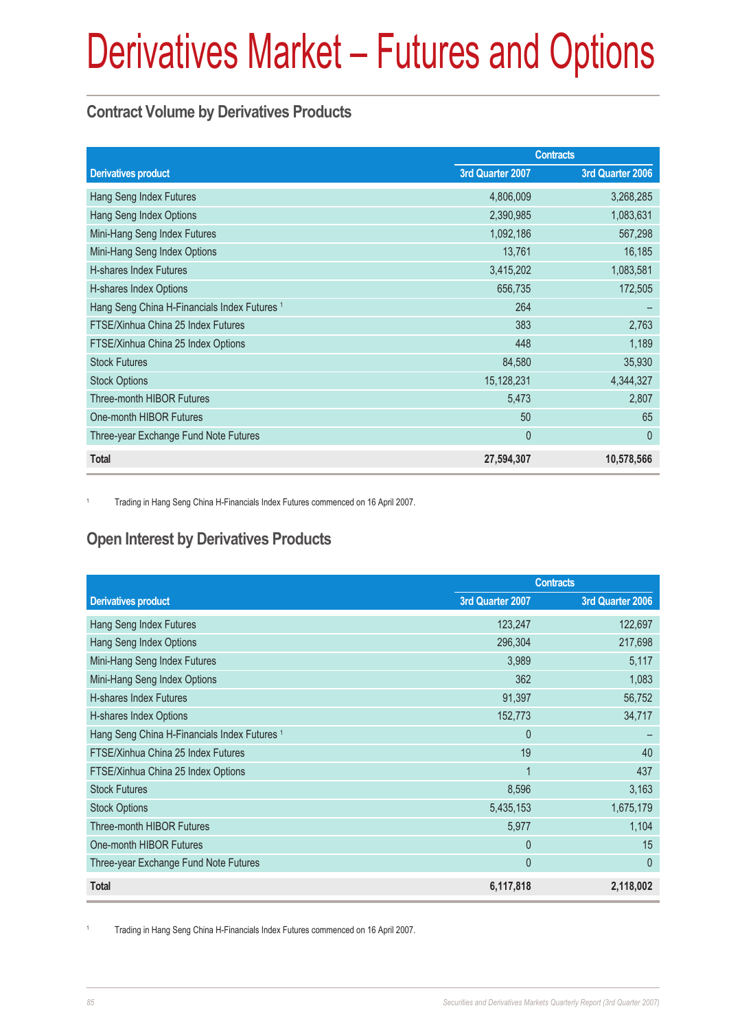## **Contract Volume by Derivatives Products**

|                                                         | <b>Contracts</b> |                  |
|---------------------------------------------------------|------------------|------------------|
| <b>Derivatives product</b>                              | 3rd Quarter 2007 | 3rd Quarter 2006 |
| Hang Seng Index Futures                                 | 4,806,009        | 3,268,285        |
| Hang Seng Index Options                                 | 2,390,985        | 1,083,631        |
| Mini-Hang Seng Index Futures                            | 1,092,186        | 567,298          |
| Mini-Hang Seng Index Options                            | 13,761           | 16,185           |
| <b>H-shares Index Futures</b>                           | 3,415,202        | 1,083,581        |
| H-shares Index Options                                  | 656,735          | 172,505          |
| Hang Seng China H-Financials Index Futures <sup>1</sup> | 264              |                  |
| FTSE/Xinhua China 25 Index Futures                      | 383              | 2,763            |
| FTSE/Xinhua China 25 Index Options                      | 448              | 1,189            |
| <b>Stock Futures</b>                                    | 84,580           | 35,930           |
| <b>Stock Options</b>                                    | 15,128,231       | 4,344,327        |
| Three-month HIBOR Futures                               | 5,473            | 2,807            |
| One-month HIBOR Futures                                 | 50               | 65               |
| Three-year Exchange Fund Note Futures                   | $\mathbf{0}$     | $\theta$         |
| <b>Total</b>                                            | 27,594,307       | 10,578,566       |

<sup>1</sup> Trading in Hang Seng China H-Financials Index Futures commenced on 16 April 2007.

## **Open Interest by Derivatives Products**

|                                                         | <b>Contracts</b> |                  |
|---------------------------------------------------------|------------------|------------------|
| <b>Derivatives product</b>                              | 3rd Quarter 2007 | 3rd Quarter 2006 |
| Hang Seng Index Futures                                 | 123,247          | 122,697          |
| Hang Seng Index Options                                 | 296,304          | 217,698          |
| Mini-Hang Seng Index Futures                            | 3,989            | 5,117            |
| Mini-Hang Seng Index Options                            | 362              | 1,083            |
| <b>H-shares Index Futures</b>                           | 91,397           | 56,752           |
| H-shares Index Options                                  | 152,773          | 34,717           |
| Hang Seng China H-Financials Index Futures <sup>1</sup> | $\Omega$         |                  |
| FTSE/Xinhua China 25 Index Futures                      | 19               | 40               |
| FTSE/Xinhua China 25 Index Options                      | 1                | 437              |
| <b>Stock Futures</b>                                    | 8,596            | 3,163            |
| <b>Stock Options</b>                                    | 5,435,153        | 1,675,179        |
| Three-month HIBOR Futures                               | 5,977            | 1,104            |
| One-month HIBOR Futures                                 | $\Omega$         | 15               |
| Three-year Exchange Fund Note Futures                   | $\mathbf{0}$     | $\theta$         |
| <b>Total</b>                                            | 6,117,818        | 2,118,002        |

<sup>1</sup> Trading in Hang Seng China H-Financials Index Futures commenced on 16 April 2007.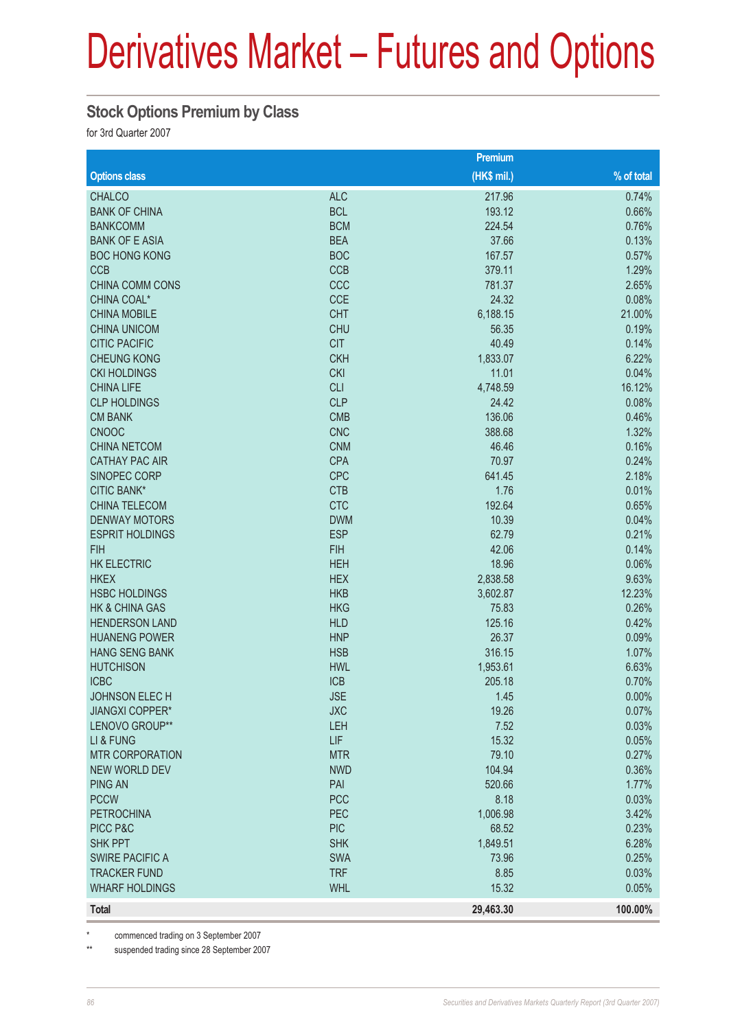#### **Stock Options Premium by Class**

for 3rd Quarter 2007

|                        |            | Premium     |              |
|------------------------|------------|-------------|--------------|
| <b>Options class</b>   |            | (HK\$ mil.) | $%$ of total |
| <b>CHALCO</b>          | <b>ALC</b> | 217.96      | 0.74%        |
| <b>BANK OF CHINA</b>   | <b>BCL</b> | 193.12      | 0.66%        |
| <b>BANKCOMM</b>        | <b>BCM</b> | 224.54      | 0.76%        |
| <b>BANK OF E ASIA</b>  | <b>BEA</b> | 37.66       | 0.13%        |
| <b>BOC HONG KONG</b>   | <b>BOC</b> | 167.57      | 0.57%        |
| <b>CCB</b>             | <b>CCB</b> | 379.11      | 1.29%        |
| <b>CHINA COMM CONS</b> | CCC        | 781.37      | 2.65%        |
| CHINA COAL*            | <b>CCE</b> | 24.32       | 0.08%        |
| <b>CHINA MOBILE</b>    | <b>CHT</b> | 6,188.15    | 21.00%       |
| <b>CHINA UNICOM</b>    | <b>CHU</b> | 56.35       | 0.19%        |
| <b>CITIC PACIFIC</b>   | <b>CIT</b> | 40.49       | 0.14%        |
| <b>CHEUNG KONG</b>     | <b>CKH</b> | 1,833.07    | 6.22%        |
| <b>CKI HOLDINGS</b>    | <b>CKI</b> | 11.01       | 0.04%        |
| <b>CHINA LIFE</b>      | <b>CLI</b> | 4,748.59    | 16.12%       |
| <b>CLP HOLDINGS</b>    | <b>CLP</b> | 24.42       | 0.08%        |
| <b>CM BANK</b>         | <b>CMB</b> | 136.06      | 0.46%        |
| <b>CNOOC</b>           | <b>CNC</b> | 388.68      | 1.32%        |
| <b>CHINA NETCOM</b>    | <b>CNM</b> | 46.46       | 0.16%        |
| <b>CATHAY PAC AIR</b>  | <b>CPA</b> | 70.97       | 0.24%        |
| SINOPEC CORP           | <b>CPC</b> | 641.45      | 2.18%        |
| <b>CITIC BANK*</b>     | <b>CTB</b> | 1.76        | 0.01%        |
| <b>CHINA TELECOM</b>   | <b>CTC</b> | 192.64      | 0.65%        |
| <b>DENWAY MOTORS</b>   | <b>DWM</b> | 10.39       | 0.04%        |
| <b>ESPRIT HOLDINGS</b> | <b>ESP</b> | 62.79       | 0.21%        |
| <b>FIH</b>             | <b>FIH</b> | 42.06       | 0.14%        |
| <b>HK ELECTRIC</b>     | <b>HEH</b> | 18.96       | 0.06%        |
| <b>HKEX</b>            | <b>HEX</b> | 2,838.58    | 9.63%        |
| <b>HSBC HOLDINGS</b>   | <b>HKB</b> | 3,602.87    | 12.23%       |
| HK & CHINA GAS         | <b>HKG</b> | 75.83       | 0.26%        |
| <b>HENDERSON LAND</b>  | <b>HLD</b> | 125.16      | 0.42%        |
| <b>HUANENG POWER</b>   | <b>HNP</b> | 26.37       | 0.09%        |
| <b>HANG SENG BANK</b>  | <b>HSB</b> | 316.15      | 1.07%        |
| <b>HUTCHISON</b>       | <b>HWL</b> | 1,953.61    | 6.63%        |
| <b>ICBC</b>            | <b>ICB</b> | 205.18      | 0.70%        |
| <b>JOHNSON ELEC H</b>  | <b>JSE</b> | 1.45        | $0.00\%$     |
| <b>JIANGXI COPPER*</b> | <b>JXC</b> | 19.26       | 0.07%        |
| LENOVO GROUP**         | LEH        | 7.52        | 0.03%        |
| LI & FUNG              | <b>LIF</b> | 15.32       | 0.05%        |
| <b>MTR CORPORATION</b> | <b>MTR</b> | 79.10       | 0.27%        |
| <b>NEW WORLD DEV</b>   | <b>NWD</b> | 104.94      | 0.36%        |
| <b>PING AN</b>         | PAI        | 520.66      | 1.77%        |
| <b>PCCW</b>            | <b>PCC</b> | 8.18        | 0.03%        |
| <b>PETROCHINA</b>      | PEC        | 1,006.98    | 3.42%        |
| PICC P&C               | <b>PIC</b> | 68.52       | 0.23%        |
| SHK PPT                | <b>SHK</b> | 1,849.51    | 6.28%        |
| <b>SWIRE PACIFIC A</b> | <b>SWA</b> | 73.96       | 0.25%        |
| <b>TRACKER FUND</b>    | <b>TRF</b> | 8.85        | 0.03%        |
| <b>WHARF HOLDINGS</b>  | <b>WHL</b> | 15.32       | 0.05%        |
| <b>Total</b>           |            | 29,463.30   | 100.00%      |

\* commenced trading on 3 September 2007

\*\* suspended trading since 28 September 2007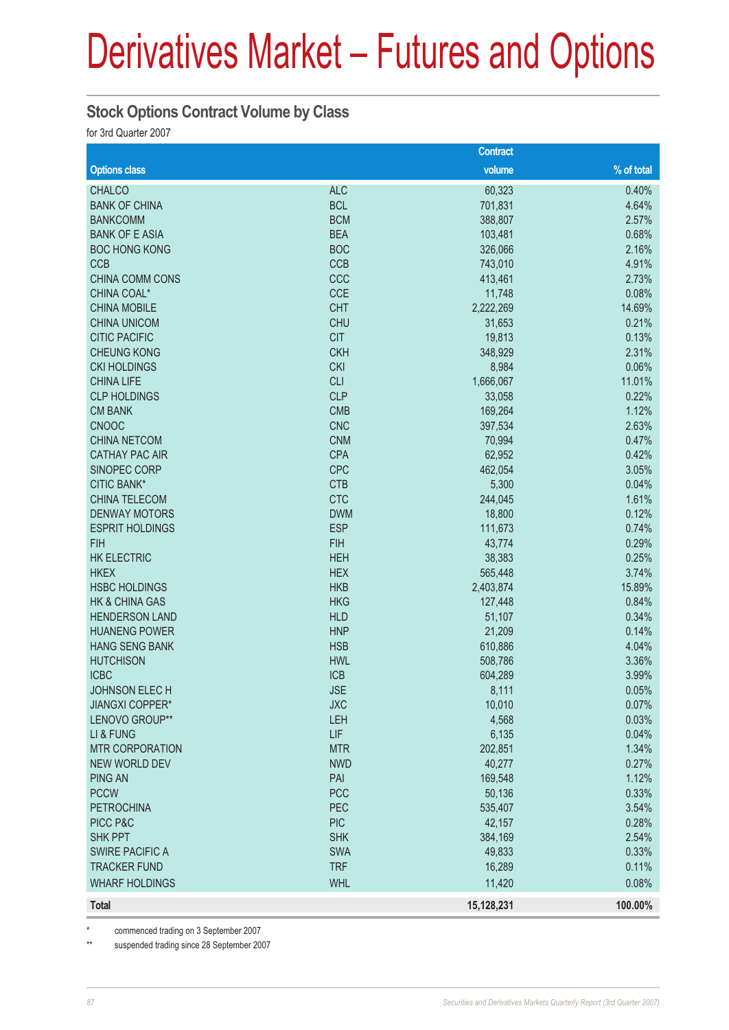### **Stock Options Contract Volume by Class**

for 3rd Quarter 2007

|                           |            | <b>Contract</b> |            |
|---------------------------|------------|-----------------|------------|
| <b>Options class</b>      |            | volume          | % of total |
| <b>CHALCO</b>             | <b>ALC</b> | 60,323          | 0.40%      |
| <b>BANK OF CHINA</b>      | <b>BCL</b> | 701,831         | 4.64%      |
| <b>BANKCOMM</b>           | <b>BCM</b> | 388,807         | 2.57%      |
| <b>BANK OF E ASIA</b>     | <b>BEA</b> | 103,481         | 0.68%      |
| <b>BOC HONG KONG</b>      | <b>BOC</b> | 326,066         | 2.16%      |
| <b>CCB</b>                | <b>CCB</b> | 743,010         | 4.91%      |
| <b>CHINA COMM CONS</b>    | CCC        | 413,461         | 2.73%      |
| CHINA COAL*               | <b>CCE</b> | 11,748          | 0.08%      |
| <b>CHINA MOBILE</b>       | <b>CHT</b> | 2,222,269       | 14.69%     |
| <b>CHINA UNICOM</b>       | <b>CHU</b> | 31,653          | 0.21%      |
| <b>CITIC PACIFIC</b>      | <b>CIT</b> | 19,813          | 0.13%      |
| <b>CHEUNG KONG</b>        | <b>CKH</b> | 348,929         | 2.31%      |
| <b>CKI HOLDINGS</b>       | <b>CKI</b> | 8,984           | 0.06%      |
| <b>CHINA LIFE</b>         | <b>CLI</b> | 1,666,067       | 11.01%     |
| <b>CLP HOLDINGS</b>       | <b>CLP</b> | 33,058          | 0.22%      |
| <b>CM BANK</b>            | <b>CMB</b> | 169,264         | 1.12%      |
| <b>CNOOC</b>              | <b>CNC</b> | 397,534         | 2.63%      |
| <b>CHINA NETCOM</b>       | <b>CNM</b> | 70,994          | 0.47%      |
| <b>CATHAY PAC AIR</b>     | <b>CPA</b> | 62,952          | 0.42%      |
| SINOPEC CORP              | <b>CPC</b> | 462,054         | 3.05%      |
| <b>CITIC BANK*</b>        | <b>CTB</b> | 5,300           | 0.04%      |
| <b>CHINA TELECOM</b>      | <b>CTC</b> | 244,045         | 1.61%      |
| <b>DENWAY MOTORS</b>      | <b>DWM</b> | 18,800          | 0.12%      |
| <b>ESPRIT HOLDINGS</b>    | <b>ESP</b> | 111,673         | 0.74%      |
| <b>FIH</b>                | <b>FIH</b> | 43,774          | 0.29%      |
| <b>HK ELECTRIC</b>        | <b>HEH</b> | 38,383          | 0.25%      |
| <b>HKEX</b>               | <b>HEX</b> | 565,448         | 3.74%      |
| <b>HSBC HOLDINGS</b>      | <b>HKB</b> | 2,403,874       | 15.89%     |
| <b>HK &amp; CHINA GAS</b> | <b>HKG</b> | 127,448         | 0.84%      |
| <b>HENDERSON LAND</b>     | <b>HLD</b> | 51,107          | 0.34%      |
| <b>HUANENG POWER</b>      | <b>HNP</b> | 21,209          | 0.14%      |
| <b>HANG SENG BANK</b>     | <b>HSB</b> | 610,886         | 4.04%      |
| <b>HUTCHISON</b>          | <b>HWL</b> | 508,786         | 3.36%      |
| <b>ICBC</b>               | <b>ICB</b> | 604,289         | 3.99%      |
| JOHNSON ELECH             | <b>JSE</b> | 8,111           | 0.05%      |
| <b>JIANGXI COPPER*</b>    | <b>JXC</b> | 10,010          | 0.07%      |
| LENOVO GROUP**            | LEH        | 4,568           | 0.03%      |
| LI & FUNG                 | LIF        | 6,135           | 0.04%      |
| <b>MTR CORPORATION</b>    | <b>MTR</b> | 202,851         | 1.34%      |
| <b>NEW WORLD DEV</b>      | <b>NWD</b> | 40,277          | 0.27%      |
| <b>PING AN</b>            | PAI        | 169,548         | 1.12%      |
| <b>PCCW</b>               | <b>PCC</b> | 50,136          | 0.33%      |
| <b>PETROCHINA</b>         | PEC        | 535,407         | 3.54%      |
| PICC P&C                  | <b>PIC</b> | 42,157          | 0.28%      |
| <b>SHK PPT</b>            | <b>SHK</b> | 384,169         | 2.54%      |
| <b>SWIRE PACIFIC A</b>    | SWA        | 49,833          | 0.33%      |
| <b>TRACKER FUND</b>       | <b>TRF</b> | 16,289          | 0.11%      |
| <b>WHARF HOLDINGS</b>     | <b>WHL</b> | 11,420          | 0.08%      |
| <b>Total</b>              |            | 15,128,231      | 100.00%    |

commenced trading on 3 September 2007

\*\* suspended trading since 28 September 2007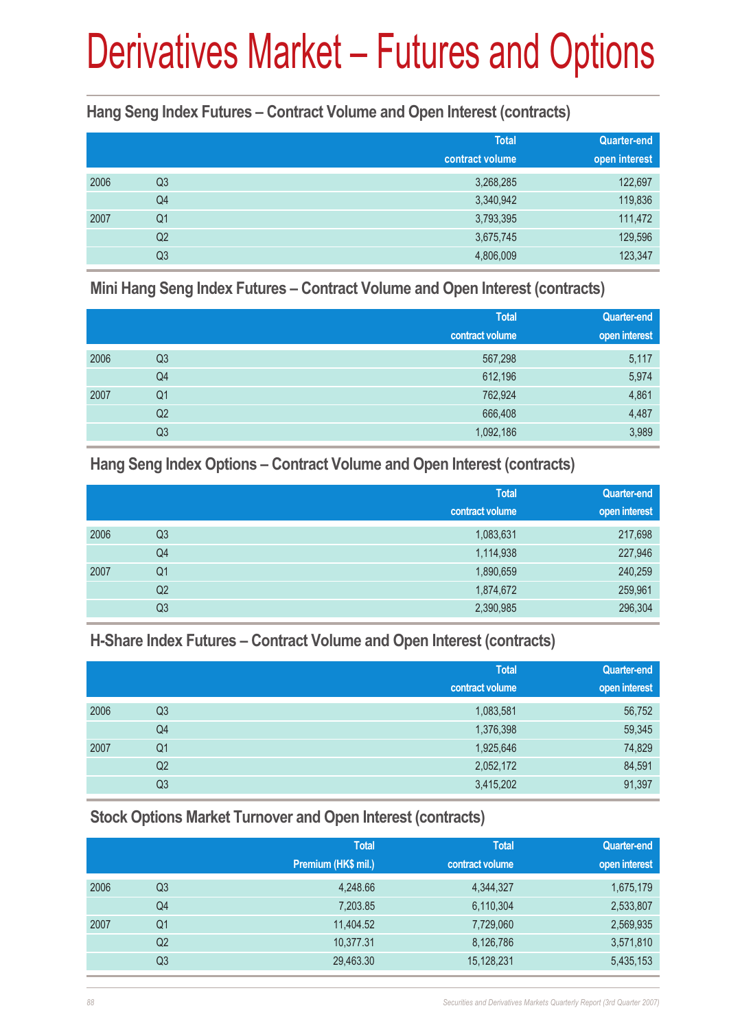**Hang Seng Index Futures – Contract Volume and Open Interest (contracts)**

|      |                | <b>Total</b>    | <b>Quarter-end</b> |
|------|----------------|-----------------|--------------------|
|      |                | contract volume | open interest      |
| 2006 | Q <sub>3</sub> | 3,268,285       | 122,697            |
|      | Q4             | 3,340,942       | 119,836            |
| 2007 | Q <sub>1</sub> | 3,793,395       | 111,472            |
|      | Q <sub>2</sub> | 3,675,745       | 129,596            |
|      | Q <sub>3</sub> | 4,806,009       | 123,347            |

**Mini Hang Seng Index Futures – Contract Volume and Open Interest (contracts)**

|      |                | <b>Total</b><br>contract volume | <b>Quarter-end</b><br>open interest |
|------|----------------|---------------------------------|-------------------------------------|
| 2006 | Q <sub>3</sub> | 567,298                         | 5,117                               |
|      | Q4             | 612,196                         | 5,974                               |
| 2007 | Q1             | 762,924                         | 4,861                               |
|      | Q2             | 666,408                         | 4,487                               |
|      | Q3             | 1,092,186                       | 3,989                               |

**Hang Seng Index Options – Contract Volume and Open Interest (contracts)**

|      |                | <b>Total</b>    | <b>Quarter-end</b> |
|------|----------------|-----------------|--------------------|
|      |                | contract volume | open interest      |
| 2006 | Q <sub>3</sub> | 1,083,631       | 217,698            |
|      | Q4             | 1,114,938       | 227,946            |
| 2007 | Q1             | 1,890,659       | 240,259            |
|      | Q2             | 1,874,672       | 259,961            |
|      | Q <sub>3</sub> | 2,390,985       | 296,304            |

**H-Share Index Futures – Contract Volume and Open Interest (contracts)**

|      |                | <b>Total</b><br>contract volume | <b>Quarter-end</b><br>open interest |
|------|----------------|---------------------------------|-------------------------------------|
| 2006 | Q3             | 1,083,581                       | 56,752                              |
|      | Q4             | 1,376,398                       | 59,345                              |
| 2007 | Q <sub>1</sub> | 1,925,646                       | 74,829                              |
|      | Q2             | 2,052,172                       | 84,591                              |
|      | Q <sub>3</sub> | 3,415,202                       | 91,397                              |

**Stock Options Market Turnover and Open Interest (contracts)**

|      |                | <b>Total</b><br>Premium (HK\$ mil.) | <b>Total</b><br>contract volume | <b>Quarter-end</b><br>open interest |
|------|----------------|-------------------------------------|---------------------------------|-------------------------------------|
| 2006 | Q3             | 4,248.66                            | 4,344,327                       | 1,675,179                           |
|      | Q4             | 7,203.85                            | 6,110,304                       | 2,533,807                           |
| 2007 | Q1             | 11,404.52                           | 7,729,060                       | 2,569,935                           |
|      | Q <sub>2</sub> | 10,377.31                           | 8,126,786                       | 3,571,810                           |
|      | Q <sub>3</sub> | 29,463.30                           | 15,128,231                      | 5,435,153                           |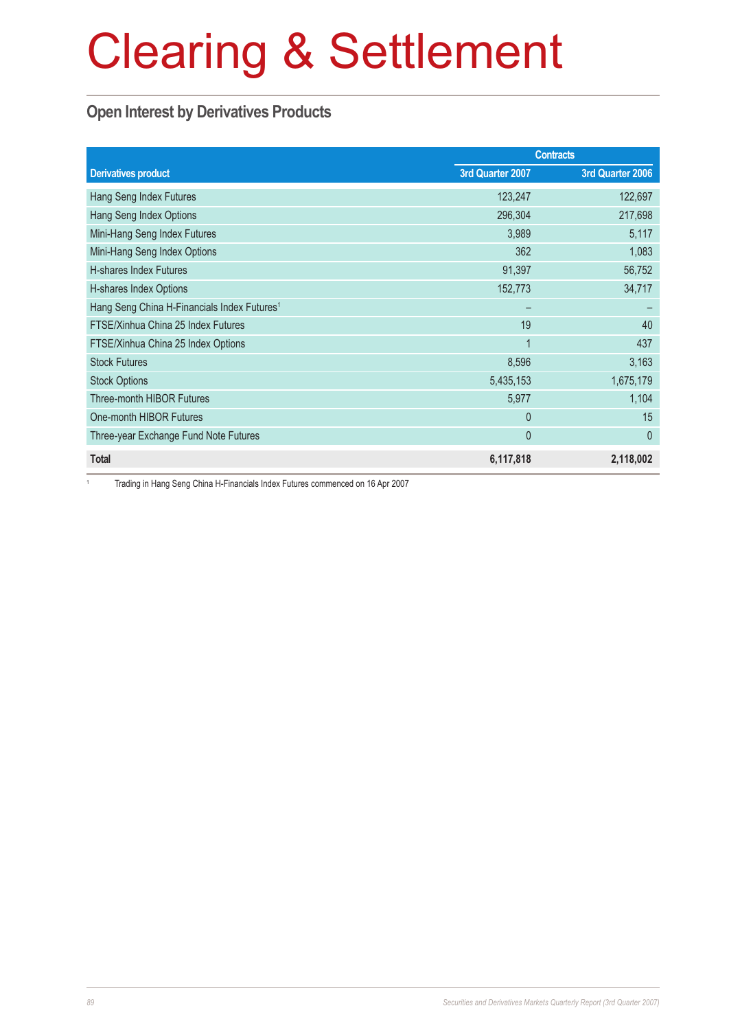## **Open Interest by Derivatives Products**

|                                                         |                  | <b>Contracts</b> |
|---------------------------------------------------------|------------------|------------------|
| <b>Derivatives product</b>                              | 3rd Quarter 2007 | 3rd Quarter 2006 |
| Hang Seng Index Futures                                 | 123,247          | 122,697          |
| Hang Seng Index Options                                 | 296,304          | 217,698          |
| Mini-Hang Seng Index Futures                            | 3,989            | 5,117            |
| Mini-Hang Seng Index Options                            | 362              | 1,083            |
| <b>H-shares Index Futures</b>                           | 91,397           | 56,752           |
| H-shares Index Options                                  | 152,773          | 34,717           |
| Hang Seng China H-Financials Index Futures <sup>1</sup> |                  |                  |
| FTSE/Xinhua China 25 Index Futures                      | 19               | 40               |
| FTSE/Xinhua China 25 Index Options                      | 1                | 437              |
| <b>Stock Futures</b>                                    | 8,596            | 3,163            |
| <b>Stock Options</b>                                    | 5,435,153        | 1,675,179        |
| Three-month HIBOR Futures                               | 5,977            | 1,104            |
| One-month HIBOR Futures                                 | $\theta$         | 15               |
| Three-year Exchange Fund Note Futures                   | $\theta$         | 0                |
| <b>Total</b>                                            | 6,117,818        | 2,118,002        |

<sup>1</sup> Trading in Hang Seng China H-Financials Index Futures commenced on 16 Apr 2007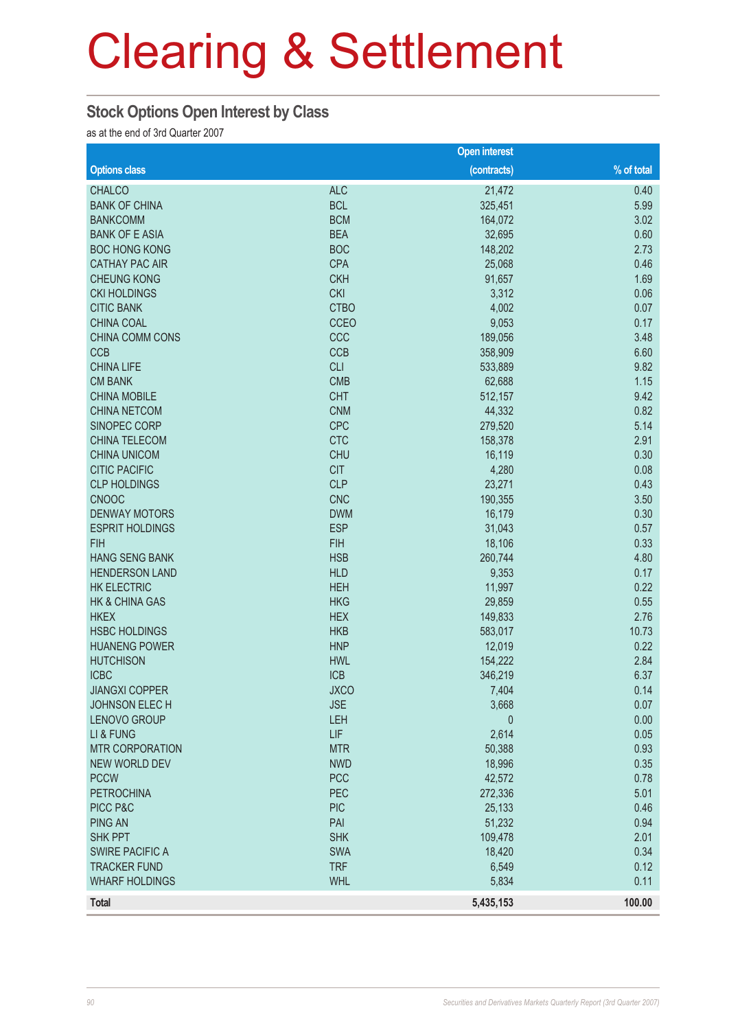# **Stock Options Open Interest by Class**

as at the end of 3rd Quarter 2007

|                           |             | <b>Open interest</b> |            |
|---------------------------|-------------|----------------------|------------|
| <b>Options class</b>      |             | (contracts)          | % of total |
| <b>CHALCO</b>             | <b>ALC</b>  | 21,472               | 0.40       |
| <b>BANK OF CHINA</b>      | <b>BCL</b>  | 325,451              | 5.99       |
| <b>BANKCOMM</b>           | <b>BCM</b>  | 164,072              | 3.02       |
| <b>BANK OF E ASIA</b>     | <b>BEA</b>  | 32,695               | 0.60       |
| <b>BOC HONG KONG</b>      | <b>BOC</b>  | 148,202              | 2.73       |
| <b>CATHAY PAC AIR</b>     | <b>CPA</b>  | 25,068               | 0.46       |
| <b>CHEUNG KONG</b>        | <b>CKH</b>  | 91,657               | 1.69       |
| <b>CKI HOLDINGS</b>       | <b>CKI</b>  | 3,312                | 0.06       |
| <b>CITIC BANK</b>         | <b>CTBO</b> | 4,002                | 0.07       |
| <b>CHINA COAL</b>         | CCEO        | 9,053                | 0.17       |
| CHINA COMM CONS           | CCC         | 189,056              | 3.48       |
| <b>CCB</b>                | <b>CCB</b>  | 358,909              | 6.60       |
| <b>CHINA LIFE</b>         | <b>CLI</b>  | 533,889              | 9.82       |
| <b>CM BANK</b>            | <b>CMB</b>  | 62,688               | 1.15       |
| <b>CHINA MOBILE</b>       | <b>CHT</b>  | 512,157              | 9.42       |
| <b>CHINA NETCOM</b>       | <b>CNM</b>  | 44,332               | 0.82       |
| SINOPEC CORP              | <b>CPC</b>  | 279,520              | 5.14       |
| CHINA TELECOM             | <b>CTC</b>  | 158,378              | 2.91       |
| <b>CHINA UNICOM</b>       | <b>CHU</b>  | 16,119               | 0.30       |
| <b>CITIC PACIFIC</b>      | <b>CIT</b>  | 4,280                | 0.08       |
| <b>CLP HOLDINGS</b>       | <b>CLP</b>  | 23,271               | 0.43       |
| <b>CNOOC</b>              | <b>CNC</b>  | 190,355              | 3.50       |
| <b>DENWAY MOTORS</b>      | <b>DWM</b>  | 16,179               | 0.30       |
| <b>ESPRIT HOLDINGS</b>    | <b>ESP</b>  | 31,043               | 0.57       |
| <b>FIH</b>                | <b>FIH</b>  | 18,106               | 0.33       |
| <b>HANG SENG BANK</b>     | <b>HSB</b>  | 260,744              | 4.80       |
| <b>HENDERSON LAND</b>     | <b>HLD</b>  | 9,353                | 0.17       |
| <b>HK ELECTRIC</b>        | <b>HEH</b>  | 11,997               | 0.22       |
| <b>HK &amp; CHINA GAS</b> | <b>HKG</b>  | 29,859               | 0.55       |
| <b>HKEX</b>               | <b>HEX</b>  | 149,833              | 2.76       |
| <b>HSBC HOLDINGS</b>      | <b>HKB</b>  | 583,017              | 10.73      |
| <b>HUANENG POWER</b>      | <b>HNP</b>  | 12,019               | 0.22       |
| <b>HUTCHISON</b>          | <b>HWL</b>  | 154,222              | 2.84       |
| <b>ICBC</b>               | <b>ICB</b>  | 346,219              | 6.37       |
| <b>JIANGXI COPPER</b>     | <b>JXCO</b> | 7,404                | 0.14       |
| <b>JOHNSON ELECH</b>      | <b>JSE</b>  | 3,668                | 0.07       |
| <b>LENOVO GROUP</b>       | LEH         | $\mathbf 0$          | 0.00       |
| LI & FUNG                 | LIF         | 2,614                | 0.05       |
| <b>MTR CORPORATION</b>    | <b>MTR</b>  | 50,388               | 0.93       |
| NEW WORLD DEV             | <b>NWD</b>  | 18,996               | 0.35       |
| <b>PCCW</b>               | <b>PCC</b>  | 42,572               | 0.78       |
| <b>PETROCHINA</b>         | PEC         | 272,336              | 5.01       |
| PICC P&C                  | <b>PIC</b>  | 25,133               | 0.46       |
| <b>PING AN</b>            | PAI         | 51,232               | 0.94       |
| SHK PPT                   | <b>SHK</b>  | 109,478              | 2.01       |
| <b>SWIRE PACIFIC A</b>    | SWA         | 18,420               | 0.34       |
| <b>TRACKER FUND</b>       | <b>TRF</b>  | 6,549                | 0.12       |
| <b>WHARF HOLDINGS</b>     | <b>WHL</b>  | 5,834                | 0.11       |
| <b>Total</b>              |             | 5,435,153            | 100.00     |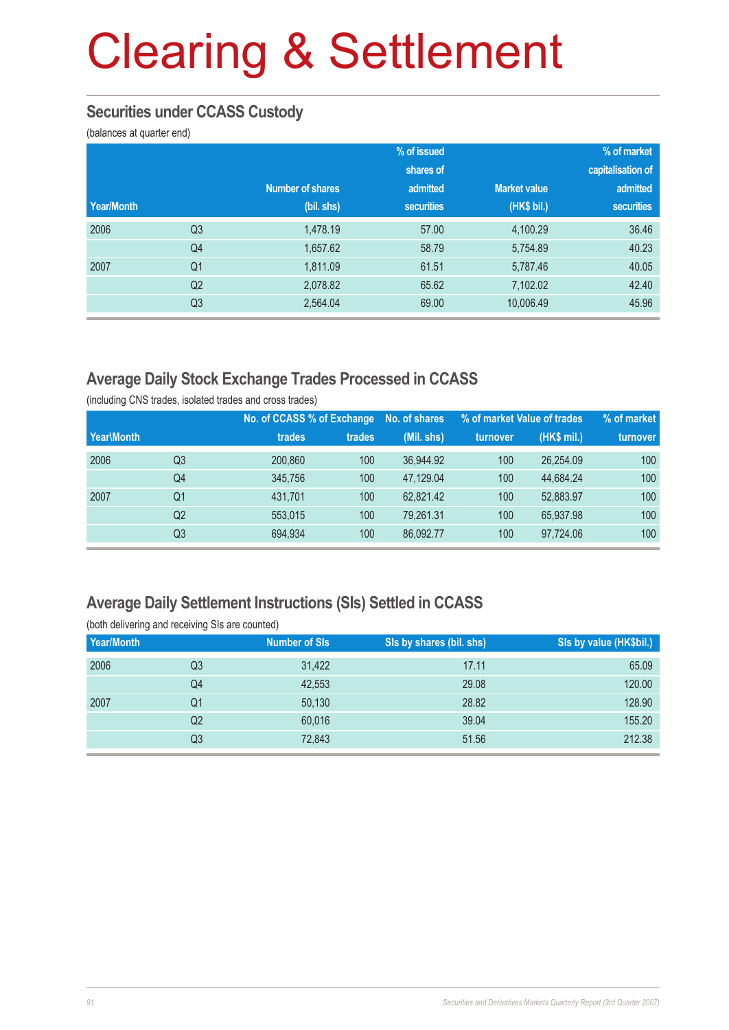### **Securities under CCASS Custody**

(balances at quarter end)

|            |                |                         | % of issued       |                     | % of market       |
|------------|----------------|-------------------------|-------------------|---------------------|-------------------|
|            |                |                         | shares of         |                     | capitalisation of |
|            |                | <b>Number of shares</b> | admitted          | <b>Market value</b> | admitted          |
| Year/Month |                | (bil. shs)              | <b>securities</b> | (HK\$ bil.)         | securities        |
| 2006       | Q <sub>3</sub> | 1.478.19                | 57.00             | 4,100.29            | 36.46             |
|            | Q <sub>4</sub> | 1,657.62                | 58.79             | 5,754.89            | 40.23             |
| 2007       | Q <sub>1</sub> | 1,811.09                | 61.51             | 5,787.46            | 40.05             |
|            | Q <sub>2</sub> | 2,078.82                | 65.62             | 7,102.02            | 42.40             |
|            | Q <sub>3</sub> | 2,564.04                | 69.00             | 10,006.49           | 45.96             |

## **Average Daily Stock Exchange Trades Processed in CCASS**

(including CNS trades, isolated trades and cross trades)

|            |                |         | No. of CCASS % of Exchange | No. of shares |          | % of market Value of trades | % of market |
|------------|----------------|---------|----------------------------|---------------|----------|-----------------------------|-------------|
| Year\Month |                | trades  | trades                     | (Mil. shs)    | turnover | (HK\$ mil.)                 | turnover    |
| 2006       | Q3             | 200,860 | 100                        | 36,944.92     | 100      | 26,254.09                   | 100         |
|            | Q4             | 345,756 | 100                        | 47.129.04     | 100      | 44.684.24                   | 100         |
| 2007       | Q1             | 431,701 | 100                        | 62,821.42     | 100      | 52,883.97                   | 100         |
|            | Q <sub>2</sub> | 553,015 | 100                        | 79,261.31     | 100      | 65,937.98                   | 100         |
|            | Q3             | 694,934 | 100                        | 86,092.77     | 100      | 97,724.06                   | 100         |

#### **Average Daily Settlement Instructions (SIs) Settled in CCASS**

(both delivering and receiving SIs are counted) **Year/Month** Number of SIs SIS by shares (bil. shs) SIs by value (HK\$bil.)

| 2006 | Q3 | 31,422 | 17.11 | 65.09  |
|------|----|--------|-------|--------|
|      | Q4 | 42,553 | 29.08 | 120.00 |
| 2007 | Q1 | 50,130 | 28.82 | 128.90 |
|      | Q2 | 60,016 | 39.04 | 155.20 |
|      | Q3 | 72,843 | 51.56 | 212.38 |
|      |    |        |       |        |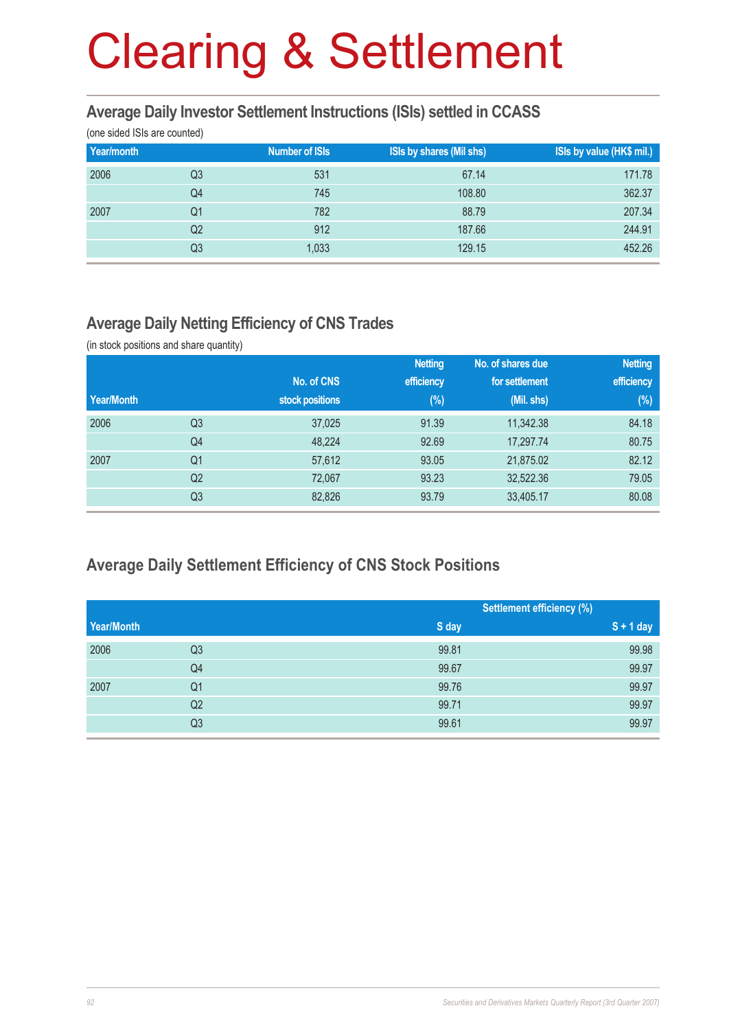#### **Average Daily Investor Settlement Instructions (ISIs) settled in CCASS**

(one sided ISIs are counted)

| Year/month |    | <b>Number of ISIs</b> | <b>ISIs by shares (Mil shs)</b> | ISIs by value (HK\$ mil.) |
|------------|----|-----------------------|---------------------------------|---------------------------|
| 2006       | Q3 | 531                   | 67.14                           | 171.78                    |
|            | Q4 | 745                   | 108.80                          | 362.37                    |
| 2007       | Q1 | 782                   | 88.79                           | 207.34                    |
|            | Q2 | 912                   | 187.66                          | 244.91                    |
|            | Q3 | 1,033                 | 129.15                          | 452.26                    |

### **Average Daily Netting Efficiency of CNS Trades**

(in stock positions and share quantity)

|            |                |                 | <b>Netting</b> | No. of shares due | <b>Netting</b> |
|------------|----------------|-----------------|----------------|-------------------|----------------|
|            |                | No. of CNS      | efficiency     | for settlement    | efficiency     |
| Year/Month |                | stock positions | $(\%)$         | (Mil. shs)        | (%)            |
| 2006       | Q3             | 37,025          | 91.39          | 11,342.38         | 84.18          |
|            | Q <sub>4</sub> | 48,224          | 92.69          | 17,297.74         | 80.75          |
| 2007       | Q1             | 57,612          | 93.05          | 21,875.02         | 82.12          |
|            | Q <sub>2</sub> | 72,067          | 93.23          | 32,522.36         | 79.05          |
|            | Q <sub>3</sub> | 82,826          | 93.79          | 33,405.17         | 80.08          |

## **Average Daily Settlement Efficiency of CNS Stock Positions**

|            |                | <b>Settlement efficiency (%)</b> |             |
|------------|----------------|----------------------------------|-------------|
| Year/Month |                | S day                            | $S + 1$ day |
| 2006       | Q <sub>3</sub> | 99.81                            | 99.98       |
|            | Q4             | 99.67                            | 99.97       |
| 2007       | Q <sub>1</sub> | 99.76                            | 99.97       |
|            | Q2             | 99.71                            | 99.97       |
|            | Q <sub>3</sub> | 99.61                            | 99.97       |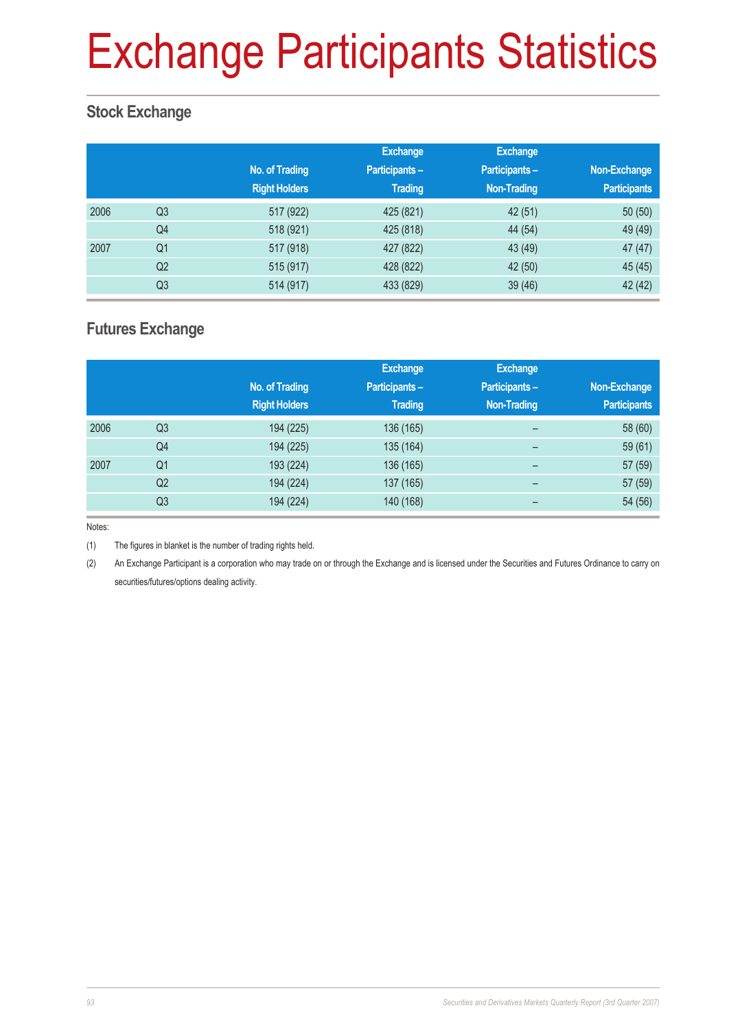# Exchange Participants Statistics

## **Stock Exchange**

|      |                | No. of Trading<br><b>Right Holders</b> | <b>Exchange</b><br><b>Participants-</b><br><b>Trading</b> | <b>Exchange</b><br><b>Participants-</b><br><b>Non-Trading</b> | Non-Exchange<br><b>Participants</b> |
|------|----------------|----------------------------------------|-----------------------------------------------------------|---------------------------------------------------------------|-------------------------------------|
| 2006 | Q <sub>3</sub> | 517 (922)                              | 425 (821)                                                 | 42 (51)                                                       | 50(50)                              |
|      | Q4             | 518 (921)                              | 425 (818)                                                 | 44 (54)                                                       | 49 (49)                             |
| 2007 | Q <sub>1</sub> | 517 (918)                              | 427 (822)                                                 | 43 (49)                                                       | 47(47)                              |
|      | Q <sub>2</sub> | 515 (917)                              | 428 (822)                                                 | 42 (50)                                                       | 45 (45)                             |
|      | Q <sub>3</sub> | 514 (917)                              | 433 (829)                                                 | 39(46)                                                        | 42 (42)                             |

### **Futures Exchange**

|      |                | No. of Trading<br><b>Right Holders</b> | <b>Exchange</b><br>Participants-<br><b>Trading</b> | <b>Exchange</b><br>Participants-<br><b>Non-Trading</b> | Non-Exchange<br><b>Participants</b> |
|------|----------------|----------------------------------------|----------------------------------------------------|--------------------------------------------------------|-------------------------------------|
| 2006 | Q <sub>3</sub> | 194 (225)                              | 136 (165)                                          | $\overline{\phantom{0}}$                               | 58 (60)                             |
|      | Q4             | 194 (225)                              | 135 (164)                                          | -                                                      | 59(61)                              |
| 2007 | Q <sub>1</sub> | 193 (224)                              | 136 (165)                                          | $\qquad \qquad$                                        | 57 (59)                             |
|      | Q <sub>2</sub> | 194 (224)                              | 137 (165)                                          | -                                                      | 57 (59)                             |
|      | Q <sub>3</sub> | 194 (224)                              | 140 (168)                                          |                                                        | 54 (56)                             |

Notes:

(1) The figures in blanket is the number of trading rights held.

(2) An Exchange Participant is a corporation who may trade on or through the Exchange and is licensed under the Securities and Futures Ordinance to carry on securities/futures/options dealing activity.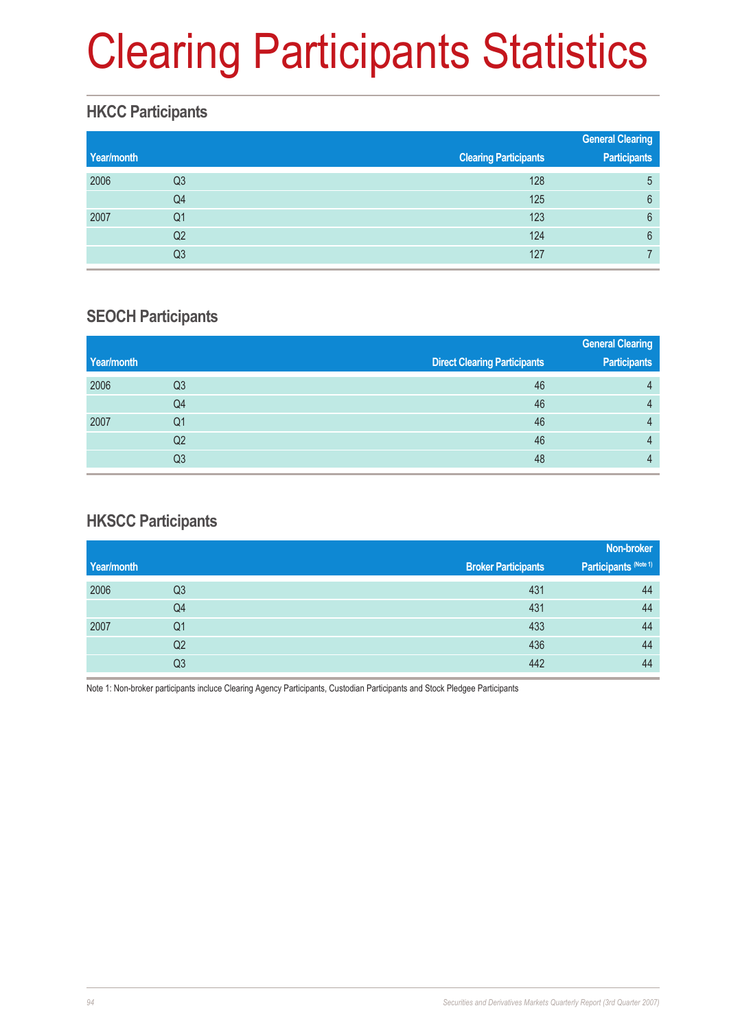# Clearing Participants Statistics

# **HKCC Participants**

|            |                |                              | <b>General Clearing</b> |
|------------|----------------|------------------------------|-------------------------|
| Year/month |                | <b>Clearing Participants</b> | <b>Participants</b>     |
| 2006       | Q <sub>3</sub> | 128                          | 5                       |
|            | Q4             | 125                          | 6                       |
| 2007       | Q1             | 123                          | 6                       |
|            | Q <sub>2</sub> | 124                          | 6                       |
|            | Q3             | 127                          |                         |

## **SEOCH Participants**

|            |    |                                     | <b>General Clearing</b> |
|------------|----|-------------------------------------|-------------------------|
| Year/month |    | <b>Direct Clearing Participants</b> | <b>Participants</b>     |
| 2006       | Q3 | 46                                  | 4                       |
|            | Q4 | 46                                  | 4                       |
| 2007       | Q1 | 46                                  | Д                       |
|            | Q2 | 46                                  |                         |
|            | Q3 | 48                                  |                         |

## **HKSCC Participants**

|            |                |                            | Non-broker            |
|------------|----------------|----------------------------|-----------------------|
| Year/month |                | <b>Broker Participants</b> | Participants (Note 1) |
| 2006       | Q <sub>3</sub> | 431                        | 44                    |
|            | Q4             | 431                        | 44                    |
| 2007       | Q <sub>1</sub> | 433                        | 44                    |
|            | Q2             | 436                        | 44                    |
|            | Q3             | 442                        | 44                    |

Note 1: Non-broker participants incluce Clearing Agency Participants, Custodian Participants and Stock Pledgee Participants